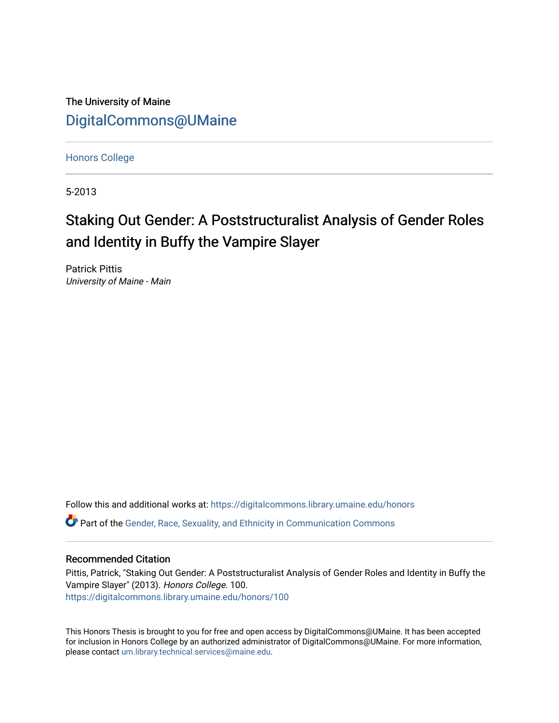The University of Maine [DigitalCommons@UMaine](https://digitalcommons.library.umaine.edu/)

[Honors College](https://digitalcommons.library.umaine.edu/honors)

5-2013

# Staking Out Gender: A Poststructuralist Analysis of Gender Roles and Identity in Buffy the Vampire Slayer

Patrick Pittis University of Maine - Main

Follow this and additional works at: [https://digitalcommons.library.umaine.edu/honors](https://digitalcommons.library.umaine.edu/honors?utm_source=digitalcommons.library.umaine.edu%2Fhonors%2F100&utm_medium=PDF&utm_campaign=PDFCoverPages)  **C** Part of the Gender, Race, Sexuality, and Ethnicity in Communication Commons

### Recommended Citation

Pittis, Patrick, "Staking Out Gender: A Poststructuralist Analysis of Gender Roles and Identity in Buffy the Vampire Slayer" (2013). Honors College. 100. [https://digitalcommons.library.umaine.edu/honors/100](https://digitalcommons.library.umaine.edu/honors/100?utm_source=digitalcommons.library.umaine.edu%2Fhonors%2F100&utm_medium=PDF&utm_campaign=PDFCoverPages) 

This Honors Thesis is brought to you for free and open access by DigitalCommons@UMaine. It has been accepted for inclusion in Honors College by an authorized administrator of DigitalCommons@UMaine. For more information, please contact [um.library.technical.services@maine.edu.](mailto:um.library.technical.services@maine.edu)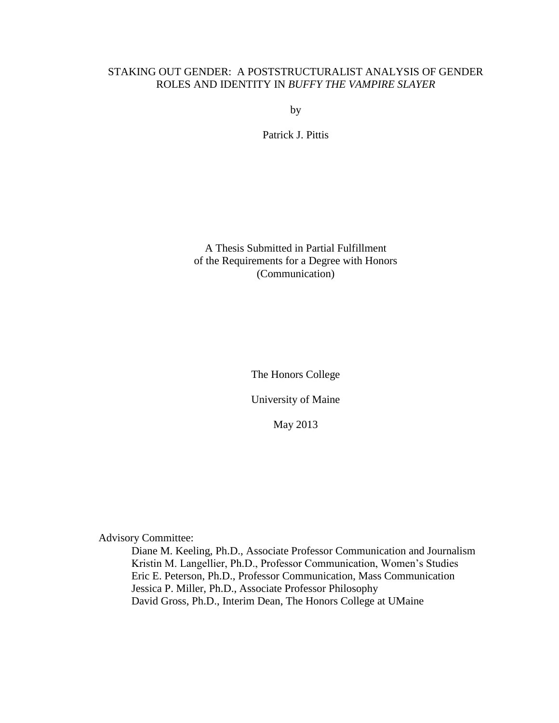# STAKING OUT GENDER: A POSTSTRUCTURALIST ANALYSIS OF GENDER ROLES AND IDENTITY IN *BUFFY THE VAMPIRE SLAYER*

by

Patrick J. Pittis

A Thesis Submitted in Partial Fulfillment of the Requirements for a Degree with Honors (Communication)

The Honors College

University of Maine

May 2013

Advisory Committee:

Diane M. Keeling, Ph.D., Associate Professor Communication and Journalism Kristin M. Langellier, Ph.D., Professor Communication, Women's Studies Eric E. Peterson, Ph.D., Professor Communication, Mass Communication Jessica P. Miller, Ph.D., Associate Professor Philosophy David Gross, Ph.D., Interim Dean, The Honors College at UMaine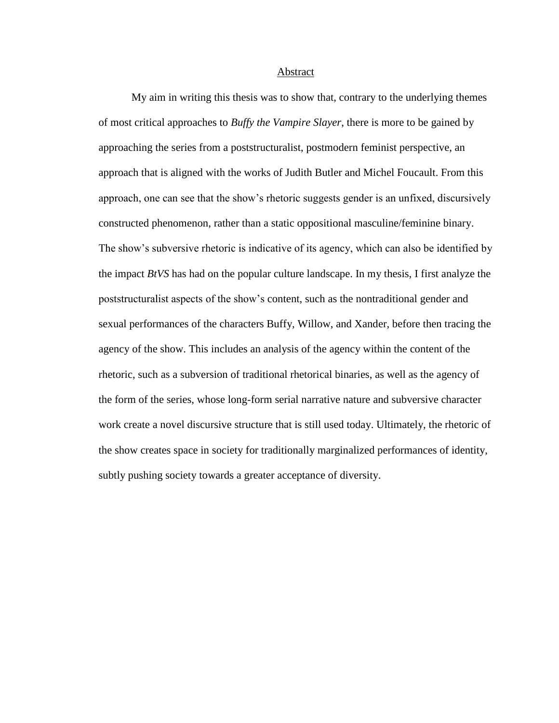Abstract

My aim in writing this thesis was to show that, contrary to the underlying themes of most critical approaches to *Buffy the Vampire Slayer*, there is more to be gained by approaching the series from a poststructuralist, postmodern feminist perspective, an approach that is aligned with the works of Judith Butler and Michel Foucault. From this approach, one can see that the show's rhetoric suggests gender is an unfixed, discursively constructed phenomenon, rather than a static oppositional masculine/feminine binary. The show's subversive rhetoric is indicative of its agency, which can also be identified by the impact *BtVS* has had on the popular culture landscape. In my thesis, I first analyze the poststructuralist aspects of the show's content, such as the nontraditional gender and sexual performances of the characters Buffy, Willow, and Xander, before then tracing the agency of the show. This includes an analysis of the agency within the content of the rhetoric, such as a subversion of traditional rhetorical binaries, as well as the agency of the form of the series, whose long-form serial narrative nature and subversive character work create a novel discursive structure that is still used today. Ultimately, the rhetoric of the show creates space in society for traditionally marginalized performances of identity, subtly pushing society towards a greater acceptance of diversity.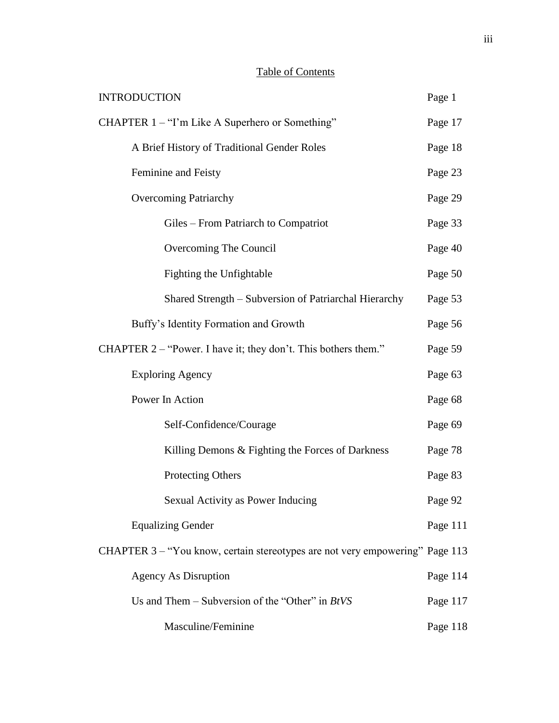# Table of Contents

| <b>INTRODUCTION</b>                                                          | Page 1   |
|------------------------------------------------------------------------------|----------|
| CHAPTER 1 – "I'm Like A Superhero or Something"                              | Page 17  |
| A Brief History of Traditional Gender Roles                                  | Page 18  |
| Feminine and Feisty                                                          | Page 23  |
| <b>Overcoming Patriarchy</b>                                                 | Page 29  |
| Giles – From Patriarch to Compatriot                                         | Page 33  |
| Overcoming The Council                                                       | Page 40  |
| <b>Fighting the Unfightable</b>                                              | Page 50  |
| Shared Strength - Subversion of Patriarchal Hierarchy                        | Page 53  |
| Buffy's Identity Formation and Growth                                        | Page 56  |
| CHAPTER 2 – "Power. I have it; they don't. This bothers them."               | Page 59  |
| <b>Exploring Agency</b>                                                      | Page 63  |
| Power In Action                                                              | Page 68  |
| Self-Confidence/Courage                                                      | Page 69  |
| Killing Demons & Fighting the Forces of Darkness                             | Page 78  |
| <b>Protecting Others</b>                                                     | Page 83  |
| Sexual Activity as Power Inducing                                            | Page 92  |
| <b>Equalizing Gender</b>                                                     | Page 111 |
| CHAPTER 3 - "You know, certain stereotypes are not very empowering" Page 113 |          |
| <b>Agency As Disruption</b>                                                  | Page 114 |
| Us and Them – Subversion of the "Other" in $BtVS$                            | Page 117 |
| Masculine/Feminine                                                           | Page 118 |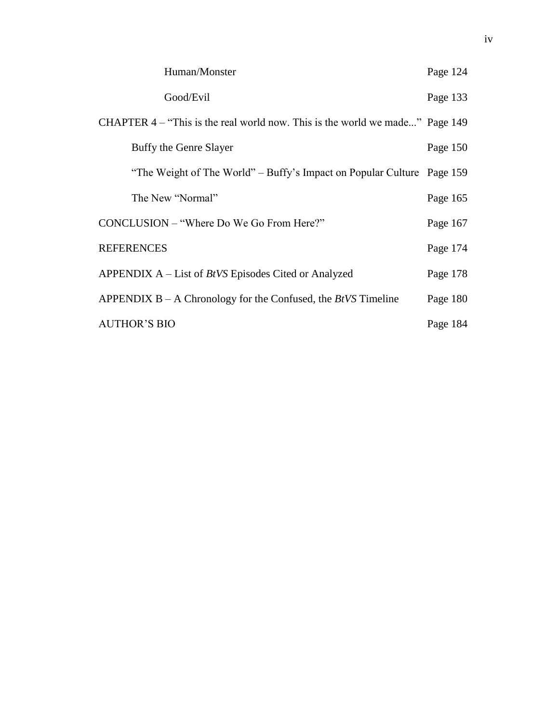| Human/Monster                                                                | Page 124 |
|------------------------------------------------------------------------------|----------|
| Good/Evil                                                                    | Page 133 |
| CHAPTER 4 – "This is the real world now. This is the world we made" Page 149 |          |
| Buffy the Genre Slayer                                                       | Page 150 |
| "The Weight of The World" – Buffy's Impact on Popular Culture Page 159       |          |
| The New "Normal"                                                             | Page 165 |
| CONCLUSION – "Where Do We Go From Here?"                                     | Page 167 |
| <b>REFERENCES</b>                                                            | Page 174 |
| APPENDIX $A$ – List of <i>BtVS</i> Episodes Cited or Analyzed                | Page 178 |
| APPENDIX $B - A$ Chronology for the Confused, the <i>BtVS</i> Timeline       | Page 180 |
| <b>AUTHOR'S BIO</b>                                                          | Page 184 |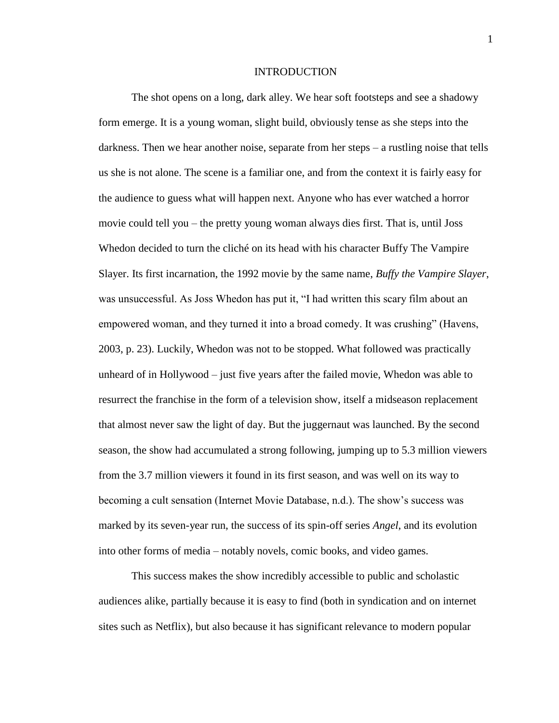#### INTRODUCTION

The shot opens on a long, dark alley. We hear soft footsteps and see a shadowy form emerge. It is a young woman, slight build, obviously tense as she steps into the darkness. Then we hear another noise, separate from her steps – a rustling noise that tells us she is not alone. The scene is a familiar one, and from the context it is fairly easy for the audience to guess what will happen next. Anyone who has ever watched a horror movie could tell you – the pretty young woman always dies first. That is, until Joss Whedon decided to turn the cliché on its head with his character Buffy The Vampire Slayer. Its first incarnation, the 1992 movie by the same name, *Buffy the Vampire Slayer*, was unsuccessful. As Joss Whedon has put it, "I had written this scary film about an empowered woman, and they turned it into a broad comedy. It was crushing" (Havens, 2003, p. 23). Luckily, Whedon was not to be stopped. What followed was practically unheard of in Hollywood – just five years after the failed movie, Whedon was able to resurrect the franchise in the form of a television show, itself a midseason replacement that almost never saw the light of day. But the juggernaut was launched. By the second season, the show had accumulated a strong following, jumping up to 5.3 million viewers from the 3.7 million viewers it found in its first season, and was well on its way to becoming a cult sensation (Internet Movie Database, n.d.). The show's success was marked by its seven-year run, the success of its spin-off series *Angel*, and its evolution into other forms of media – notably novels, comic books, and video games.

This success makes the show incredibly accessible to public and scholastic audiences alike, partially because it is easy to find (both in syndication and on internet sites such as Netflix), but also because it has significant relevance to modern popular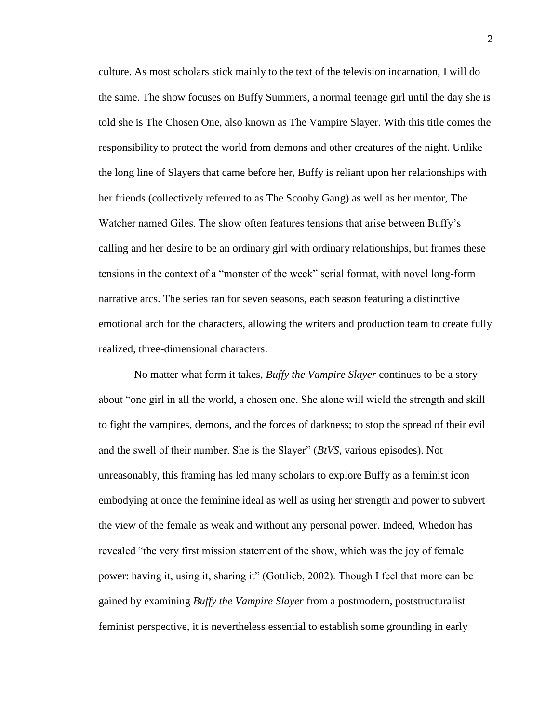culture. As most scholars stick mainly to the text of the television incarnation, I will do the same. The show focuses on Buffy Summers, a normal teenage girl until the day she is told she is The Chosen One, also known as The Vampire Slayer. With this title comes the responsibility to protect the world from demons and other creatures of the night. Unlike the long line of Slayers that came before her, Buffy is reliant upon her relationships with her friends (collectively referred to as The Scooby Gang) as well as her mentor, The Watcher named Giles. The show often features tensions that arise between Buffy's calling and her desire to be an ordinary girl with ordinary relationships, but frames these tensions in the context of a "monster of the week" serial format, with novel long-form narrative arcs. The series ran for seven seasons, each season featuring a distinctive emotional arch for the characters, allowing the writers and production team to create fully realized, three-dimensional characters.

No matter what form it takes, *Buffy the Vampire Slayer* continues to be a story about "one girl in all the world, a chosen one. She alone will wield the strength and skill to fight the vampires, demons, and the forces of darkness; to stop the spread of their evil and the swell of their number. She is the Slayer" (*BtVS*, various episodes). Not unreasonably, this framing has led many scholars to explore Buffy as a feminist icon – embodying at once the feminine ideal as well as using her strength and power to subvert the view of the female as weak and without any personal power. Indeed, Whedon has revealed "the very first mission statement of the show, which was the joy of female power: having it, using it, sharing it" (Gottlieb, 2002). Though I feel that more can be gained by examining *Buffy the Vampire Slayer* from a postmodern, poststructuralist feminist perspective, it is nevertheless essential to establish some grounding in early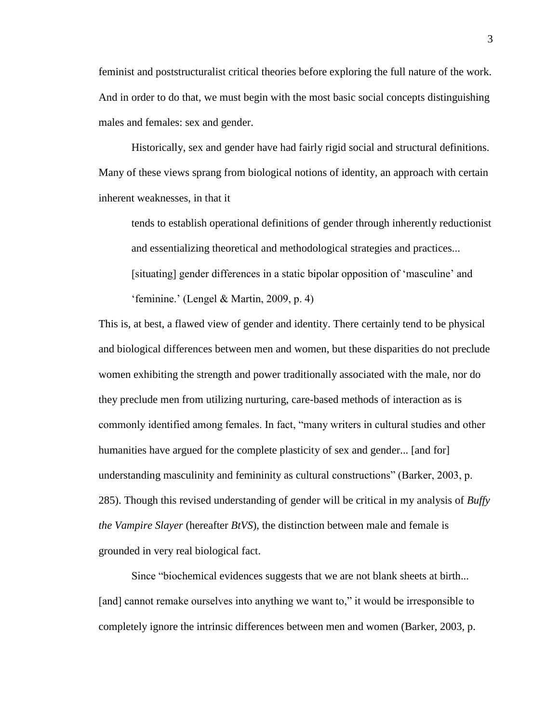feminist and poststructuralist critical theories before exploring the full nature of the work. And in order to do that, we must begin with the most basic social concepts distinguishing males and females: sex and gender.

Historically, sex and gender have had fairly rigid social and structural definitions. Many of these views sprang from biological notions of identity, an approach with certain inherent weaknesses, in that it

tends to establish operational definitions of gender through inherently reductionist and essentializing theoretical and methodological strategies and practices... [situating] gender differences in a static bipolar opposition of 'masculine' and 'feminine.' (Lengel & Martin, 2009, p. 4)

This is, at best, a flawed view of gender and identity. There certainly tend to be physical and biological differences between men and women, but these disparities do not preclude women exhibiting the strength and power traditionally associated with the male, nor do they preclude men from utilizing nurturing, care-based methods of interaction as is commonly identified among females. In fact, "many writers in cultural studies and other humanities have argued for the complete plasticity of sex and gender... [and for] understanding masculinity and femininity as cultural constructions" (Barker, 2003, p. 285). Though this revised understanding of gender will be critical in my analysis of *Buffy the Vampire Slayer* (hereafter *BtVS*), the distinction between male and female is grounded in very real biological fact.

Since "biochemical evidences suggests that we are not blank sheets at birth... [and] cannot remake ourselves into anything we want to," it would be irresponsible to completely ignore the intrinsic differences between men and women (Barker, 2003, p.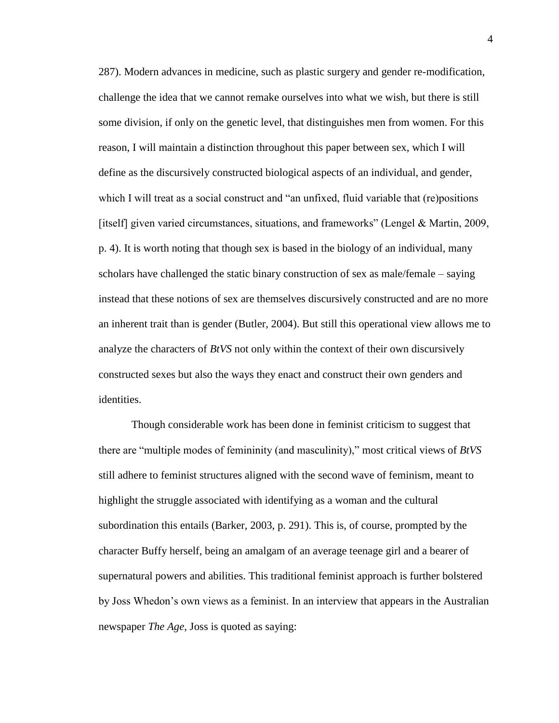287). Modern advances in medicine, such as plastic surgery and gender re-modification, challenge the idea that we cannot remake ourselves into what we wish, but there is still some division, if only on the genetic level, that distinguishes men from women. For this reason, I will maintain a distinction throughout this paper between sex, which I will define as the discursively constructed biological aspects of an individual, and gender, which I will treat as a social construct and "an unfixed, fluid variable that (re)positions [itself] given varied circumstances, situations, and frameworks" (Lengel & Martin, 2009, p. 4). It is worth noting that though sex is based in the biology of an individual, many scholars have challenged the static binary construction of sex as male/female – saying instead that these notions of sex are themselves discursively constructed and are no more an inherent trait than is gender (Butler, 2004). But still this operational view allows me to analyze the characters of *BtVS* not only within the context of their own discursively constructed sexes but also the ways they enact and construct their own genders and identities.

Though considerable work has been done in feminist criticism to suggest that there are "multiple modes of femininity (and masculinity)," most critical views of *BtVS* still adhere to feminist structures aligned with the second wave of feminism, meant to highlight the struggle associated with identifying as a woman and the cultural subordination this entails (Barker, 2003, p. 291). This is, of course, prompted by the character Buffy herself, being an amalgam of an average teenage girl and a bearer of supernatural powers and abilities. This traditional feminist approach is further bolstered by Joss Whedon's own views as a feminist. In an interview that appears in the Australian newspaper *The Age*, Joss is quoted as saying: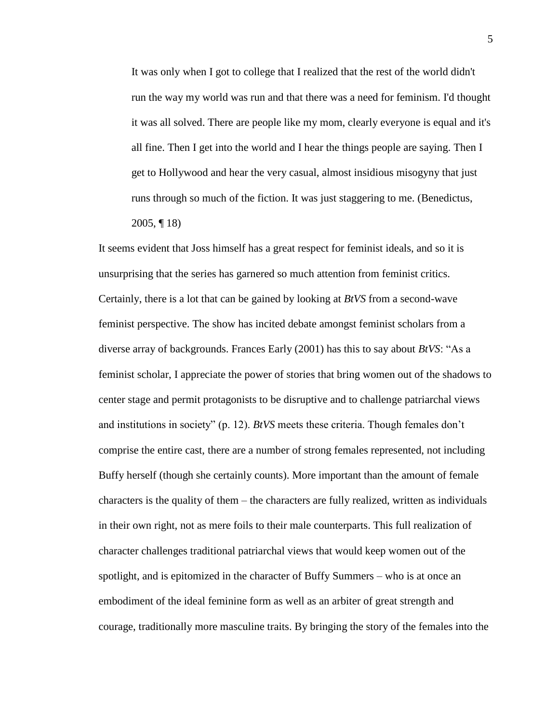It was only when I got to college that I realized that the rest of the world didn't run the way my world was run and that there was a need for feminism. I'd thought it was all solved. There are people like my mom, clearly everyone is equal and it's all fine. Then I get into the world and I hear the things people are saying. Then I get to Hollywood and hear the very casual, almost insidious misogyny that just runs through so much of the fiction. It was just staggering to me. (Benedictus, 2005, ¶ 18)

It seems evident that Joss himself has a great respect for feminist ideals, and so it is unsurprising that the series has garnered so much attention from feminist critics. Certainly, there is a lot that can be gained by looking at *BtVS* from a second-wave feminist perspective. The show has incited debate amongst feminist scholars from a diverse array of backgrounds. Frances Early (2001) has this to say about *BtVS*: "As a feminist scholar, I appreciate the power of stories that bring women out of the shadows to center stage and permit protagonists to be disruptive and to challenge patriarchal views and institutions in society" (p. 12). *BtVS* meets these criteria. Though females don't comprise the entire cast, there are a number of strong females represented, not including Buffy herself (though she certainly counts). More important than the amount of female characters is the quality of them – the characters are fully realized, written as individuals in their own right, not as mere foils to their male counterparts. This full realization of character challenges traditional patriarchal views that would keep women out of the spotlight, and is epitomized in the character of Buffy Summers – who is at once an embodiment of the ideal feminine form as well as an arbiter of great strength and courage, traditionally more masculine traits. By bringing the story of the females into the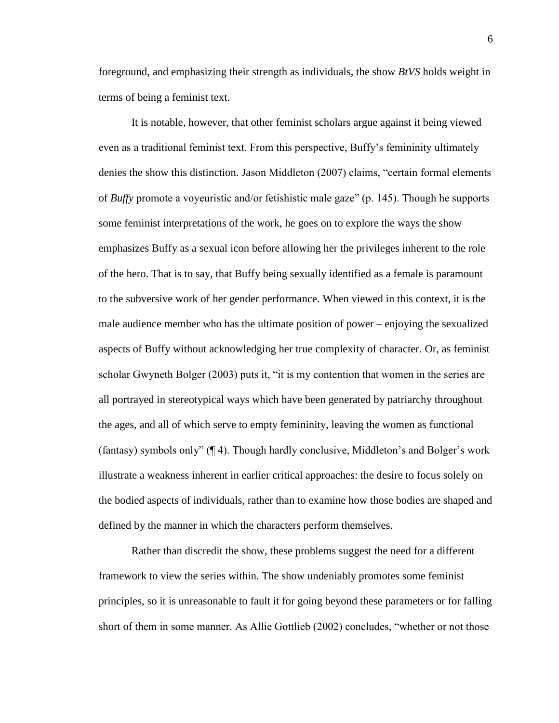foreground, and emphasizing their strength as individuals, the show *BtVS* holds weight in terms of being a feminist text.

It is notable, however, that other feminist scholars argue against it being viewed even as a traditional feminist text. From this perspective, Buffy's femininity ultimately denies the show this distinction. Jason Middleton (2007) claims, "certain formal elements of *Buffy* promote a voyeuristic and/or fetishistic male gaze" (p. 145). Though he supports some feminist interpretations of the work, he goes on to explore the ways the show emphasizes Buffy as a sexual icon before allowing her the privileges inherent to the role of the hero. That is to say, that Buffy being sexually identified as a female is paramount to the subversive work of her gender performance. When viewed in this context, it is the male audience member who has the ultimate position of power – enjoying the sexualized aspects of Buffy without acknowledging her true complexity of character. Or, as feminist scholar Gwyneth Bolger (2003) puts it, "it is my contention that women in the series are all portrayed in stereotypical ways which have been generated by patriarchy throughout the ages, and all of which serve to empty femininity, leaving the women as functional (fantasy) symbols only" (¶ 4). Though hardly conclusive, Middleton's and Bolger's work illustrate a weakness inherent in earlier critical approaches: the desire to focus solely on the bodied aspects of individuals, rather than to examine how those bodies are shaped and defined by the manner in which the characters perform themselves.

Rather than discredit the show, these problems suggest the need for a different framework to view the series within. The show undeniably promotes some feminist principles, so it is unreasonable to fault it for going beyond these parameters or for falling short of them in some manner. As Allie Gottlieb (2002) concludes, "whether or not those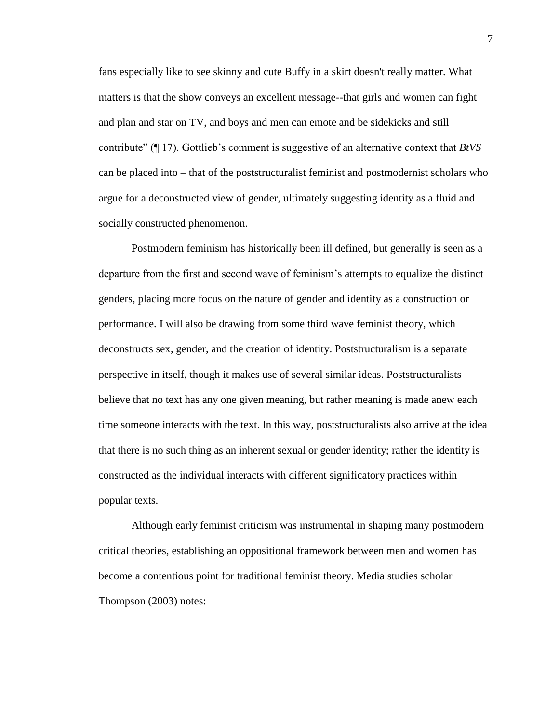fans especially like to see skinny and cute Buffy in a skirt doesn't really matter. What matters is that the show conveys an excellent message--that girls and women can fight and plan and star on TV, and boys and men can emote and be sidekicks and still contribute" (¶ 17). Gottlieb's comment is suggestive of an alternative context that *BtVS*  can be placed into – that of the poststructuralist feminist and postmodernist scholars who argue for a deconstructed view of gender, ultimately suggesting identity as a fluid and socially constructed phenomenon.

Postmodern feminism has historically been ill defined, but generally is seen as a departure from the first and second wave of feminism's attempts to equalize the distinct genders, placing more focus on the nature of gender and identity as a construction or performance. I will also be drawing from some third wave feminist theory, which deconstructs sex, gender, and the creation of identity. Poststructuralism is a separate perspective in itself, though it makes use of several similar ideas. Poststructuralists believe that no text has any one given meaning, but rather meaning is made anew each time someone interacts with the text. In this way, poststructuralists also arrive at the idea that there is no such thing as an inherent sexual or gender identity; rather the identity is constructed as the individual interacts with different significatory practices within popular texts.

Although early feminist criticism was instrumental in shaping many postmodern critical theories, establishing an oppositional framework between men and women has become a contentious point for traditional feminist theory. Media studies scholar Thompson (2003) notes:

7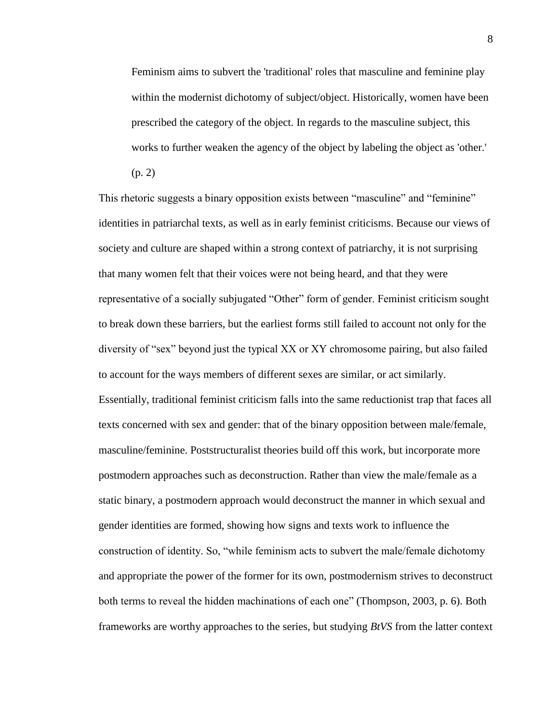Feminism aims to subvert the 'traditional' roles that masculine and feminine play within the modernist dichotomy of subject/object. Historically, women have been prescribed the category of the object. In regards to the masculine subject, this works to further weaken the agency of the object by labeling the object as 'other.'

(p. 2)

This rhetoric suggests a binary opposition exists between "masculine" and "feminine" identities in patriarchal texts, as well as in early feminist criticisms. Because our views of society and culture are shaped within a strong context of patriarchy, it is not surprising that many women felt that their voices were not being heard, and that they were representative of a socially subjugated "Other" form of gender. Feminist criticism sought to break down these barriers, but the earliest forms still failed to account not only for the diversity of "sex" beyond just the typical XX or XY chromosome pairing, but also failed to account for the ways members of different sexes are similar, or act similarly. Essentially, traditional feminist criticism falls into the same reductionist trap that faces all texts concerned with sex and gender: that of the binary opposition between male/female, masculine/feminine. Poststructuralist theories build off this work, but incorporate more postmodern approaches such as deconstruction. Rather than view the male/female as a static binary, a postmodern approach would deconstruct the manner in which sexual and gender identities are formed, showing how signs and texts work to influence the construction of identity. So, "while feminism acts to subvert the male/female dichotomy and appropriate the power of the former for its own, postmodernism strives to deconstruct both terms to reveal the hidden machinations of each one" (Thompson, 2003, p. 6). Both frameworks are worthy approaches to the series, but studying *BtVS* from the latter context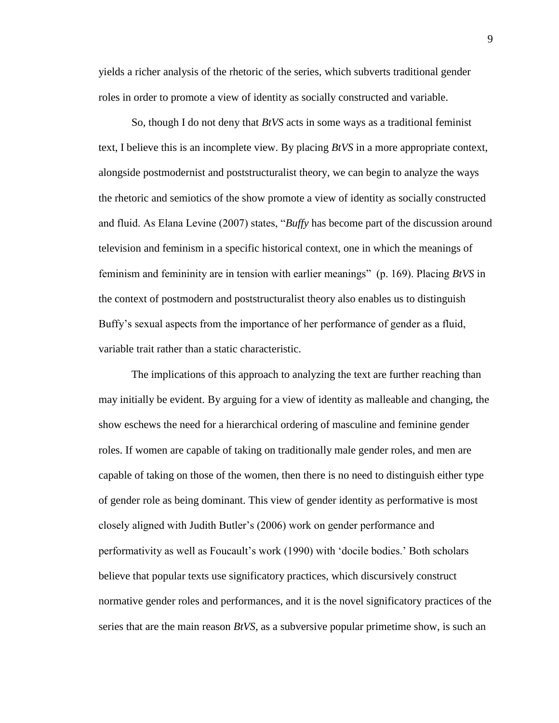yields a richer analysis of the rhetoric of the series, which subverts traditional gender roles in order to promote a view of identity as socially constructed and variable.

So, though I do not deny that *BtVS* acts in some ways as a traditional feminist text, I believe this is an incomplete view. By placing *BtVS* in a more appropriate context, alongside postmodernist and poststructuralist theory, we can begin to analyze the ways the rhetoric and semiotics of the show promote a view of identity as socially constructed and fluid. As Elana Levine (2007) states, "*Buffy* has become part of the discussion around television and feminism in a specific historical context, one in which the meanings of feminism and femininity are in tension with earlier meanings" (p. 169). Placing *BtVS* in the context of postmodern and poststructuralist theory also enables us to distinguish Buffy's sexual aspects from the importance of her performance of gender as a fluid, variable trait rather than a static characteristic.

The implications of this approach to analyzing the text are further reaching than may initially be evident. By arguing for a view of identity as malleable and changing, the show eschews the need for a hierarchical ordering of masculine and feminine gender roles. If women are capable of taking on traditionally male gender roles, and men are capable of taking on those of the women, then there is no need to distinguish either type of gender role as being dominant. This view of gender identity as performative is most closely aligned with Judith Butler's (2006) work on gender performance and performativity as well as Foucault's work (1990) with 'docile bodies.' Both scholars believe that popular texts use significatory practices, which discursively construct normative gender roles and performances, and it is the novel significatory practices of the series that are the main reason *BtVS*, as a subversive popular primetime show, is such an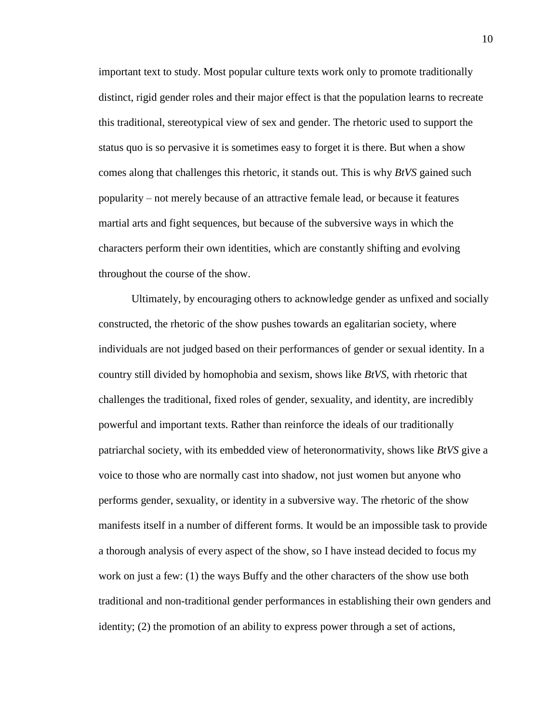important text to study. Most popular culture texts work only to promote traditionally distinct, rigid gender roles and their major effect is that the population learns to recreate this traditional, stereotypical view of sex and gender. The rhetoric used to support the status quo is so pervasive it is sometimes easy to forget it is there. But when a show comes along that challenges this rhetoric, it stands out. This is why *BtVS* gained such popularity – not merely because of an attractive female lead, or because it features martial arts and fight sequences, but because of the subversive ways in which the characters perform their own identities, which are constantly shifting and evolving throughout the course of the show.

Ultimately, by encouraging others to acknowledge gender as unfixed and socially constructed, the rhetoric of the show pushes towards an egalitarian society, where individuals are not judged based on their performances of gender or sexual identity. In a country still divided by homophobia and sexism, shows like *BtVS*, with rhetoric that challenges the traditional, fixed roles of gender, sexuality, and identity, are incredibly powerful and important texts. Rather than reinforce the ideals of our traditionally patriarchal society, with its embedded view of heteronormativity, shows like *BtVS* give a voice to those who are normally cast into shadow, not just women but anyone who performs gender, sexuality, or identity in a subversive way. The rhetoric of the show manifests itself in a number of different forms. It would be an impossible task to provide a thorough analysis of every aspect of the show, so I have instead decided to focus my work on just a few: (1) the ways Buffy and the other characters of the show use both traditional and non-traditional gender performances in establishing their own genders and identity; (2) the promotion of an ability to express power through a set of actions,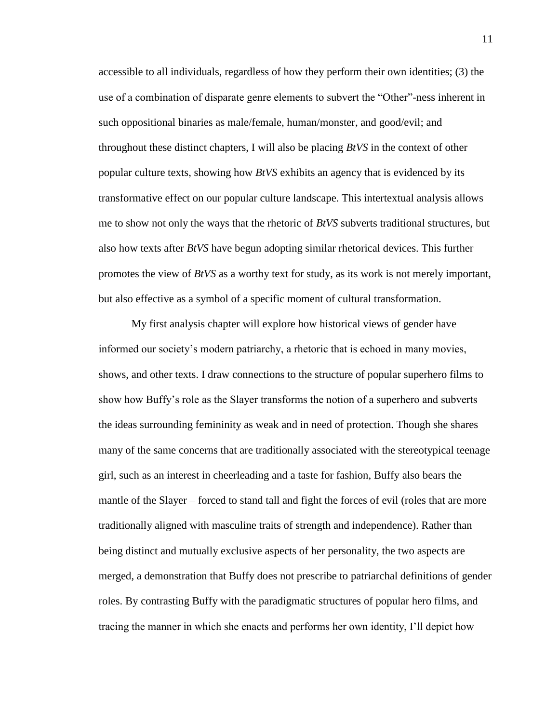accessible to all individuals, regardless of how they perform their own identities; (3) the use of a combination of disparate genre elements to subvert the "Other"-ness inherent in such oppositional binaries as male/female, human/monster, and good/evil; and throughout these distinct chapters, I will also be placing *BtVS* in the context of other popular culture texts, showing how *BtVS* exhibits an agency that is evidenced by its transformative effect on our popular culture landscape. This intertextual analysis allows me to show not only the ways that the rhetoric of *BtVS* subverts traditional structures, but also how texts after *BtVS* have begun adopting similar rhetorical devices. This further promotes the view of *BtVS* as a worthy text for study, as its work is not merely important, but also effective as a symbol of a specific moment of cultural transformation.

My first analysis chapter will explore how historical views of gender have informed our society's modern patriarchy, a rhetoric that is echoed in many movies, shows, and other texts. I draw connections to the structure of popular superhero films to show how Buffy's role as the Slayer transforms the notion of a superhero and subverts the ideas surrounding femininity as weak and in need of protection. Though she shares many of the same concerns that are traditionally associated with the stereotypical teenage girl, such as an interest in cheerleading and a taste for fashion, Buffy also bears the mantle of the Slayer – forced to stand tall and fight the forces of evil (roles that are more traditionally aligned with masculine traits of strength and independence). Rather than being distinct and mutually exclusive aspects of her personality, the two aspects are merged, a demonstration that Buffy does not prescribe to patriarchal definitions of gender roles. By contrasting Buffy with the paradigmatic structures of popular hero films, and tracing the manner in which she enacts and performs her own identity, I'll depict how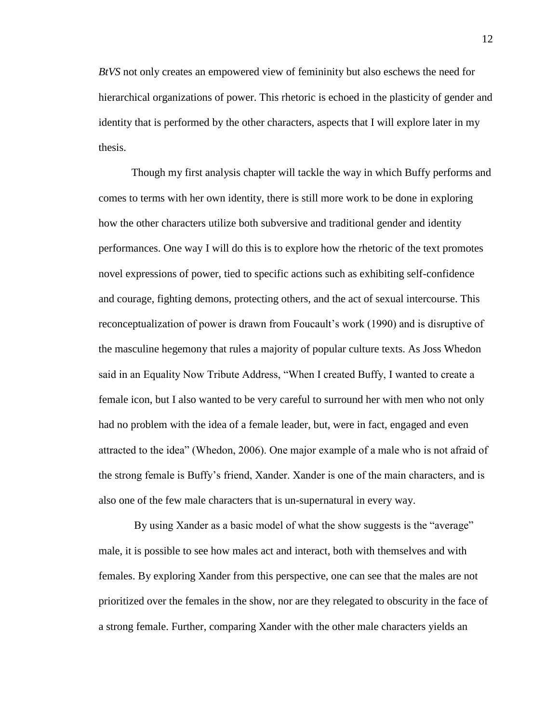*BtVS* not only creates an empowered view of femininity but also eschews the need for hierarchical organizations of power. This rhetoric is echoed in the plasticity of gender and identity that is performed by the other characters, aspects that I will explore later in my thesis.

Though my first analysis chapter will tackle the way in which Buffy performs and comes to terms with her own identity, there is still more work to be done in exploring how the other characters utilize both subversive and traditional gender and identity performances. One way I will do this is to explore how the rhetoric of the text promotes novel expressions of power, tied to specific actions such as exhibiting self-confidence and courage, fighting demons, protecting others, and the act of sexual intercourse. This reconceptualization of power is drawn from Foucault's work (1990) and is disruptive of the masculine hegemony that rules a majority of popular culture texts. As Joss Whedon said in an Equality Now Tribute Address, "When I created Buffy, I wanted to create a female icon, but I also wanted to be very careful to surround her with men who not only had no problem with the idea of a female leader, but, were in fact, engaged and even attracted to the idea" (Whedon, 2006). One major example of a male who is not afraid of the strong female is Buffy's friend, Xander. Xander is one of the main characters, and is also one of the few male characters that is un-supernatural in every way.

By using Xander as a basic model of what the show suggests is the "average" male, it is possible to see how males act and interact, both with themselves and with females. By exploring Xander from this perspective, one can see that the males are not prioritized over the females in the show, nor are they relegated to obscurity in the face of a strong female. Further, comparing Xander with the other male characters yields an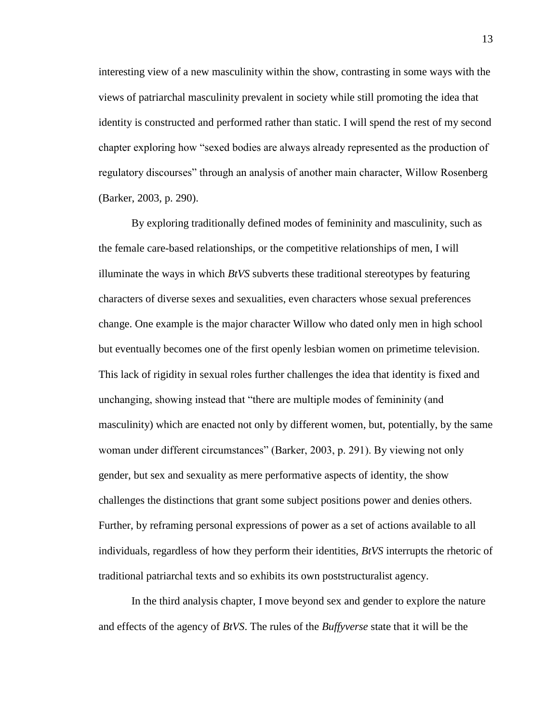interesting view of a new masculinity within the show, contrasting in some ways with the views of patriarchal masculinity prevalent in society while still promoting the idea that identity is constructed and performed rather than static. I will spend the rest of my second chapter exploring how "sexed bodies are always already represented as the production of regulatory discourses" through an analysis of another main character, Willow Rosenberg (Barker, 2003, p. 290).

By exploring traditionally defined modes of femininity and masculinity, such as the female care-based relationships, or the competitive relationships of men, I will illuminate the ways in which *BtVS* subverts these traditional stereotypes by featuring characters of diverse sexes and sexualities, even characters whose sexual preferences change. One example is the major character Willow who dated only men in high school but eventually becomes one of the first openly lesbian women on primetime television. This lack of rigidity in sexual roles further challenges the idea that identity is fixed and unchanging, showing instead that "there are multiple modes of femininity (and masculinity) which are enacted not only by different women, but, potentially, by the same woman under different circumstances" (Barker, 2003, p. 291). By viewing not only gender, but sex and sexuality as mere performative aspects of identity, the show challenges the distinctions that grant some subject positions power and denies others. Further, by reframing personal expressions of power as a set of actions available to all individuals, regardless of how they perform their identities, *BtVS* interrupts the rhetoric of traditional patriarchal texts and so exhibits its own poststructuralist agency.

In the third analysis chapter, I move beyond sex and gender to explore the nature and effects of the agency of *BtVS*. The rules of the *Buffyverse* state that it will be the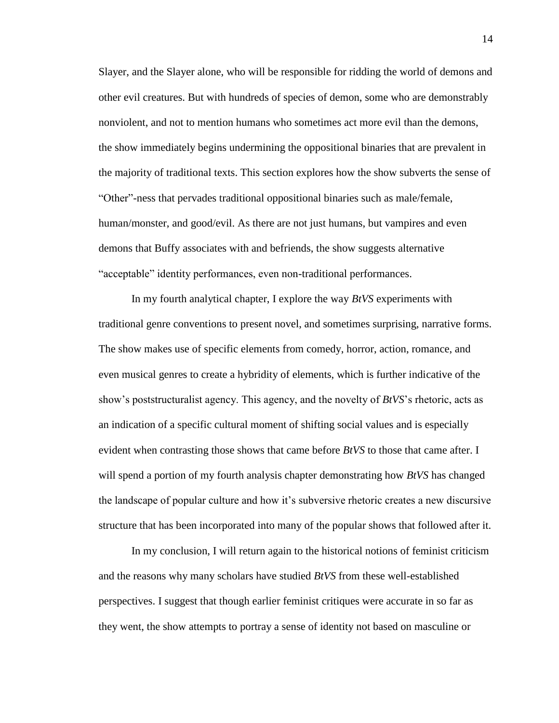Slayer, and the Slayer alone, who will be responsible for ridding the world of demons and other evil creatures. But with hundreds of species of demon, some who are demonstrably nonviolent, and not to mention humans who sometimes act more evil than the demons, the show immediately begins undermining the oppositional binaries that are prevalent in the majority of traditional texts. This section explores how the show subverts the sense of "Other"-ness that pervades traditional oppositional binaries such as male/female, human/monster, and good/evil. As there are not just humans, but vampires and even demons that Buffy associates with and befriends, the show suggests alternative "acceptable" identity performances, even non-traditional performances.

In my fourth analytical chapter, I explore the way *BtVS* experiments with traditional genre conventions to present novel, and sometimes surprising, narrative forms. The show makes use of specific elements from comedy, horror, action, romance, and even musical genres to create a hybridity of elements, which is further indicative of the show's poststructuralist agency. This agency, and the novelty of *BtVS*'s rhetoric, acts as an indication of a specific cultural moment of shifting social values and is especially evident when contrasting those shows that came before *BtVS* to those that came after. I will spend a portion of my fourth analysis chapter demonstrating how *BtVS* has changed the landscape of popular culture and how it's subversive rhetoric creates a new discursive structure that has been incorporated into many of the popular shows that followed after it.

In my conclusion, I will return again to the historical notions of feminist criticism and the reasons why many scholars have studied *BtVS* from these well-established perspectives. I suggest that though earlier feminist critiques were accurate in so far as they went, the show attempts to portray a sense of identity not based on masculine or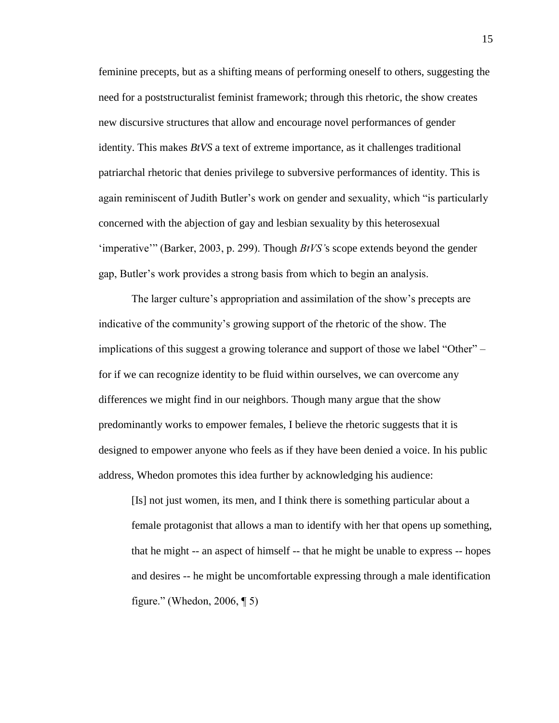feminine precepts, but as a shifting means of performing oneself to others, suggesting the need for a poststructuralist feminist framework; through this rhetoric, the show creates new discursive structures that allow and encourage novel performances of gender identity. This makes *BtVS* a text of extreme importance, as it challenges traditional patriarchal rhetoric that denies privilege to subversive performances of identity. This is again reminiscent of Judith Butler's work on gender and sexuality, which "is particularly concerned with the abjection of gay and lesbian sexuality by this heterosexual 'imperative'" (Barker, 2003, p. 299). Though *BtVS'*s scope extends beyond the gender gap, Butler's work provides a strong basis from which to begin an analysis.

The larger culture's appropriation and assimilation of the show's precepts are indicative of the community's growing support of the rhetoric of the show. The implications of this suggest a growing tolerance and support of those we label "Other" – for if we can recognize identity to be fluid within ourselves, we can overcome any differences we might find in our neighbors. Though many argue that the show predominantly works to empower females, I believe the rhetoric suggests that it is designed to empower anyone who feels as if they have been denied a voice. In his public address, Whedon promotes this idea further by acknowledging his audience:

[Is] not just women, its men, and I think there is something particular about a female protagonist that allows a man to identify with her that opens up something, that he might -- an aspect of himself -- that he might be unable to express -- hopes and desires -- he might be uncomfortable expressing through a male identification figure." (Whedon, 2006, ¶ 5)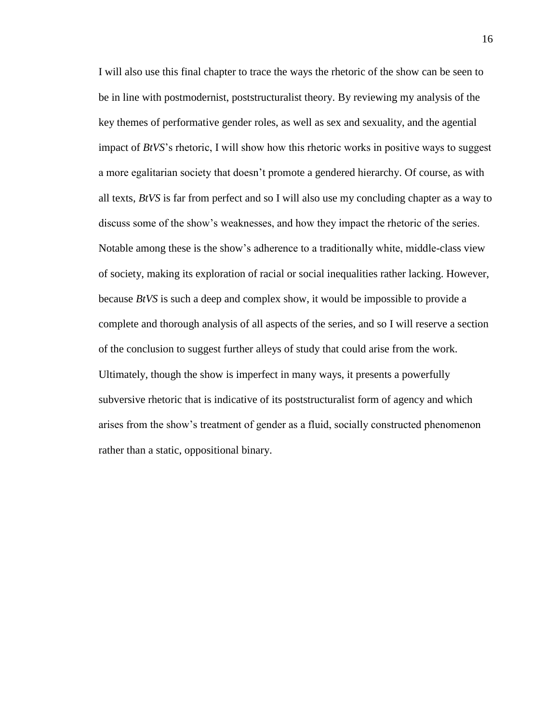I will also use this final chapter to trace the ways the rhetoric of the show can be seen to be in line with postmodernist, poststructuralist theory. By reviewing my analysis of the key themes of performative gender roles, as well as sex and sexuality, and the agential impact of *BtVS*'s rhetoric, I will show how this rhetoric works in positive ways to suggest a more egalitarian society that doesn't promote a gendered hierarchy. Of course, as with all texts, *BtVS* is far from perfect and so I will also use my concluding chapter as a way to discuss some of the show's weaknesses, and how they impact the rhetoric of the series. Notable among these is the show's adherence to a traditionally white, middle-class view of society, making its exploration of racial or social inequalities rather lacking. However, because *BtVS* is such a deep and complex show, it would be impossible to provide a complete and thorough analysis of all aspects of the series, and so I will reserve a section of the conclusion to suggest further alleys of study that could arise from the work. Ultimately, though the show is imperfect in many ways, it presents a powerfully subversive rhetoric that is indicative of its poststructuralist form of agency and which arises from the show's treatment of gender as a fluid, socially constructed phenomenon rather than a static, oppositional binary.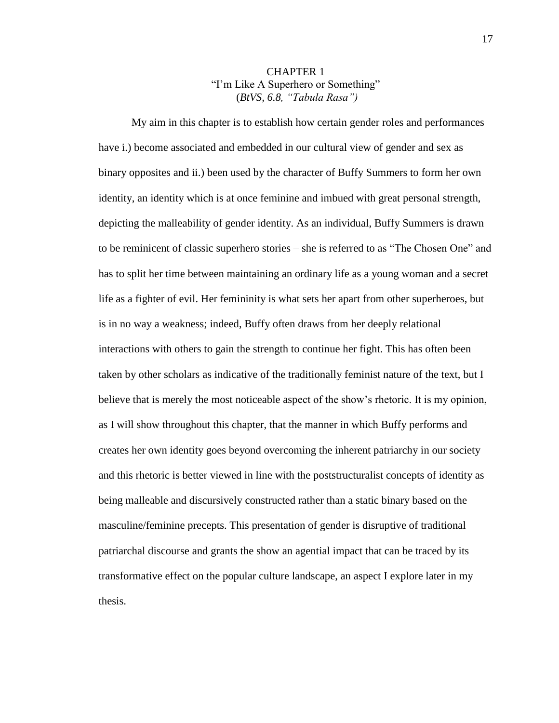## CHAPTER 1 "I'm Like A Superhero or Something" (*BtVS, 6.8, "Tabula Rasa")*

My aim in this chapter is to establish how certain gender roles and performances have i.) become associated and embedded in our cultural view of gender and sex as binary opposites and ii.) been used by the character of Buffy Summers to form her own identity, an identity which is at once feminine and imbued with great personal strength, depicting the malleability of gender identity. As an individual, Buffy Summers is drawn to be reminicent of classic superhero stories – she is referred to as "The Chosen One" and has to split her time between maintaining an ordinary life as a young woman and a secret life as a fighter of evil. Her femininity is what sets her apart from other superheroes, but is in no way a weakness; indeed, Buffy often draws from her deeply relational interactions with others to gain the strength to continue her fight. This has often been taken by other scholars as indicative of the traditionally feminist nature of the text, but I believe that is merely the most noticeable aspect of the show's rhetoric. It is my opinion, as I will show throughout this chapter, that the manner in which Buffy performs and creates her own identity goes beyond overcoming the inherent patriarchy in our society and this rhetoric is better viewed in line with the poststructuralist concepts of identity as being malleable and discursively constructed rather than a static binary based on the masculine/feminine precepts. This presentation of gender is disruptive of traditional patriarchal discourse and grants the show an agential impact that can be traced by its transformative effect on the popular culture landscape, an aspect I explore later in my thesis.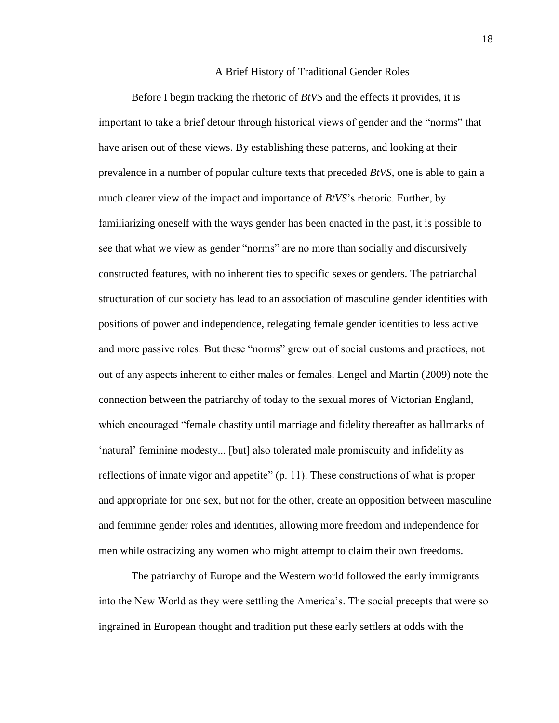#### A Brief History of Traditional Gender Roles

Before I begin tracking the rhetoric of *BtVS* and the effects it provides, it is important to take a brief detour through historical views of gender and the "norms" that have arisen out of these views. By establishing these patterns, and looking at their prevalence in a number of popular culture texts that preceded *BtVS*, one is able to gain a much clearer view of the impact and importance of *BtVS*'s rhetoric. Further, by familiarizing oneself with the ways gender has been enacted in the past, it is possible to see that what we view as gender "norms" are no more than socially and discursively constructed features, with no inherent ties to specific sexes or genders. The patriarchal structuration of our society has lead to an association of masculine gender identities with positions of power and independence, relegating female gender identities to less active and more passive roles. But these "norms" grew out of social customs and practices, not out of any aspects inherent to either males or females. Lengel and Martin (2009) note the connection between the patriarchy of today to the sexual mores of Victorian England, which encouraged "female chastity until marriage and fidelity thereafter as hallmarks of 'natural' feminine modesty... [but] also tolerated male promiscuity and infidelity as reflections of innate vigor and appetite" (p. 11). These constructions of what is proper and appropriate for one sex, but not for the other, create an opposition between masculine and feminine gender roles and identities, allowing more freedom and independence for men while ostracizing any women who might attempt to claim their own freedoms.

The patriarchy of Europe and the Western world followed the early immigrants into the New World as they were settling the America's. The social precepts that were so ingrained in European thought and tradition put these early settlers at odds with the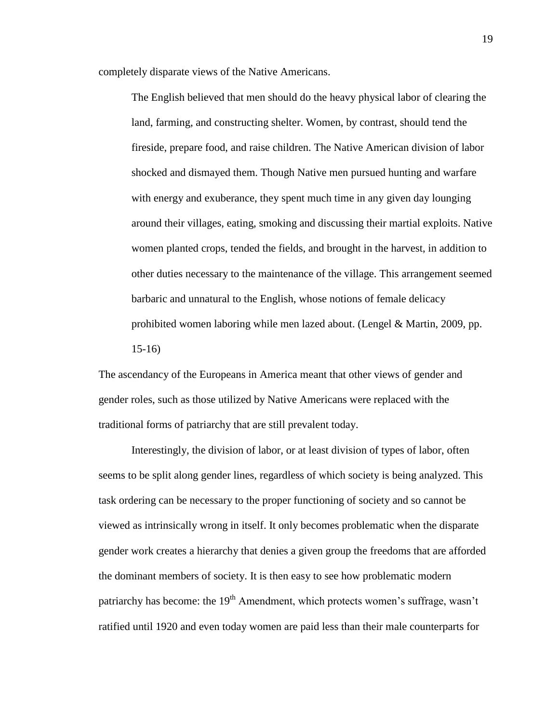completely disparate views of the Native Americans.

The English believed that men should do the heavy physical labor of clearing the land, farming, and constructing shelter. Women, by contrast, should tend the fireside, prepare food, and raise children. The Native American division of labor shocked and dismayed them. Though Native men pursued hunting and warfare with energy and exuberance, they spent much time in any given day lounging around their villages, eating, smoking and discussing their martial exploits. Native women planted crops, tended the fields, and brought in the harvest, in addition to other duties necessary to the maintenance of the village. This arrangement seemed barbaric and unnatural to the English, whose notions of female delicacy prohibited women laboring while men lazed about. (Lengel & Martin, 2009, pp. 15-16)

The ascendancy of the Europeans in America meant that other views of gender and gender roles, such as those utilized by Native Americans were replaced with the traditional forms of patriarchy that are still prevalent today.

Interestingly, the division of labor, or at least division of types of labor, often seems to be split along gender lines, regardless of which society is being analyzed. This task ordering can be necessary to the proper functioning of society and so cannot be viewed as intrinsically wrong in itself. It only becomes problematic when the disparate gender work creates a hierarchy that denies a given group the freedoms that are afforded the dominant members of society. It is then easy to see how problematic modern patriarchy has become: the  $19<sup>th</sup>$  Amendment, which protects women's suffrage, wasn't ratified until 1920 and even today women are paid less than their male counterparts for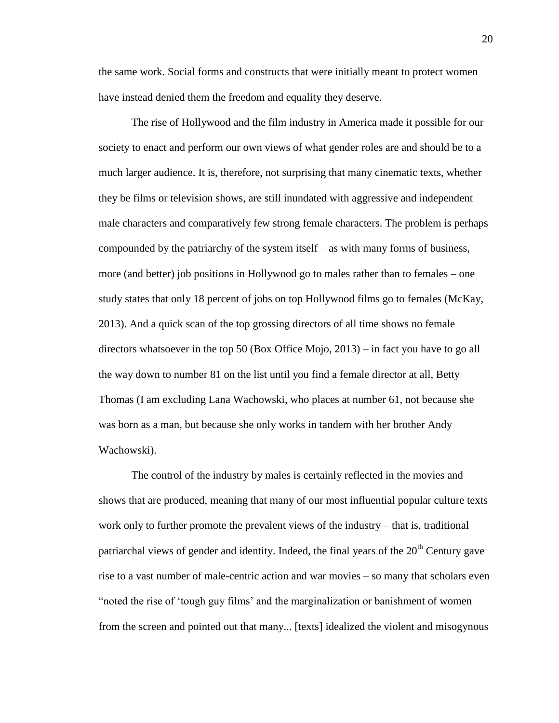the same work. Social forms and constructs that were initially meant to protect women have instead denied them the freedom and equality they deserve.

The rise of Hollywood and the film industry in America made it possible for our society to enact and perform our own views of what gender roles are and should be to a much larger audience. It is, therefore, not surprising that many cinematic texts, whether they be films or television shows, are still inundated with aggressive and independent male characters and comparatively few strong female characters. The problem is perhaps compounded by the patriarchy of the system itself – as with many forms of business, more (and better) job positions in Hollywood go to males rather than to females – one study states that only 18 percent of jobs on top Hollywood films go to females (McKay, 2013). And a quick scan of the top grossing directors of all time shows no female directors whatsoever in the top 50 (Box Office Mojo, 2013) – in fact you have to go all the way down to number 81 on the list until you find a female director at all, Betty Thomas (I am excluding Lana Wachowski, who places at number 61, not because she was born as a man, but because she only works in tandem with her brother Andy Wachowski).

The control of the industry by males is certainly reflected in the movies and shows that are produced, meaning that many of our most influential popular culture texts work only to further promote the prevalent views of the industry – that is, traditional patriarchal views of gender and identity. Indeed, the final years of the  $20<sup>th</sup>$  Century gave rise to a vast number of male-centric action and war movies – so many that scholars even "noted the rise of 'tough guy films' and the marginalization or banishment of women from the screen and pointed out that many... [texts] idealized the violent and misogynous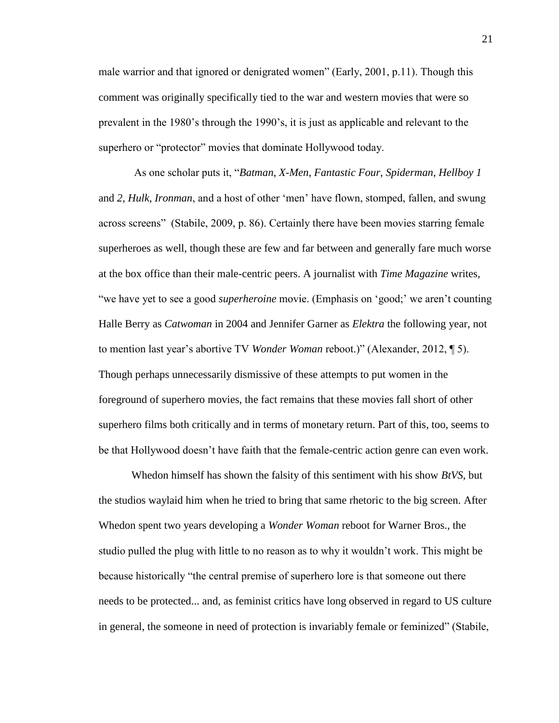male warrior and that ignored or denigrated women" (Early, 2001, p.11). Though this comment was originally specifically tied to the war and western movies that were so prevalent in the 1980's through the 1990's, it is just as applicable and relevant to the superhero or "protector" movies that dominate Hollywood today.

As one scholar puts it, "*Batman*, *X-Men*, *Fantastic Four*, *Spiderman*, *Hellboy 1* and *2*, *Hulk*, *Ironman*, and a host of other 'men' have flown, stomped, fallen, and swung across screens" (Stabile, 2009, p. 86). Certainly there have been movies starring female superheroes as well, though these are few and far between and generally fare much worse at the box office than their male-centric peers. A journalist with *Time Magazine* writes, "we have yet to see a good *superheroine* movie. (Emphasis on 'good;' we aren't counting Halle Berry as *Catwoman* in 2004 and Jennifer Garner as *Elektra* the following year, not to mention last year's abortive TV *Wonder Woman* reboot.)" (Alexander, 2012, ¶ 5). Though perhaps unnecessarily dismissive of these attempts to put women in the foreground of superhero movies, the fact remains that these movies fall short of other superhero films both critically and in terms of monetary return. Part of this, too, seems to be that Hollywood doesn't have faith that the female-centric action genre can even work.

Whedon himself has shown the falsity of this sentiment with his show *BtVS*, but the studios waylaid him when he tried to bring that same rhetoric to the big screen. After Whedon spent two years developing a *Wonder Woman* reboot for Warner Bros., the studio pulled the plug with little to no reason as to why it wouldn't work. This might be because historically "the central premise of superhero lore is that someone out there needs to be protected... and, as feminist critics have long observed in regard to US culture in general, the someone in need of protection is invariably female or feminized" (Stabile,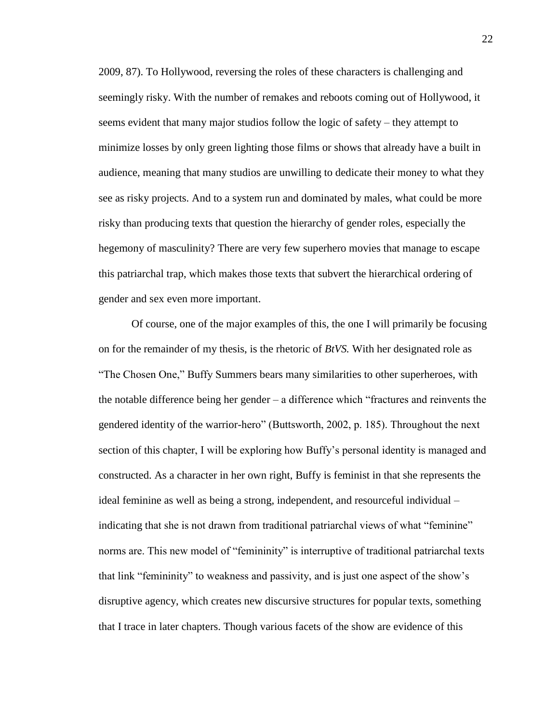2009, 87). To Hollywood, reversing the roles of these characters is challenging and seemingly risky. With the number of remakes and reboots coming out of Hollywood, it seems evident that many major studios follow the logic of safety – they attempt to minimize losses by only green lighting those films or shows that already have a built in audience, meaning that many studios are unwilling to dedicate their money to what they see as risky projects. And to a system run and dominated by males, what could be more risky than producing texts that question the hierarchy of gender roles, especially the hegemony of masculinity? There are very few superhero movies that manage to escape this patriarchal trap, which makes those texts that subvert the hierarchical ordering of gender and sex even more important.

Of course, one of the major examples of this, the one I will primarily be focusing on for the remainder of my thesis, is the rhetoric of *BtVS.* With her designated role as "The Chosen One," Buffy Summers bears many similarities to other superheroes, with the notable difference being her gender – a difference which "fractures and reinvents the gendered identity of the warrior-hero" (Buttsworth, 2002, p. 185). Throughout the next section of this chapter, I will be exploring how Buffy's personal identity is managed and constructed. As a character in her own right, Buffy is feminist in that she represents the ideal feminine as well as being a strong, independent, and resourceful individual – indicating that she is not drawn from traditional patriarchal views of what "feminine" norms are. This new model of "femininity" is interruptive of traditional patriarchal texts that link "femininity" to weakness and passivity, and is just one aspect of the show's disruptive agency, which creates new discursive structures for popular texts, something that I trace in later chapters. Though various facets of the show are evidence of this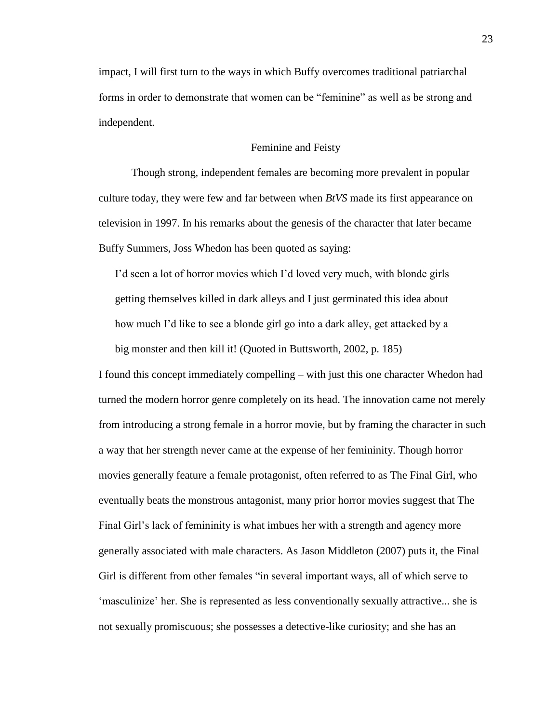impact, I will first turn to the ways in which Buffy overcomes traditional patriarchal forms in order to demonstrate that women can be "feminine" as well as be strong and independent.

#### Feminine and Feisty

Though strong, independent females are becoming more prevalent in popular culture today, they were few and far between when *BtVS* made its first appearance on television in 1997. In his remarks about the genesis of the character that later became Buffy Summers, Joss Whedon has been quoted as saying:

I'd seen a lot of horror movies which I'd loved very much, with blonde girls getting themselves killed in dark alleys and I just germinated this idea about how much I'd like to see a blonde girl go into a dark alley, get attacked by a big monster and then kill it! (Quoted in Buttsworth, 2002, p. 185)

I found this concept immediately compelling – with just this one character Whedon had turned the modern horror genre completely on its head. The innovation came not merely from introducing a strong female in a horror movie, but by framing the character in such a way that her strength never came at the expense of her femininity. Though horror movies generally feature a female protagonist, often referred to as The Final Girl, who eventually beats the monstrous antagonist, many prior horror movies suggest that The Final Girl's lack of femininity is what imbues her with a strength and agency more generally associated with male characters. As Jason Middleton (2007) puts it, the Final Girl is different from other females "in several important ways, all of which serve to 'masculinize' her. She is represented as less conventionally sexually attractive... she is not sexually promiscuous; she possesses a detective-like curiosity; and she has an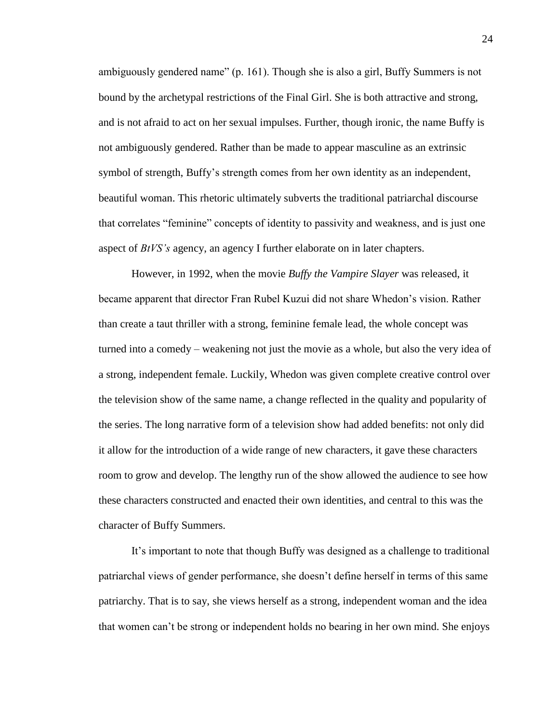ambiguously gendered name" (p. 161). Though she is also a girl, Buffy Summers is not bound by the archetypal restrictions of the Final Girl. She is both attractive and strong, and is not afraid to act on her sexual impulses. Further, though ironic, the name Buffy is not ambiguously gendered. Rather than be made to appear masculine as an extrinsic symbol of strength, Buffy's strength comes from her own identity as an independent, beautiful woman. This rhetoric ultimately subverts the traditional patriarchal discourse that correlates "feminine" concepts of identity to passivity and weakness, and is just one aspect of *BtVS's* agency, an agency I further elaborate on in later chapters.

However, in 1992, when the movie *Buffy the Vampire Slayer* was released, it became apparent that director Fran Rubel Kuzui did not share Whedon's vision. Rather than create a taut thriller with a strong, feminine female lead, the whole concept was turned into a comedy – weakening not just the movie as a whole, but also the very idea of a strong, independent female. Luckily, Whedon was given complete creative control over the television show of the same name, a change reflected in the quality and popularity of the series. The long narrative form of a television show had added benefits: not only did it allow for the introduction of a wide range of new characters, it gave these characters room to grow and develop. The lengthy run of the show allowed the audience to see how these characters constructed and enacted their own identities, and central to this was the character of Buffy Summers.

It's important to note that though Buffy was designed as a challenge to traditional patriarchal views of gender performance, she doesn't define herself in terms of this same patriarchy. That is to say, she views herself as a strong, independent woman and the idea that women can't be strong or independent holds no bearing in her own mind. She enjoys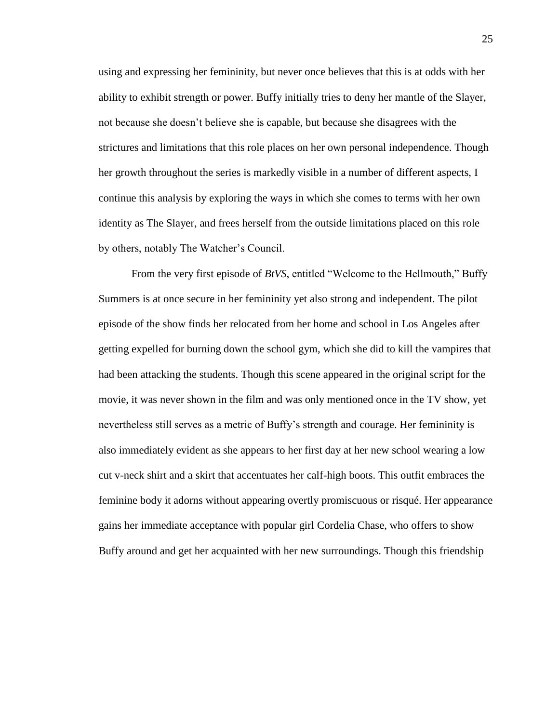using and expressing her femininity, but never once believes that this is at odds with her ability to exhibit strength or power. Buffy initially tries to deny her mantle of the Slayer, not because she doesn't believe she is capable, but because she disagrees with the strictures and limitations that this role places on her own personal independence. Though her growth throughout the series is markedly visible in a number of different aspects, I continue this analysis by exploring the ways in which she comes to terms with her own identity as The Slayer, and frees herself from the outside limitations placed on this role by others, notably The Watcher's Council.

From the very first episode of *BtVS*, entitled "Welcome to the Hellmouth," Buffy Summers is at once secure in her femininity yet also strong and independent. The pilot episode of the show finds her relocated from her home and school in Los Angeles after getting expelled for burning down the school gym, which she did to kill the vampires that had been attacking the students. Though this scene appeared in the original script for the movie, it was never shown in the film and was only mentioned once in the TV show, yet nevertheless still serves as a metric of Buffy's strength and courage. Her femininity is also immediately evident as she appears to her first day at her new school wearing a low cut v-neck shirt and a skirt that accentuates her calf-high boots. This outfit embraces the feminine body it adorns without appearing overtly promiscuous or risqué. Her appearance gains her immediate acceptance with popular girl Cordelia Chase, who offers to show Buffy around and get her acquainted with her new surroundings. Though this friendship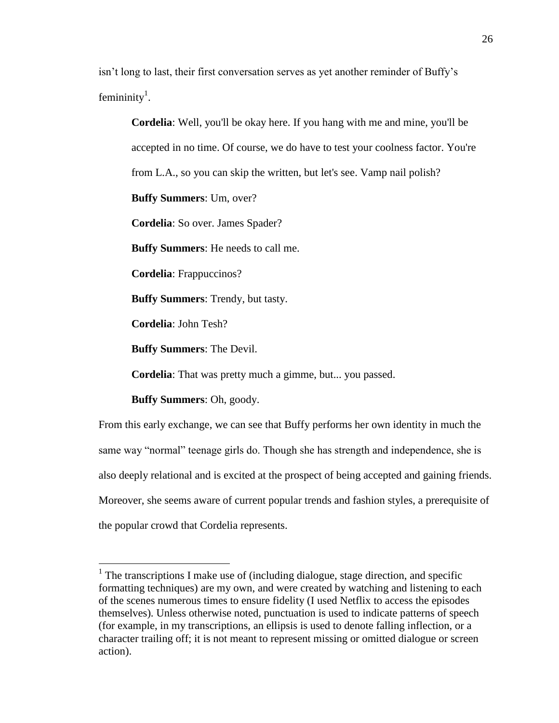isn't long to last, their first conversation serves as yet another reminder of Buffy's femininity<sup>1</sup>.

**Cordelia**: Well, you'll be okay here. If you hang with me and mine, you'll be accepted in no time. Of course, we do have to test your coolness factor. You're from L.A., so you can skip the written, but let's see. Vamp nail polish? **Buffy Summers**: Um, over? **Cordelia**: So over. James Spader? **Buffy Summers**: He needs to call me. **Cordelia**: Frappuccinos? **Buffy Summers**: Trendy, but tasty. **Cordelia**: John Tesh? **Buffy Summers**: The Devil. **Cordelia**: That was pretty much a gimme, but... you passed. **Buffy Summers**: Oh, goody.

From this early exchange, we can see that Buffy performs her own identity in much the same way "normal" teenage girls do. Though she has strength and independence, she is also deeply relational and is excited at the prospect of being accepted and gaining friends. Moreover, she seems aware of current popular trends and fashion styles, a prerequisite of the popular crowd that Cordelia represents.

 $\overline{a}$ 

<sup>&</sup>lt;sup>1</sup> The transcriptions I make use of (including dialogue, stage direction, and specific formatting techniques) are my own, and were created by watching and listening to each of the scenes numerous times to ensure fidelity (I used Netflix to access the episodes themselves). Unless otherwise noted, punctuation is used to indicate patterns of speech (for example, in my transcriptions, an ellipsis is used to denote falling inflection, or a character trailing off; it is not meant to represent missing or omitted dialogue or screen action).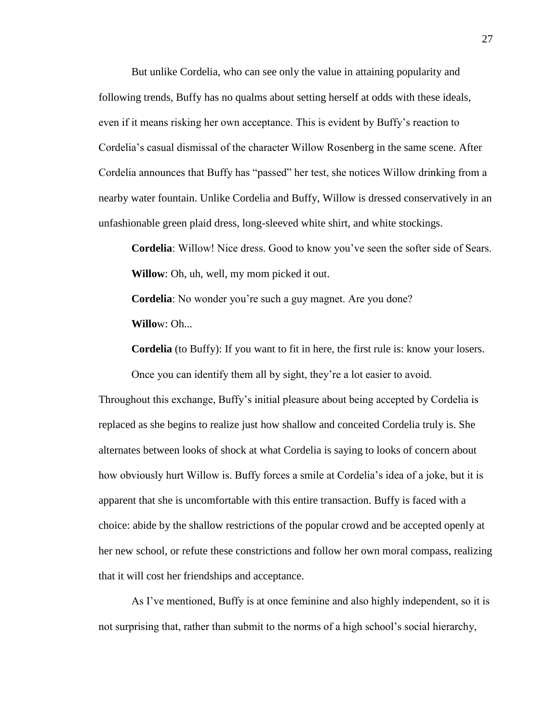But unlike Cordelia, who can see only the value in attaining popularity and following trends, Buffy has no qualms about setting herself at odds with these ideals, even if it means risking her own acceptance. This is evident by Buffy's reaction to Cordelia's casual dismissal of the character Willow Rosenberg in the same scene. After Cordelia announces that Buffy has "passed" her test, she notices Willow drinking from a nearby water fountain. Unlike Cordelia and Buffy, Willow is dressed conservatively in an unfashionable green plaid dress, long-sleeved white shirt, and white stockings.

**Cordelia**: Willow! Nice dress. Good to know you've seen the softer side of Sears. **Willow**: Oh, uh, well, my mom picked it out.

**Cordelia**: No wonder you're such a guy magnet. Are you done? **Willo**w: Oh...

**Cordelia** (to Buffy): If you want to fit in here, the first rule is: know your losers.

Once you can identify them all by sight, they're a lot easier to avoid.

Throughout this exchange, Buffy's initial pleasure about being accepted by Cordelia is replaced as she begins to realize just how shallow and conceited Cordelia truly is. She alternates between looks of shock at what Cordelia is saying to looks of concern about how obviously hurt Willow is. Buffy forces a smile at Cordelia's idea of a joke, but it is apparent that she is uncomfortable with this entire transaction. Buffy is faced with a choice: abide by the shallow restrictions of the popular crowd and be accepted openly at her new school, or refute these constrictions and follow her own moral compass, realizing that it will cost her friendships and acceptance.

As I've mentioned, Buffy is at once feminine and also highly independent, so it is not surprising that, rather than submit to the norms of a high school's social hierarchy,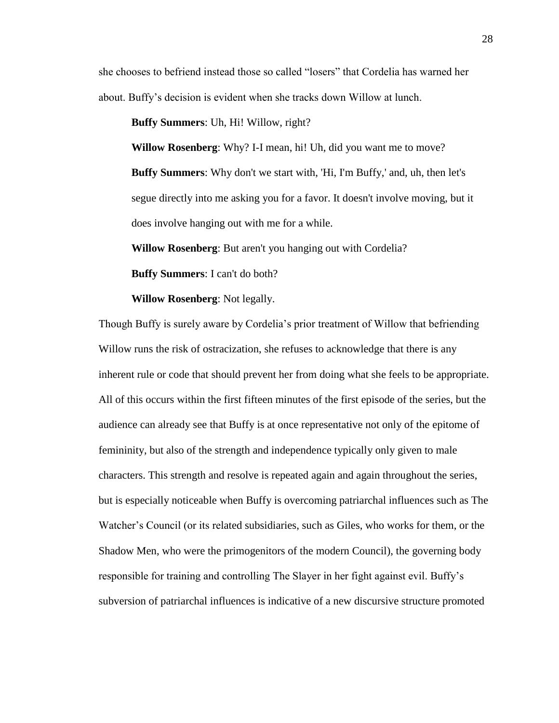she chooses to befriend instead those so called "losers" that Cordelia has warned her about. Buffy's decision is evident when she tracks down Willow at lunch.

**Buffy Summers**: Uh, Hi! Willow, right?

**Willow Rosenberg**: Why? I-I mean, hi! Uh, did you want me to move? **Buffy Summers**: Why don't we start with, 'Hi, I'm Buffy,' and, uh, then let's segue directly into me asking you for a favor. It doesn't involve moving, but it does involve hanging out with me for a while.

**Willow Rosenberg**: But aren't you hanging out with Cordelia?

**Buffy Summers**: I can't do both?

**Willow Rosenberg**: Not legally.

Though Buffy is surely aware by Cordelia's prior treatment of Willow that befriending Willow runs the risk of ostracization, she refuses to acknowledge that there is any inherent rule or code that should prevent her from doing what she feels to be appropriate. All of this occurs within the first fifteen minutes of the first episode of the series, but the audience can already see that Buffy is at once representative not only of the epitome of femininity, but also of the strength and independence typically only given to male characters. This strength and resolve is repeated again and again throughout the series, but is especially noticeable when Buffy is overcoming patriarchal influences such as The Watcher's Council (or its related subsidiaries, such as Giles, who works for them, or the Shadow Men, who were the primogenitors of the modern Council), the governing body responsible for training and controlling The Slayer in her fight against evil. Buffy's subversion of patriarchal influences is indicative of a new discursive structure promoted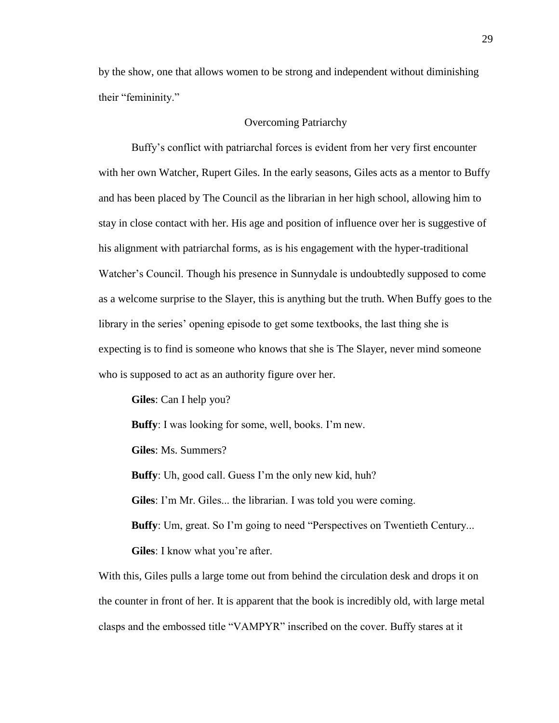by the show, one that allows women to be strong and independent without diminishing their "femininity."

#### Overcoming Patriarchy

Buffy's conflict with patriarchal forces is evident from her very first encounter with her own Watcher, Rupert Giles. In the early seasons, Giles acts as a mentor to Buffy and has been placed by The Council as the librarian in her high school, allowing him to stay in close contact with her. His age and position of influence over her is suggestive of his alignment with patriarchal forms, as is his engagement with the hyper-traditional Watcher's Council. Though his presence in Sunnydale is undoubtedly supposed to come as a welcome surprise to the Slayer, this is anything but the truth. When Buffy goes to the library in the series' opening episode to get some textbooks, the last thing she is expecting is to find is someone who knows that she is The Slayer, never mind someone who is supposed to act as an authority figure over her.

**Giles**: Can I help you?

**Buffy**: I was looking for some, well, books. I'm new.

**Giles**: Ms. Summers?

**Buffy**: Uh, good call. Guess I'm the only new kid, huh?

**Giles**: I'm Mr. Giles... the librarian. I was told you were coming.

**Buffy**: Um, great. So I'm going to need "Perspectives on Twentieth Century...

**Giles**: I know what you're after.

With this, Giles pulls a large tome out from behind the circulation desk and drops it on the counter in front of her. It is apparent that the book is incredibly old, with large metal clasps and the embossed title "VAMPYR" inscribed on the cover. Buffy stares at it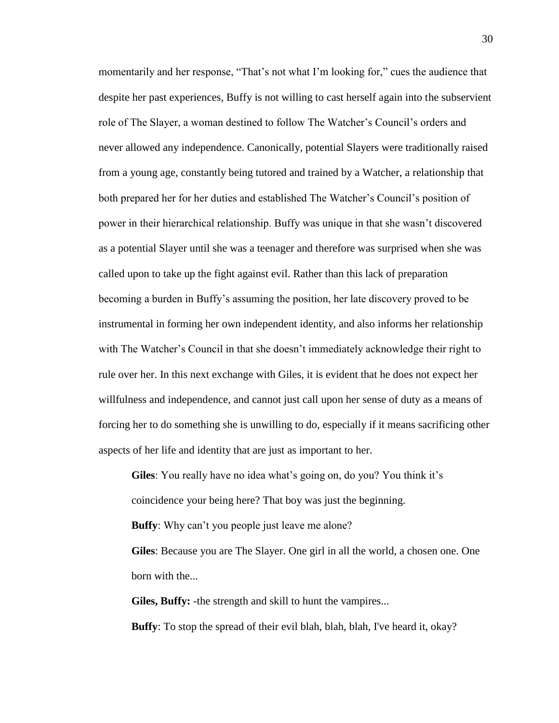momentarily and her response, "That's not what I'm looking for," cues the audience that despite her past experiences, Buffy is not willing to cast herself again into the subservient role of The Slayer, a woman destined to follow The Watcher's Council's orders and never allowed any independence. Canonically, potential Slayers were traditionally raised from a young age, constantly being tutored and trained by a Watcher, a relationship that both prepared her for her duties and established The Watcher's Council's position of power in their hierarchical relationship. Buffy was unique in that she wasn't discovered as a potential Slayer until she was a teenager and therefore was surprised when she was called upon to take up the fight against evil. Rather than this lack of preparation becoming a burden in Buffy's assuming the position, her late discovery proved to be instrumental in forming her own independent identity, and also informs her relationship with The Watcher's Council in that she doesn't immediately acknowledge their right to rule over her. In this next exchange with Giles, it is evident that he does not expect her willfulness and independence, and cannot just call upon her sense of duty as a means of forcing her to do something she is unwilling to do, especially if it means sacrificing other aspects of her life and identity that are just as important to her.

**Giles**: You really have no idea what's going on, do you? You think it's coincidence your being here? That boy was just the beginning. **Buffy**: Why can't you people just leave me alone? **Giles**: Because you are The Slayer. One girl in all the world, a chosen one. One born with the...

**Giles, Buffy:** -the strength and skill to hunt the vampires... **Buffy**: To stop the spread of their evil blah, blah, blah, I've heard it, okay?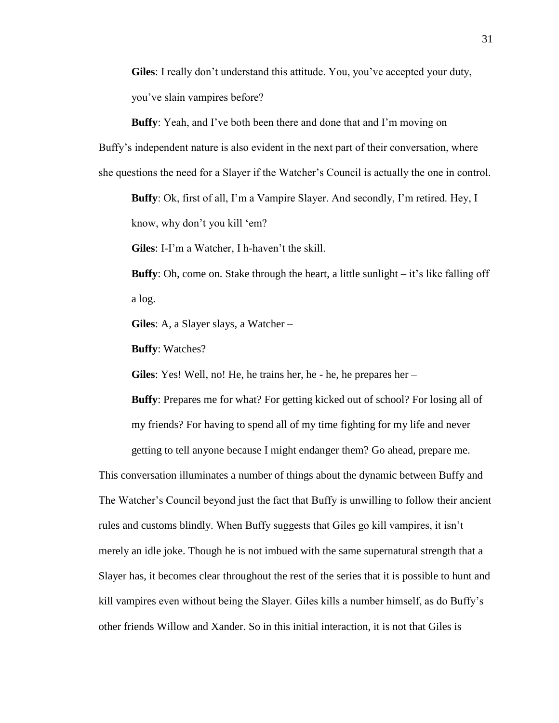**Giles**: I really don't understand this attitude. You, you've accepted your duty, you've slain vampires before?

**Buffy**: Yeah, and I've both been there and done that and I'm moving on Buffy's independent nature is also evident in the next part of their conversation, where she questions the need for a Slayer if the Watcher's Council is actually the one in control.

**Buffy**: Ok, first of all, I'm a Vampire Slayer. And secondly, I'm retired. Hey, I know, why don't you kill 'em?

**Giles**: I-I'm a Watcher, I h-haven't the skill.

**Buffy**: Oh, come on. Stake through the heart, a little sunlight – it's like falling off a log.

**Giles**: A, a Slayer slays, a Watcher –

**Buffy**: Watches?

**Giles**: Yes! Well, no! He, he trains her, he - he, he prepares her –

**Buffy**: Prepares me for what? For getting kicked out of school? For losing all of my friends? For having to spend all of my time fighting for my life and never getting to tell anyone because I might endanger them? Go ahead, prepare me.

This conversation illuminates a number of things about the dynamic between Buffy and The Watcher's Council beyond just the fact that Buffy is unwilling to follow their ancient rules and customs blindly. When Buffy suggests that Giles go kill vampires, it isn't merely an idle joke. Though he is not imbued with the same supernatural strength that a Slayer has, it becomes clear throughout the rest of the series that it is possible to hunt and kill vampires even without being the Slayer. Giles kills a number himself, as do Buffy's other friends Willow and Xander. So in this initial interaction, it is not that Giles is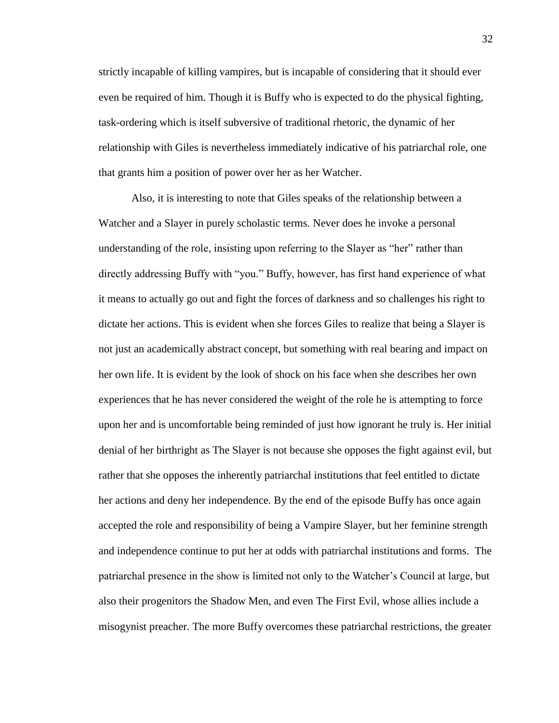strictly incapable of killing vampires, but is incapable of considering that it should ever even be required of him. Though it is Buffy who is expected to do the physical fighting, task-ordering which is itself subversive of traditional rhetoric, the dynamic of her relationship with Giles is nevertheless immediately indicative of his patriarchal role, one that grants him a position of power over her as her Watcher.

Also, it is interesting to note that Giles speaks of the relationship between a Watcher and a Slayer in purely scholastic terms. Never does he invoke a personal understanding of the role, insisting upon referring to the Slayer as "her" rather than directly addressing Buffy with "you." Buffy, however, has first hand experience of what it means to actually go out and fight the forces of darkness and so challenges his right to dictate her actions. This is evident when she forces Giles to realize that being a Slayer is not just an academically abstract concept, but something with real bearing and impact on her own life. It is evident by the look of shock on his face when she describes her own experiences that he has never considered the weight of the role he is attempting to force upon her and is uncomfortable being reminded of just how ignorant he truly is. Her initial denial of her birthright as The Slayer is not because she opposes the fight against evil, but rather that she opposes the inherently patriarchal institutions that feel entitled to dictate her actions and deny her independence. By the end of the episode Buffy has once again accepted the role and responsibility of being a Vampire Slayer, but her feminine strength and independence continue to put her at odds with patriarchal institutions and forms. The patriarchal presence in the show is limited not only to the Watcher's Council at large, but also their progenitors the Shadow Men, and even The First Evil, whose allies include a misogynist preacher. The more Buffy overcomes these patriarchal restrictions, the greater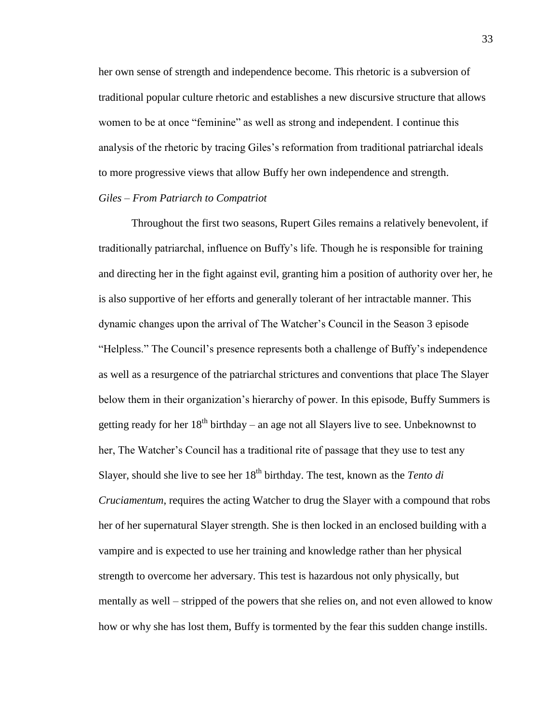her own sense of strength and independence become. This rhetoric is a subversion of traditional popular culture rhetoric and establishes a new discursive structure that allows women to be at once "feminine" as well as strong and independent. I continue this analysis of the rhetoric by tracing Giles's reformation from traditional patriarchal ideals to more progressive views that allow Buffy her own independence and strength. *Giles – From Patriarch to Compatriot*

# Throughout the first two seasons, Rupert Giles remains a relatively benevolent, if traditionally patriarchal, influence on Buffy's life. Though he is responsible for training and directing her in the fight against evil, granting him a position of authority over her, he is also supportive of her efforts and generally tolerant of her intractable manner. This dynamic changes upon the arrival of The Watcher's Council in the Season 3 episode "Helpless." The Council's presence represents both a challenge of Buffy's independence as well as a resurgence of the patriarchal strictures and conventions that place The Slayer below them in their organization's hierarchy of power. In this episode, Buffy Summers is getting ready for her  $18<sup>th</sup>$  birthday – an age not all Slayers live to see. Unbeknownst to her, The Watcher's Council has a traditional rite of passage that they use to test any Slayer, should she live to see her 18<sup>th</sup> birthday. The test, known as the *Tento di Cruciamentum*, requires the acting Watcher to drug the Slayer with a compound that robs her of her supernatural Slayer strength. She is then locked in an enclosed building with a vampire and is expected to use her training and knowledge rather than her physical strength to overcome her adversary. This test is hazardous not only physically, but mentally as well – stripped of the powers that she relies on, and not even allowed to know how or why she has lost them, Buffy is tormented by the fear this sudden change instills.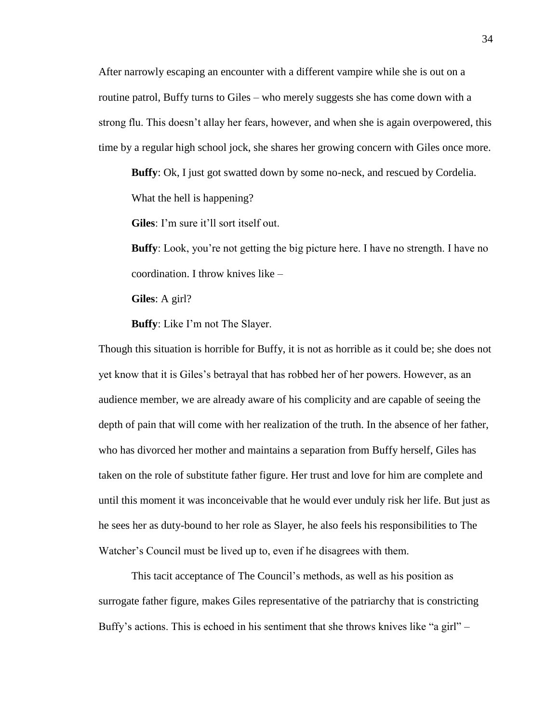After narrowly escaping an encounter with a different vampire while she is out on a routine patrol, Buffy turns to Giles – who merely suggests she has come down with a strong flu. This doesn't allay her fears, however, and when she is again overpowered, this time by a regular high school jock, she shares her growing concern with Giles once more.

**Buffy**: Ok, I just got swatted down by some no-neck, and rescued by Cordelia. What the hell is happening?

**Giles**: I'm sure it'll sort itself out.

**Buffy**: Look, you're not getting the big picture here. I have no strength. I have no coordination. I throw knives like –

**Giles**: A girl?

**Buffy**: Like I'm not The Slayer.

Though this situation is horrible for Buffy, it is not as horrible as it could be; she does not yet know that it is Giles's betrayal that has robbed her of her powers. However, as an audience member, we are already aware of his complicity and are capable of seeing the depth of pain that will come with her realization of the truth. In the absence of her father, who has divorced her mother and maintains a separation from Buffy herself, Giles has taken on the role of substitute father figure. Her trust and love for him are complete and until this moment it was inconceivable that he would ever unduly risk her life. But just as he sees her as duty-bound to her role as Slayer, he also feels his responsibilities to The Watcher's Council must be lived up to, even if he disagrees with them.

This tacit acceptance of The Council's methods, as well as his position as surrogate father figure, makes Giles representative of the patriarchy that is constricting Buffy's actions. This is echoed in his sentiment that she throws knives like "a girl" –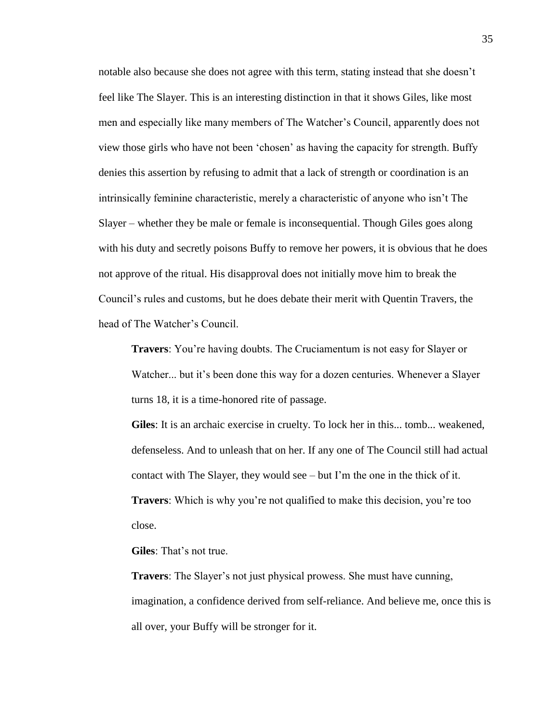notable also because she does not agree with this term, stating instead that she doesn't feel like The Slayer. This is an interesting distinction in that it shows Giles, like most men and especially like many members of The Watcher's Council, apparently does not view those girls who have not been 'chosen' as having the capacity for strength. Buffy denies this assertion by refusing to admit that a lack of strength or coordination is an intrinsically feminine characteristic, merely a characteristic of anyone who isn't The Slayer – whether they be male or female is inconsequential. Though Giles goes along with his duty and secretly poisons Buffy to remove her powers, it is obvious that he does not approve of the ritual. His disapproval does not initially move him to break the Council's rules and customs, but he does debate their merit with Quentin Travers, the head of The Watcher's Council.

**Travers**: You're having doubts. The Cruciamentum is not easy for Slayer or Watcher... but it's been done this way for a dozen centuries. Whenever a Slayer turns 18, it is a time-honored rite of passage.

**Giles**: It is an archaic exercise in cruelty. To lock her in this... tomb... weakened, defenseless. And to unleash that on her. If any one of The Council still had actual contact with The Slayer, they would see – but I'm the one in the thick of it. **Travers**: Which is why you're not qualified to make this decision, you're too close.

**Giles**: That's not true.

**Travers**: The Slayer's not just physical prowess. She must have cunning, imagination, a confidence derived from self-reliance. And believe me, once this is all over, your Buffy will be stronger for it.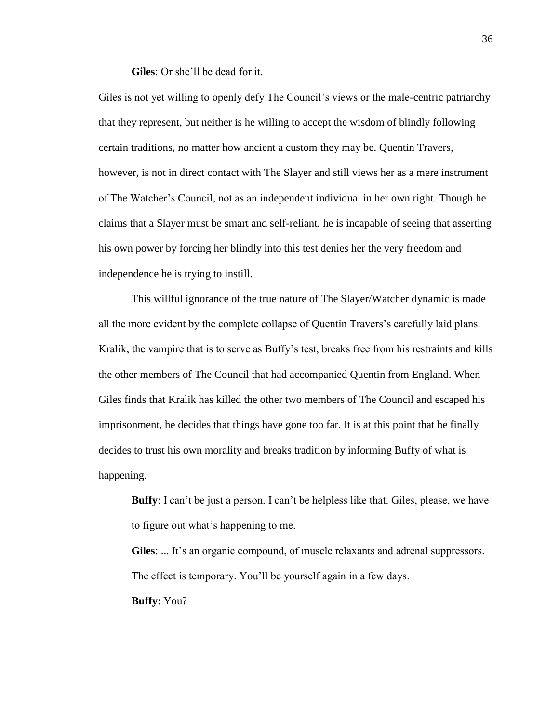**Giles**: Or she'll be dead for it.

Giles is not yet willing to openly defy The Council's views or the male-centric patriarchy that they represent, but neither is he willing to accept the wisdom of blindly following certain traditions, no matter how ancient a custom they may be. Quentin Travers, however, is not in direct contact with The Slayer and still views her as a mere instrument of The Watcher's Council, not as an independent individual in her own right. Though he claims that a Slayer must be smart and self-reliant, he is incapable of seeing that asserting his own power by forcing her blindly into this test denies her the very freedom and independence he is trying to instill.

This willful ignorance of the true nature of The Slayer/Watcher dynamic is made all the more evident by the complete collapse of Quentin Travers's carefully laid plans. Kralik, the vampire that is to serve as Buffy's test, breaks free from his restraints and kills the other members of The Council that had accompanied Quentin from England. When Giles finds that Kralik has killed the other two members of The Council and escaped his imprisonment, he decides that things have gone too far. It is at this point that he finally decides to trust his own morality and breaks tradition by informing Buffy of what is happening.

**Buffy**: I can't be just a person. I can't be helpless like that. Giles, please, we have to figure out what's happening to me.

**Giles**: ... It's an organic compound, of muscle relaxants and adrenal suppressors. The effect is temporary. You'll be yourself again in a few days. **Buffy**: You?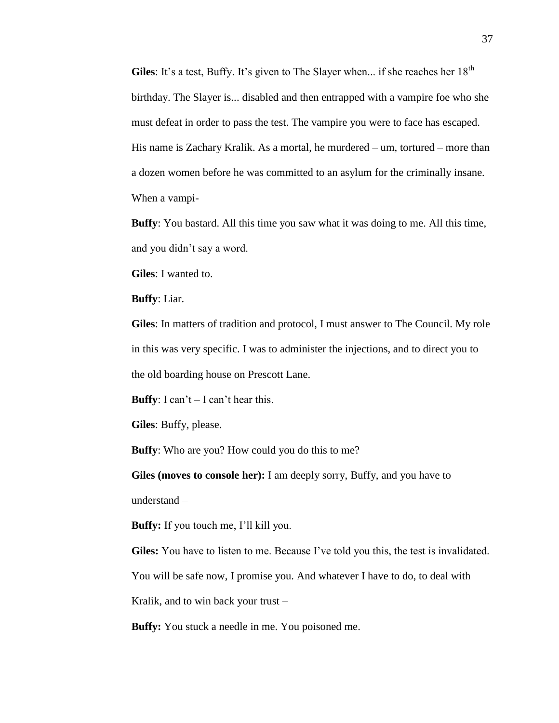Giles: It's a test, Buffy. It's given to The Slayer when... if she reaches her 18<sup>th</sup> birthday. The Slayer is... disabled and then entrapped with a vampire foe who she must defeat in order to pass the test. The vampire you were to face has escaped. His name is Zachary Kralik. As a mortal, he murdered – um, tortured – more than a dozen women before he was committed to an asylum for the criminally insane. When a vampi-

**Buffy**: You bastard. All this time you saw what it was doing to me. All this time, and you didn't say a word.

**Giles**: I wanted to.

**Buffy**: Liar.

**Giles**: In matters of tradition and protocol, I must answer to The Council. My role in this was very specific. I was to administer the injections, and to direct you to the old boarding house on Prescott Lane.

**Buffy**: I can't  $-$  I can't hear this.

**Giles**: Buffy, please.

**Buffy**: Who are you? How could you do this to me?

**Giles (moves to console her):** I am deeply sorry, Buffy, and you have to understand –

**Buffy:** If you touch me, I'll kill you.

**Giles:** You have to listen to me. Because I've told you this, the test is invalidated.

You will be safe now, I promise you. And whatever I have to do, to deal with

Kralik, and to win back your trust –

**Buffy:** You stuck a needle in me. You poisoned me.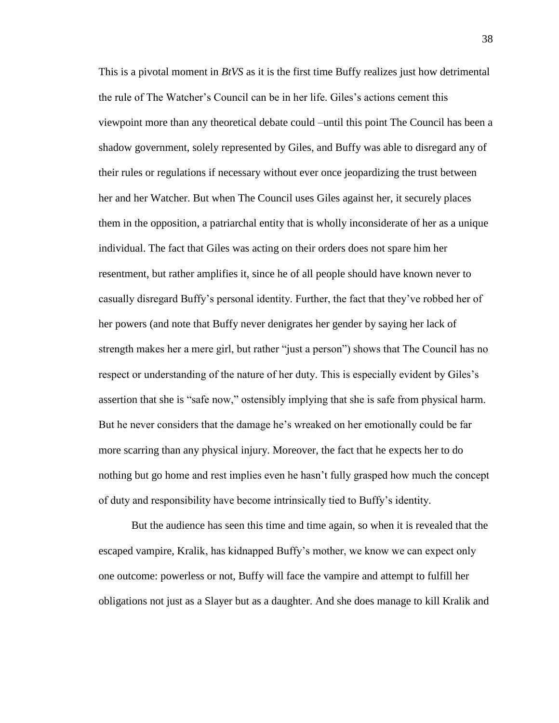This is a pivotal moment in *BtVS* as it is the first time Buffy realizes just how detrimental the rule of The Watcher's Council can be in her life. Giles's actions cement this viewpoint more than any theoretical debate could –until this point The Council has been a shadow government, solely represented by Giles, and Buffy was able to disregard any of their rules or regulations if necessary without ever once jeopardizing the trust between her and her Watcher. But when The Council uses Giles against her, it securely places them in the opposition, a patriarchal entity that is wholly inconsiderate of her as a unique individual. The fact that Giles was acting on their orders does not spare him her resentment, but rather amplifies it, since he of all people should have known never to casually disregard Buffy's personal identity. Further, the fact that they've robbed her of her powers (and note that Buffy never denigrates her gender by saying her lack of strength makes her a mere girl, but rather "just a person") shows that The Council has no respect or understanding of the nature of her duty. This is especially evident by Giles's assertion that she is "safe now," ostensibly implying that she is safe from physical harm. But he never considers that the damage he's wreaked on her emotionally could be far more scarring than any physical injury. Moreover, the fact that he expects her to do nothing but go home and rest implies even he hasn't fully grasped how much the concept of duty and responsibility have become intrinsically tied to Buffy's identity.

But the audience has seen this time and time again, so when it is revealed that the escaped vampire, Kralik, has kidnapped Buffy's mother, we know we can expect only one outcome: powerless or not, Buffy will face the vampire and attempt to fulfill her obligations not just as a Slayer but as a daughter. And she does manage to kill Kralik and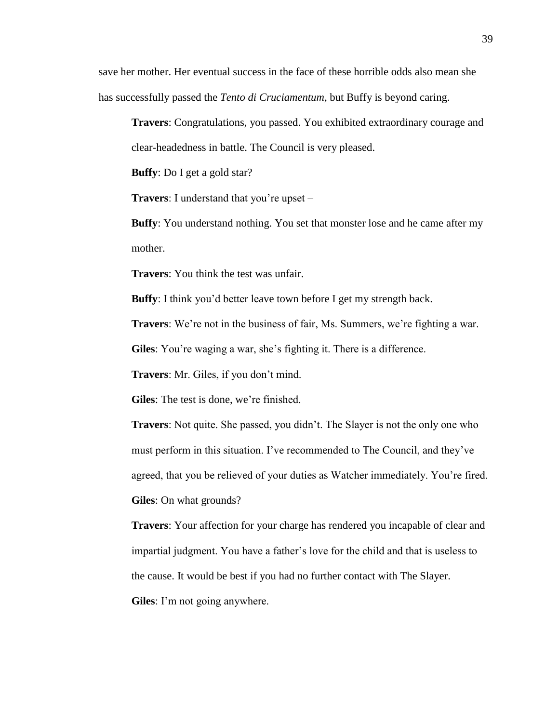save her mother. Her eventual success in the face of these horrible odds also mean she has successfully passed the *Tento di Cruciamentum*, but Buffy is beyond caring.

**Travers**: Congratulations, you passed. You exhibited extraordinary courage and clear-headedness in battle. The Council is very pleased.

**Buffy**: Do I get a gold star?

**Travers**: I understand that you're upset –

**Buffy**: You understand nothing. You set that monster lose and he came after my mother.

**Travers**: You think the test was unfair.

**Buffy**: I think you'd better leave town before I get my strength back.

**Travers**: We're not in the business of fair, Ms. Summers, we're fighting a war.

**Giles**: You're waging a war, she's fighting it. There is a difference.

**Travers**: Mr. Giles, if you don't mind.

**Giles**: The test is done, we're finished.

**Travers**: Not quite. She passed, you didn't. The Slayer is not the only one who must perform in this situation. I've recommended to The Council, and they've agreed, that you be relieved of your duties as Watcher immediately. You're fired. **Giles**: On what grounds?

**Travers**: Your affection for your charge has rendered you incapable of clear and impartial judgment. You have a father's love for the child and that is useless to the cause. It would be best if you had no further contact with The Slayer.

**Giles**: I'm not going anywhere.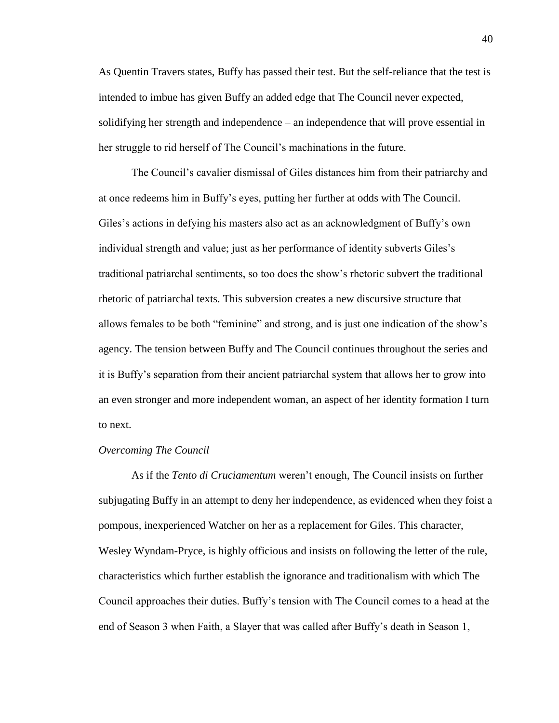As Quentin Travers states, Buffy has passed their test. But the self-reliance that the test is intended to imbue has given Buffy an added edge that The Council never expected, solidifying her strength and independence – an independence that will prove essential in her struggle to rid herself of The Council's machinations in the future.

The Council's cavalier dismissal of Giles distances him from their patriarchy and at once redeems him in Buffy's eyes, putting her further at odds with The Council. Giles's actions in defying his masters also act as an acknowledgment of Buffy's own individual strength and value; just as her performance of identity subverts Giles's traditional patriarchal sentiments, so too does the show's rhetoric subvert the traditional rhetoric of patriarchal texts. This subversion creates a new discursive structure that allows females to be both "feminine" and strong, and is just one indication of the show's agency. The tension between Buffy and The Council continues throughout the series and it is Buffy's separation from their ancient patriarchal system that allows her to grow into an even stronger and more independent woman, an aspect of her identity formation I turn to next.

#### *Overcoming The Council*

As if the *Tento di Cruciamentum* weren't enough, The Council insists on further subjugating Buffy in an attempt to deny her independence, as evidenced when they foist a pompous, inexperienced Watcher on her as a replacement for Giles. This character, Wesley Wyndam-Pryce, is highly officious and insists on following the letter of the rule, characteristics which further establish the ignorance and traditionalism with which The Council approaches their duties. Buffy's tension with The Council comes to a head at the end of Season 3 when Faith, a Slayer that was called after Buffy's death in Season 1,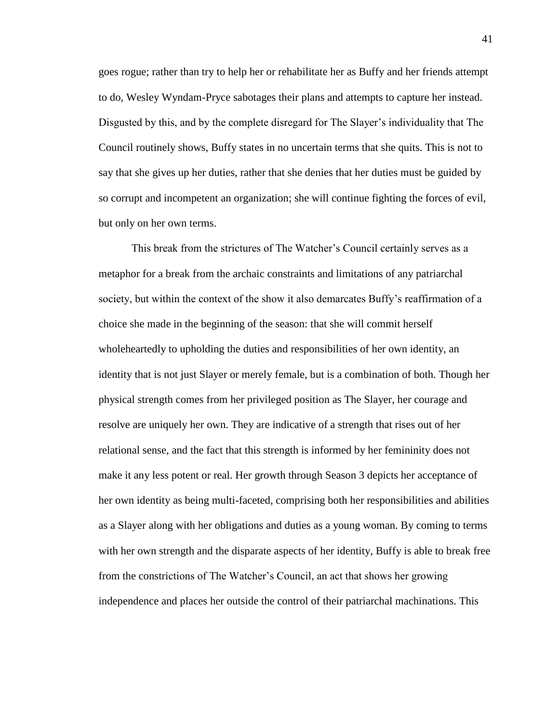goes rogue; rather than try to help her or rehabilitate her as Buffy and her friends attempt to do, Wesley Wyndam-Pryce sabotages their plans and attempts to capture her instead. Disgusted by this, and by the complete disregard for The Slayer's individuality that The Council routinely shows, Buffy states in no uncertain terms that she quits. This is not to say that she gives up her duties, rather that she denies that her duties must be guided by so corrupt and incompetent an organization; she will continue fighting the forces of evil, but only on her own terms.

This break from the strictures of The Watcher's Council certainly serves as a metaphor for a break from the archaic constraints and limitations of any patriarchal society, but within the context of the show it also demarcates Buffy's reaffirmation of a choice she made in the beginning of the season: that she will commit herself wholeheartedly to upholding the duties and responsibilities of her own identity, an identity that is not just Slayer or merely female, but is a combination of both. Though her physical strength comes from her privileged position as The Slayer, her courage and resolve are uniquely her own. They are indicative of a strength that rises out of her relational sense, and the fact that this strength is informed by her femininity does not make it any less potent or real. Her growth through Season 3 depicts her acceptance of her own identity as being multi-faceted, comprising both her responsibilities and abilities as a Slayer along with her obligations and duties as a young woman. By coming to terms with her own strength and the disparate aspects of her identity, Buffy is able to break free from the constrictions of The Watcher's Council, an act that shows her growing independence and places her outside the control of their patriarchal machinations. This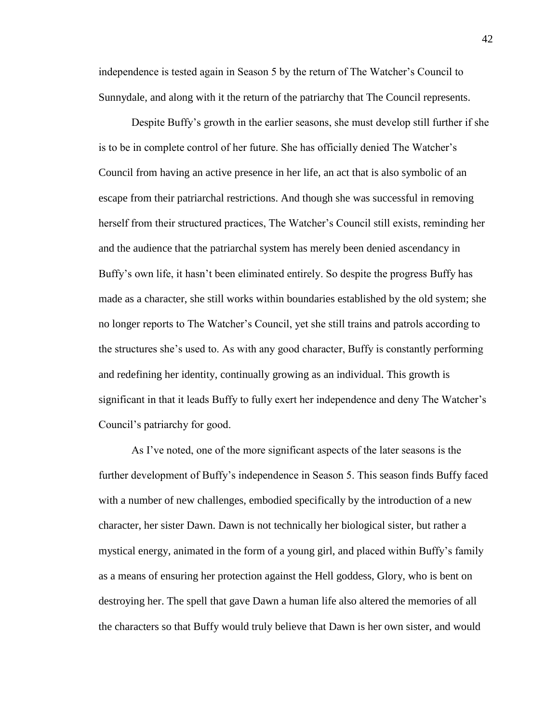independence is tested again in Season 5 by the return of The Watcher's Council to Sunnydale, and along with it the return of the patriarchy that The Council represents.

Despite Buffy's growth in the earlier seasons, she must develop still further if she is to be in complete control of her future. She has officially denied The Watcher's Council from having an active presence in her life, an act that is also symbolic of an escape from their patriarchal restrictions. And though she was successful in removing herself from their structured practices, The Watcher's Council still exists, reminding her and the audience that the patriarchal system has merely been denied ascendancy in Buffy's own life, it hasn't been eliminated entirely. So despite the progress Buffy has made as a character, she still works within boundaries established by the old system; she no longer reports to The Watcher's Council, yet she still trains and patrols according to the structures she's used to. As with any good character, Buffy is constantly performing and redefining her identity, continually growing as an individual. This growth is significant in that it leads Buffy to fully exert her independence and deny The Watcher's Council's patriarchy for good.

As I've noted, one of the more significant aspects of the later seasons is the further development of Buffy's independence in Season 5. This season finds Buffy faced with a number of new challenges, embodied specifically by the introduction of a new character, her sister Dawn. Dawn is not technically her biological sister, but rather a mystical energy, animated in the form of a young girl, and placed within Buffy's family as a means of ensuring her protection against the Hell goddess, Glory, who is bent on destroying her. The spell that gave Dawn a human life also altered the memories of all the characters so that Buffy would truly believe that Dawn is her own sister, and would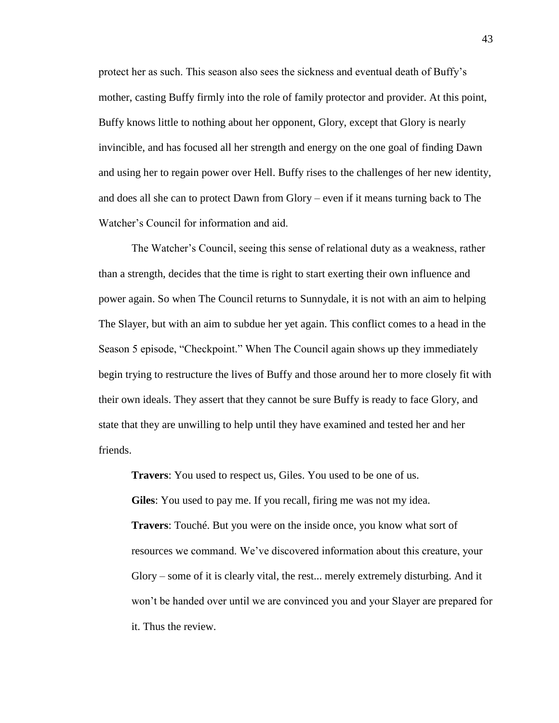protect her as such. This season also sees the sickness and eventual death of Buffy's mother, casting Buffy firmly into the role of family protector and provider. At this point, Buffy knows little to nothing about her opponent, Glory, except that Glory is nearly invincible, and has focused all her strength and energy on the one goal of finding Dawn and using her to regain power over Hell. Buffy rises to the challenges of her new identity, and does all she can to protect Dawn from Glory – even if it means turning back to The Watcher's Council for information and aid.

The Watcher's Council, seeing this sense of relational duty as a weakness, rather than a strength, decides that the time is right to start exerting their own influence and power again. So when The Council returns to Sunnydale, it is not with an aim to helping The Slayer, but with an aim to subdue her yet again. This conflict comes to a head in the Season 5 episode, "Checkpoint." When The Council again shows up they immediately begin trying to restructure the lives of Buffy and those around her to more closely fit with their own ideals. They assert that they cannot be sure Buffy is ready to face Glory, and state that they are unwilling to help until they have examined and tested her and her friends.

**Travers**: You used to respect us, Giles. You used to be one of us. **Giles**: You used to pay me. If you recall, firing me was not my idea. **Travers**: Touché. But you were on the inside once, you know what sort of resources we command. We've discovered information about this creature, your Glory – some of it is clearly vital, the rest... merely extremely disturbing. And it won't be handed over until we are convinced you and your Slayer are prepared for it. Thus the review.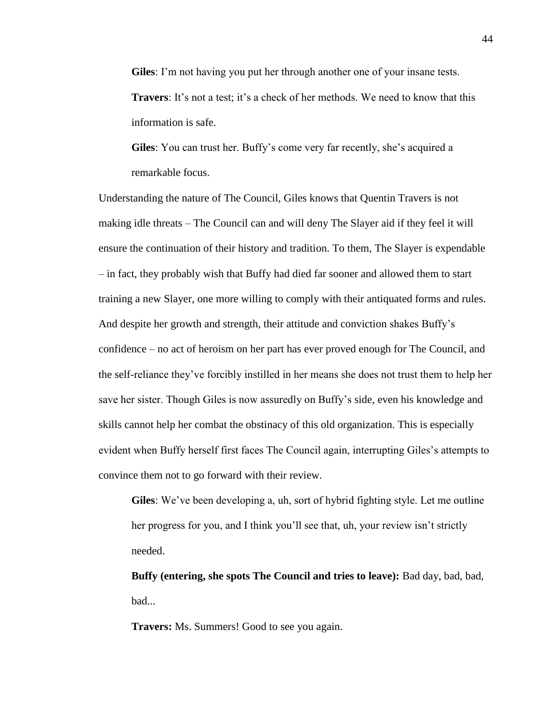**Giles**: I'm not having you put her through another one of your insane tests. **Travers**: It's not a test; it's a check of her methods. We need to know that this information is safe.

**Giles**: You can trust her. Buffy's come very far recently, she's acquired a remarkable focus.

Understanding the nature of The Council, Giles knows that Quentin Travers is not making idle threats – The Council can and will deny The Slayer aid if they feel it will ensure the continuation of their history and tradition. To them, The Slayer is expendable – in fact, they probably wish that Buffy had died far sooner and allowed them to start training a new Slayer, one more willing to comply with their antiquated forms and rules. And despite her growth and strength, their attitude and conviction shakes Buffy's confidence – no act of heroism on her part has ever proved enough for The Council, and the self-reliance they've forcibly instilled in her means she does not trust them to help her save her sister. Though Giles is now assuredly on Buffy's side, even his knowledge and skills cannot help her combat the obstinacy of this old organization. This is especially evident when Buffy herself first faces The Council again, interrupting Giles's attempts to convince them not to go forward with their review.

**Giles**: We've been developing a, uh, sort of hybrid fighting style. Let me outline her progress for you, and I think you'll see that, uh, your review isn't strictly needed.

**Buffy (entering, she spots The Council and tries to leave):** Bad day, bad, bad, bad...

**Travers:** Ms. Summers! Good to see you again.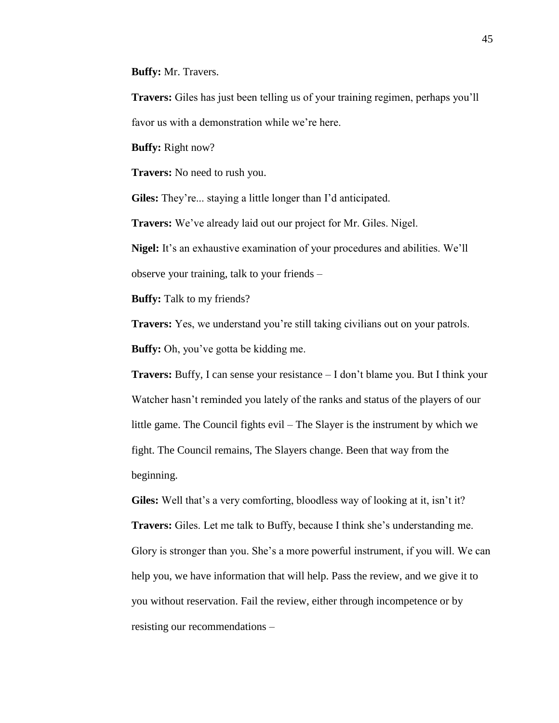**Buffy:** Mr. Travers.

**Travers:** Giles has just been telling us of your training regimen, perhaps you'll favor us with a demonstration while we're here.

**Buffy:** Right now?

**Travers:** No need to rush you.

**Giles:** They're... staying a little longer than I'd anticipated.

**Travers:** We've already laid out our project for Mr. Giles. Nigel.

**Nigel:** It's an exhaustive examination of your procedures and abilities. We'll observe your training, talk to your friends –

**Buffy:** Talk to my friends?

**Travers:** Yes, we understand you're still taking civilians out on your patrols. **Buffy:** Oh, you've gotta be kidding me.

**Travers:** Buffy, I can sense your resistance – I don't blame you. But I think your Watcher hasn't reminded you lately of the ranks and status of the players of our little game. The Council fights evil – The Slayer is the instrument by which we fight. The Council remains, The Slayers change. Been that way from the beginning.

**Giles:** Well that's a very comforting, bloodless way of looking at it, isn't it? **Travers:** Giles. Let me talk to Buffy, because I think she's understanding me. Glory is stronger than you. She's a more powerful instrument, if you will. We can help you, we have information that will help. Pass the review, and we give it to you without reservation. Fail the review, either through incompetence or by resisting our recommendations –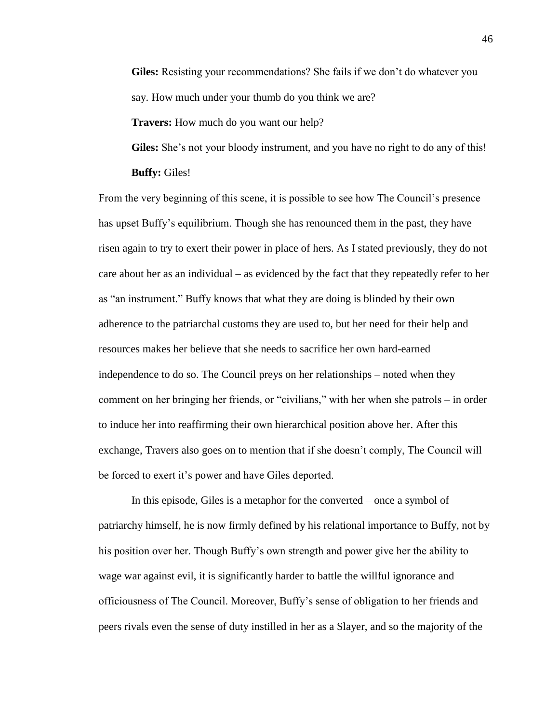**Giles:** Resisting your recommendations? She fails if we don't do whatever you say. How much under your thumb do you think we are?

**Travers:** How much do you want our help?

**Giles:** She's not your bloody instrument, and you have no right to do any of this! **Buffy:** Giles!

From the very beginning of this scene, it is possible to see how The Council's presence has upset Buffy's equilibrium. Though she has renounced them in the past, they have risen again to try to exert their power in place of hers. As I stated previously, they do not care about her as an individual – as evidenced by the fact that they repeatedly refer to her as "an instrument." Buffy knows that what they are doing is blinded by their own adherence to the patriarchal customs they are used to, but her need for their help and resources makes her believe that she needs to sacrifice her own hard-earned independence to do so. The Council preys on her relationships – noted when they comment on her bringing her friends, or "civilians," with her when she patrols – in order to induce her into reaffirming their own hierarchical position above her. After this exchange, Travers also goes on to mention that if she doesn't comply, The Council will be forced to exert it's power and have Giles deported.

In this episode, Giles is a metaphor for the converted – once a symbol of patriarchy himself, he is now firmly defined by his relational importance to Buffy, not by his position over her. Though Buffy's own strength and power give her the ability to wage war against evil, it is significantly harder to battle the willful ignorance and officiousness of The Council. Moreover, Buffy's sense of obligation to her friends and peers rivals even the sense of duty instilled in her as a Slayer, and so the majority of the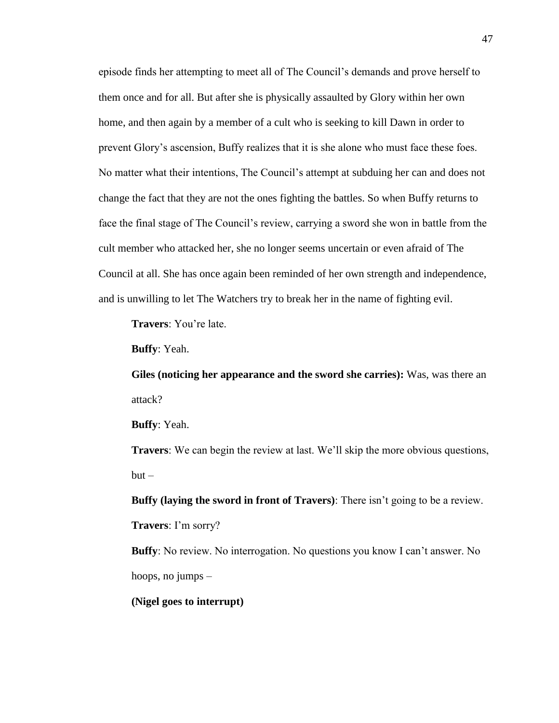episode finds her attempting to meet all of The Council's demands and prove herself to them once and for all. But after she is physically assaulted by Glory within her own home, and then again by a member of a cult who is seeking to kill Dawn in order to prevent Glory's ascension, Buffy realizes that it is she alone who must face these foes. No matter what their intentions, The Council's attempt at subduing her can and does not change the fact that they are not the ones fighting the battles. So when Buffy returns to face the final stage of The Council's review, carrying a sword she won in battle from the cult member who attacked her, she no longer seems uncertain or even afraid of The Council at all. She has once again been reminded of her own strength and independence, and is unwilling to let The Watchers try to break her in the name of fighting evil.

**Travers**: You're late.

**Buffy**: Yeah.

**Giles (noticing her appearance and the sword she carries):** Was, was there an attack?

**Buffy**: Yeah.

**Travers**: We can begin the review at last. We'll skip the more obvious questions,  $but -$ 

**Buffy (laying the sword in front of Travers)**: There isn't going to be a review.

**Travers**: I'm sorry?

**Buffy**: No review. No interrogation. No questions you know I can't answer. No hoops, no jumps –

**(Nigel goes to interrupt)**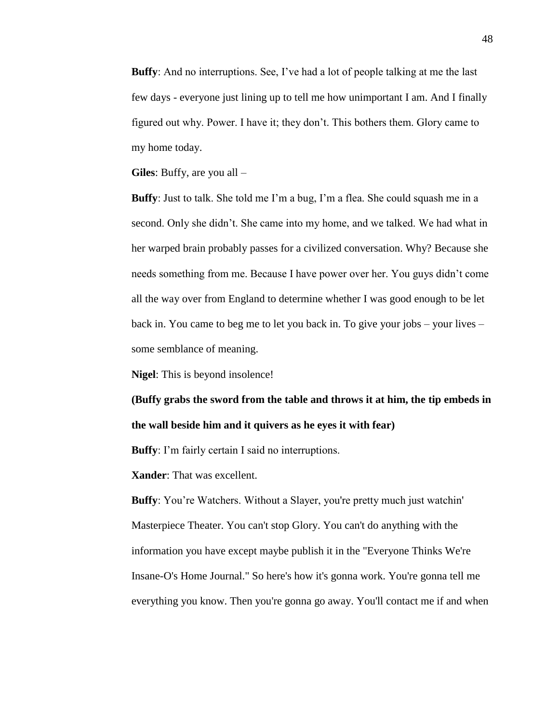**Buffy**: And no interruptions. See, I've had a lot of people talking at me the last few days - everyone just lining up to tell me how unimportant I am. And I finally figured out why. Power. I have it; they don't. This bothers them. Glory came to my home today.

**Giles**: Buffy, are you all –

**Buffy**: Just to talk. She told me I'm a bug, I'm a flea. She could squash me in a second. Only she didn't. She came into my home, and we talked. We had what in her warped brain probably passes for a civilized conversation. Why? Because she needs something from me. Because I have power over her. You guys didn't come all the way over from England to determine whether I was good enough to be let back in. You came to beg me to let you back in. To give your jobs – your lives – some semblance of meaning.

**Nigel**: This is beyond insolence!

**(Buffy grabs the sword from the table and throws it at him, the tip embeds in the wall beside him and it quivers as he eyes it with fear)**

**Buffy**: I'm fairly certain I said no interruptions.

**Xander**: That was excellent.

**Buffy**: You're Watchers. Without a Slayer, you're pretty much just watchin' Masterpiece Theater. You can't stop Glory. You can't do anything with the information you have except maybe publish it in the "Everyone Thinks We're Insane-O's Home Journal." So here's how it's gonna work. You're gonna tell me everything you know. Then you're gonna go away. You'll contact me if and when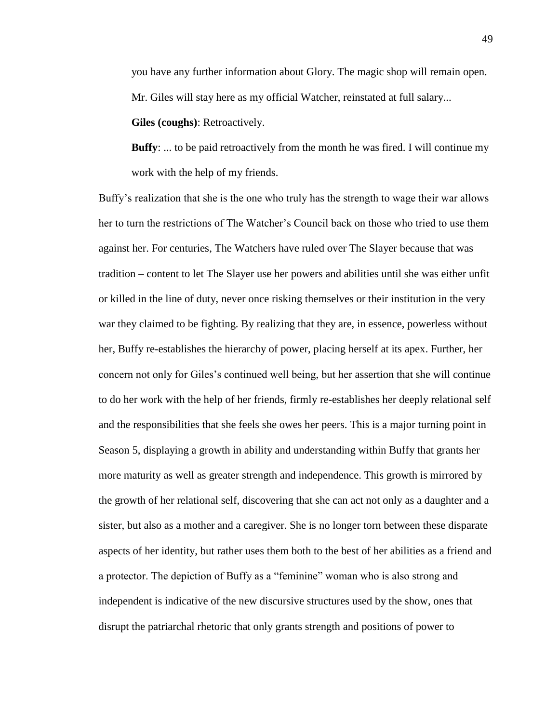you have any further information about Glory. The magic shop will remain open. Mr. Giles will stay here as my official Watcher, reinstated at full salary...

**Giles (coughs)**: Retroactively.

**Buffy**: ... to be paid retroactively from the month he was fired. I will continue my work with the help of my friends.

Buffy's realization that she is the one who truly has the strength to wage their war allows her to turn the restrictions of The Watcher's Council back on those who tried to use them against her. For centuries, The Watchers have ruled over The Slayer because that was tradition – content to let The Slayer use her powers and abilities until she was either unfit or killed in the line of duty, never once risking themselves or their institution in the very war they claimed to be fighting. By realizing that they are, in essence, powerless without her, Buffy re-establishes the hierarchy of power, placing herself at its apex. Further, her concern not only for Giles's continued well being, but her assertion that she will continue to do her work with the help of her friends, firmly re-establishes her deeply relational self and the responsibilities that she feels she owes her peers. This is a major turning point in Season 5, displaying a growth in ability and understanding within Buffy that grants her more maturity as well as greater strength and independence. This growth is mirrored by the growth of her relational self, discovering that she can act not only as a daughter and a sister, but also as a mother and a caregiver. She is no longer torn between these disparate aspects of her identity, but rather uses them both to the best of her abilities as a friend and a protector. The depiction of Buffy as a "feminine" woman who is also strong and independent is indicative of the new discursive structures used by the show, ones that disrupt the patriarchal rhetoric that only grants strength and positions of power to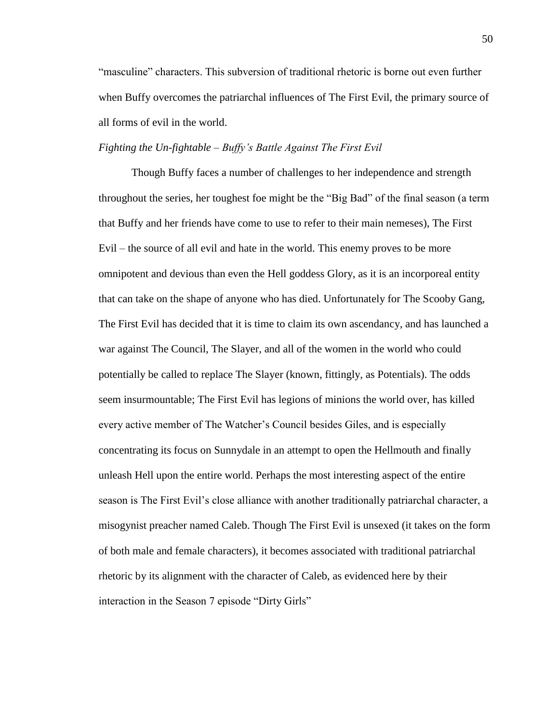"masculine" characters. This subversion of traditional rhetoric is borne out even further when Buffy overcomes the patriarchal influences of The First Evil, the primary source of all forms of evil in the world.

## *Fighting the Un-fightable – Buffy's Battle Against The First Evil*

Though Buffy faces a number of challenges to her independence and strength throughout the series, her toughest foe might be the "Big Bad" of the final season (a term that Buffy and her friends have come to use to refer to their main nemeses), The First Evil – the source of all evil and hate in the world. This enemy proves to be more omnipotent and devious than even the Hell goddess Glory, as it is an incorporeal entity that can take on the shape of anyone who has died. Unfortunately for The Scooby Gang, The First Evil has decided that it is time to claim its own ascendancy, and has launched a war against The Council, The Slayer, and all of the women in the world who could potentially be called to replace The Slayer (known, fittingly, as Potentials). The odds seem insurmountable; The First Evil has legions of minions the world over, has killed every active member of The Watcher's Council besides Giles, and is especially concentrating its focus on Sunnydale in an attempt to open the Hellmouth and finally unleash Hell upon the entire world. Perhaps the most interesting aspect of the entire season is The First Evil's close alliance with another traditionally patriarchal character, a misogynist preacher named Caleb. Though The First Evil is unsexed (it takes on the form of both male and female characters), it becomes associated with traditional patriarchal rhetoric by its alignment with the character of Caleb, as evidenced here by their interaction in the Season 7 episode "Dirty Girls"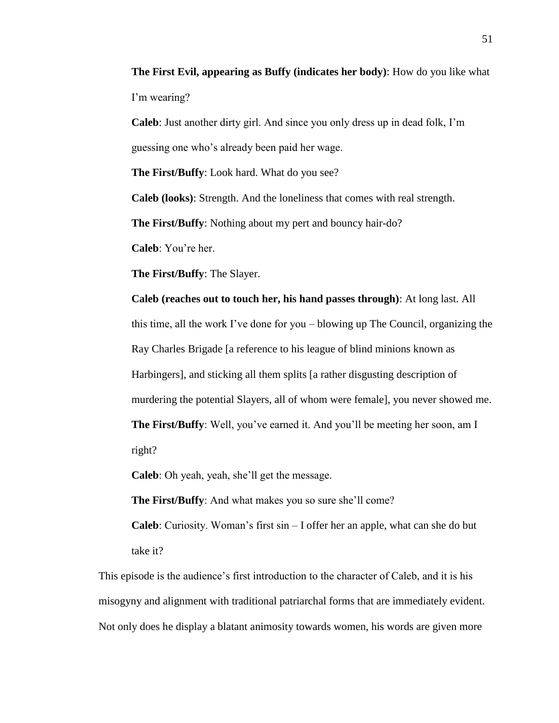**The First Evil, appearing as Buffy (indicates her body)**: How do you like what I'm wearing?

**Caleb**: Just another dirty girl. And since you only dress up in dead folk, I'm guessing one who's already been paid her wage.

**The First/Buffy**: Look hard. What do you see?

**Caleb (looks)**: Strength. And the loneliness that comes with real strength.

**The First/Buffy**: Nothing about my pert and bouncy hair-do?

**Caleb**: You're her.

**The First/Buffy**: The Slayer.

**Caleb (reaches out to touch her, his hand passes through)**: At long last. All this time, all the work I've done for you – blowing up The Council, organizing the Ray Charles Brigade [a reference to his league of blind minions known as Harbingers], and sticking all them splits [a rather disgusting description of murdering the potential Slayers, all of whom were female], you never showed me. **The First/Buffy**: Well, you've earned it. And you'll be meeting her soon, am I right?

**Caleb**: Oh yeah, yeah, she'll get the message.

**The First/Buffy**: And what makes you so sure she'll come?

**Caleb**: Curiosity. Woman's first sin – I offer her an apple, what can she do but take it?

This episode is the audience's first introduction to the character of Caleb, and it is his misogyny and alignment with traditional patriarchal forms that are immediately evident. Not only does he display a blatant animosity towards women, his words are given more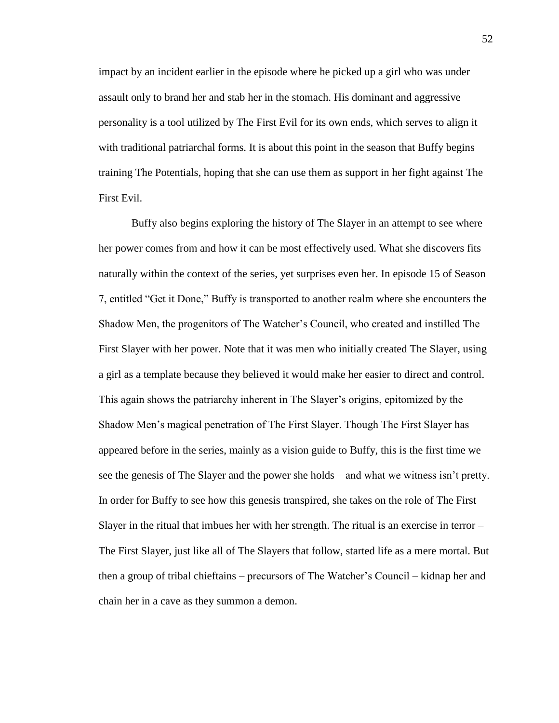impact by an incident earlier in the episode where he picked up a girl who was under assault only to brand her and stab her in the stomach. His dominant and aggressive personality is a tool utilized by The First Evil for its own ends, which serves to align it with traditional patriarchal forms. It is about this point in the season that Buffy begins training The Potentials, hoping that she can use them as support in her fight against The First Evil.

Buffy also begins exploring the history of The Slayer in an attempt to see where her power comes from and how it can be most effectively used. What she discovers fits naturally within the context of the series, yet surprises even her. In episode 15 of Season 7, entitled "Get it Done," Buffy is transported to another realm where she encounters the Shadow Men, the progenitors of The Watcher's Council, who created and instilled The First Slayer with her power. Note that it was men who initially created The Slayer, using a girl as a template because they believed it would make her easier to direct and control. This again shows the patriarchy inherent in The Slayer's origins, epitomized by the Shadow Men's magical penetration of The First Slayer. Though The First Slayer has appeared before in the series, mainly as a vision guide to Buffy, this is the first time we see the genesis of The Slayer and the power she holds – and what we witness isn't pretty. In order for Buffy to see how this genesis transpired, she takes on the role of The First Slayer in the ritual that imbues her with her strength. The ritual is an exercise in terror – The First Slayer, just like all of The Slayers that follow, started life as a mere mortal. But then a group of tribal chieftains – precursors of The Watcher's Council – kidnap her and chain her in a cave as they summon a demon.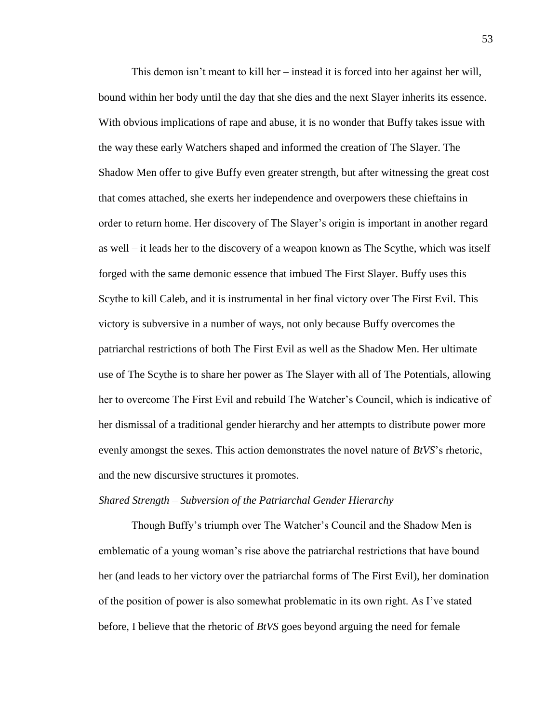This demon isn't meant to kill her – instead it is forced into her against her will, bound within her body until the day that she dies and the next Slayer inherits its essence. With obvious implications of rape and abuse, it is no wonder that Buffy takes issue with the way these early Watchers shaped and informed the creation of The Slayer. The Shadow Men offer to give Buffy even greater strength, but after witnessing the great cost that comes attached, she exerts her independence and overpowers these chieftains in order to return home. Her discovery of The Slayer's origin is important in another regard as well – it leads her to the discovery of a weapon known as The Scythe, which was itself forged with the same demonic essence that imbued The First Slayer. Buffy uses this Scythe to kill Caleb, and it is instrumental in her final victory over The First Evil. This victory is subversive in a number of ways, not only because Buffy overcomes the patriarchal restrictions of both The First Evil as well as the Shadow Men. Her ultimate use of The Scythe is to share her power as The Slayer with all of The Potentials, allowing her to overcome The First Evil and rebuild The Watcher's Council, which is indicative of her dismissal of a traditional gender hierarchy and her attempts to distribute power more evenly amongst the sexes. This action demonstrates the novel nature of *BtVS*'s rhetoric, and the new discursive structures it promotes.

#### *Shared Strength – Subversion of the Patriarchal Gender Hierarchy*

Though Buffy's triumph over The Watcher's Council and the Shadow Men is emblematic of a young woman's rise above the patriarchal restrictions that have bound her (and leads to her victory over the patriarchal forms of The First Evil), her domination of the position of power is also somewhat problematic in its own right. As I've stated before, I believe that the rhetoric of *BtVS* goes beyond arguing the need for female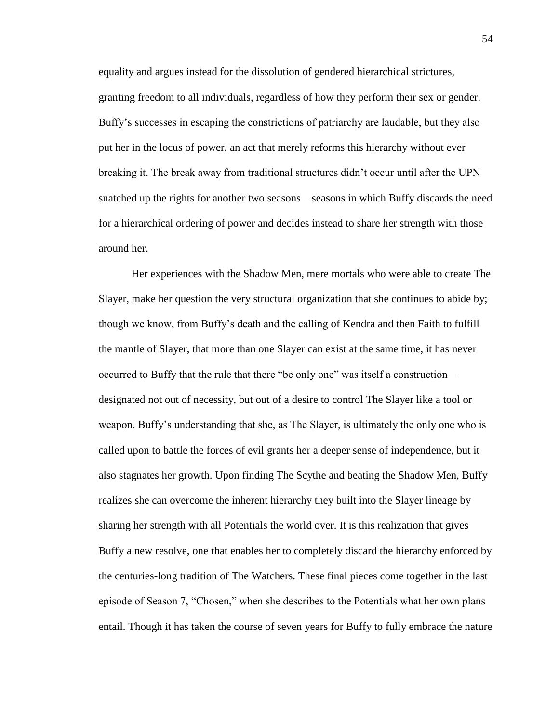equality and argues instead for the dissolution of gendered hierarchical strictures, granting freedom to all individuals, regardless of how they perform their sex or gender. Buffy's successes in escaping the constrictions of patriarchy are laudable, but they also put her in the locus of power, an act that merely reforms this hierarchy without ever breaking it. The break away from traditional structures didn't occur until after the UPN snatched up the rights for another two seasons – seasons in which Buffy discards the need for a hierarchical ordering of power and decides instead to share her strength with those around her.

Her experiences with the Shadow Men, mere mortals who were able to create The Slayer, make her question the very structural organization that she continues to abide by; though we know, from Buffy's death and the calling of Kendra and then Faith to fulfill the mantle of Slayer, that more than one Slayer can exist at the same time, it has never occurred to Buffy that the rule that there "be only one" was itself a construction – designated not out of necessity, but out of a desire to control The Slayer like a tool or weapon. Buffy's understanding that she, as The Slayer, is ultimately the only one who is called upon to battle the forces of evil grants her a deeper sense of independence, but it also stagnates her growth. Upon finding The Scythe and beating the Shadow Men, Buffy realizes she can overcome the inherent hierarchy they built into the Slayer lineage by sharing her strength with all Potentials the world over. It is this realization that gives Buffy a new resolve, one that enables her to completely discard the hierarchy enforced by the centuries-long tradition of The Watchers. These final pieces come together in the last episode of Season 7, "Chosen," when she describes to the Potentials what her own plans entail. Though it has taken the course of seven years for Buffy to fully embrace the nature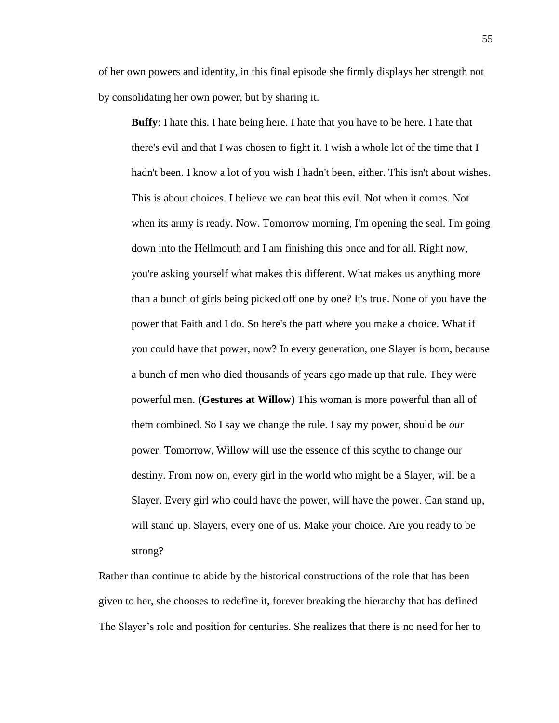of her own powers and identity, in this final episode she firmly displays her strength not by consolidating her own power, but by sharing it.

**Buffy**: I hate this. I hate being here. I hate that you have to be here. I hate that there's evil and that I was chosen to fight it. I wish a whole lot of the time that I hadn't been. I know a lot of you wish I hadn't been, either. This isn't about wishes. This is about choices. I believe we can beat this evil. Not when it comes. Not when its army is ready. Now. Tomorrow morning, I'm opening the seal. I'm going down into the Hellmouth and I am finishing this once and for all. Right now, you're asking yourself what makes this different. What makes us anything more than a bunch of girls being picked off one by one? It's true. None of you have the power that Faith and I do. So here's the part where you make a choice. What if you could have that power, now? In every generation, one Slayer is born, because a bunch of men who died thousands of years ago made up that rule. They were powerful men. **(Gestures at Willow)** This woman is more powerful than all of them combined. So I say we change the rule. I say my power, should be *our*  power. Tomorrow, Willow will use the essence of this scythe to change our destiny. From now on, every girl in the world who might be a Slayer, will be a Slayer. Every girl who could have the power, will have the power. Can stand up, will stand up. Slayers, every one of us. Make your choice. Are you ready to be strong?

Rather than continue to abide by the historical constructions of the role that has been given to her, she chooses to redefine it, forever breaking the hierarchy that has defined The Slayer's role and position for centuries. She realizes that there is no need for her to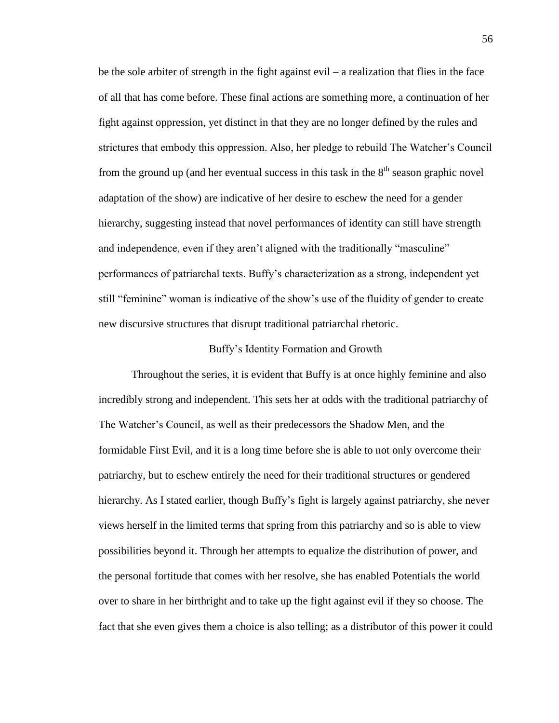be the sole arbiter of strength in the fight against evil – a realization that flies in the face of all that has come before. These final actions are something more, a continuation of her fight against oppression, yet distinct in that they are no longer defined by the rules and strictures that embody this oppression. Also, her pledge to rebuild The Watcher's Council from the ground up (and her eventual success in this task in the  $8<sup>th</sup>$  season graphic novel adaptation of the show) are indicative of her desire to eschew the need for a gender hierarchy, suggesting instead that novel performances of identity can still have strength and independence, even if they aren't aligned with the traditionally "masculine" performances of patriarchal texts. Buffy's characterization as a strong, independent yet still "feminine" woman is indicative of the show's use of the fluidity of gender to create new discursive structures that disrupt traditional patriarchal rhetoric.

#### Buffy's Identity Formation and Growth

Throughout the series, it is evident that Buffy is at once highly feminine and also incredibly strong and independent. This sets her at odds with the traditional patriarchy of The Watcher's Council, as well as their predecessors the Shadow Men, and the formidable First Evil, and it is a long time before she is able to not only overcome their patriarchy, but to eschew entirely the need for their traditional structures or gendered hierarchy. As I stated earlier, though Buffy's fight is largely against patriarchy, she never views herself in the limited terms that spring from this patriarchy and so is able to view possibilities beyond it. Through her attempts to equalize the distribution of power, and the personal fortitude that comes with her resolve, she has enabled Potentials the world over to share in her birthright and to take up the fight against evil if they so choose. The fact that she even gives them a choice is also telling; as a distributor of this power it could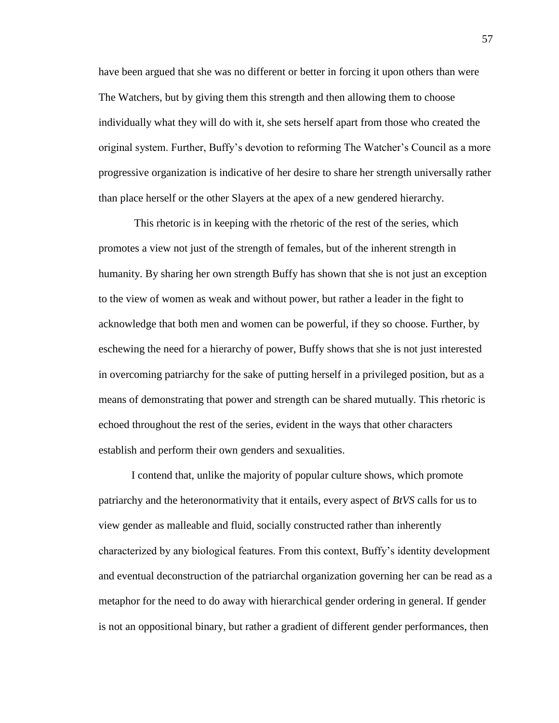have been argued that she was no different or better in forcing it upon others than were The Watchers, but by giving them this strength and then allowing them to choose individually what they will do with it, she sets herself apart from those who created the original system. Further, Buffy's devotion to reforming The Watcher's Council as a more progressive organization is indicative of her desire to share her strength universally rather than place herself or the other Slayers at the apex of a new gendered hierarchy.

This rhetoric is in keeping with the rhetoric of the rest of the series, which promotes a view not just of the strength of females, but of the inherent strength in humanity. By sharing her own strength Buffy has shown that she is not just an exception to the view of women as weak and without power, but rather a leader in the fight to acknowledge that both men and women can be powerful, if they so choose. Further, by eschewing the need for a hierarchy of power, Buffy shows that she is not just interested in overcoming patriarchy for the sake of putting herself in a privileged position, but as a means of demonstrating that power and strength can be shared mutually. This rhetoric is echoed throughout the rest of the series, evident in the ways that other characters establish and perform their own genders and sexualities.

I contend that, unlike the majority of popular culture shows, which promote patriarchy and the heteronormativity that it entails, every aspect of *BtVS* calls for us to view gender as malleable and fluid, socially constructed rather than inherently characterized by any biological features. From this context, Buffy's identity development and eventual deconstruction of the patriarchal organization governing her can be read as a metaphor for the need to do away with hierarchical gender ordering in general. If gender is not an oppositional binary, but rather a gradient of different gender performances, then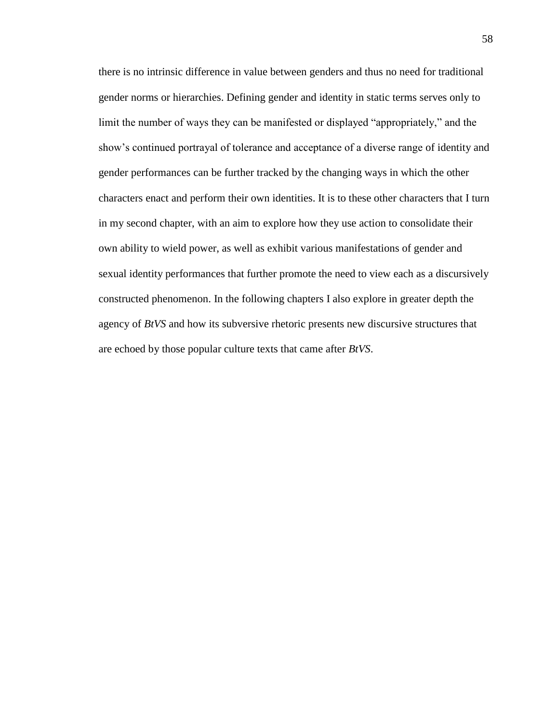there is no intrinsic difference in value between genders and thus no need for traditional gender norms or hierarchies. Defining gender and identity in static terms serves only to limit the number of ways they can be manifested or displayed "appropriately," and the show's continued portrayal of tolerance and acceptance of a diverse range of identity and gender performances can be further tracked by the changing ways in which the other characters enact and perform their own identities. It is to these other characters that I turn in my second chapter, with an aim to explore how they use action to consolidate their own ability to wield power, as well as exhibit various manifestations of gender and sexual identity performances that further promote the need to view each as a discursively constructed phenomenon. In the following chapters I also explore in greater depth the agency of *BtVS* and how its subversive rhetoric presents new discursive structures that are echoed by those popular culture texts that came after *BtVS*.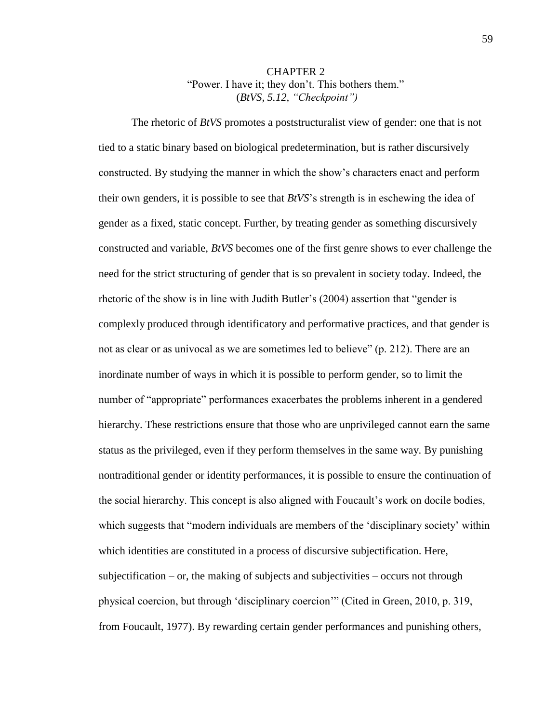# CHAPTER 2 "Power. I have it; they don't. This bothers them." (*BtVS, 5.12, "Checkpoint")*

The rhetoric of *BtVS* promotes a poststructuralist view of gender: one that is not tied to a static binary based on biological predetermination, but is rather discursively constructed. By studying the manner in which the show's characters enact and perform their own genders, it is possible to see that *BtVS*'s strength is in eschewing the idea of gender as a fixed, static concept. Further, by treating gender as something discursively constructed and variable, *BtVS* becomes one of the first genre shows to ever challenge the need for the strict structuring of gender that is so prevalent in society today. Indeed, the rhetoric of the show is in line with Judith Butler's (2004) assertion that "gender is complexly produced through identificatory and performative practices, and that gender is not as clear or as univocal as we are sometimes led to believe" (p. 212). There are an inordinate number of ways in which it is possible to perform gender, so to limit the number of "appropriate" performances exacerbates the problems inherent in a gendered hierarchy. These restrictions ensure that those who are unprivileged cannot earn the same status as the privileged, even if they perform themselves in the same way. By punishing nontraditional gender or identity performances, it is possible to ensure the continuation of the social hierarchy. This concept is also aligned with Foucault's work on docile bodies, which suggests that "modern individuals are members of the 'disciplinary society' within which identities are constituted in a process of discursive subjectification. Here, subjectification – or, the making of subjects and subjectivities – occurs not through physical coercion, but through 'disciplinary coercion'" (Cited in Green, 2010, p. 319, from Foucault, 1977). By rewarding certain gender performances and punishing others,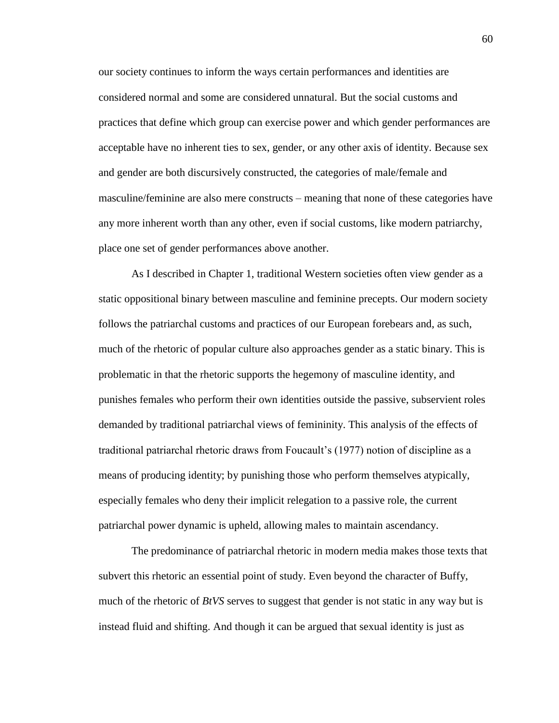our society continues to inform the ways certain performances and identities are considered normal and some are considered unnatural. But the social customs and practices that define which group can exercise power and which gender performances are acceptable have no inherent ties to sex, gender, or any other axis of identity. Because sex and gender are both discursively constructed, the categories of male/female and masculine/feminine are also mere constructs – meaning that none of these categories have any more inherent worth than any other, even if social customs, like modern patriarchy, place one set of gender performances above another.

As I described in Chapter 1, traditional Western societies often view gender as a static oppositional binary between masculine and feminine precepts. Our modern society follows the patriarchal customs and practices of our European forebears and, as such, much of the rhetoric of popular culture also approaches gender as a static binary. This is problematic in that the rhetoric supports the hegemony of masculine identity, and punishes females who perform their own identities outside the passive, subservient roles demanded by traditional patriarchal views of femininity. This analysis of the effects of traditional patriarchal rhetoric draws from Foucault's (1977) notion of discipline as a means of producing identity; by punishing those who perform themselves atypically, especially females who deny their implicit relegation to a passive role, the current patriarchal power dynamic is upheld, allowing males to maintain ascendancy.

The predominance of patriarchal rhetoric in modern media makes those texts that subvert this rhetoric an essential point of study. Even beyond the character of Buffy, much of the rhetoric of *BtVS* serves to suggest that gender is not static in any way but is instead fluid and shifting. And though it can be argued that sexual identity is just as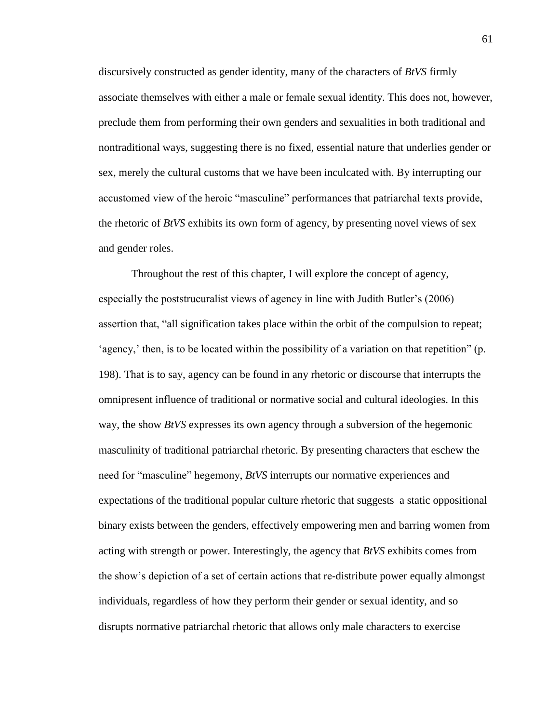discursively constructed as gender identity, many of the characters of *BtVS* firmly associate themselves with either a male or female sexual identity. This does not, however, preclude them from performing their own genders and sexualities in both traditional and nontraditional ways, suggesting there is no fixed, essential nature that underlies gender or sex, merely the cultural customs that we have been inculcated with. By interrupting our accustomed view of the heroic "masculine" performances that patriarchal texts provide, the rhetoric of *BtVS* exhibits its own form of agency, by presenting novel views of sex and gender roles.

Throughout the rest of this chapter, I will explore the concept of agency, especially the poststrucuralist views of agency in line with Judith Butler's (2006) assertion that, "all signification takes place within the orbit of the compulsion to repeat; 'agency,' then, is to be located within the possibility of a variation on that repetition" (p. 198). That is to say, agency can be found in any rhetoric or discourse that interrupts the omnipresent influence of traditional or normative social and cultural ideologies. In this way, the show *BtVS* expresses its own agency through a subversion of the hegemonic masculinity of traditional patriarchal rhetoric. By presenting characters that eschew the need for "masculine" hegemony, *BtVS* interrupts our normative experiences and expectations of the traditional popular culture rhetoric that suggests a static oppositional binary exists between the genders, effectively empowering men and barring women from acting with strength or power. Interestingly, the agency that *BtVS* exhibits comes from the show's depiction of a set of certain actions that re-distribute power equally almongst individuals, regardless of how they perform their gender or sexual identity, and so disrupts normative patriarchal rhetoric that allows only male characters to exercise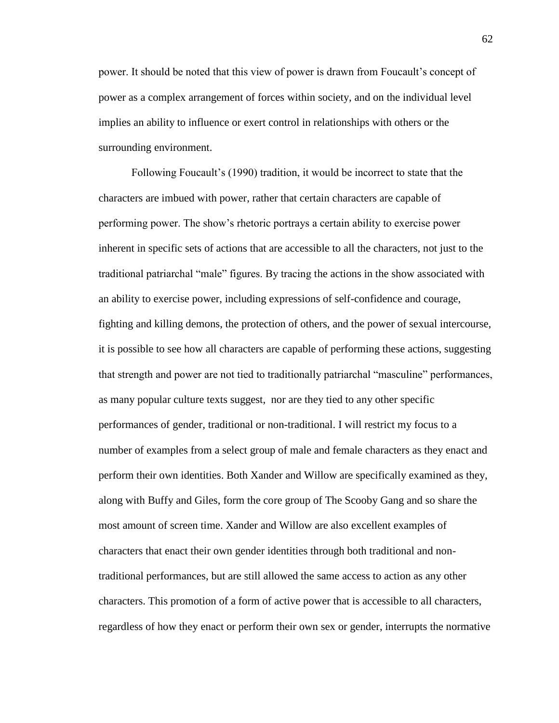power. It should be noted that this view of power is drawn from Foucault's concept of power as a complex arrangement of forces within society, and on the individual level implies an ability to influence or exert control in relationships with others or the surrounding environment.

Following Foucault's (1990) tradition, it would be incorrect to state that the characters are imbued with power, rather that certain characters are capable of performing power. The show's rhetoric portrays a certain ability to exercise power inherent in specific sets of actions that are accessible to all the characters, not just to the traditional patriarchal "male" figures. By tracing the actions in the show associated with an ability to exercise power, including expressions of self-confidence and courage, fighting and killing demons, the protection of others, and the power of sexual intercourse, it is possible to see how all characters are capable of performing these actions, suggesting that strength and power are not tied to traditionally patriarchal "masculine" performances, as many popular culture texts suggest, nor are they tied to any other specific performances of gender, traditional or non-traditional. I will restrict my focus to a number of examples from a select group of male and female characters as they enact and perform their own identities. Both Xander and Willow are specifically examined as they, along with Buffy and Giles, form the core group of The Scooby Gang and so share the most amount of screen time. Xander and Willow are also excellent examples of characters that enact their own gender identities through both traditional and nontraditional performances, but are still allowed the same access to action as any other characters. This promotion of a form of active power that is accessible to all characters, regardless of how they enact or perform their own sex or gender, interrupts the normative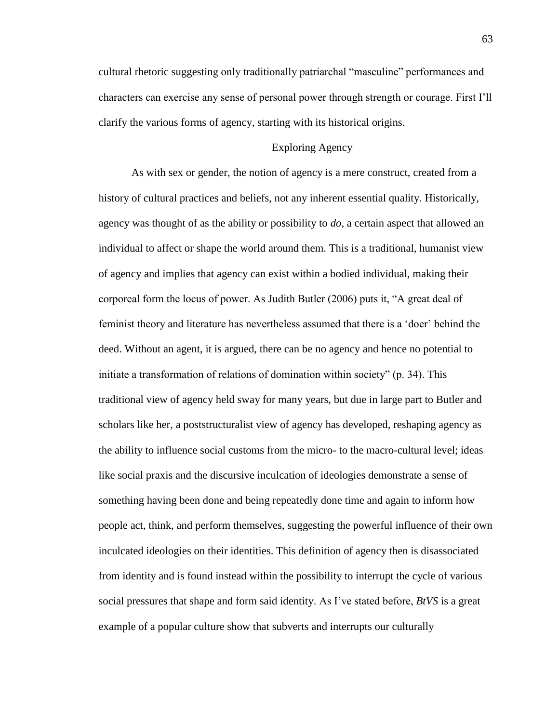cultural rhetoric suggesting only traditionally patriarchal "masculine" performances and characters can exercise any sense of personal power through strength or courage. First I'll clarify the various forms of agency, starting with its historical origins.

## Exploring Agency

As with sex or gender, the notion of agency is a mere construct, created from a history of cultural practices and beliefs, not any inherent essential quality. Historically, agency was thought of as the ability or possibility to *do*, a certain aspect that allowed an individual to affect or shape the world around them. This is a traditional, humanist view of agency and implies that agency can exist within a bodied individual, making their corporeal form the locus of power. As Judith Butler (2006) puts it, "A great deal of feminist theory and literature has nevertheless assumed that there is a 'doer' behind the deed. Without an agent, it is argued, there can be no agency and hence no potential to initiate a transformation of relations of domination within society" (p. 34). This traditional view of agency held sway for many years, but due in large part to Butler and scholars like her, a poststructuralist view of agency has developed, reshaping agency as the ability to influence social customs from the micro- to the macro-cultural level; ideas like social praxis and the discursive inculcation of ideologies demonstrate a sense of something having been done and being repeatedly done time and again to inform how people act, think, and perform themselves, suggesting the powerful influence of their own inculcated ideologies on their identities. This definition of agency then is disassociated from identity and is found instead within the possibility to interrupt the cycle of various social pressures that shape and form said identity. As I've stated before, *BtVS* is a great example of a popular culture show that subverts and interrupts our culturally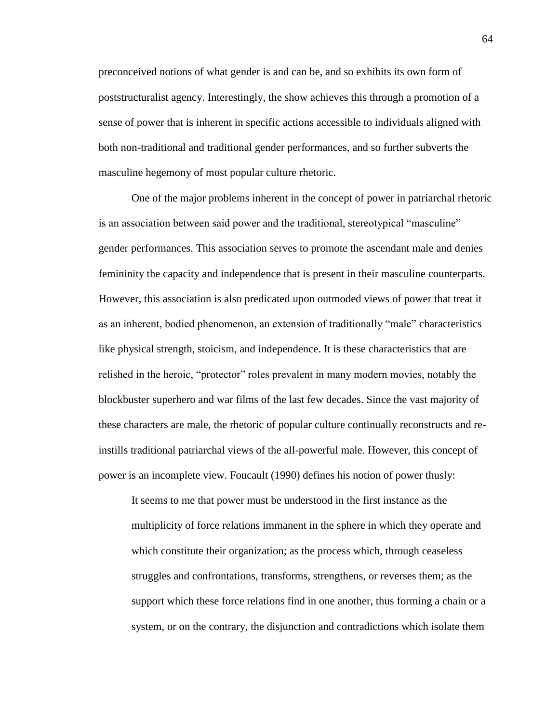preconceived notions of what gender is and can be, and so exhibits its own form of poststructuralist agency. Interestingly, the show achieves this through a promotion of a sense of power that is inherent in specific actions accessible to individuals aligned with both non-traditional and traditional gender performances, and so further subverts the masculine hegemony of most popular culture rhetoric.

One of the major problems inherent in the concept of power in patriarchal rhetoric is an association between said power and the traditional, stereotypical "masculine" gender performances. This association serves to promote the ascendant male and denies femininity the capacity and independence that is present in their masculine counterparts. However, this association is also predicated upon outmoded views of power that treat it as an inherent, bodied phenomenon, an extension of traditionally "male" characteristics like physical strength, stoicism, and independence. It is these characteristics that are relished in the heroic, "protector" roles prevalent in many modern movies, notably the blockbuster superhero and war films of the last few decades. Since the vast majority of these characters are male, the rhetoric of popular culture continually reconstructs and reinstills traditional patriarchal views of the all-powerful male. However, this concept of power is an incomplete view. Foucault (1990) defines his notion of power thusly:

It seems to me that power must be understood in the first instance as the multiplicity of force relations immanent in the sphere in which they operate and which constitute their organization; as the process which, through ceaseless struggles and confrontations, transforms, strengthens, or reverses them; as the support which these force relations find in one another, thus forming a chain or a system, or on the contrary, the disjunction and contradictions which isolate them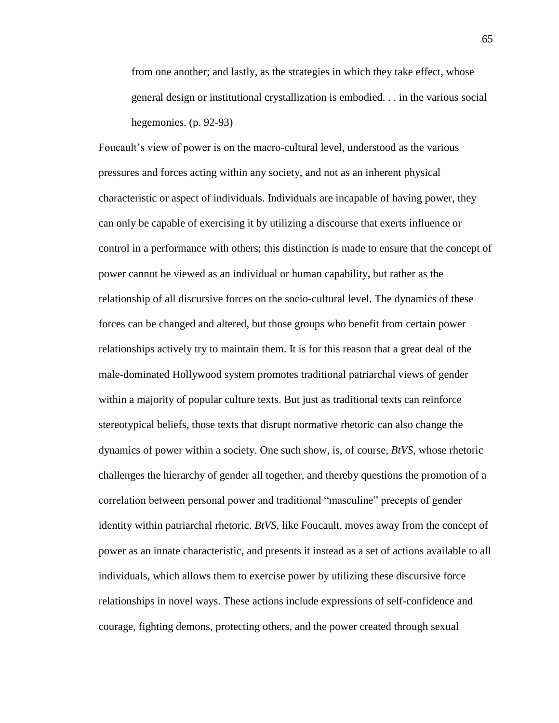from one another; and lastly, as the strategies in which they take effect, whose general design or institutional crystallization is embodied. . . in the various social hegemonies. (p. 92-93)

Foucault's view of power is on the macro-cultural level, understood as the various pressures and forces acting within any society, and not as an inherent physical characteristic or aspect of individuals. Individuals are incapable of having power, they can only be capable of exercising it by utilizing a discourse that exerts influence or control in a performance with others; this distinction is made to ensure that the concept of power cannot be viewed as an individual or human capability, but rather as the relationship of all discursive forces on the socio-cultural level. The dynamics of these forces can be changed and altered, but those groups who benefit from certain power relationships actively try to maintain them. It is for this reason that a great deal of the male-dominated Hollywood system promotes traditional patriarchal views of gender within a majority of popular culture texts. But just as traditional texts can reinforce stereotypical beliefs, those texts that disrupt normative rhetoric can also change the dynamics of power within a society. One such show, is, of course, *BtVS*, whose rhetoric challenges the hierarchy of gender all together, and thereby questions the promotion of a correlation between personal power and traditional "masculine" precepts of gender identity within patriarchal rhetoric. *BtVS*, like Foucault, moves away from the concept of power as an innate characteristic, and presents it instead as a set of actions available to all individuals, which allows them to exercise power by utilizing these discursive force relationships in novel ways. These actions include expressions of self-confidence and courage, fighting demons, protecting others, and the power created through sexual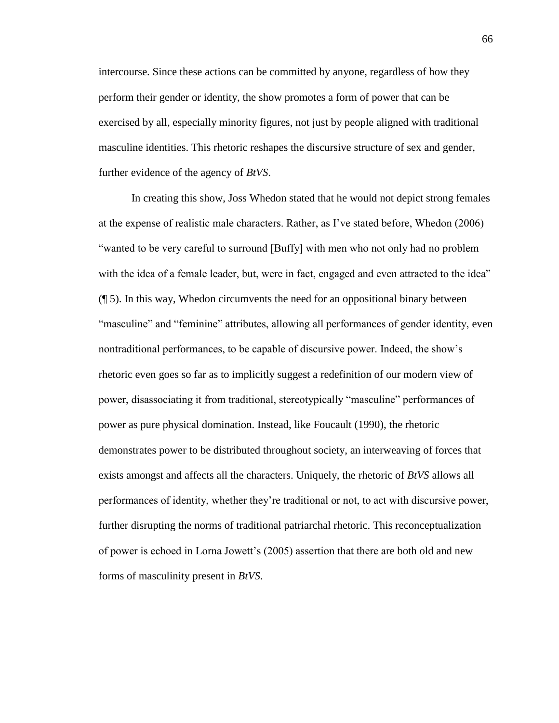intercourse. Since these actions can be committed by anyone, regardless of how they perform their gender or identity, the show promotes a form of power that can be exercised by all, especially minority figures, not just by people aligned with traditional masculine identities. This rhetoric reshapes the discursive structure of sex and gender, further evidence of the agency of *BtVS*.

In creating this show, Joss Whedon stated that he would not depict strong females at the expense of realistic male characters. Rather, as I've stated before, Whedon (2006) "wanted to be very careful to surround [Buffy] with men who not only had no problem with the idea of a female leader, but, were in fact, engaged and even attracted to the idea" (¶ 5). In this way, Whedon circumvents the need for an oppositional binary between "masculine" and "feminine" attributes, allowing all performances of gender identity, even nontraditional performances, to be capable of discursive power. Indeed, the show's rhetoric even goes so far as to implicitly suggest a redefinition of our modern view of power, disassociating it from traditional, stereotypically "masculine" performances of power as pure physical domination. Instead, like Foucault (1990), the rhetoric demonstrates power to be distributed throughout society, an interweaving of forces that exists amongst and affects all the characters. Uniquely, the rhetoric of *BtVS* allows all performances of identity, whether they're traditional or not, to act with discursive power, further disrupting the norms of traditional patriarchal rhetoric. This reconceptualization of power is echoed in Lorna Jowett's (2005) assertion that there are both old and new forms of masculinity present in *BtVS*.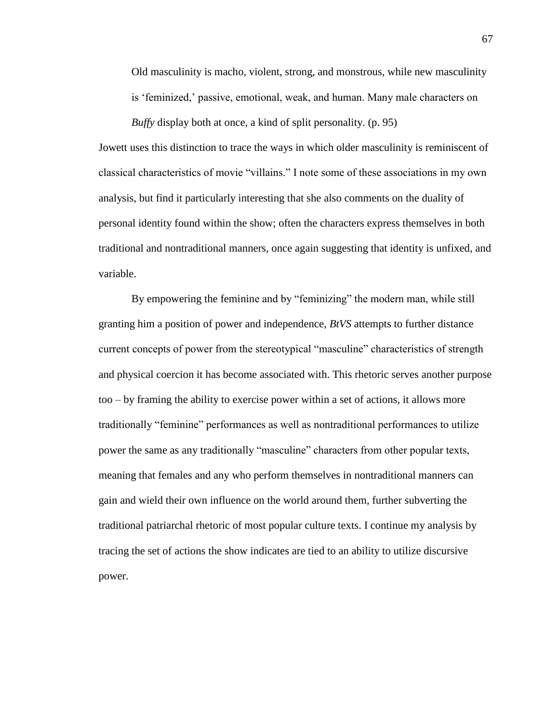Old masculinity is macho, violent, strong, and monstrous, while new masculinity is 'feminized,' passive, emotional, weak, and human. Many male characters on

*Buffy* display both at once, a kind of split personality. (p. 95)

Jowett uses this distinction to trace the ways in which older masculinity is reminiscent of classical characteristics of movie "villains." I note some of these associations in my own analysis, but find it particularly interesting that she also comments on the duality of personal identity found within the show; often the characters express themselves in both traditional and nontraditional manners, once again suggesting that identity is unfixed, and variable.

By empowering the feminine and by "feminizing" the modern man, while still granting him a position of power and independence, *BtVS* attempts to further distance current concepts of power from the stereotypical "masculine" characteristics of strength and physical coercion it has become associated with. This rhetoric serves another purpose too – by framing the ability to exercise power within a set of actions, it allows more traditionally "feminine" performances as well as nontraditional performances to utilize power the same as any traditionally "masculine" characters from other popular texts, meaning that females and any who perform themselves in nontraditional manners can gain and wield their own influence on the world around them, further subverting the traditional patriarchal rhetoric of most popular culture texts. I continue my analysis by tracing the set of actions the show indicates are tied to an ability to utilize discursive power.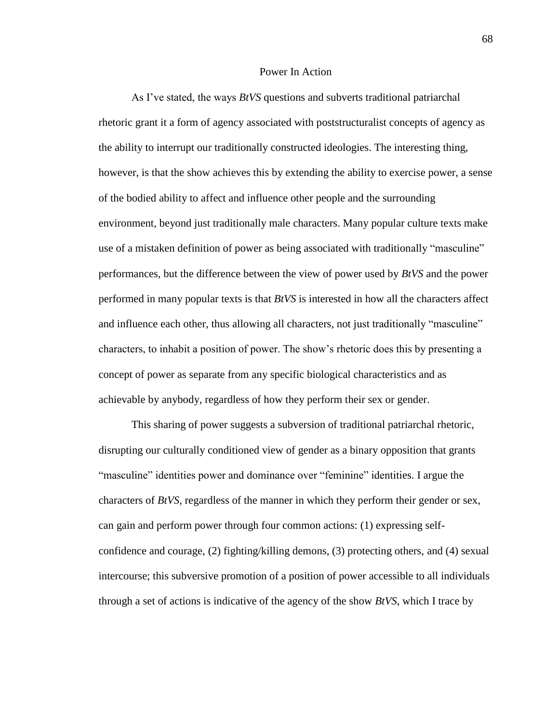### Power In Action

As I've stated, the ways *BtVS* questions and subverts traditional patriarchal rhetoric grant it a form of agency associated with poststructuralist concepts of agency as the ability to interrupt our traditionally constructed ideologies. The interesting thing, however, is that the show achieves this by extending the ability to exercise power, a sense of the bodied ability to affect and influence other people and the surrounding environment, beyond just traditionally male characters. Many popular culture texts make use of a mistaken definition of power as being associated with traditionally "masculine" performances, but the difference between the view of power used by *BtVS* and the power performed in many popular texts is that *BtVS* is interested in how all the characters affect and influence each other, thus allowing all characters, not just traditionally "masculine" characters, to inhabit a position of power. The show's rhetoric does this by presenting a concept of power as separate from any specific biological characteristics and as achievable by anybody, regardless of how they perform their sex or gender.

This sharing of power suggests a subversion of traditional patriarchal rhetoric, disrupting our culturally conditioned view of gender as a binary opposition that grants "masculine" identities power and dominance over "feminine" identities. I argue the characters of *BtVS*, regardless of the manner in which they perform their gender or sex, can gain and perform power through four common actions: (1) expressing selfconfidence and courage, (2) fighting/killing demons, (3) protecting others, and (4) sexual intercourse; this subversive promotion of a position of power accessible to all individuals through a set of actions is indicative of the agency of the show *BtVS*, which I trace by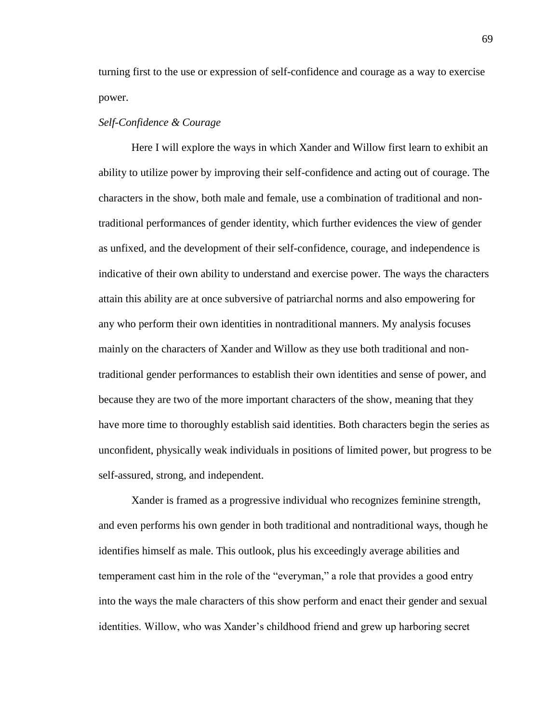turning first to the use or expression of self-confidence and courage as a way to exercise power.

### *Self-Confidence & Courage*

Here I will explore the ways in which Xander and Willow first learn to exhibit an ability to utilize power by improving their self-confidence and acting out of courage. The characters in the show, both male and female, use a combination of traditional and nontraditional performances of gender identity, which further evidences the view of gender as unfixed, and the development of their self-confidence, courage, and independence is indicative of their own ability to understand and exercise power. The ways the characters attain this ability are at once subversive of patriarchal norms and also empowering for any who perform their own identities in nontraditional manners. My analysis focuses mainly on the characters of Xander and Willow as they use both traditional and nontraditional gender performances to establish their own identities and sense of power, and because they are two of the more important characters of the show, meaning that they have more time to thoroughly establish said identities. Both characters begin the series as unconfident, physically weak individuals in positions of limited power, but progress to be self-assured, strong, and independent.

Xander is framed as a progressive individual who recognizes feminine strength, and even performs his own gender in both traditional and nontraditional ways, though he identifies himself as male. This outlook, plus his exceedingly average abilities and temperament cast him in the role of the "everyman," a role that provides a good entry into the ways the male characters of this show perform and enact their gender and sexual identities. Willow, who was Xander's childhood friend and grew up harboring secret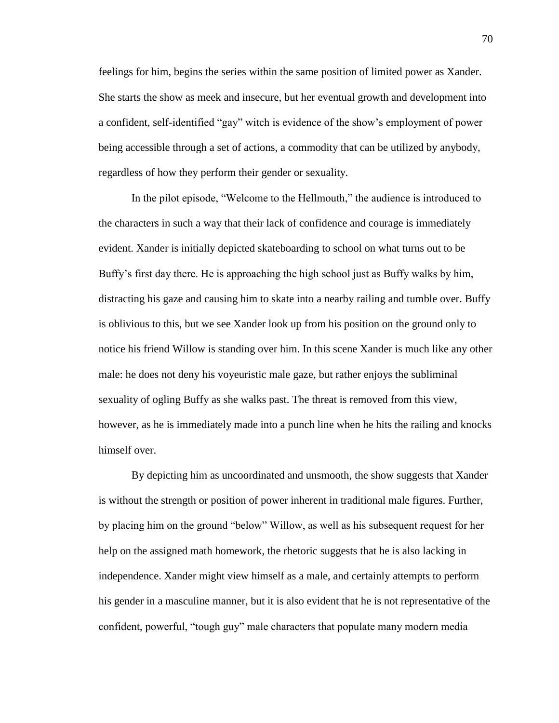feelings for him, begins the series within the same position of limited power as Xander. She starts the show as meek and insecure, but her eventual growth and development into a confident, self-identified "gay" witch is evidence of the show's employment of power being accessible through a set of actions, a commodity that can be utilized by anybody, regardless of how they perform their gender or sexuality.

In the pilot episode, "Welcome to the Hellmouth," the audience is introduced to the characters in such a way that their lack of confidence and courage is immediately evident. Xander is initially depicted skateboarding to school on what turns out to be Buffy's first day there. He is approaching the high school just as Buffy walks by him, distracting his gaze and causing him to skate into a nearby railing and tumble over. Buffy is oblivious to this, but we see Xander look up from his position on the ground only to notice his friend Willow is standing over him. In this scene Xander is much like any other male: he does not deny his voyeuristic male gaze, but rather enjoys the subliminal sexuality of ogling Buffy as she walks past. The threat is removed from this view, however, as he is immediately made into a punch line when he hits the railing and knocks himself over.

By depicting him as uncoordinated and unsmooth, the show suggests that Xander is without the strength or position of power inherent in traditional male figures. Further, by placing him on the ground "below" Willow, as well as his subsequent request for her help on the assigned math homework, the rhetoric suggests that he is also lacking in independence. Xander might view himself as a male, and certainly attempts to perform his gender in a masculine manner, but it is also evident that he is not representative of the confident, powerful, "tough guy" male characters that populate many modern media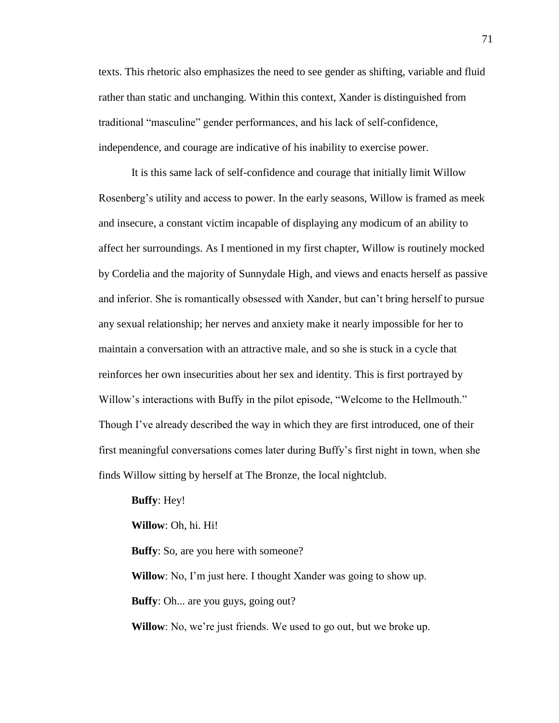texts. This rhetoric also emphasizes the need to see gender as shifting, variable and fluid rather than static and unchanging. Within this context, Xander is distinguished from traditional "masculine" gender performances, and his lack of self-confidence, independence, and courage are indicative of his inability to exercise power.

It is this same lack of self-confidence and courage that initially limit Willow Rosenberg's utility and access to power. In the early seasons, Willow is framed as meek and insecure, a constant victim incapable of displaying any modicum of an ability to affect her surroundings. As I mentioned in my first chapter, Willow is routinely mocked by Cordelia and the majority of Sunnydale High, and views and enacts herself as passive and inferior. She is romantically obsessed with Xander, but can't bring herself to pursue any sexual relationship; her nerves and anxiety make it nearly impossible for her to maintain a conversation with an attractive male, and so she is stuck in a cycle that reinforces her own insecurities about her sex and identity. This is first portrayed by Willow's interactions with Buffy in the pilot episode, "Welcome to the Hellmouth." Though I've already described the way in which they are first introduced, one of their first meaningful conversations comes later during Buffy's first night in town, when she finds Willow sitting by herself at The Bronze, the local nightclub.

**Buffy**: Hey! **Willow**: Oh, hi. Hi! **Buffy**: So, are you here with someone? **Willow**: No, I'm just here. I thought Xander was going to show up. **Buffy**: Oh... are you guys, going out?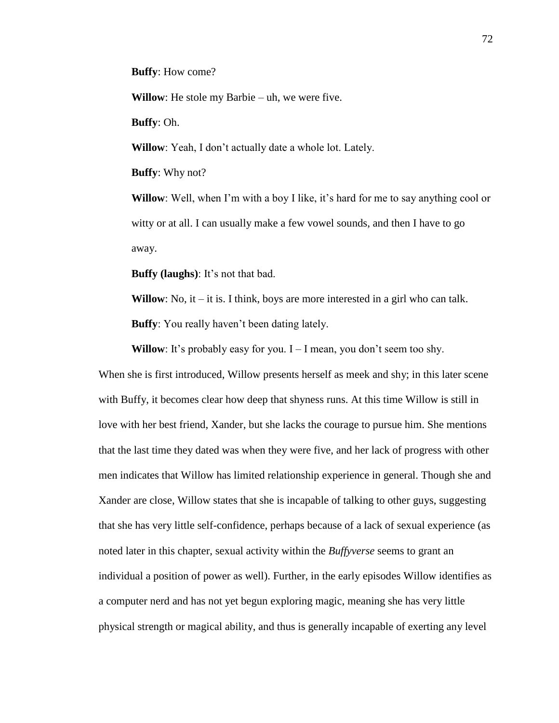**Buffy**: How come?

**Willow**: He stole my Barbie – uh, we were five.

**Buffy**: Oh.

**Willow**: Yeah, I don't actually date a whole lot. Lately.

**Buffy**: Why not?

**Willow**: Well, when I'm with a boy I like, it's hard for me to say anything cool or witty or at all. I can usually make a few vowel sounds, and then I have to go away.

**Buffy (laughs)**: It's not that bad.

**Willow**: No, it – it is. I think, boys are more interested in a girl who can talk. **Buffy**: You really haven't been dating lately.

**Willow**: It's probably easy for you.  $I - I$  mean, you don't seem too shy.

When she is first introduced, Willow presents herself as meek and shy; in this later scene with Buffy, it becomes clear how deep that shyness runs. At this time Willow is still in love with her best friend, Xander, but she lacks the courage to pursue him. She mentions that the last time they dated was when they were five, and her lack of progress with other men indicates that Willow has limited relationship experience in general. Though she and Xander are close, Willow states that she is incapable of talking to other guys, suggesting that she has very little self-confidence, perhaps because of a lack of sexual experience (as noted later in this chapter, sexual activity within the *Buffyverse* seems to grant an individual a position of power as well). Further, in the early episodes Willow identifies as a computer nerd and has not yet begun exploring magic, meaning she has very little physical strength or magical ability, and thus is generally incapable of exerting any level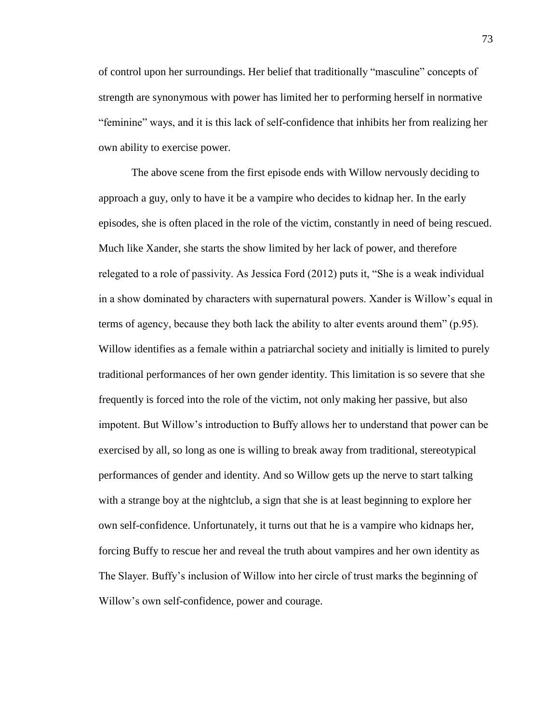of control upon her surroundings. Her belief that traditionally "masculine" concepts of strength are synonymous with power has limited her to performing herself in normative "feminine" ways, and it is this lack of self-confidence that inhibits her from realizing her own ability to exercise power.

The above scene from the first episode ends with Willow nervously deciding to approach a guy, only to have it be a vampire who decides to kidnap her. In the early episodes, she is often placed in the role of the victim, constantly in need of being rescued. Much like Xander, she starts the show limited by her lack of power, and therefore relegated to a role of passivity. As Jessica Ford (2012) puts it, "She is a weak individual in a show dominated by characters with supernatural powers. Xander is Willow's equal in terms of agency, because they both lack the ability to alter events around them" (p.95). Willow identifies as a female within a patriarchal society and initially is limited to purely traditional performances of her own gender identity. This limitation is so severe that she frequently is forced into the role of the victim, not only making her passive, but also impotent. But Willow's introduction to Buffy allows her to understand that power can be exercised by all, so long as one is willing to break away from traditional, stereotypical performances of gender and identity. And so Willow gets up the nerve to start talking with a strange boy at the nightclub, a sign that she is at least beginning to explore her own self-confidence. Unfortunately, it turns out that he is a vampire who kidnaps her, forcing Buffy to rescue her and reveal the truth about vampires and her own identity as The Slayer. Buffy's inclusion of Willow into her circle of trust marks the beginning of Willow's own self-confidence, power and courage.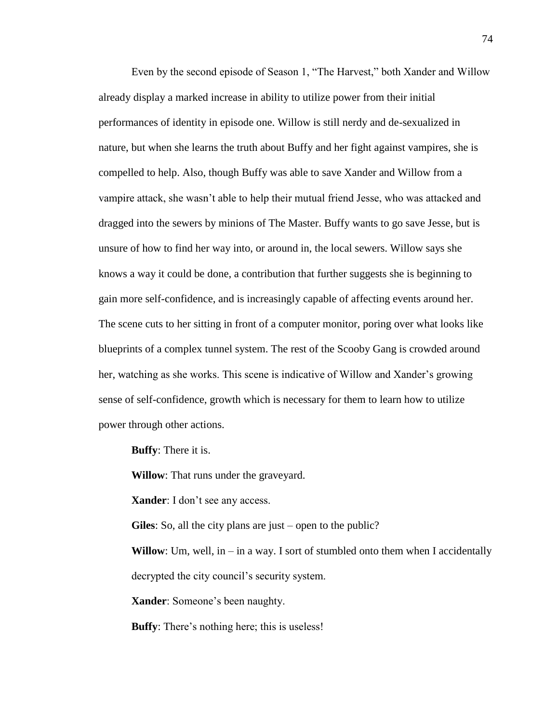Even by the second episode of Season 1, "The Harvest," both Xander and Willow already display a marked increase in ability to utilize power from their initial performances of identity in episode one. Willow is still nerdy and de-sexualized in nature, but when she learns the truth about Buffy and her fight against vampires, she is compelled to help. Also, though Buffy was able to save Xander and Willow from a vampire attack, she wasn't able to help their mutual friend Jesse, who was attacked and dragged into the sewers by minions of The Master. Buffy wants to go save Jesse, but is unsure of how to find her way into, or around in, the local sewers. Willow says she knows a way it could be done, a contribution that further suggests she is beginning to gain more self-confidence, and is increasingly capable of affecting events around her. The scene cuts to her sitting in front of a computer monitor, poring over what looks like blueprints of a complex tunnel system. The rest of the Scooby Gang is crowded around her, watching as she works. This scene is indicative of Willow and Xander's growing sense of self-confidence, growth which is necessary for them to learn how to utilize power through other actions.

**Buffy**: There it is.

**Willow**: That runs under the graveyard.

**Xander**: I don't see any access.

**Giles**: So, all the city plans are just – open to the public?

**Willow**: Um, well, in – in a way. I sort of stumbled onto them when I accidentally decrypted the city council's security system.

**Xander**: Someone's been naughty.

**Buffy**: There's nothing here; this is useless!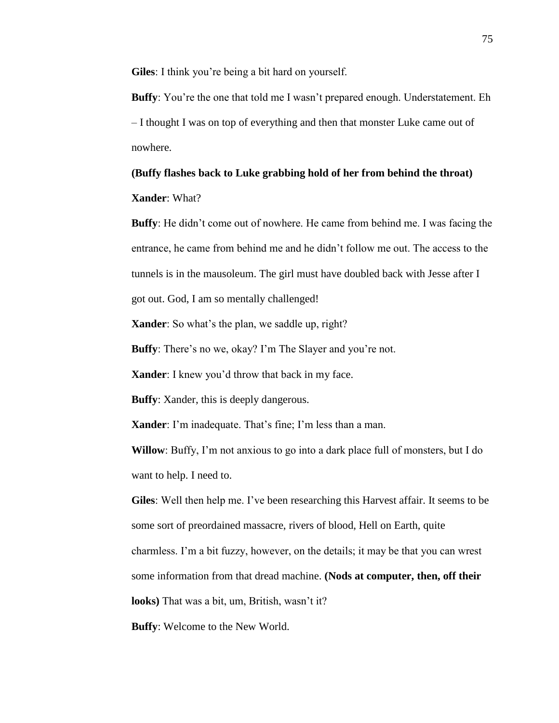**Giles**: I think you're being a bit hard on yourself.

**Buffy**: You're the one that told me I wasn't prepared enough. Understatement. Eh – I thought I was on top of everything and then that monster Luke came out of nowhere.

# **(Buffy flashes back to Luke grabbing hold of her from behind the throat) Xander**: What?

**Buffy**: He didn't come out of nowhere. He came from behind me. I was facing the entrance, he came from behind me and he didn't follow me out. The access to the tunnels is in the mausoleum. The girl must have doubled back with Jesse after I got out. God, I am so mentally challenged!

**Xander**: So what's the plan, we saddle up, right?

**Buffy**: There's no we, okay? I'm The Slayer and you're not.

**Xander**: I knew you'd throw that back in my face.

**Buffy**: Xander, this is deeply dangerous.

**Xander**: I'm inadequate. That's fine; I'm less than a man.

**Willow**: Buffy, I'm not anxious to go into a dark place full of monsters, but I do want to help. I need to.

**Giles**: Well then help me. I've been researching this Harvest affair. It seems to be some sort of preordained massacre, rivers of blood, Hell on Earth, quite charmless. I'm a bit fuzzy, however, on the details; it may be that you can wrest some information from that dread machine. **(Nods at computer, then, off their looks)** That was a bit, um, British, wasn't it?

**Buffy**: Welcome to the New World.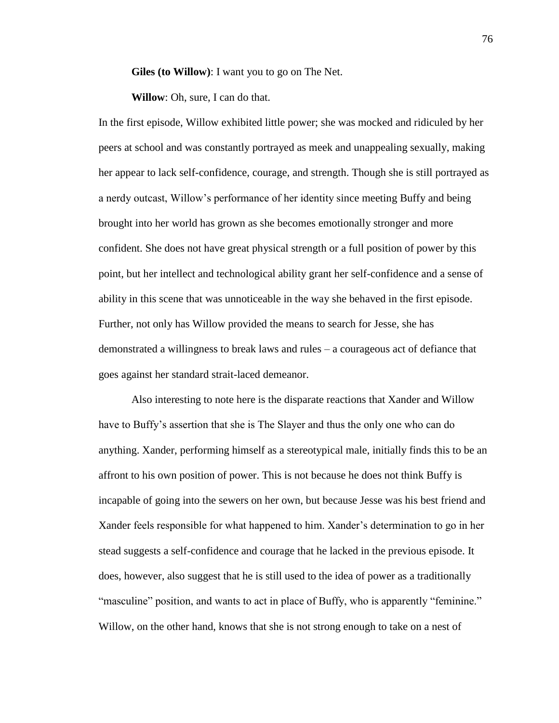**Giles (to Willow)**: I want you to go on The Net.

**Willow**: Oh, sure, I can do that.

In the first episode, Willow exhibited little power; she was mocked and ridiculed by her peers at school and was constantly portrayed as meek and unappealing sexually, making her appear to lack self-confidence, courage, and strength. Though she is still portrayed as a nerdy outcast, Willow's performance of her identity since meeting Buffy and being brought into her world has grown as she becomes emotionally stronger and more confident. She does not have great physical strength or a full position of power by this point, but her intellect and technological ability grant her self-confidence and a sense of ability in this scene that was unnoticeable in the way she behaved in the first episode. Further, not only has Willow provided the means to search for Jesse, she has demonstrated a willingness to break laws and rules – a courageous act of defiance that goes against her standard strait-laced demeanor.

Also interesting to note here is the disparate reactions that Xander and Willow have to Buffy's assertion that she is The Slayer and thus the only one who can do anything. Xander, performing himself as a stereotypical male, initially finds this to be an affront to his own position of power. This is not because he does not think Buffy is incapable of going into the sewers on her own, but because Jesse was his best friend and Xander feels responsible for what happened to him. Xander's determination to go in her stead suggests a self-confidence and courage that he lacked in the previous episode. It does, however, also suggest that he is still used to the idea of power as a traditionally "masculine" position, and wants to act in place of Buffy, who is apparently "feminine." Willow, on the other hand, knows that she is not strong enough to take on a nest of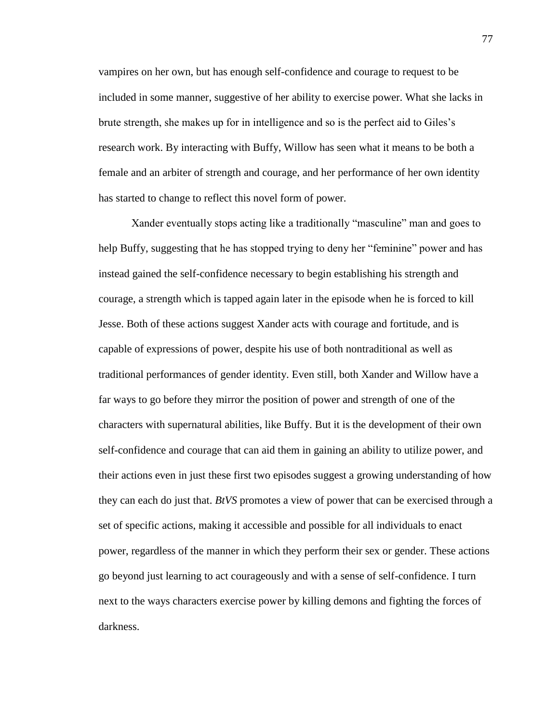vampires on her own, but has enough self-confidence and courage to request to be included in some manner, suggestive of her ability to exercise power. What she lacks in brute strength, she makes up for in intelligence and so is the perfect aid to Giles's research work. By interacting with Buffy, Willow has seen what it means to be both a female and an arbiter of strength and courage, and her performance of her own identity has started to change to reflect this novel form of power.

Xander eventually stops acting like a traditionally "masculine" man and goes to help Buffy, suggesting that he has stopped trying to deny her "feminine" power and has instead gained the self-confidence necessary to begin establishing his strength and courage, a strength which is tapped again later in the episode when he is forced to kill Jesse. Both of these actions suggest Xander acts with courage and fortitude, and is capable of expressions of power, despite his use of both nontraditional as well as traditional performances of gender identity. Even still, both Xander and Willow have a far ways to go before they mirror the position of power and strength of one of the characters with supernatural abilities, like Buffy. But it is the development of their own self-confidence and courage that can aid them in gaining an ability to utilize power, and their actions even in just these first two episodes suggest a growing understanding of how they can each do just that. *BtVS* promotes a view of power that can be exercised through a set of specific actions, making it accessible and possible for all individuals to enact power, regardless of the manner in which they perform their sex or gender. These actions go beyond just learning to act courageously and with a sense of self-confidence. I turn next to the ways characters exercise power by killing demons and fighting the forces of darkness.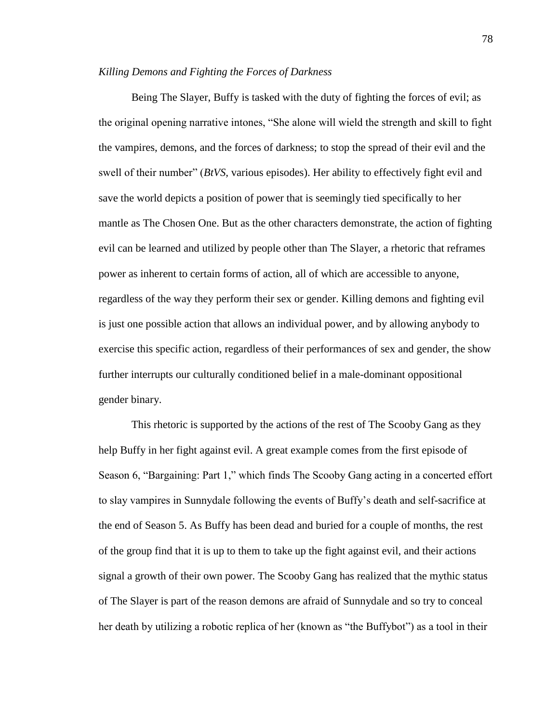#### *Killing Demons and Fighting the Forces of Darkness*

Being The Slayer, Buffy is tasked with the duty of fighting the forces of evil; as the original opening narrative intones, "She alone will wield the strength and skill to fight the vampires, demons, and the forces of darkness; to stop the spread of their evil and the swell of their number" (*BtVS,* various episodes). Her ability to effectively fight evil and save the world depicts a position of power that is seemingly tied specifically to her mantle as The Chosen One. But as the other characters demonstrate, the action of fighting evil can be learned and utilized by people other than The Slayer, a rhetoric that reframes power as inherent to certain forms of action, all of which are accessible to anyone, regardless of the way they perform their sex or gender. Killing demons and fighting evil is just one possible action that allows an individual power, and by allowing anybody to exercise this specific action, regardless of their performances of sex and gender, the show further interrupts our culturally conditioned belief in a male-dominant oppositional gender binary.

This rhetoric is supported by the actions of the rest of The Scooby Gang as they help Buffy in her fight against evil. A great example comes from the first episode of Season 6, "Bargaining: Part 1," which finds The Scooby Gang acting in a concerted effort to slay vampires in Sunnydale following the events of Buffy's death and self-sacrifice at the end of Season 5. As Buffy has been dead and buried for a couple of months, the rest of the group find that it is up to them to take up the fight against evil, and their actions signal a growth of their own power. The Scooby Gang has realized that the mythic status of The Slayer is part of the reason demons are afraid of Sunnydale and so try to conceal her death by utilizing a robotic replica of her (known as "the Buffybot") as a tool in their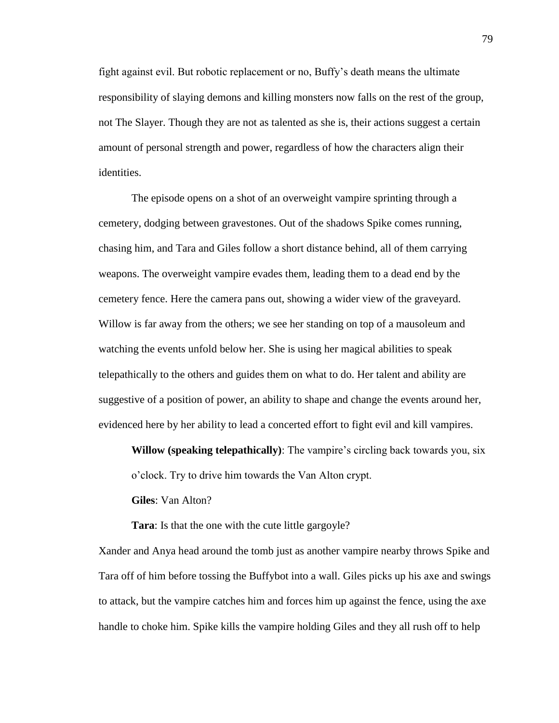fight against evil. But robotic replacement or no, Buffy's death means the ultimate responsibility of slaying demons and killing monsters now falls on the rest of the group, not The Slayer. Though they are not as talented as she is, their actions suggest a certain amount of personal strength and power, regardless of how the characters align their identities.

The episode opens on a shot of an overweight vampire sprinting through a cemetery, dodging between gravestones. Out of the shadows Spike comes running, chasing him, and Tara and Giles follow a short distance behind, all of them carrying weapons. The overweight vampire evades them, leading them to a dead end by the cemetery fence. Here the camera pans out, showing a wider view of the graveyard. Willow is far away from the others; we see her standing on top of a mausoleum and watching the events unfold below her. She is using her magical abilities to speak telepathically to the others and guides them on what to do. Her talent and ability are suggestive of a position of power, an ability to shape and change the events around her, evidenced here by her ability to lead a concerted effort to fight evil and kill vampires.

**Willow (speaking telepathically)**: The vampire's circling back towards you, six o'clock. Try to drive him towards the Van Alton crypt.

**Giles**: Van Alton?

**Tara**: Is that the one with the cute little gargoyle?

Xander and Anya head around the tomb just as another vampire nearby throws Spike and Tara off of him before tossing the Buffybot into a wall. Giles picks up his axe and swings to attack, but the vampire catches him and forces him up against the fence, using the axe handle to choke him. Spike kills the vampire holding Giles and they all rush off to help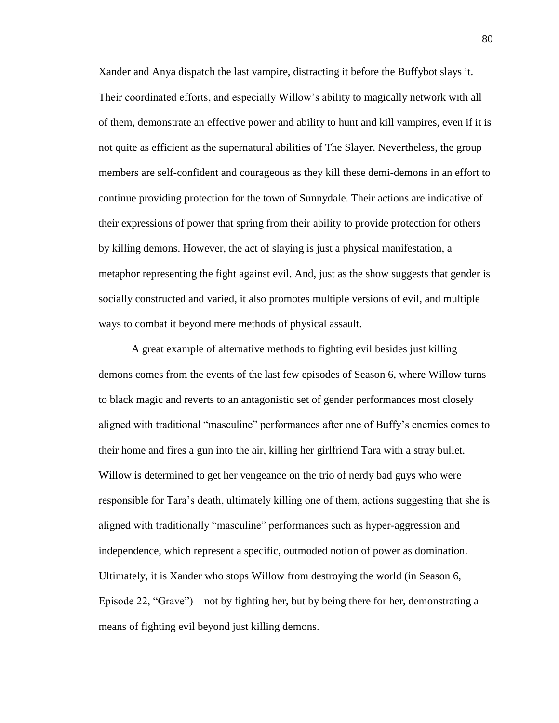Xander and Anya dispatch the last vampire, distracting it before the Buffybot slays it. Their coordinated efforts, and especially Willow's ability to magically network with all of them, demonstrate an effective power and ability to hunt and kill vampires, even if it is not quite as efficient as the supernatural abilities of The Slayer. Nevertheless, the group members are self-confident and courageous as they kill these demi-demons in an effort to continue providing protection for the town of Sunnydale. Their actions are indicative of their expressions of power that spring from their ability to provide protection for others by killing demons. However, the act of slaying is just a physical manifestation, a metaphor representing the fight against evil. And, just as the show suggests that gender is socially constructed and varied, it also promotes multiple versions of evil, and multiple ways to combat it beyond mere methods of physical assault.

A great example of alternative methods to fighting evil besides just killing demons comes from the events of the last few episodes of Season 6, where Willow turns to black magic and reverts to an antagonistic set of gender performances most closely aligned with traditional "masculine" performances after one of Buffy's enemies comes to their home and fires a gun into the air, killing her girlfriend Tara with a stray bullet. Willow is determined to get her vengeance on the trio of nerdy bad guys who were responsible for Tara's death, ultimately killing one of them, actions suggesting that she is aligned with traditionally "masculine" performances such as hyper-aggression and independence, which represent a specific, outmoded notion of power as domination. Ultimately, it is Xander who stops Willow from destroying the world (in Season 6, Episode 22, "Grave") – not by fighting her, but by being there for her, demonstrating a means of fighting evil beyond just killing demons.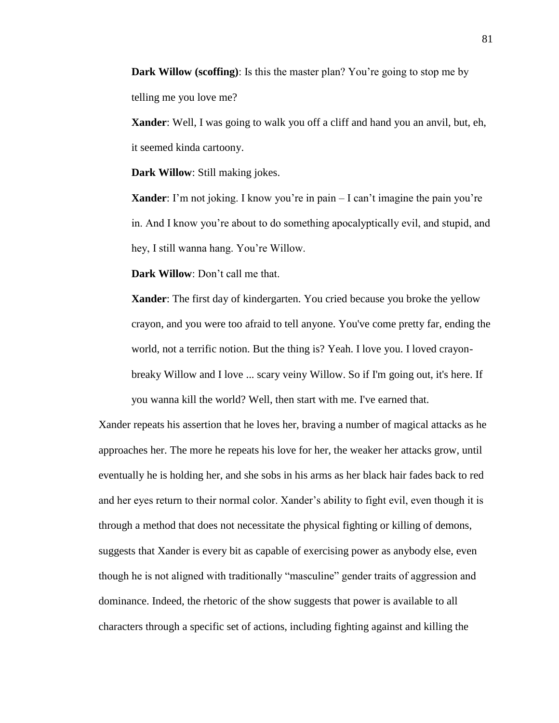**Dark Willow (scoffing)**: Is this the master plan? You're going to stop me by telling me you love me?

**Xander**: Well, I was going to walk you off a cliff and hand you an anvil, but, eh, it seemed kinda cartoony.

**Dark Willow**: Still making jokes.

**Xander**: I'm not joking. I know you're in pain – I can't imagine the pain you're in. And I know you're about to do something apocalyptically evil, and stupid, and hey, I still wanna hang. You're Willow.

**Dark Willow**: Don't call me that.

**Xander**: The first day of kindergarten. You cried because you broke the yellow crayon, and you were too afraid to tell anyone. You've come pretty far, ending the world, not a terrific notion. But the thing is? Yeah. I love you. I loved crayonbreaky Willow and I love ... scary veiny Willow. So if I'm going out, it's here. If you wanna kill the world? Well, then start with me. I've earned that.

Xander repeats his assertion that he loves her, braving a number of magical attacks as he approaches her. The more he repeats his love for her, the weaker her attacks grow, until eventually he is holding her, and she sobs in his arms as her black hair fades back to red and her eyes return to their normal color. Xander's ability to fight evil, even though it is through a method that does not necessitate the physical fighting or killing of demons, suggests that Xander is every bit as capable of exercising power as anybody else, even though he is not aligned with traditionally "masculine" gender traits of aggression and dominance. Indeed, the rhetoric of the show suggests that power is available to all characters through a specific set of actions, including fighting against and killing the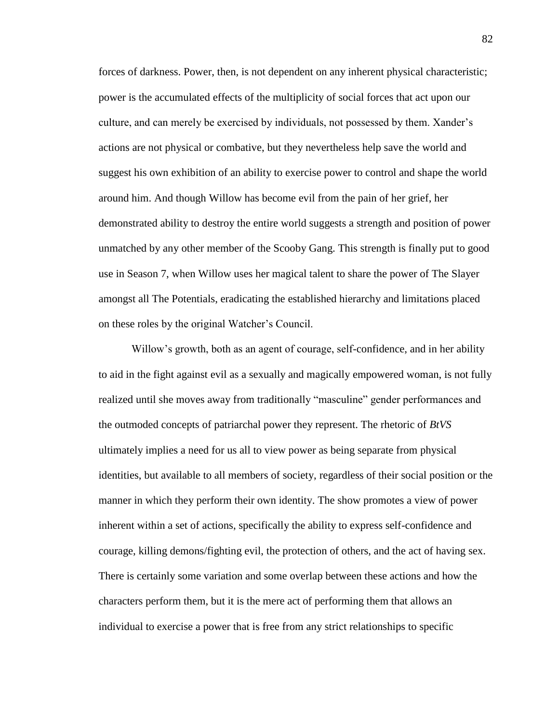forces of darkness. Power, then, is not dependent on any inherent physical characteristic; power is the accumulated effects of the multiplicity of social forces that act upon our culture, and can merely be exercised by individuals, not possessed by them. Xander's actions are not physical or combative, but they nevertheless help save the world and suggest his own exhibition of an ability to exercise power to control and shape the world around him. And though Willow has become evil from the pain of her grief, her demonstrated ability to destroy the entire world suggests a strength and position of power unmatched by any other member of the Scooby Gang. This strength is finally put to good use in Season 7, when Willow uses her magical talent to share the power of The Slayer amongst all The Potentials, eradicating the established hierarchy and limitations placed on these roles by the original Watcher's Council.

Willow's growth, both as an agent of courage, self-confidence, and in her ability to aid in the fight against evil as a sexually and magically empowered woman, is not fully realized until she moves away from traditionally "masculine" gender performances and the outmoded concepts of patriarchal power they represent. The rhetoric of *BtVS* ultimately implies a need for us all to view power as being separate from physical identities, but available to all members of society, regardless of their social position or the manner in which they perform their own identity. The show promotes a view of power inherent within a set of actions, specifically the ability to express self-confidence and courage, killing demons/fighting evil, the protection of others, and the act of having sex. There is certainly some variation and some overlap between these actions and how the characters perform them, but it is the mere act of performing them that allows an individual to exercise a power that is free from any strict relationships to specific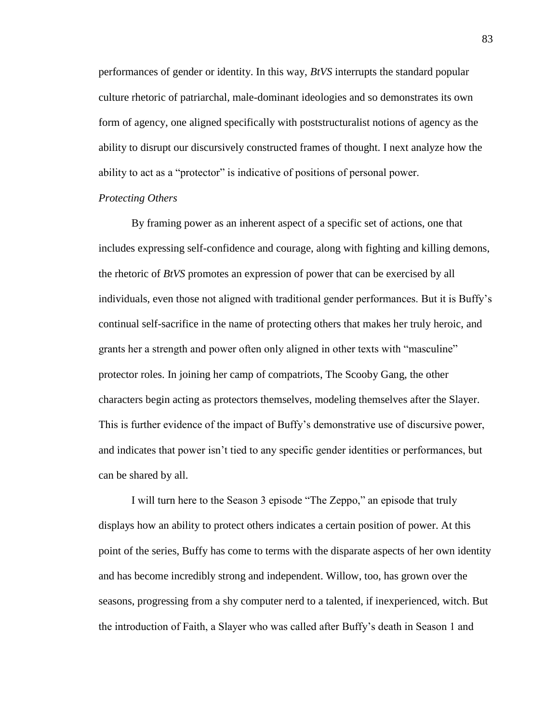performances of gender or identity. In this way, *BtVS* interrupts the standard popular culture rhetoric of patriarchal, male-dominant ideologies and so demonstrates its own form of agency, one aligned specifically with poststructuralist notions of agency as the ability to disrupt our discursively constructed frames of thought. I next analyze how the ability to act as a "protector" is indicative of positions of personal power.

### *Protecting Others*

By framing power as an inherent aspect of a specific set of actions, one that includes expressing self-confidence and courage, along with fighting and killing demons, the rhetoric of *BtVS* promotes an expression of power that can be exercised by all individuals, even those not aligned with traditional gender performances. But it is Buffy's continual self-sacrifice in the name of protecting others that makes her truly heroic, and grants her a strength and power often only aligned in other texts with "masculine" protector roles. In joining her camp of compatriots, The Scooby Gang, the other characters begin acting as protectors themselves, modeling themselves after the Slayer. This is further evidence of the impact of Buffy's demonstrative use of discursive power, and indicates that power isn't tied to any specific gender identities or performances, but can be shared by all.

I will turn here to the Season 3 episode "The Zeppo," an episode that truly displays how an ability to protect others indicates a certain position of power. At this point of the series, Buffy has come to terms with the disparate aspects of her own identity and has become incredibly strong and independent. Willow, too, has grown over the seasons, progressing from a shy computer nerd to a talented, if inexperienced, witch. But the introduction of Faith, a Slayer who was called after Buffy's death in Season 1 and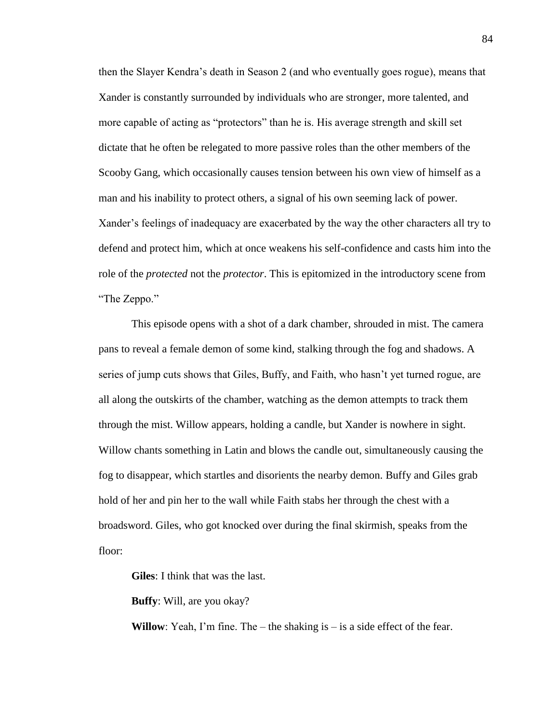then the Slayer Kendra's death in Season 2 (and who eventually goes rogue), means that Xander is constantly surrounded by individuals who are stronger, more talented, and more capable of acting as "protectors" than he is. His average strength and skill set dictate that he often be relegated to more passive roles than the other members of the Scooby Gang, which occasionally causes tension between his own view of himself as a man and his inability to protect others, a signal of his own seeming lack of power. Xander's feelings of inadequacy are exacerbated by the way the other characters all try to defend and protect him, which at once weakens his self-confidence and casts him into the role of the *protected* not the *protector*. This is epitomized in the introductory scene from "The Zeppo."

This episode opens with a shot of a dark chamber, shrouded in mist. The camera pans to reveal a female demon of some kind, stalking through the fog and shadows. A series of jump cuts shows that Giles, Buffy, and Faith, who hasn't yet turned rogue, are all along the outskirts of the chamber, watching as the demon attempts to track them through the mist. Willow appears, holding a candle, but Xander is nowhere in sight. Willow chants something in Latin and blows the candle out, simultaneously causing the fog to disappear, which startles and disorients the nearby demon. Buffy and Giles grab hold of her and pin her to the wall while Faith stabs her through the chest with a broadsword. Giles, who got knocked over during the final skirmish, speaks from the floor:

**Giles**: I think that was the last.

**Buffy**: Will, are you okay?

**Willow**: Yeah, I'm fine. The – the shaking is – is a side effect of the fear.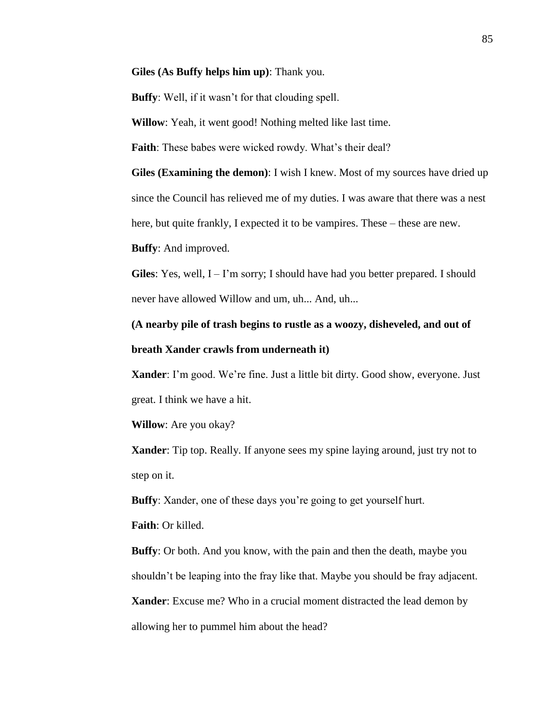**Giles (As Buffy helps him up)**: Thank you.

**Buffy**: Well, if it wasn't for that clouding spell.

**Willow**: Yeah, it went good! Nothing melted like last time.

**Faith**: These babes were wicked rowdy. What's their deal?

**Giles (Examining the demon)**: I wish I knew. Most of my sources have dried up since the Council has relieved me of my duties. I was aware that there was a nest here, but quite frankly, I expected it to be vampires. These – these are new.

**Buffy**: And improved.

**Giles**: Yes, well,  $I - I'm$  sorry; I should have had you better prepared. I should never have allowed Willow and um, uh... And, uh...

### **(A nearby pile of trash begins to rustle as a woozy, disheveled, and out of breath Xander crawls from underneath it)**

**Xander**: I'm good. We're fine. Just a little bit dirty. Good show, everyone. Just great. I think we have a hit.

**Willow**: Are you okay?

**Xander**: Tip top. Really. If anyone sees my spine laying around, just try not to step on it.

**Buffy**: Xander, one of these days you're going to get yourself hurt.

**Faith**: Or killed.

**Buffy**: Or both. And you know, with the pain and then the death, maybe you shouldn't be leaping into the fray like that. Maybe you should be fray adjacent.

**Xander**: Excuse me? Who in a crucial moment distracted the lead demon by

allowing her to pummel him about the head?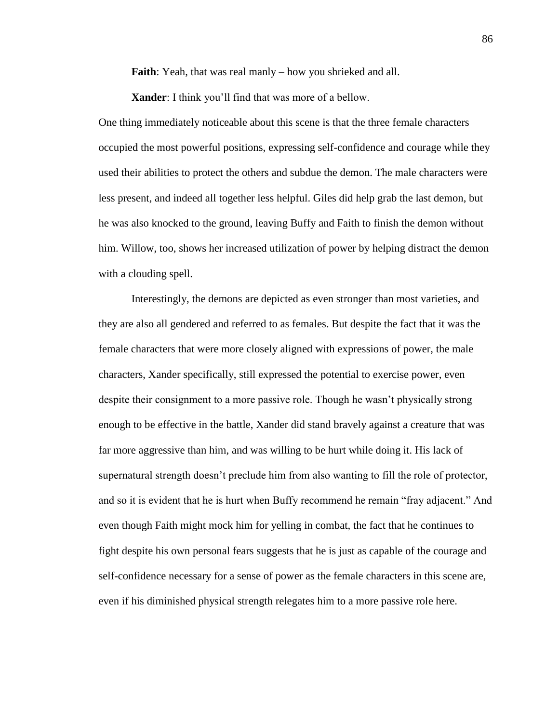**Faith**: Yeah, that was real manly – how you shrieked and all.

**Xander**: I think you'll find that was more of a bellow.

One thing immediately noticeable about this scene is that the three female characters occupied the most powerful positions, expressing self-confidence and courage while they used their abilities to protect the others and subdue the demon. The male characters were less present, and indeed all together less helpful. Giles did help grab the last demon, but he was also knocked to the ground, leaving Buffy and Faith to finish the demon without him. Willow, too, shows her increased utilization of power by helping distract the demon with a clouding spell.

Interestingly, the demons are depicted as even stronger than most varieties, and they are also all gendered and referred to as females. But despite the fact that it was the female characters that were more closely aligned with expressions of power, the male characters, Xander specifically, still expressed the potential to exercise power, even despite their consignment to a more passive role. Though he wasn't physically strong enough to be effective in the battle, Xander did stand bravely against a creature that was far more aggressive than him, and was willing to be hurt while doing it. His lack of supernatural strength doesn't preclude him from also wanting to fill the role of protector, and so it is evident that he is hurt when Buffy recommend he remain "fray adjacent." And even though Faith might mock him for yelling in combat, the fact that he continues to fight despite his own personal fears suggests that he is just as capable of the courage and self-confidence necessary for a sense of power as the female characters in this scene are, even if his diminished physical strength relegates him to a more passive role here.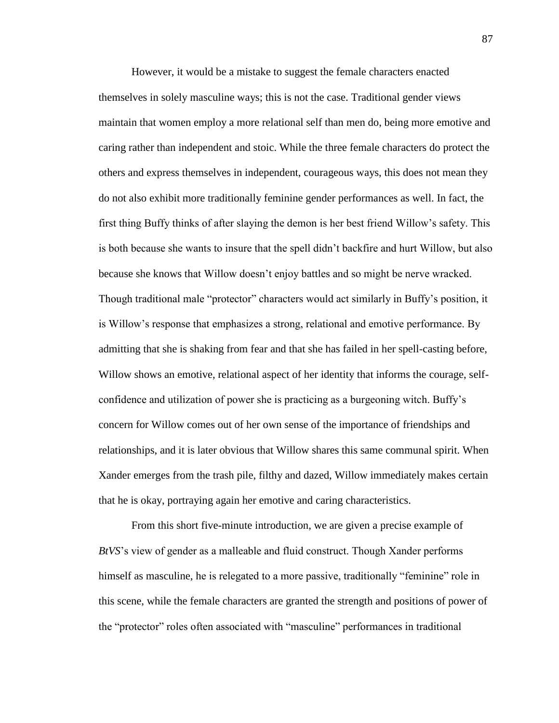However, it would be a mistake to suggest the female characters enacted themselves in solely masculine ways; this is not the case. Traditional gender views maintain that women employ a more relational self than men do, being more emotive and caring rather than independent and stoic. While the three female characters do protect the others and express themselves in independent, courageous ways, this does not mean they do not also exhibit more traditionally feminine gender performances as well. In fact, the first thing Buffy thinks of after slaying the demon is her best friend Willow's safety. This is both because she wants to insure that the spell didn't backfire and hurt Willow, but also because she knows that Willow doesn't enjoy battles and so might be nerve wracked. Though traditional male "protector" characters would act similarly in Buffy's position, it is Willow's response that emphasizes a strong, relational and emotive performance. By admitting that she is shaking from fear and that she has failed in her spell-casting before, Willow shows an emotive, relational aspect of her identity that informs the courage, selfconfidence and utilization of power she is practicing as a burgeoning witch. Buffy's concern for Willow comes out of her own sense of the importance of friendships and relationships, and it is later obvious that Willow shares this same communal spirit. When Xander emerges from the trash pile, filthy and dazed, Willow immediately makes certain that he is okay, portraying again her emotive and caring characteristics.

From this short five-minute introduction, we are given a precise example of *BtVS*'s view of gender as a malleable and fluid construct. Though Xander performs himself as masculine, he is relegated to a more passive, traditionally "feminine" role in this scene, while the female characters are granted the strength and positions of power of the "protector" roles often associated with "masculine" performances in traditional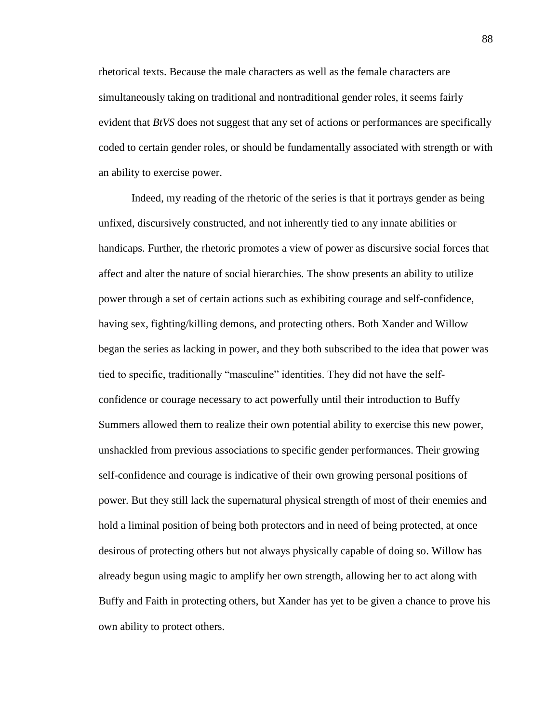rhetorical texts. Because the male characters as well as the female characters are simultaneously taking on traditional and nontraditional gender roles, it seems fairly evident that *BtVS* does not suggest that any set of actions or performances are specifically coded to certain gender roles, or should be fundamentally associated with strength or with an ability to exercise power.

Indeed, my reading of the rhetoric of the series is that it portrays gender as being unfixed, discursively constructed, and not inherently tied to any innate abilities or handicaps. Further, the rhetoric promotes a view of power as discursive social forces that affect and alter the nature of social hierarchies. The show presents an ability to utilize power through a set of certain actions such as exhibiting courage and self-confidence, having sex, fighting/killing demons, and protecting others. Both Xander and Willow began the series as lacking in power, and they both subscribed to the idea that power was tied to specific, traditionally "masculine" identities. They did not have the selfconfidence or courage necessary to act powerfully until their introduction to Buffy Summers allowed them to realize their own potential ability to exercise this new power, unshackled from previous associations to specific gender performances. Their growing self-confidence and courage is indicative of their own growing personal positions of power. But they still lack the supernatural physical strength of most of their enemies and hold a liminal position of being both protectors and in need of being protected, at once desirous of protecting others but not always physically capable of doing so. Willow has already begun using magic to amplify her own strength, allowing her to act along with Buffy and Faith in protecting others, but Xander has yet to be given a chance to prove his own ability to protect others.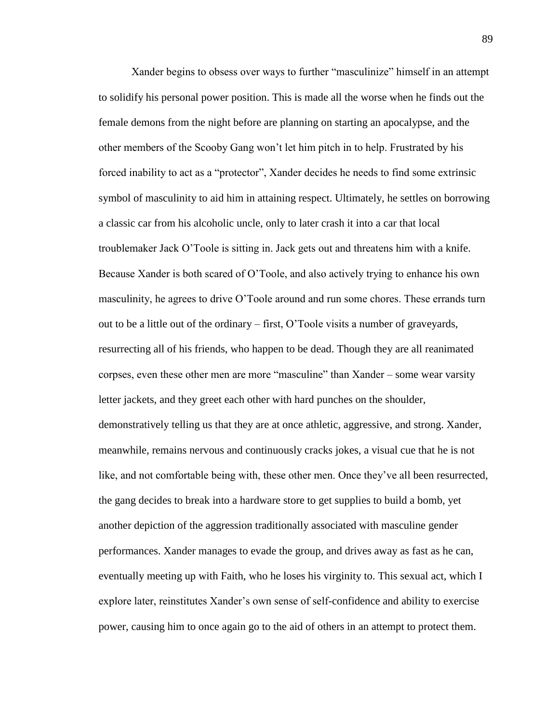Xander begins to obsess over ways to further "masculinize" himself in an attempt to solidify his personal power position. This is made all the worse when he finds out the female demons from the night before are planning on starting an apocalypse, and the other members of the Scooby Gang won't let him pitch in to help. Frustrated by his forced inability to act as a "protector", Xander decides he needs to find some extrinsic symbol of masculinity to aid him in attaining respect. Ultimately, he settles on borrowing a classic car from his alcoholic uncle, only to later crash it into a car that local troublemaker Jack O'Toole is sitting in. Jack gets out and threatens him with a knife. Because Xander is both scared of O'Toole, and also actively trying to enhance his own masculinity, he agrees to drive O'Toole around and run some chores. These errands turn out to be a little out of the ordinary – first, O'Toole visits a number of graveyards, resurrecting all of his friends, who happen to be dead. Though they are all reanimated corpses, even these other men are more "masculine" than Xander – some wear varsity letter jackets, and they greet each other with hard punches on the shoulder, demonstratively telling us that they are at once athletic, aggressive, and strong. Xander, meanwhile, remains nervous and continuously cracks jokes, a visual cue that he is not like, and not comfortable being with, these other men. Once they've all been resurrected, the gang decides to break into a hardware store to get supplies to build a bomb, yet another depiction of the aggression traditionally associated with masculine gender performances. Xander manages to evade the group, and drives away as fast as he can, eventually meeting up with Faith, who he loses his virginity to. This sexual act, which I explore later, reinstitutes Xander's own sense of self-confidence and ability to exercise power, causing him to once again go to the aid of others in an attempt to protect them.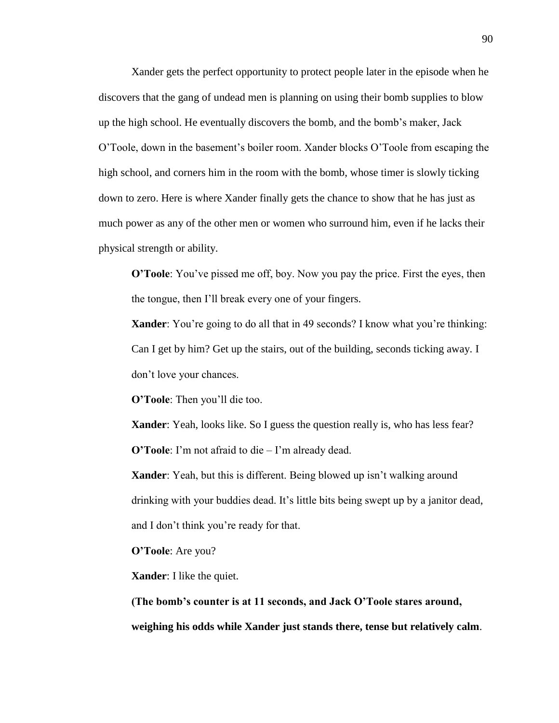Xander gets the perfect opportunity to protect people later in the episode when he discovers that the gang of undead men is planning on using their bomb supplies to blow up the high school. He eventually discovers the bomb, and the bomb's maker, Jack O'Toole, down in the basement's boiler room. Xander blocks O'Toole from escaping the high school, and corners him in the room with the bomb, whose timer is slowly ticking down to zero. Here is where Xander finally gets the chance to show that he has just as much power as any of the other men or women who surround him, even if he lacks their physical strength or ability.

**O'Toole**: You've pissed me off, boy. Now you pay the price. First the eyes, then the tongue, then I'll break every one of your fingers.

**Xander**: You're going to do all that in 49 seconds? I know what you're thinking: Can I get by him? Get up the stairs, out of the building, seconds ticking away. I don't love your chances.

**O'Toole**: Then you'll die too.

**Xander**: Yeah, looks like. So I guess the question really is, who has less fear? **O'Toole**: I'm not afraid to die – I'm already dead.

**Xander**: Yeah, but this is different. Being blowed up isn't walking around drinking with your buddies dead. It's little bits being swept up by a janitor dead, and I don't think you're ready for that.

**O'Toole**: Are you?

**Xander**: I like the quiet.

**(The bomb's counter is at 11 seconds, and Jack O'Toole stares around, weighing his odds while Xander just stands there, tense but relatively calm**.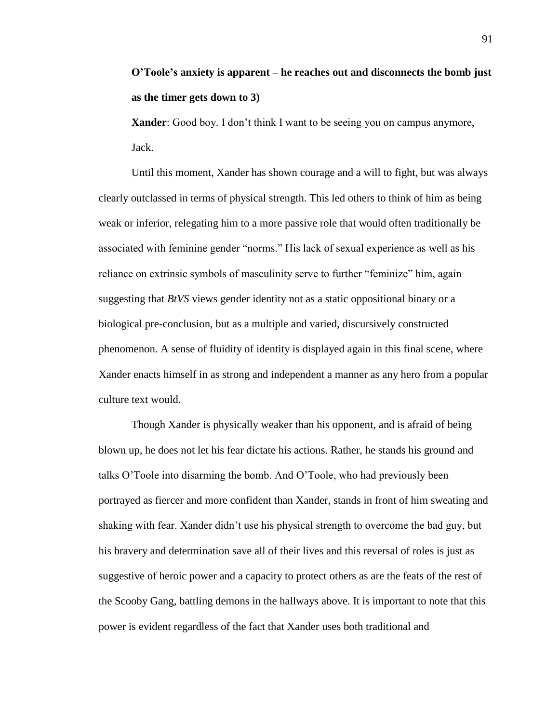## **O'Toole's anxiety is apparent – he reaches out and disconnects the bomb just as the timer gets down to 3)**

**Xander**: Good boy. I don't think I want to be seeing you on campus anymore, Jack.

Until this moment, Xander has shown courage and a will to fight, but was always clearly outclassed in terms of physical strength. This led others to think of him as being weak or inferior, relegating him to a more passive role that would often traditionally be associated with feminine gender "norms." His lack of sexual experience as well as his reliance on extrinsic symbols of masculinity serve to further "feminize" him, again suggesting that *BtVS* views gender identity not as a static oppositional binary or a biological pre-conclusion, but as a multiple and varied, discursively constructed phenomenon. A sense of fluidity of identity is displayed again in this final scene, where Xander enacts himself in as strong and independent a manner as any hero from a popular culture text would.

Though Xander is physically weaker than his opponent, and is afraid of being blown up, he does not let his fear dictate his actions. Rather, he stands his ground and talks O'Toole into disarming the bomb. And O'Toole, who had previously been portrayed as fiercer and more confident than Xander, stands in front of him sweating and shaking with fear. Xander didn't use his physical strength to overcome the bad guy, but his bravery and determination save all of their lives and this reversal of roles is just as suggestive of heroic power and a capacity to protect others as are the feats of the rest of the Scooby Gang, battling demons in the hallways above. It is important to note that this power is evident regardless of the fact that Xander uses both traditional and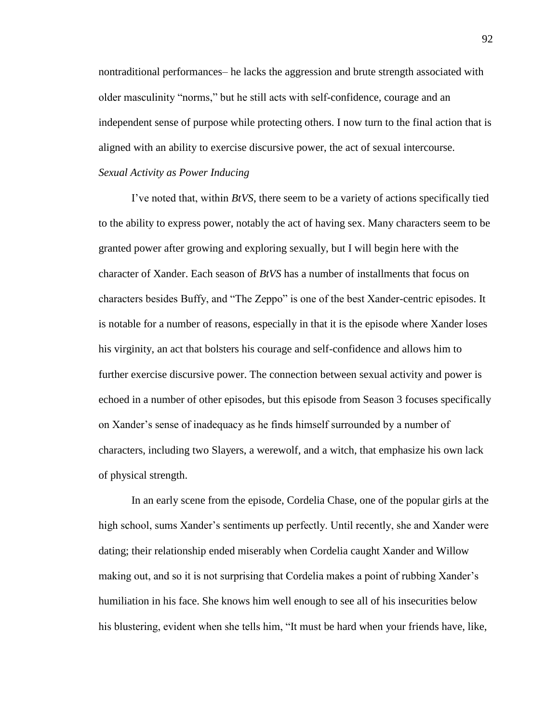nontraditional performances– he lacks the aggression and brute strength associated with older masculinity "norms," but he still acts with self-confidence, courage and an independent sense of purpose while protecting others. I now turn to the final action that is aligned with an ability to exercise discursive power, the act of sexual intercourse.

### *Sexual Activity as Power Inducing*

I've noted that, within *BtVS*, there seem to be a variety of actions specifically tied to the ability to express power, notably the act of having sex. Many characters seem to be granted power after growing and exploring sexually, but I will begin here with the character of Xander. Each season of *BtVS* has a number of installments that focus on characters besides Buffy, and "The Zeppo" is one of the best Xander-centric episodes. It is notable for a number of reasons, especially in that it is the episode where Xander loses his virginity, an act that bolsters his courage and self-confidence and allows him to further exercise discursive power. The connection between sexual activity and power is echoed in a number of other episodes, but this episode from Season 3 focuses specifically on Xander's sense of inadequacy as he finds himself surrounded by a number of characters, including two Slayers, a werewolf, and a witch, that emphasize his own lack of physical strength.

In an early scene from the episode, Cordelia Chase, one of the popular girls at the high school, sums Xander's sentiments up perfectly. Until recently, she and Xander were dating; their relationship ended miserably when Cordelia caught Xander and Willow making out, and so it is not surprising that Cordelia makes a point of rubbing Xander's humiliation in his face. She knows him well enough to see all of his insecurities below his blustering, evident when she tells him, "It must be hard when your friends have, like,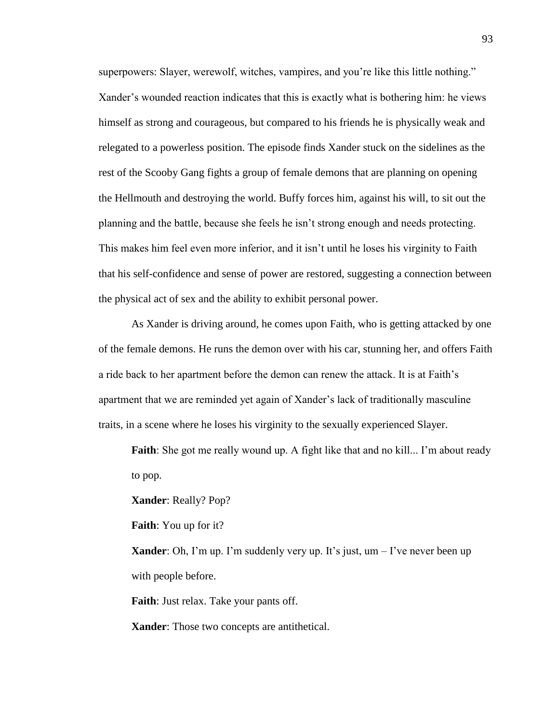superpowers: Slayer, werewolf, witches, vampires, and you're like this little nothing." Xander's wounded reaction indicates that this is exactly what is bothering him: he views himself as strong and courageous, but compared to his friends he is physically weak and relegated to a powerless position. The episode finds Xander stuck on the sidelines as the rest of the Scooby Gang fights a group of female demons that are planning on opening the Hellmouth and destroying the world. Buffy forces him, against his will, to sit out the planning and the battle, because she feels he isn't strong enough and needs protecting. This makes him feel even more inferior, and it isn't until he loses his virginity to Faith that his self-confidence and sense of power are restored, suggesting a connection between the physical act of sex and the ability to exhibit personal power.

As Xander is driving around, he comes upon Faith, who is getting attacked by one of the female demons. He runs the demon over with his car, stunning her, and offers Faith a ride back to her apartment before the demon can renew the attack. It is at Faith's apartment that we are reminded yet again of Xander's lack of traditionally masculine traits, in a scene where he loses his virginity to the sexually experienced Slayer.

**Faith**: She got me really wound up. A fight like that and no kill... I'm about ready to pop.

**Xander**: Really? Pop?

**Faith**: You up for it?

**Xander**: Oh, I'm up. I'm suddenly very up. It's just,  $um - I'$ ve never been up with people before.

**Faith**: Just relax. Take your pants off.

**Xander**: Those two concepts are antithetical.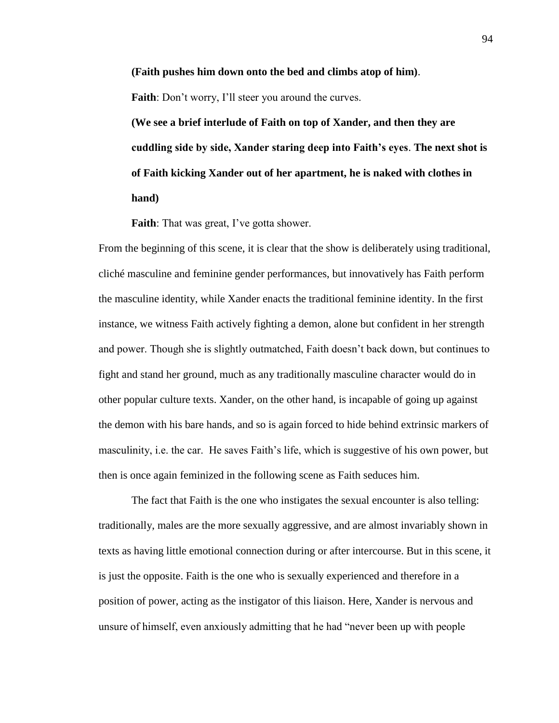**(Faith pushes him down onto the bed and climbs atop of him)**. Faith: Don't worry, I'll steer you around the curves.

**(We see a brief interlude of Faith on top of Xander, and then they are cuddling side by side, Xander staring deep into Faith's eyes**. **The next shot is of Faith kicking Xander out of her apartment, he is naked with clothes in hand)**

**Faith**: That was great, I've gotta shower.

From the beginning of this scene, it is clear that the show is deliberately using traditional, cliché masculine and feminine gender performances, but innovatively has Faith perform the masculine identity, while Xander enacts the traditional feminine identity. In the first instance, we witness Faith actively fighting a demon, alone but confident in her strength and power. Though she is slightly outmatched, Faith doesn't back down, but continues to fight and stand her ground, much as any traditionally masculine character would do in other popular culture texts. Xander, on the other hand, is incapable of going up against the demon with his bare hands, and so is again forced to hide behind extrinsic markers of masculinity, i.e. the car. He saves Faith's life, which is suggestive of his own power, but then is once again feminized in the following scene as Faith seduces him.

The fact that Faith is the one who instigates the sexual encounter is also telling: traditionally, males are the more sexually aggressive, and are almost invariably shown in texts as having little emotional connection during or after intercourse. But in this scene, it is just the opposite. Faith is the one who is sexually experienced and therefore in a position of power, acting as the instigator of this liaison. Here, Xander is nervous and unsure of himself, even anxiously admitting that he had "never been up with people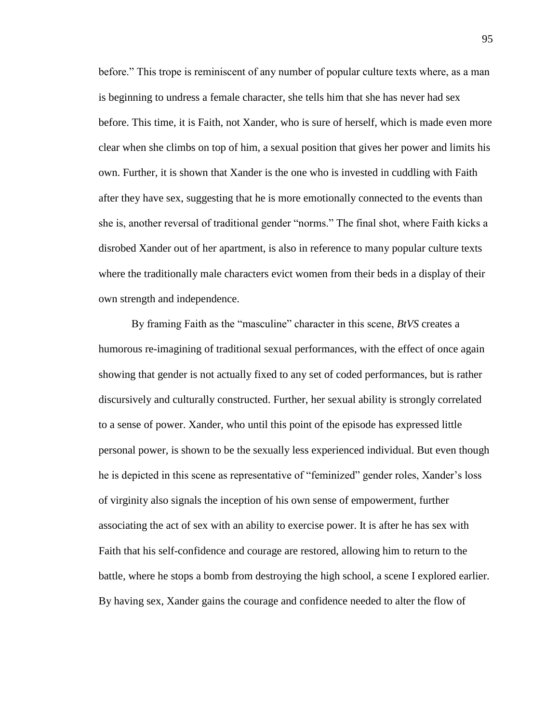before." This trope is reminiscent of any number of popular culture texts where, as a man is beginning to undress a female character, she tells him that she has never had sex before. This time, it is Faith, not Xander, who is sure of herself, which is made even more clear when she climbs on top of him, a sexual position that gives her power and limits his own. Further, it is shown that Xander is the one who is invested in cuddling with Faith after they have sex, suggesting that he is more emotionally connected to the events than she is, another reversal of traditional gender "norms." The final shot, where Faith kicks a disrobed Xander out of her apartment, is also in reference to many popular culture texts where the traditionally male characters evict women from their beds in a display of their own strength and independence.

By framing Faith as the "masculine" character in this scene, *BtVS* creates a humorous re-imagining of traditional sexual performances, with the effect of once again showing that gender is not actually fixed to any set of coded performances, but is rather discursively and culturally constructed. Further, her sexual ability is strongly correlated to a sense of power. Xander, who until this point of the episode has expressed little personal power, is shown to be the sexually less experienced individual. But even though he is depicted in this scene as representative of "feminized" gender roles, Xander's loss of virginity also signals the inception of his own sense of empowerment, further associating the act of sex with an ability to exercise power. It is after he has sex with Faith that his self-confidence and courage are restored, allowing him to return to the battle, where he stops a bomb from destroying the high school, a scene I explored earlier. By having sex, Xander gains the courage and confidence needed to alter the flow of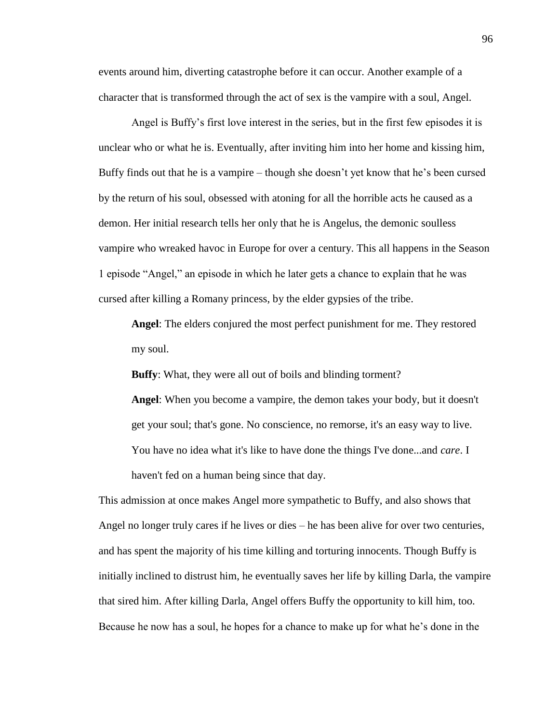events around him, diverting catastrophe before it can occur. Another example of a character that is transformed through the act of sex is the vampire with a soul, Angel.

Angel is Buffy's first love interest in the series, but in the first few episodes it is unclear who or what he is. Eventually, after inviting him into her home and kissing him, Buffy finds out that he is a vampire – though she doesn't yet know that he's been cursed by the return of his soul, obsessed with atoning for all the horrible acts he caused as a demon. Her initial research tells her only that he is Angelus, the demonic soulless vampire who wreaked havoc in Europe for over a century. This all happens in the Season 1 episode "Angel," an episode in which he later gets a chance to explain that he was cursed after killing a Romany princess, by the elder gypsies of the tribe.

**Angel**: The elders conjured the most perfect punishment for me. They restored my soul.

**Buffy**: What, they were all out of boils and blinding torment?

**Angel**: When you become a vampire, the demon takes your body, but it doesn't get your soul; that's gone. No conscience, no remorse, it's an easy way to live. You have no idea what it's like to have done the things I've done...and *care*. I haven't fed on a human being since that day.

This admission at once makes Angel more sympathetic to Buffy, and also shows that Angel no longer truly cares if he lives or dies – he has been alive for over two centuries, and has spent the majority of his time killing and torturing innocents. Though Buffy is initially inclined to distrust him, he eventually saves her life by killing Darla, the vampire that sired him. After killing Darla, Angel offers Buffy the opportunity to kill him, too. Because he now has a soul, he hopes for a chance to make up for what he's done in the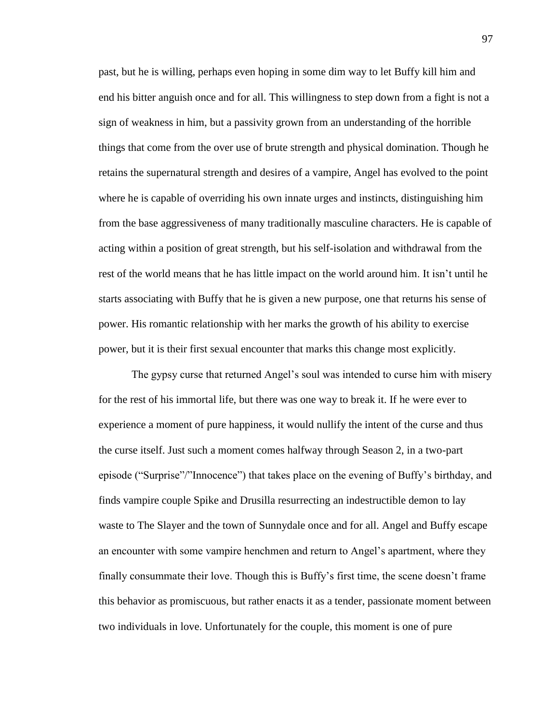past, but he is willing, perhaps even hoping in some dim way to let Buffy kill him and end his bitter anguish once and for all. This willingness to step down from a fight is not a sign of weakness in him, but a passivity grown from an understanding of the horrible things that come from the over use of brute strength and physical domination. Though he retains the supernatural strength and desires of a vampire, Angel has evolved to the point where he is capable of overriding his own innate urges and instincts, distinguishing him from the base aggressiveness of many traditionally masculine characters. He is capable of acting within a position of great strength, but his self-isolation and withdrawal from the rest of the world means that he has little impact on the world around him. It isn't until he starts associating with Buffy that he is given a new purpose, one that returns his sense of power. His romantic relationship with her marks the growth of his ability to exercise power, but it is their first sexual encounter that marks this change most explicitly.

The gypsy curse that returned Angel's soul was intended to curse him with misery for the rest of his immortal life, but there was one way to break it. If he were ever to experience a moment of pure happiness, it would nullify the intent of the curse and thus the curse itself. Just such a moment comes halfway through Season 2, in a two-part episode ("Surprise"/"Innocence") that takes place on the evening of Buffy's birthday, and finds vampire couple Spike and Drusilla resurrecting an indestructible demon to lay waste to The Slayer and the town of Sunnydale once and for all. Angel and Buffy escape an encounter with some vampire henchmen and return to Angel's apartment, where they finally consummate their love. Though this is Buffy's first time, the scene doesn't frame this behavior as promiscuous, but rather enacts it as a tender, passionate moment between two individuals in love. Unfortunately for the couple, this moment is one of pure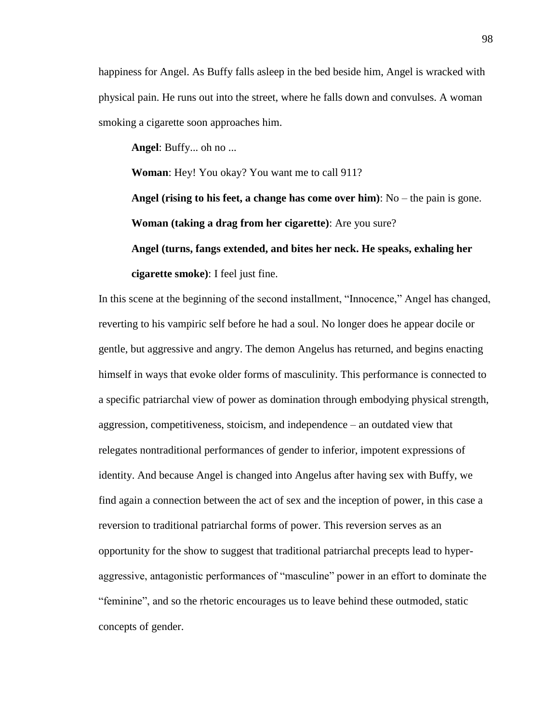happiness for Angel. As Buffy falls asleep in the bed beside him, Angel is wracked with physical pain. He runs out into the street, where he falls down and convulses. A woman smoking a cigarette soon approaches him.

**Angel**: Buffy... oh no ...

**Woman**: Hey! You okay? You want me to call 911?

**Angel (rising to his feet, a change has come over him)**: No – the pain is gone. **Woman (taking a drag from her cigarette)**: Are you sure?

#### **Angel (turns, fangs extended, and bites her neck. He speaks, exhaling her**

**cigarette smoke)**: I feel just fine.

In this scene at the beginning of the second installment, "Innocence," Angel has changed, reverting to his vampiric self before he had a soul. No longer does he appear docile or gentle, but aggressive and angry. The demon Angelus has returned, and begins enacting himself in ways that evoke older forms of masculinity. This performance is connected to a specific patriarchal view of power as domination through embodying physical strength, aggression, competitiveness, stoicism, and independence – an outdated view that relegates nontraditional performances of gender to inferior, impotent expressions of identity. And because Angel is changed into Angelus after having sex with Buffy, we find again a connection between the act of sex and the inception of power, in this case a reversion to traditional patriarchal forms of power. This reversion serves as an opportunity for the show to suggest that traditional patriarchal precepts lead to hyperaggressive, antagonistic performances of "masculine" power in an effort to dominate the "feminine", and so the rhetoric encourages us to leave behind these outmoded, static concepts of gender.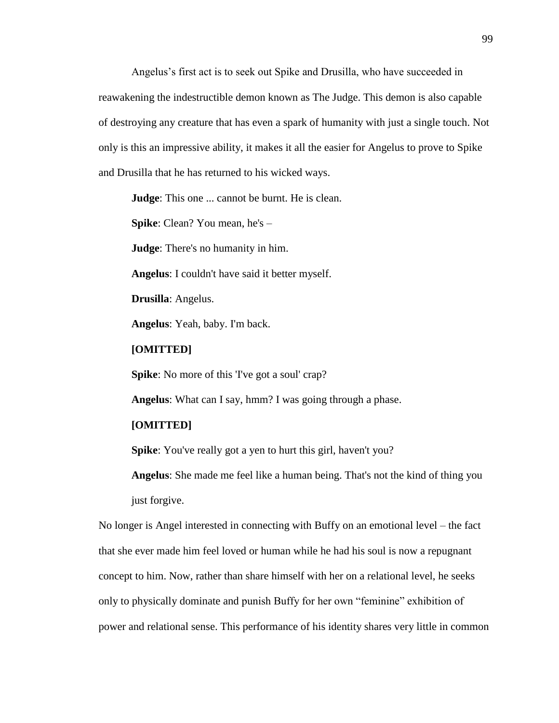Angelus's first act is to seek out Spike and Drusilla, who have succeeded in reawakening the indestructible demon known as The Judge. This demon is also capable of destroying any creature that has even a spark of humanity with just a single touch. Not only is this an impressive ability, it makes it all the easier for Angelus to prove to Spike and Drusilla that he has returned to his wicked ways.

**Judge**: This one ... cannot be burnt. He is clean.

**Spike**: Clean? You mean, he's –

**Judge**: There's no humanity in him.

**Angelus**: I couldn't have said it better myself.

**Drusilla**: Angelus.

**Angelus**: Yeah, baby. I'm back.

### **[OMITTED]**

**Spike:** No more of this 'I've got a soul' crap?

**Angelus**: What can I say, hmm? I was going through a phase.

### **[OMITTED]**

**Spike**: You've really got a yen to hurt this girl, haven't you?

**Angelus**: She made me feel like a human being. That's not the kind of thing you just forgive.

No longer is Angel interested in connecting with Buffy on an emotional level – the fact that she ever made him feel loved or human while he had his soul is now a repugnant concept to him. Now, rather than share himself with her on a relational level, he seeks only to physically dominate and punish Buffy for her own "feminine" exhibition of power and relational sense. This performance of his identity shares very little in common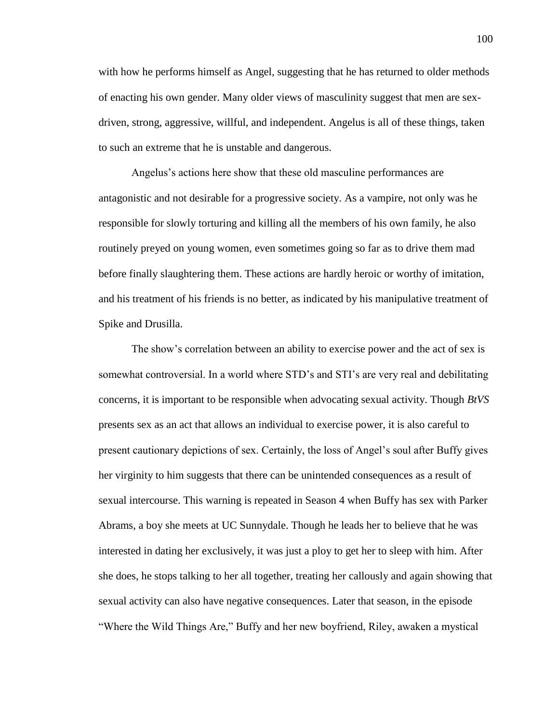with how he performs himself as Angel, suggesting that he has returned to older methods of enacting his own gender. Many older views of masculinity suggest that men are sexdriven, strong, aggressive, willful, and independent. Angelus is all of these things, taken to such an extreme that he is unstable and dangerous.

Angelus's actions here show that these old masculine performances are antagonistic and not desirable for a progressive society. As a vampire, not only was he responsible for slowly torturing and killing all the members of his own family, he also routinely preyed on young women, even sometimes going so far as to drive them mad before finally slaughtering them. These actions are hardly heroic or worthy of imitation, and his treatment of his friends is no better, as indicated by his manipulative treatment of Spike and Drusilla.

The show's correlation between an ability to exercise power and the act of sex is somewhat controversial. In a world where STD's and STI's are very real and debilitating concerns, it is important to be responsible when advocating sexual activity. Though *BtVS* presents sex as an act that allows an individual to exercise power, it is also careful to present cautionary depictions of sex. Certainly, the loss of Angel's soul after Buffy gives her virginity to him suggests that there can be unintended consequences as a result of sexual intercourse. This warning is repeated in Season 4 when Buffy has sex with Parker Abrams, a boy she meets at UC Sunnydale. Though he leads her to believe that he was interested in dating her exclusively, it was just a ploy to get her to sleep with him. After she does, he stops talking to her all together, treating her callously and again showing that sexual activity can also have negative consequences. Later that season, in the episode "Where the Wild Things Are," Buffy and her new boyfriend, Riley, awaken a mystical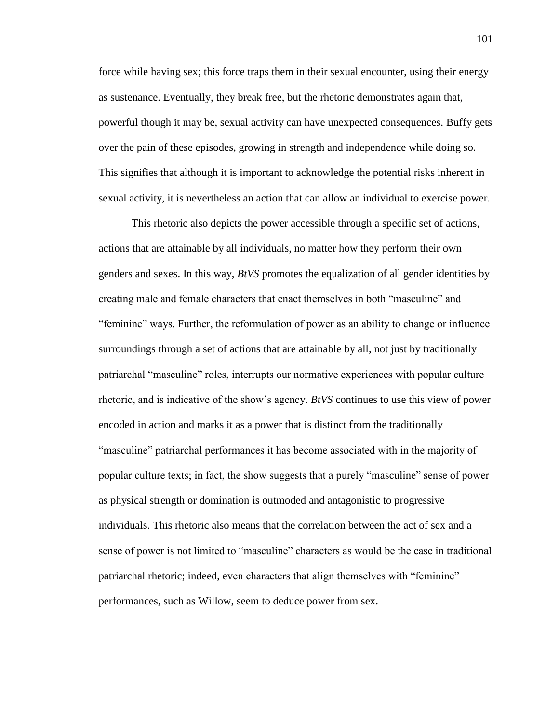force while having sex; this force traps them in their sexual encounter, using their energy as sustenance. Eventually, they break free, but the rhetoric demonstrates again that, powerful though it may be, sexual activity can have unexpected consequences. Buffy gets over the pain of these episodes, growing in strength and independence while doing so. This signifies that although it is important to acknowledge the potential risks inherent in sexual activity, it is nevertheless an action that can allow an individual to exercise power.

This rhetoric also depicts the power accessible through a specific set of actions, actions that are attainable by all individuals, no matter how they perform their own genders and sexes. In this way, *BtVS* promotes the equalization of all gender identities by creating male and female characters that enact themselves in both "masculine" and "feminine" ways. Further, the reformulation of power as an ability to change or influence surroundings through a set of actions that are attainable by all, not just by traditionally patriarchal "masculine" roles, interrupts our normative experiences with popular culture rhetoric, and is indicative of the show's agency. *BtVS* continues to use this view of power encoded in action and marks it as a power that is distinct from the traditionally "masculine" patriarchal performances it has become associated with in the majority of popular culture texts; in fact, the show suggests that a purely "masculine" sense of power as physical strength or domination is outmoded and antagonistic to progressive individuals. This rhetoric also means that the correlation between the act of sex and a sense of power is not limited to "masculine" characters as would be the case in traditional patriarchal rhetoric; indeed, even characters that align themselves with "feminine" performances, such as Willow, seem to deduce power from sex.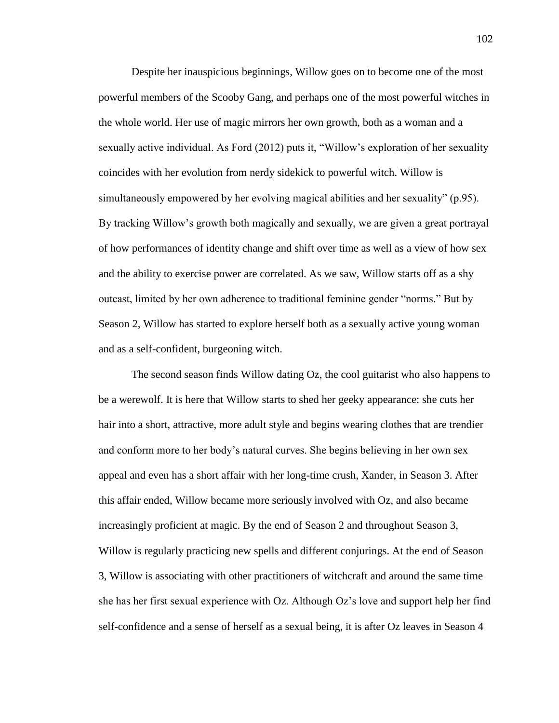Despite her inauspicious beginnings, Willow goes on to become one of the most powerful members of the Scooby Gang, and perhaps one of the most powerful witches in the whole world. Her use of magic mirrors her own growth, both as a woman and a sexually active individual. As Ford (2012) puts it, "Willow's exploration of her sexuality coincides with her evolution from nerdy sidekick to powerful witch. Willow is simultaneously empowered by her evolving magical abilities and her sexuality" (p.95). By tracking Willow's growth both magically and sexually, we are given a great portrayal of how performances of identity change and shift over time as well as a view of how sex and the ability to exercise power are correlated. As we saw, Willow starts off as a shy outcast, limited by her own adherence to traditional feminine gender "norms." But by Season 2, Willow has started to explore herself both as a sexually active young woman and as a self-confident, burgeoning witch.

The second season finds Willow dating Oz, the cool guitarist who also happens to be a werewolf. It is here that Willow starts to shed her geeky appearance: she cuts her hair into a short, attractive, more adult style and begins wearing clothes that are trendier and conform more to her body's natural curves. She begins believing in her own sex appeal and even has a short affair with her long-time crush, Xander, in Season 3. After this affair ended, Willow became more seriously involved with Oz, and also became increasingly proficient at magic. By the end of Season 2 and throughout Season 3, Willow is regularly practicing new spells and different conjurings. At the end of Season 3, Willow is associating with other practitioners of witchcraft and around the same time she has her first sexual experience with Oz. Although Oz's love and support help her find self-confidence and a sense of herself as a sexual being, it is after Oz leaves in Season 4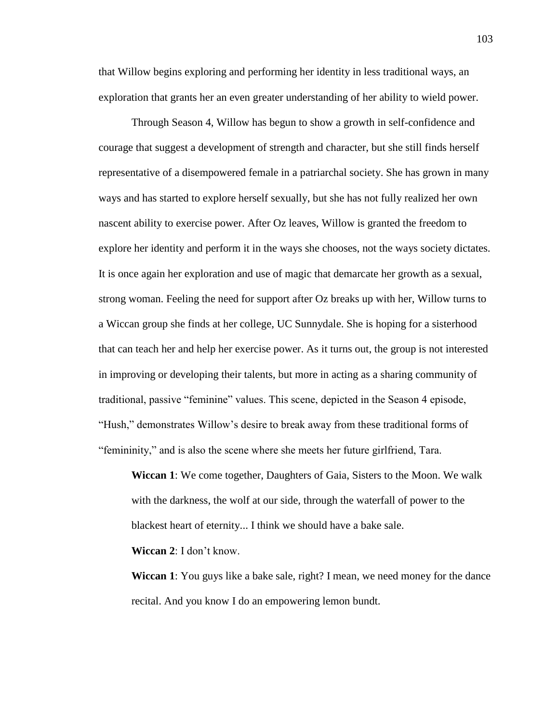that Willow begins exploring and performing her identity in less traditional ways, an exploration that grants her an even greater understanding of her ability to wield power.

Through Season 4, Willow has begun to show a growth in self-confidence and courage that suggest a development of strength and character, but she still finds herself representative of a disempowered female in a patriarchal society. She has grown in many ways and has started to explore herself sexually, but she has not fully realized her own nascent ability to exercise power. After Oz leaves, Willow is granted the freedom to explore her identity and perform it in the ways she chooses, not the ways society dictates. It is once again her exploration and use of magic that demarcate her growth as a sexual, strong woman. Feeling the need for support after Oz breaks up with her, Willow turns to a Wiccan group she finds at her college, UC Sunnydale. She is hoping for a sisterhood that can teach her and help her exercise power. As it turns out, the group is not interested in improving or developing their talents, but more in acting as a sharing community of traditional, passive "feminine" values. This scene, depicted in the Season 4 episode, "Hush," demonstrates Willow's desire to break away from these traditional forms of "femininity," and is also the scene where she meets her future girlfriend, Tara.

**Wiccan 1**: We come together, Daughters of Gaia, Sisters to the Moon. We walk with the darkness, the wolf at our side, through the waterfall of power to the blackest heart of eternity... I think we should have a bake sale.

**Wiccan 2**: I don't know.

**Wiccan 1**: You guys like a bake sale, right? I mean, we need money for the dance recital. And you know I do an empowering lemon bundt.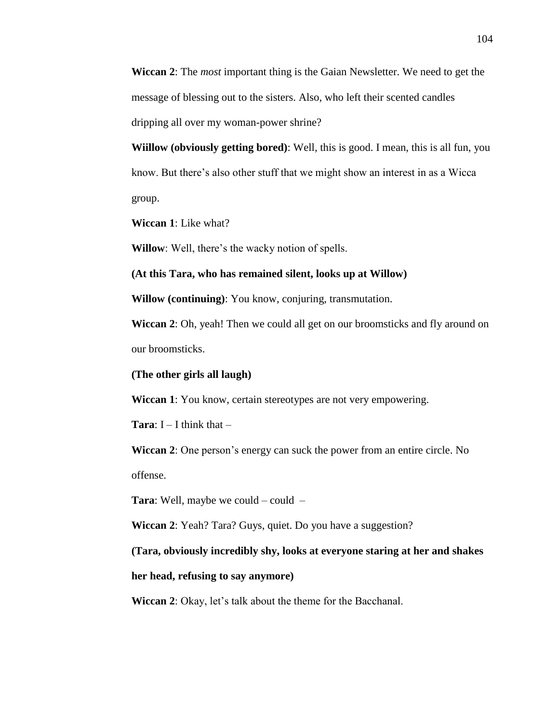**Wiccan 2**: The *most* important thing is the Gaian Newsletter. We need to get the message of blessing out to the sisters. Also, who left their scented candles dripping all over my woman-power shrine?

**Wiillow (obviously getting bored)**: Well, this is good. I mean, this is all fun, you know. But there's also other stuff that we might show an interest in as a Wicca group.

**Wiccan 1**: Like what?

**Willow**: Well, there's the wacky notion of spells.

**(At this Tara, who has remained silent, looks up at Willow)**

**Willow (continuing)**: You know, conjuring, transmutation.

**Wiccan 2**: Oh, yeah! Then we could all get on our broomsticks and fly around on our broomsticks.

**(The other girls all laugh)**

**Wiccan 1**: You know, certain stereotypes are not very empowering.

**Tara:**  $I - I$  think that  $-$ 

**Wiccan 2**: One person's energy can suck the power from an entire circle. No offense.

**Tara**: Well, maybe we could – could –

**Wiccan 2**: Yeah? Tara? Guys, quiet. Do you have a suggestion?

**(Tara, obviously incredibly shy, looks at everyone staring at her and shakes** 

**her head, refusing to say anymore)**

**Wiccan 2**: Okay, let's talk about the theme for the Bacchanal.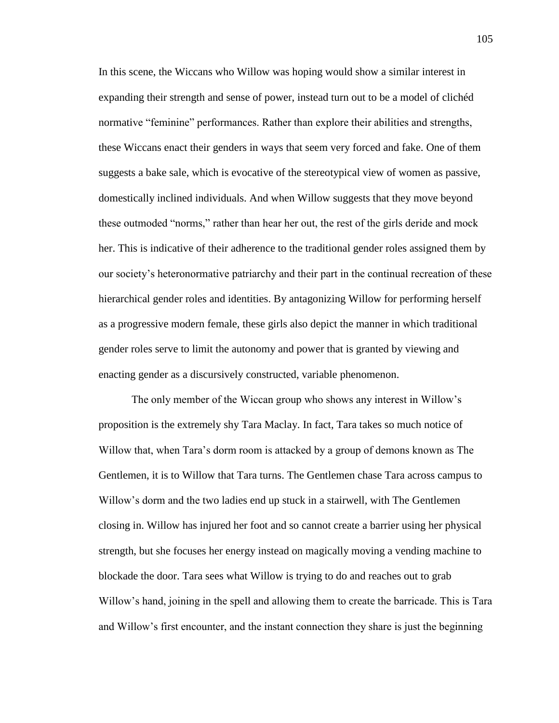In this scene, the Wiccans who Willow was hoping would show a similar interest in expanding their strength and sense of power, instead turn out to be a model of clichéd normative "feminine" performances. Rather than explore their abilities and strengths, these Wiccans enact their genders in ways that seem very forced and fake. One of them suggests a bake sale, which is evocative of the stereotypical view of women as passive, domestically inclined individuals. And when Willow suggests that they move beyond these outmoded "norms," rather than hear her out, the rest of the girls deride and mock her. This is indicative of their adherence to the traditional gender roles assigned them by our society's heteronormative patriarchy and their part in the continual recreation of these hierarchical gender roles and identities. By antagonizing Willow for performing herself as a progressive modern female, these girls also depict the manner in which traditional gender roles serve to limit the autonomy and power that is granted by viewing and enacting gender as a discursively constructed, variable phenomenon.

The only member of the Wiccan group who shows any interest in Willow's proposition is the extremely shy Tara Maclay. In fact, Tara takes so much notice of Willow that, when Tara's dorm room is attacked by a group of demons known as The Gentlemen, it is to Willow that Tara turns. The Gentlemen chase Tara across campus to Willow's dorm and the two ladies end up stuck in a stairwell, with The Gentlemen closing in. Willow has injured her foot and so cannot create a barrier using her physical strength, but she focuses her energy instead on magically moving a vending machine to blockade the door. Tara sees what Willow is trying to do and reaches out to grab Willow's hand, joining in the spell and allowing them to create the barricade. This is Tara and Willow's first encounter, and the instant connection they share is just the beginning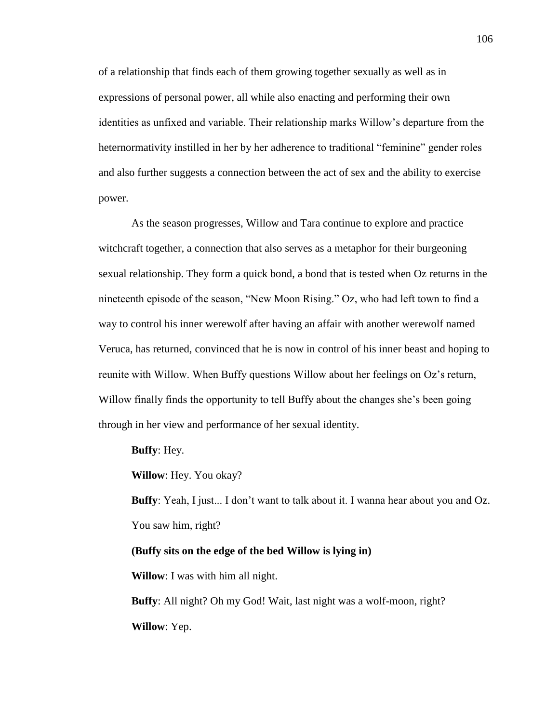of a relationship that finds each of them growing together sexually as well as in expressions of personal power, all while also enacting and performing their own identities as unfixed and variable. Their relationship marks Willow's departure from the heternormativity instilled in her by her adherence to traditional "feminine" gender roles and also further suggests a connection between the act of sex and the ability to exercise power.

As the season progresses, Willow and Tara continue to explore and practice witchcraft together, a connection that also serves as a metaphor for their burgeoning sexual relationship. They form a quick bond, a bond that is tested when Oz returns in the nineteenth episode of the season, "New Moon Rising." Oz, who had left town to find a way to control his inner werewolf after having an affair with another werewolf named Veruca, has returned, convinced that he is now in control of his inner beast and hoping to reunite with Willow. When Buffy questions Willow about her feelings on Oz's return, Willow finally finds the opportunity to tell Buffy about the changes she's been going through in her view and performance of her sexual identity.

**Buffy**: Hey.

**Willow**: Hey. You okay?

**Buffy**: Yeah, I just... I don't want to talk about it. I wanna hear about you and Oz. You saw him, right?

#### **(Buffy sits on the edge of the bed Willow is lying in)**

**Willow**: I was with him all night.

**Buffy**: All night? Oh my God! Wait, last night was a wolf-moon, right? **Willow**: Yep.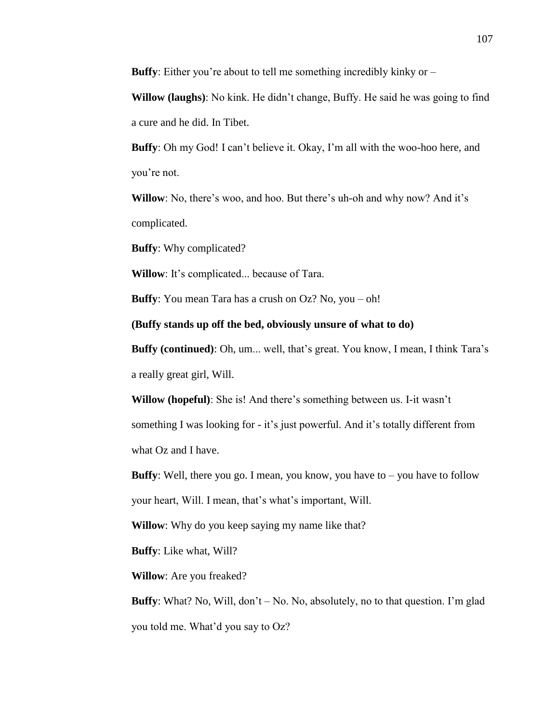**Buffy**: Either you're about to tell me something incredibly kinky or –

**Willow (laughs)**: No kink. He didn't change, Buffy. He said he was going to find a cure and he did. In Tibet.

**Buffy**: Oh my God! I can't believe it. Okay, I'm all with the woo-hoo here, and you're not.

**Willow**: No, there's woo, and hoo. But there's uh-oh and why now? And it's complicated.

**Buffy**: Why complicated?

**Willow**: It's complicated... because of Tara.

**Buffy**: You mean Tara has a crush on Oz? No, you – oh!

**(Buffy stands up off the bed, obviously unsure of what to do)**

**Buffy (continued)**: Oh, um... well, that's great. You know, I mean, I think Tara's a really great girl, Will.

**Willow (hopeful)**: She is! And there's something between us. I-it wasn't something I was looking for - it's just powerful. And it's totally different from what Oz and I have.

**Buffy**: Well, there you go. I mean, you know, you have to – you have to follow your heart, Will. I mean, that's what's important, Will.

**Willow:** Why do you keep saying my name like that?

**Buffy**: Like what, Will?

**Willow**: Are you freaked?

**Buffy**: What? No, Will, don't – No. No, absolutely, no to that question. I'm glad you told me. What'd you say to Oz?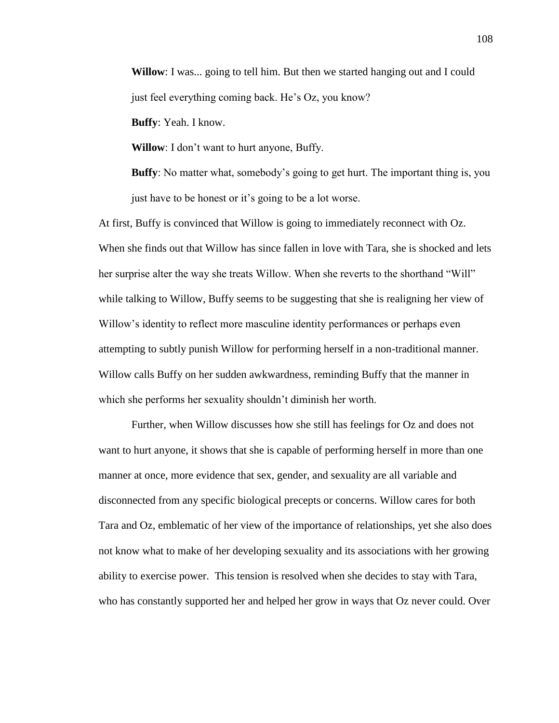**Willow**: I was... going to tell him. But then we started hanging out and I could just feel everything coming back. He's Oz, you know?

**Buffy**: Yeah. I know.

**Willow**: I don't want to hurt anyone, Buffy.

**Buffy**: No matter what, somebody's going to get hurt. The important thing is, you just have to be honest or it's going to be a lot worse.

At first, Buffy is convinced that Willow is going to immediately reconnect with Oz. When she finds out that Willow has since fallen in love with Tara, she is shocked and lets her surprise alter the way she treats Willow. When she reverts to the shorthand "Will" while talking to Willow, Buffy seems to be suggesting that she is realigning her view of Willow's identity to reflect more masculine identity performances or perhaps even attempting to subtly punish Willow for performing herself in a non-traditional manner. Willow calls Buffy on her sudden awkwardness, reminding Buffy that the manner in which she performs her sexuality shouldn't diminish her worth.

Further, when Willow discusses how she still has feelings for Oz and does not want to hurt anyone, it shows that she is capable of performing herself in more than one manner at once, more evidence that sex, gender, and sexuality are all variable and disconnected from any specific biological precepts or concerns. Willow cares for both Tara and Oz, emblematic of her view of the importance of relationships, yet she also does not know what to make of her developing sexuality and its associations with her growing ability to exercise power. This tension is resolved when she decides to stay with Tara, who has constantly supported her and helped her grow in ways that Oz never could. Over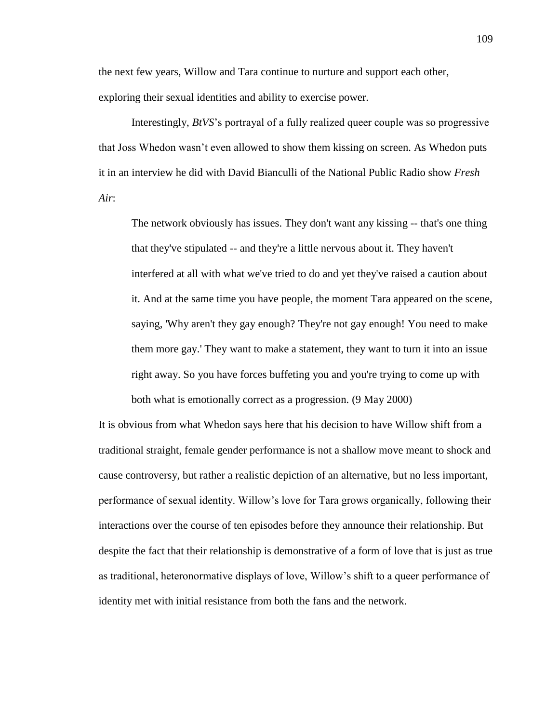the next few years, Willow and Tara continue to nurture and support each other, exploring their sexual identities and ability to exercise power.

Interestingly, *BtVS*'s portrayal of a fully realized queer couple was so progressive that Joss Whedon wasn't even allowed to show them kissing on screen. As Whedon puts it in an interview he did with David Bianculli of the National Public Radio show *Fresh Air*:

The network obviously has issues. They don't want any kissing -- that's one thing that they've stipulated -- and they're a little nervous about it. They haven't interfered at all with what we've tried to do and yet they've raised a caution about it. And at the same time you have people, the moment Tara appeared on the scene, saying, 'Why aren't they gay enough? They're not gay enough! You need to make them more gay.' They want to make a statement, they want to turn it into an issue right away. So you have forces buffeting you and you're trying to come up with both what is emotionally correct as a progression. (9 May 2000)

It is obvious from what Whedon says here that his decision to have Willow shift from a traditional straight, female gender performance is not a shallow move meant to shock and cause controversy, but rather a realistic depiction of an alternative, but no less important, performance of sexual identity. Willow's love for Tara grows organically, following their interactions over the course of ten episodes before they announce their relationship. But despite the fact that their relationship is demonstrative of a form of love that is just as true as traditional, heteronormative displays of love, Willow's shift to a queer performance of identity met with initial resistance from both the fans and the network.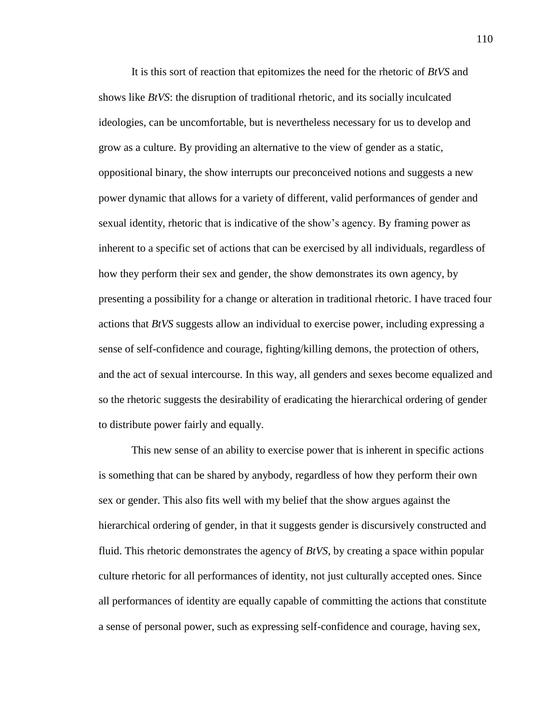It is this sort of reaction that epitomizes the need for the rhetoric of *BtVS* and shows like *BtVS*: the disruption of traditional rhetoric, and its socially inculcated ideologies, can be uncomfortable, but is nevertheless necessary for us to develop and grow as a culture. By providing an alternative to the view of gender as a static, oppositional binary, the show interrupts our preconceived notions and suggests a new power dynamic that allows for a variety of different, valid performances of gender and sexual identity, rhetoric that is indicative of the show's agency. By framing power as inherent to a specific set of actions that can be exercised by all individuals, regardless of how they perform their sex and gender, the show demonstrates its own agency, by presenting a possibility for a change or alteration in traditional rhetoric. I have traced four actions that *BtVS* suggests allow an individual to exercise power, including expressing a sense of self-confidence and courage, fighting/killing demons, the protection of others, and the act of sexual intercourse. In this way, all genders and sexes become equalized and so the rhetoric suggests the desirability of eradicating the hierarchical ordering of gender to distribute power fairly and equally.

This new sense of an ability to exercise power that is inherent in specific actions is something that can be shared by anybody, regardless of how they perform their own sex or gender. This also fits well with my belief that the show argues against the hierarchical ordering of gender, in that it suggests gender is discursively constructed and fluid. This rhetoric demonstrates the agency of *BtVS*, by creating a space within popular culture rhetoric for all performances of identity, not just culturally accepted ones. Since all performances of identity are equally capable of committing the actions that constitute a sense of personal power, such as expressing self-confidence and courage, having sex,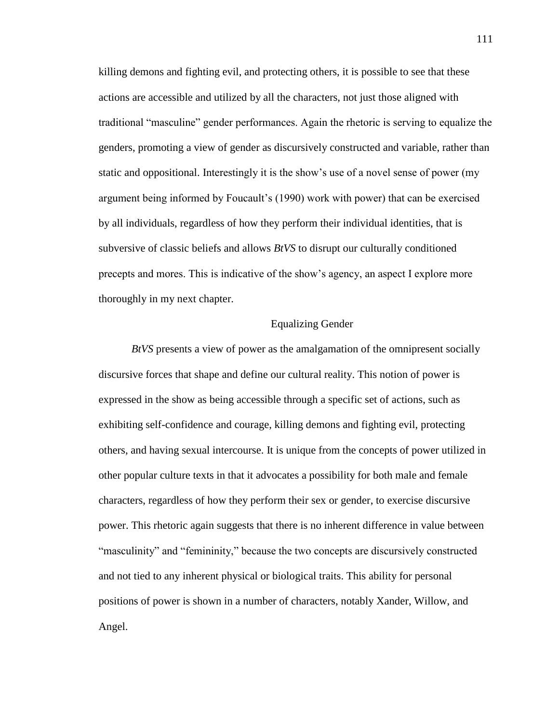killing demons and fighting evil, and protecting others, it is possible to see that these actions are accessible and utilized by all the characters, not just those aligned with traditional "masculine" gender performances. Again the rhetoric is serving to equalize the genders, promoting a view of gender as discursively constructed and variable, rather than static and oppositional. Interestingly it is the show's use of a novel sense of power (my argument being informed by Foucault's (1990) work with power) that can be exercised by all individuals, regardless of how they perform their individual identities, that is subversive of classic beliefs and allows *BtVS* to disrupt our culturally conditioned precepts and mores. This is indicative of the show's agency, an aspect I explore more thoroughly in my next chapter.

### Equalizing Gender

*BtVS* presents a view of power as the amalgamation of the omnipresent socially discursive forces that shape and define our cultural reality. This notion of power is expressed in the show as being accessible through a specific set of actions, such as exhibiting self-confidence and courage, killing demons and fighting evil, protecting others, and having sexual intercourse. It is unique from the concepts of power utilized in other popular culture texts in that it advocates a possibility for both male and female characters, regardless of how they perform their sex or gender, to exercise discursive power. This rhetoric again suggests that there is no inherent difference in value between "masculinity" and "femininity," because the two concepts are discursively constructed and not tied to any inherent physical or biological traits. This ability for personal positions of power is shown in a number of characters, notably Xander, Willow, and Angel.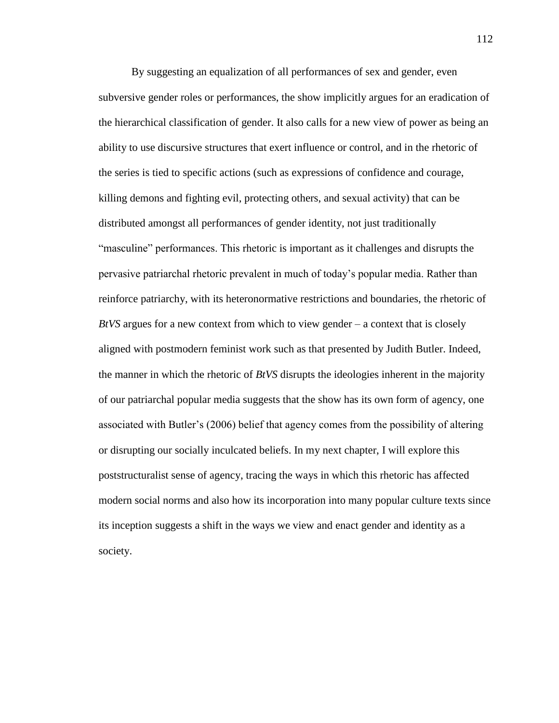By suggesting an equalization of all performances of sex and gender, even subversive gender roles or performances, the show implicitly argues for an eradication of the hierarchical classification of gender. It also calls for a new view of power as being an ability to use discursive structures that exert influence or control, and in the rhetoric of the series is tied to specific actions (such as expressions of confidence and courage, killing demons and fighting evil, protecting others, and sexual activity) that can be distributed amongst all performances of gender identity, not just traditionally "masculine" performances. This rhetoric is important as it challenges and disrupts the pervasive patriarchal rhetoric prevalent in much of today's popular media. Rather than reinforce patriarchy, with its heteronormative restrictions and boundaries, the rhetoric of *BtVS* argues for a new context from which to view gender – a context that is closely aligned with postmodern feminist work such as that presented by Judith Butler. Indeed, the manner in which the rhetoric of *BtVS* disrupts the ideologies inherent in the majority of our patriarchal popular media suggests that the show has its own form of agency, one associated with Butler's (2006) belief that agency comes from the possibility of altering or disrupting our socially inculcated beliefs. In my next chapter, I will explore this poststructuralist sense of agency, tracing the ways in which this rhetoric has affected modern social norms and also how its incorporation into many popular culture texts since its inception suggests a shift in the ways we view and enact gender and identity as a society.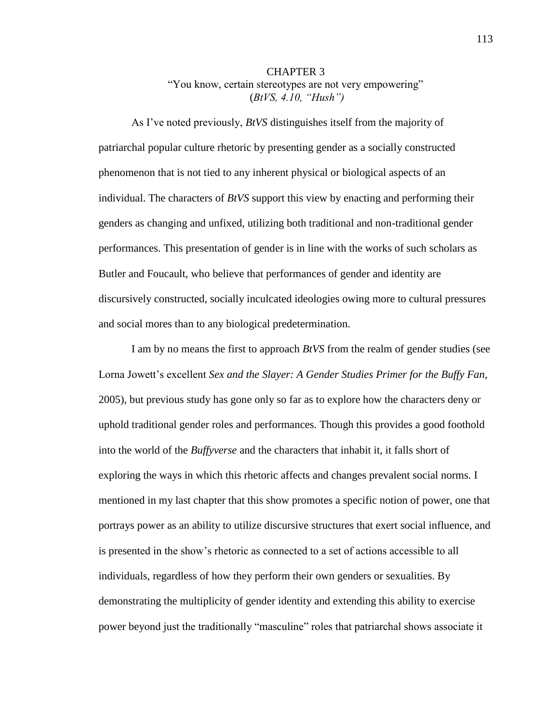### CHAPTER 3 "You know, certain stereotypes are not very empowering" (*BtVS, 4.10, "Hush")*

As I've noted previously, *BtVS* distinguishes itself from the majority of patriarchal popular culture rhetoric by presenting gender as a socially constructed phenomenon that is not tied to any inherent physical or biological aspects of an individual. The characters of *BtVS* support this view by enacting and performing their genders as changing and unfixed, utilizing both traditional and non-traditional gender performances. This presentation of gender is in line with the works of such scholars as Butler and Foucault, who believe that performances of gender and identity are discursively constructed, socially inculcated ideologies owing more to cultural pressures and social mores than to any biological predetermination.

I am by no means the first to approach *BtVS* from the realm of gender studies (see Lorna Jowett's excellent *Sex and the Slayer: A Gender Studies Primer for the Buffy Fan*, 2005), but previous study has gone only so far as to explore how the characters deny or uphold traditional gender roles and performances. Though this provides a good foothold into the world of the *Buffyverse* and the characters that inhabit it, it falls short of exploring the ways in which this rhetoric affects and changes prevalent social norms. I mentioned in my last chapter that this show promotes a specific notion of power, one that portrays power as an ability to utilize discursive structures that exert social influence, and is presented in the show's rhetoric as connected to a set of actions accessible to all individuals, regardless of how they perform their own genders or sexualities. By demonstrating the multiplicity of gender identity and extending this ability to exercise power beyond just the traditionally "masculine" roles that patriarchal shows associate it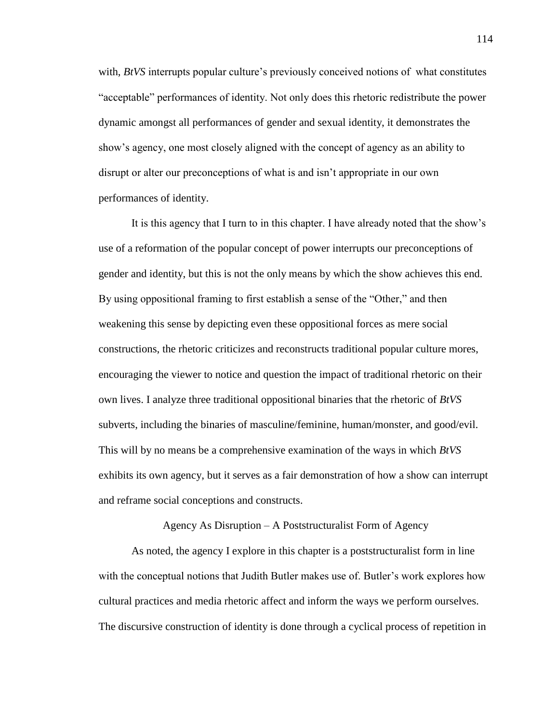with, *BtVS* interrupts popular culture's previously conceived notions of what constitutes "acceptable" performances of identity. Not only does this rhetoric redistribute the power dynamic amongst all performances of gender and sexual identity, it demonstrates the show's agency, one most closely aligned with the concept of agency as an ability to disrupt or alter our preconceptions of what is and isn't appropriate in our own performances of identity.

It is this agency that I turn to in this chapter. I have already noted that the show's use of a reformation of the popular concept of power interrupts our preconceptions of gender and identity, but this is not the only means by which the show achieves this end. By using oppositional framing to first establish a sense of the "Other," and then weakening this sense by depicting even these oppositional forces as mere social constructions, the rhetoric criticizes and reconstructs traditional popular culture mores, encouraging the viewer to notice and question the impact of traditional rhetoric on their own lives. I analyze three traditional oppositional binaries that the rhetoric of *BtVS* subverts, including the binaries of masculine/feminine, human/monster, and good/evil. This will by no means be a comprehensive examination of the ways in which *BtVS*  exhibits its own agency, but it serves as a fair demonstration of how a show can interrupt and reframe social conceptions and constructs.

Agency As Disruption – A Poststructuralist Form of Agency

As noted, the agency I explore in this chapter is a poststructuralist form in line with the conceptual notions that Judith Butler makes use of. Butler's work explores how cultural practices and media rhetoric affect and inform the ways we perform ourselves. The discursive construction of identity is done through a cyclical process of repetition in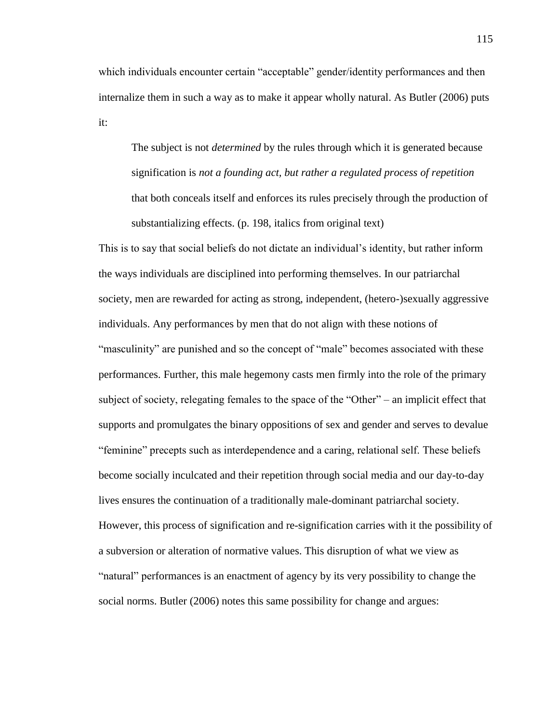which individuals encounter certain "acceptable" gender/identity performances and then internalize them in such a way as to make it appear wholly natural. As Butler (2006) puts it:

The subject is not *determined* by the rules through which it is generated because signification is *not a founding act, but rather a regulated process of repetition* that both conceals itself and enforces its rules precisely through the production of substantializing effects. (p. 198, italics from original text)

This is to say that social beliefs do not dictate an individual's identity, but rather inform the ways individuals are disciplined into performing themselves. In our patriarchal society, men are rewarded for acting as strong, independent, (hetero-)sexually aggressive individuals. Any performances by men that do not align with these notions of "masculinity" are punished and so the concept of "male" becomes associated with these performances. Further, this male hegemony casts men firmly into the role of the primary subject of society, relegating females to the space of the "Other" – an implicit effect that supports and promulgates the binary oppositions of sex and gender and serves to devalue "feminine" precepts such as interdependence and a caring, relational self. These beliefs become socially inculcated and their repetition through social media and our day-to-day lives ensures the continuation of a traditionally male-dominant patriarchal society. However, this process of signification and re-signification carries with it the possibility of a subversion or alteration of normative values. This disruption of what we view as "natural" performances is an enactment of agency by its very possibility to change the social norms. Butler (2006) notes this same possibility for change and argues: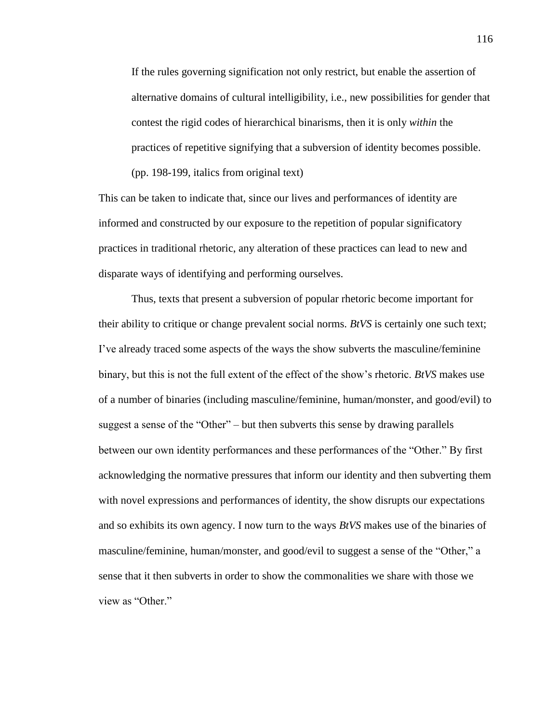If the rules governing signification not only restrict, but enable the assertion of alternative domains of cultural intelligibility, i.e., new possibilities for gender that contest the rigid codes of hierarchical binarisms, then it is only *within* the practices of repetitive signifying that a subversion of identity becomes possible. (pp. 198-199, italics from original text)

This can be taken to indicate that, since our lives and performances of identity are informed and constructed by our exposure to the repetition of popular significatory practices in traditional rhetoric, any alteration of these practices can lead to new and disparate ways of identifying and performing ourselves.

Thus, texts that present a subversion of popular rhetoric become important for their ability to critique or change prevalent social norms. *BtVS* is certainly one such text; I've already traced some aspects of the ways the show subverts the masculine/feminine binary, but this is not the full extent of the effect of the show's rhetoric. *BtVS* makes use of a number of binaries (including masculine/feminine, human/monster, and good/evil) to suggest a sense of the "Other" – but then subverts this sense by drawing parallels between our own identity performances and these performances of the "Other." By first acknowledging the normative pressures that inform our identity and then subverting them with novel expressions and performances of identity, the show disrupts our expectations and so exhibits its own agency. I now turn to the ways *BtVS* makes use of the binaries of masculine/feminine, human/monster, and good/evil to suggest a sense of the "Other," a sense that it then subverts in order to show the commonalities we share with those we view as "Other."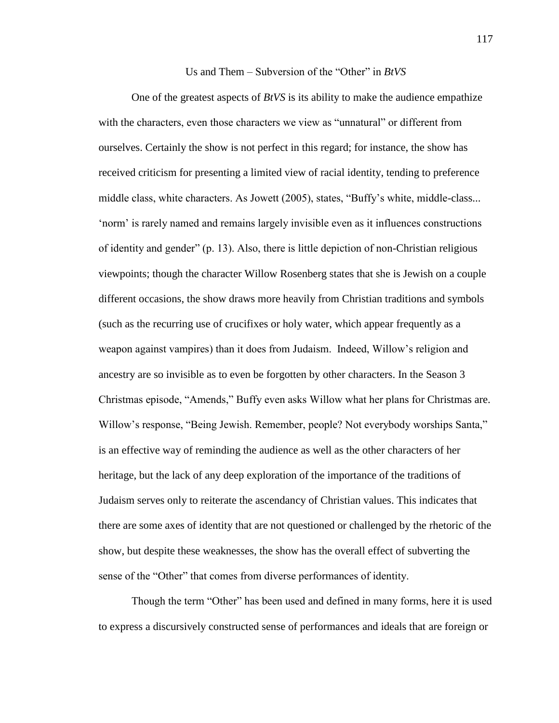#### Us and Them – Subversion of the "Other" in *BtVS*

One of the greatest aspects of *BtVS* is its ability to make the audience empathize with the characters, even those characters we view as "unnatural" or different from ourselves. Certainly the show is not perfect in this regard; for instance, the show has received criticism for presenting a limited view of racial identity, tending to preference middle class, white characters. As Jowett (2005), states, "Buffy's white, middle-class... 'norm' is rarely named and remains largely invisible even as it influences constructions of identity and gender" (p. 13). Also, there is little depiction of non-Christian religious viewpoints; though the character Willow Rosenberg states that she is Jewish on a couple different occasions, the show draws more heavily from Christian traditions and symbols (such as the recurring use of crucifixes or holy water, which appear frequently as a weapon against vampires) than it does from Judaism. Indeed, Willow's religion and ancestry are so invisible as to even be forgotten by other characters. In the Season 3 Christmas episode, "Amends," Buffy even asks Willow what her plans for Christmas are. Willow's response, "Being Jewish. Remember, people? Not everybody worships Santa," is an effective way of reminding the audience as well as the other characters of her heritage, but the lack of any deep exploration of the importance of the traditions of Judaism serves only to reiterate the ascendancy of Christian values. This indicates that there are some axes of identity that are not questioned or challenged by the rhetoric of the show, but despite these weaknesses, the show has the overall effect of subverting the sense of the "Other" that comes from diverse performances of identity.

Though the term "Other" has been used and defined in many forms, here it is used to express a discursively constructed sense of performances and ideals that are foreign or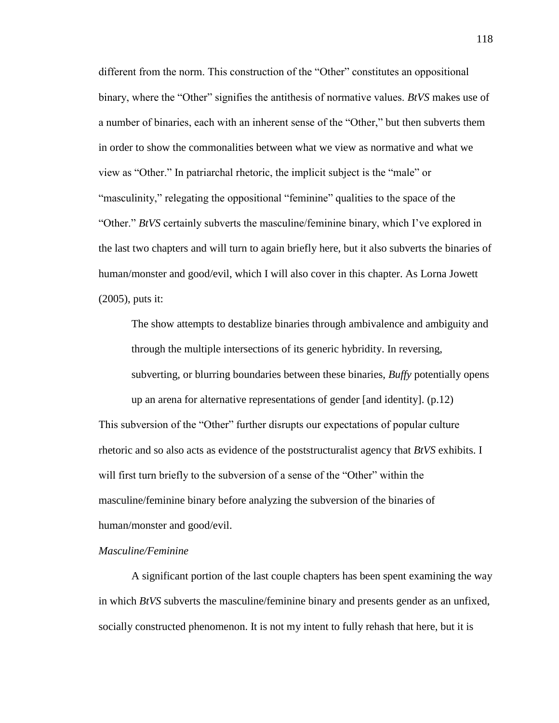different from the norm. This construction of the "Other" constitutes an oppositional binary, where the "Other" signifies the antithesis of normative values. *BtVS* makes use of a number of binaries, each with an inherent sense of the "Other," but then subverts them in order to show the commonalities between what we view as normative and what we view as "Other." In patriarchal rhetoric, the implicit subject is the "male" or "masculinity," relegating the oppositional "feminine" qualities to the space of the "Other." *BtVS* certainly subverts the masculine/feminine binary, which I've explored in the last two chapters and will turn to again briefly here, but it also subverts the binaries of human/monster and good/evil, which I will also cover in this chapter. As Lorna Jowett (2005), puts it:

The show attempts to destablize binaries through ambivalence and ambiguity and through the multiple intersections of its generic hybridity. In reversing, subverting, or blurring boundaries between these binaries, *Buffy* potentially opens up an arena for alternative representations of gender [and identity]. (p.12) This subversion of the "Other" further disrupts our expectations of popular culture rhetoric and so also acts as evidence of the poststructuralist agency that *BtVS* exhibits. I will first turn briefly to the subversion of a sense of the "Other" within the

masculine/feminine binary before analyzing the subversion of the binaries of human/monster and good/evil.

#### *Masculine/Feminine*

A significant portion of the last couple chapters has been spent examining the way in which *BtVS* subverts the masculine/feminine binary and presents gender as an unfixed, socially constructed phenomenon. It is not my intent to fully rehash that here, but it is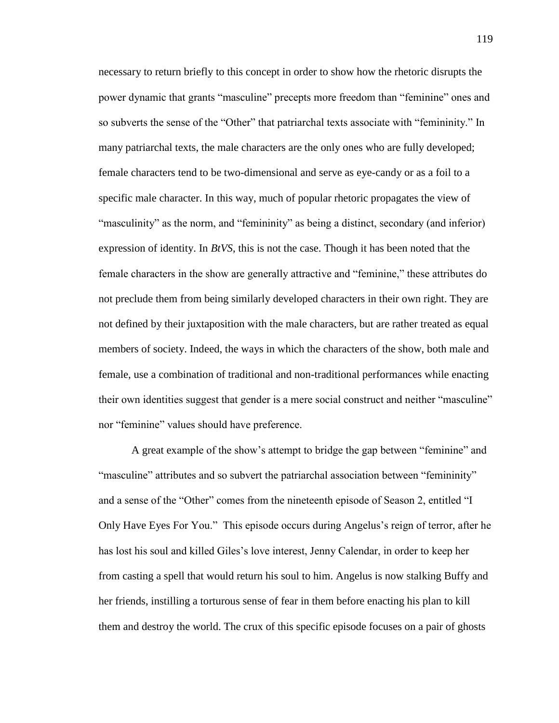necessary to return briefly to this concept in order to show how the rhetoric disrupts the power dynamic that grants "masculine" precepts more freedom than "feminine" ones and so subverts the sense of the "Other" that patriarchal texts associate with "femininity." In many patriarchal texts, the male characters are the only ones who are fully developed; female characters tend to be two-dimensional and serve as eye-candy or as a foil to a specific male character. In this way, much of popular rhetoric propagates the view of "masculinity" as the norm, and "femininity" as being a distinct, secondary (and inferior) expression of identity. In *BtVS*, this is not the case. Though it has been noted that the female characters in the show are generally attractive and "feminine," these attributes do not preclude them from being similarly developed characters in their own right. They are not defined by their juxtaposition with the male characters, but are rather treated as equal members of society. Indeed, the ways in which the characters of the show, both male and female, use a combination of traditional and non-traditional performances while enacting their own identities suggest that gender is a mere social construct and neither "masculine" nor "feminine" values should have preference.

A great example of the show's attempt to bridge the gap between "feminine" and "masculine" attributes and so subvert the patriarchal association between "femininity" and a sense of the "Other" comes from the nineteenth episode of Season 2, entitled "I Only Have Eyes For You." This episode occurs during Angelus's reign of terror, after he has lost his soul and killed Giles's love interest, Jenny Calendar, in order to keep her from casting a spell that would return his soul to him. Angelus is now stalking Buffy and her friends, instilling a torturous sense of fear in them before enacting his plan to kill them and destroy the world. The crux of this specific episode focuses on a pair of ghosts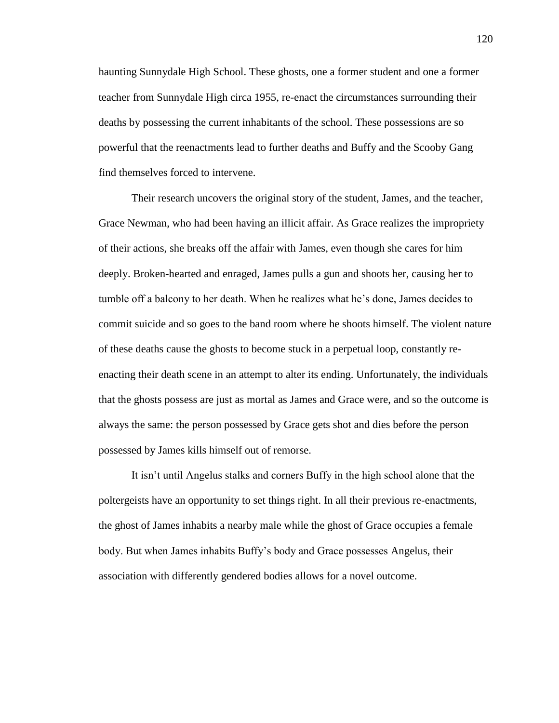haunting Sunnydale High School. These ghosts, one a former student and one a former teacher from Sunnydale High circa 1955, re-enact the circumstances surrounding their deaths by possessing the current inhabitants of the school. These possessions are so powerful that the reenactments lead to further deaths and Buffy and the Scooby Gang find themselves forced to intervene.

Their research uncovers the original story of the student, James, and the teacher, Grace Newman, who had been having an illicit affair. As Grace realizes the impropriety of their actions, she breaks off the affair with James, even though she cares for him deeply. Broken-hearted and enraged, James pulls a gun and shoots her, causing her to tumble off a balcony to her death. When he realizes what he's done, James decides to commit suicide and so goes to the band room where he shoots himself. The violent nature of these deaths cause the ghosts to become stuck in a perpetual loop, constantly reenacting their death scene in an attempt to alter its ending. Unfortunately, the individuals that the ghosts possess are just as mortal as James and Grace were, and so the outcome is always the same: the person possessed by Grace gets shot and dies before the person possessed by James kills himself out of remorse.

It isn't until Angelus stalks and corners Buffy in the high school alone that the poltergeists have an opportunity to set things right. In all their previous re-enactments, the ghost of James inhabits a nearby male while the ghost of Grace occupies a female body. But when James inhabits Buffy's body and Grace possesses Angelus, their association with differently gendered bodies allows for a novel outcome.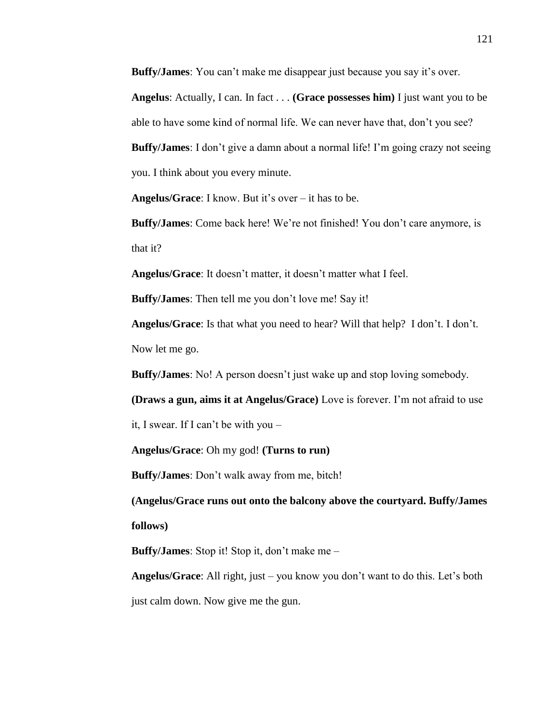**Buffy/James**: You can't make me disappear just because you say it's over.

**Angelus**: Actually, I can. In fact . . . **(Grace possesses him)** I just want you to be able to have some kind of normal life. We can never have that, don't you see? **Buffy/James**: I don't give a damn about a normal life! I'm going crazy not seeing

you. I think about you every minute.

**Angelus/Grace**: I know. But it's over – it has to be.

**Buffy/James**: Come back here! We're not finished! You don't care anymore, is that it?

**Angelus/Grace**: It doesn't matter, it doesn't matter what I feel.

**Buffy/James**: Then tell me you don't love me! Say it!

**Angelus/Grace**: Is that what you need to hear? Will that help? I don't. I don't. Now let me go.

**Buffy/James**: No! A person doesn't just wake up and stop loving somebody.

**(Draws a gun, aims it at Angelus/Grace)** Love is forever. I'm not afraid to use

it, I swear. If I can't be with you –

**Angelus/Grace**: Oh my god! **(Turns to run)**

**Buffy/James**: Don't walk away from me, bitch!

**(Angelus/Grace runs out onto the balcony above the courtyard. Buffy/James follows)**

**Buffy/James**: Stop it! Stop it, don't make me –

**Angelus/Grace**: All right, just – you know you don't want to do this. Let's both just calm down. Now give me the gun.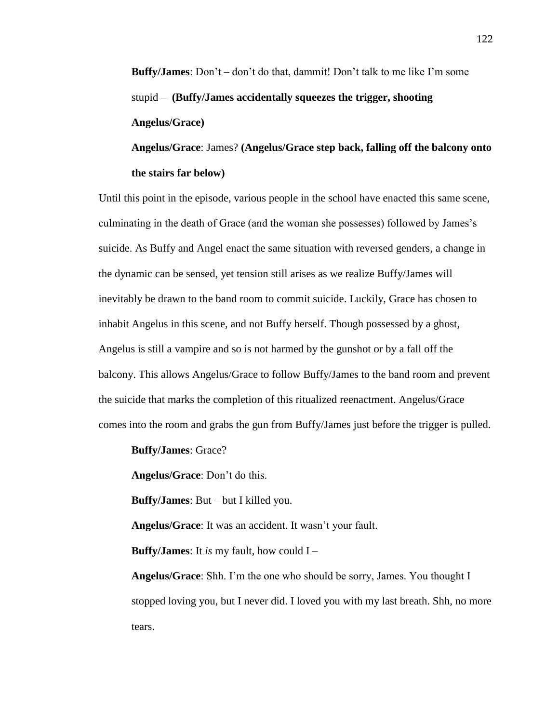**Buffy/James**: Don't – don't do that, dammit! Don't talk to me like I'm some stupid – **(Buffy/James accidentally squeezes the trigger, shooting Angelus/Grace)**

**Angelus/Grace**: James? **(Angelus/Grace step back, falling off the balcony onto the stairs far below)**

Until this point in the episode, various people in the school have enacted this same scene, culminating in the death of Grace (and the woman she possesses) followed by James's suicide. As Buffy and Angel enact the same situation with reversed genders, a change in the dynamic can be sensed, yet tension still arises as we realize Buffy/James will inevitably be drawn to the band room to commit suicide. Luckily, Grace has chosen to inhabit Angelus in this scene, and not Buffy herself. Though possessed by a ghost, Angelus is still a vampire and so is not harmed by the gunshot or by a fall off the balcony. This allows Angelus/Grace to follow Buffy/James to the band room and prevent the suicide that marks the completion of this ritualized reenactment. Angelus/Grace comes into the room and grabs the gun from Buffy/James just before the trigger is pulled.

**Buffy/James**: Grace?

**Angelus/Grace**: Don't do this.

**Buffy/James**: But – but I killed you.

**Angelus/Grace**: It was an accident. It wasn't your fault.

**Buffy/James**: It *is* my fault, how could I –

**Angelus/Grace**: Shh. I'm the one who should be sorry, James. You thought I stopped loving you, but I never did. I loved you with my last breath. Shh, no more tears.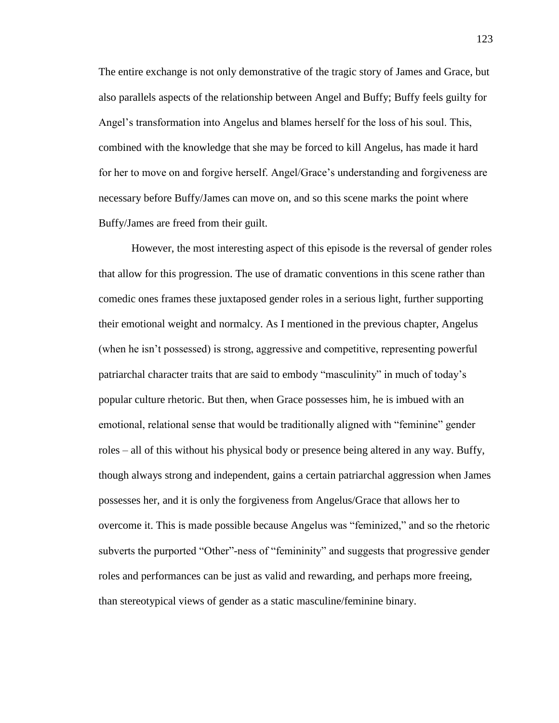The entire exchange is not only demonstrative of the tragic story of James and Grace, but also parallels aspects of the relationship between Angel and Buffy; Buffy feels guilty for Angel's transformation into Angelus and blames herself for the loss of his soul. This, combined with the knowledge that she may be forced to kill Angelus, has made it hard for her to move on and forgive herself. Angel/Grace's understanding and forgiveness are necessary before Buffy/James can move on, and so this scene marks the point where Buffy/James are freed from their guilt.

However, the most interesting aspect of this episode is the reversal of gender roles that allow for this progression. The use of dramatic conventions in this scene rather than comedic ones frames these juxtaposed gender roles in a serious light, further supporting their emotional weight and normalcy. As I mentioned in the previous chapter, Angelus (when he isn't possessed) is strong, aggressive and competitive, representing powerful patriarchal character traits that are said to embody "masculinity" in much of today's popular culture rhetoric. But then, when Grace possesses him, he is imbued with an emotional, relational sense that would be traditionally aligned with "feminine" gender roles – all of this without his physical body or presence being altered in any way. Buffy, though always strong and independent, gains a certain patriarchal aggression when James possesses her, and it is only the forgiveness from Angelus/Grace that allows her to overcome it. This is made possible because Angelus was "feminized," and so the rhetoric subverts the purported "Other"-ness of "femininity" and suggests that progressive gender roles and performances can be just as valid and rewarding, and perhaps more freeing, than stereotypical views of gender as a static masculine/feminine binary.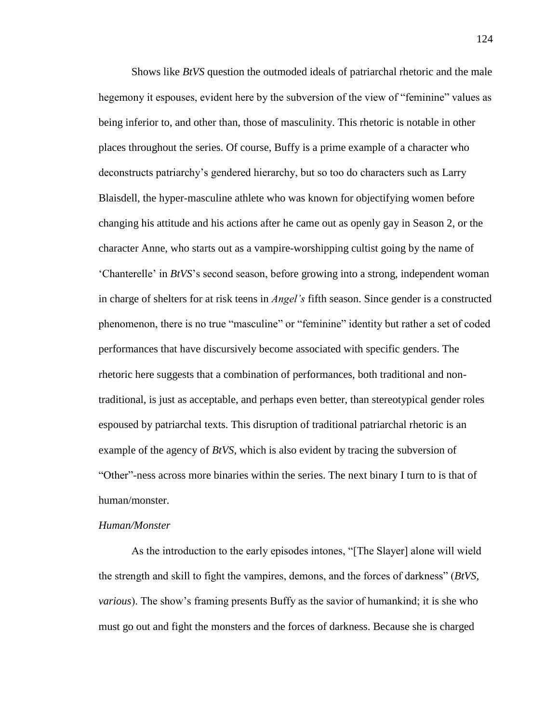Shows like *BtVS* question the outmoded ideals of patriarchal rhetoric and the male hegemony it espouses, evident here by the subversion of the view of "feminine" values as being inferior to, and other than, those of masculinity. This rhetoric is notable in other places throughout the series. Of course, Buffy is a prime example of a character who deconstructs patriarchy's gendered hierarchy, but so too do characters such as Larry Blaisdell, the hyper-masculine athlete who was known for objectifying women before changing his attitude and his actions after he came out as openly gay in Season 2, or the character Anne, who starts out as a vampire-worshipping cultist going by the name of 'Chanterelle' in *BtVS*'s second season, before growing into a strong, independent woman in charge of shelters for at risk teens in *Angel's* fifth season. Since gender is a constructed phenomenon, there is no true "masculine" or "feminine" identity but rather a set of coded performances that have discursively become associated with specific genders. The rhetoric here suggests that a combination of performances, both traditional and nontraditional, is just as acceptable, and perhaps even better, than stereotypical gender roles espoused by patriarchal texts. This disruption of traditional patriarchal rhetoric is an example of the agency of *BtVS*, which is also evident by tracing the subversion of "Other"-ness across more binaries within the series. The next binary I turn to is that of human/monster.

#### *Human/Monster*

As the introduction to the early episodes intones, "[The Slayer] alone will wield the strength and skill to fight the vampires, demons, and the forces of darkness" (*BtVS, various*). The show's framing presents Buffy as the savior of humankind; it is she who must go out and fight the monsters and the forces of darkness. Because she is charged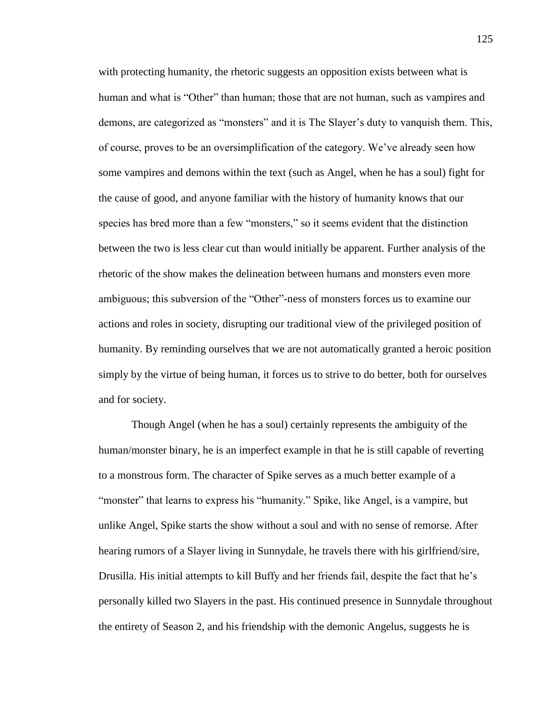with protecting humanity, the rhetoric suggests an opposition exists between what is human and what is "Other" than human; those that are not human, such as vampires and demons, are categorized as "monsters" and it is The Slayer's duty to vanquish them. This, of course, proves to be an oversimplification of the category. We've already seen how some vampires and demons within the text (such as Angel, when he has a soul) fight for the cause of good, and anyone familiar with the history of humanity knows that our species has bred more than a few "monsters," so it seems evident that the distinction between the two is less clear cut than would initially be apparent. Further analysis of the rhetoric of the show makes the delineation between humans and monsters even more ambiguous; this subversion of the "Other"-ness of monsters forces us to examine our actions and roles in society, disrupting our traditional view of the privileged position of humanity. By reminding ourselves that we are not automatically granted a heroic position simply by the virtue of being human, it forces us to strive to do better, both for ourselves and for society.

Though Angel (when he has a soul) certainly represents the ambiguity of the human/monster binary, he is an imperfect example in that he is still capable of reverting to a monstrous form. The character of Spike serves as a much better example of a "monster" that learns to express his "humanity." Spike, like Angel, is a vampire, but unlike Angel, Spike starts the show without a soul and with no sense of remorse. After hearing rumors of a Slayer living in Sunnydale, he travels there with his girlfriend/sire, Drusilla. His initial attempts to kill Buffy and her friends fail, despite the fact that he's personally killed two Slayers in the past. His continued presence in Sunnydale throughout the entirety of Season 2, and his friendship with the demonic Angelus, suggests he is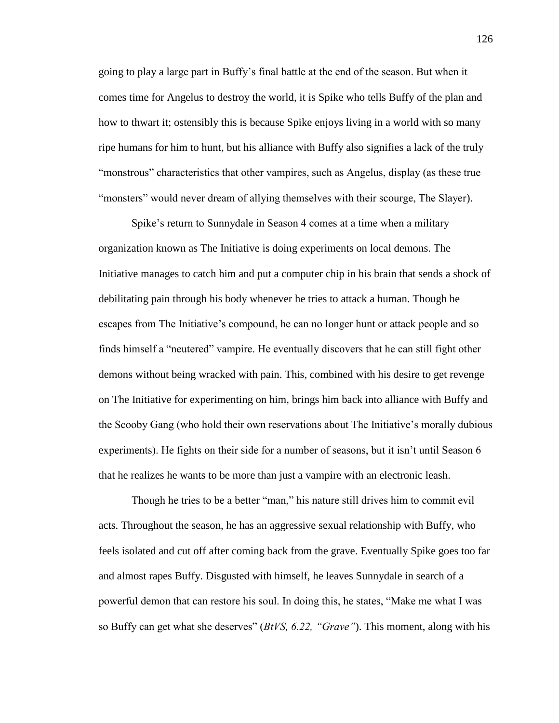going to play a large part in Buffy's final battle at the end of the season. But when it comes time for Angelus to destroy the world, it is Spike who tells Buffy of the plan and how to thwart it; ostensibly this is because Spike enjoys living in a world with so many ripe humans for him to hunt, but his alliance with Buffy also signifies a lack of the truly "monstrous" characteristics that other vampires, such as Angelus, display (as these true "monsters" would never dream of allying themselves with their scourge, The Slayer).

Spike's return to Sunnydale in Season 4 comes at a time when a military organization known as The Initiative is doing experiments on local demons. The Initiative manages to catch him and put a computer chip in his brain that sends a shock of debilitating pain through his body whenever he tries to attack a human. Though he escapes from The Initiative's compound, he can no longer hunt or attack people and so finds himself a "neutered" vampire. He eventually discovers that he can still fight other demons without being wracked with pain. This, combined with his desire to get revenge on The Initiative for experimenting on him, brings him back into alliance with Buffy and the Scooby Gang (who hold their own reservations about The Initiative's morally dubious experiments). He fights on their side for a number of seasons, but it isn't until Season 6 that he realizes he wants to be more than just a vampire with an electronic leash.

Though he tries to be a better "man," his nature still drives him to commit evil acts. Throughout the season, he has an aggressive sexual relationship with Buffy, who feels isolated and cut off after coming back from the grave. Eventually Spike goes too far and almost rapes Buffy. Disgusted with himself, he leaves Sunnydale in search of a powerful demon that can restore his soul. In doing this, he states, "Make me what I was so Buffy can get what she deserves" (*BtVS, 6.22, "Grave"*). This moment, along with his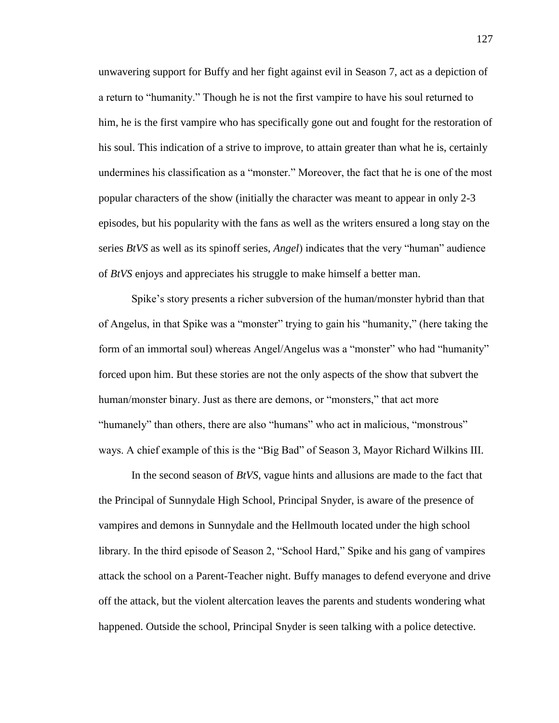unwavering support for Buffy and her fight against evil in Season 7, act as a depiction of a return to "humanity." Though he is not the first vampire to have his soul returned to him, he is the first vampire who has specifically gone out and fought for the restoration of his soul. This indication of a strive to improve, to attain greater than what he is, certainly undermines his classification as a "monster." Moreover, the fact that he is one of the most popular characters of the show (initially the character was meant to appear in only 2-3 episodes, but his popularity with the fans as well as the writers ensured a long stay on the series *BtVS* as well as its spinoff series, *Angel*) indicates that the very "human" audience of *BtVS* enjoys and appreciates his struggle to make himself a better man.

Spike's story presents a richer subversion of the human/monster hybrid than that of Angelus, in that Spike was a "monster" trying to gain his "humanity," (here taking the form of an immortal soul) whereas Angel/Angelus was a "monster" who had "humanity" forced upon him. But these stories are not the only aspects of the show that subvert the human/monster binary. Just as there are demons, or "monsters," that act more "humanely" than others, there are also "humans" who act in malicious, "monstrous" ways. A chief example of this is the "Big Bad" of Season 3, Mayor Richard Wilkins III.

In the second season of *BtVS*, vague hints and allusions are made to the fact that the Principal of Sunnydale High School, Principal Snyder, is aware of the presence of vampires and demons in Sunnydale and the Hellmouth located under the high school library. In the third episode of Season 2, "School Hard," Spike and his gang of vampires attack the school on a Parent-Teacher night. Buffy manages to defend everyone and drive off the attack, but the violent altercation leaves the parents and students wondering what happened. Outside the school, Principal Snyder is seen talking with a police detective.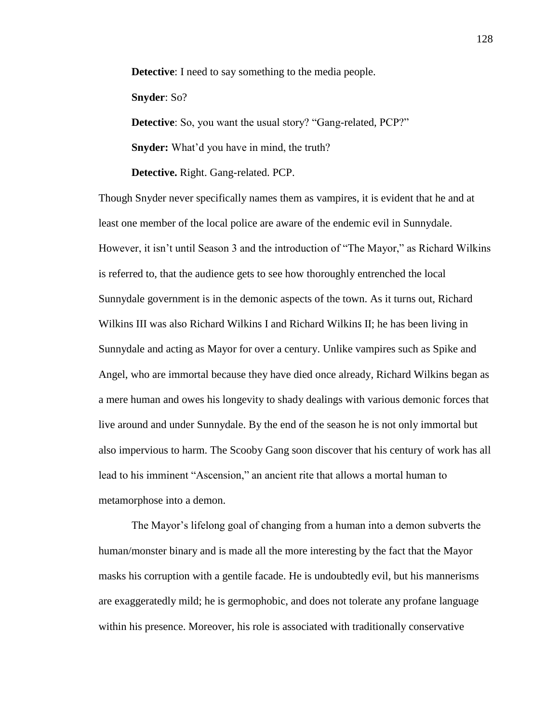**Detective**: I need to say something to the media people.

**Snyder**: So?

**Detective**: So, you want the usual story? "Gang-related, PCP?"

**Snyder:** What'd you have in mind, the truth?

**Detective.** Right. Gang-related. PCP.

Though Snyder never specifically names them as vampires, it is evident that he and at least one member of the local police are aware of the endemic evil in Sunnydale. However, it isn't until Season 3 and the introduction of "The Mayor," as Richard Wilkins is referred to, that the audience gets to see how thoroughly entrenched the local Sunnydale government is in the demonic aspects of the town. As it turns out, Richard Wilkins III was also Richard Wilkins I and Richard Wilkins II; he has been living in Sunnydale and acting as Mayor for over a century. Unlike vampires such as Spike and Angel, who are immortal because they have died once already, Richard Wilkins began as a mere human and owes his longevity to shady dealings with various demonic forces that live around and under Sunnydale. By the end of the season he is not only immortal but also impervious to harm. The Scooby Gang soon discover that his century of work has all lead to his imminent "Ascension," an ancient rite that allows a mortal human to metamorphose into a demon.

The Mayor's lifelong goal of changing from a human into a demon subverts the human/monster binary and is made all the more interesting by the fact that the Mayor masks his corruption with a gentile facade. He is undoubtedly evil, but his mannerisms are exaggeratedly mild; he is germophobic, and does not tolerate any profane language within his presence. Moreover, his role is associated with traditionally conservative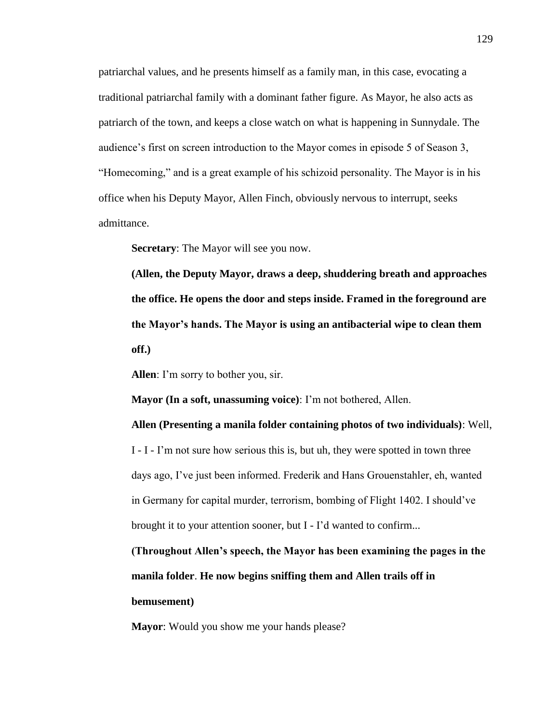patriarchal values, and he presents himself as a family man, in this case, evocating a traditional patriarchal family with a dominant father figure. As Mayor, he also acts as patriarch of the town, and keeps a close watch on what is happening in Sunnydale. The audience's first on screen introduction to the Mayor comes in episode 5 of Season 3, "Homecoming," and is a great example of his schizoid personality. The Mayor is in his office when his Deputy Mayor, Allen Finch, obviously nervous to interrupt, seeks admittance.

**Secretary**: The Mayor will see you now.

**(Allen, the Deputy Mayor, draws a deep, shuddering breath and approaches the office. He opens the door and steps inside. Framed in the foreground are the Mayor's hands. The Mayor is using an antibacterial wipe to clean them off.)**

**Allen**: I'm sorry to bother you, sir.

**Mayor (In a soft, unassuming voice)**: I'm not bothered, Allen.

I - I - I'm not sure how serious this is, but uh, they were spotted in town three days ago, I've just been informed. Frederik and Hans Grouenstahler, eh, wanted in Germany for capital murder, terrorism, bombing of Flight 1402. I should've brought it to your attention sooner, but I - I'd wanted to confirm...

**Allen (Presenting a manila folder containing photos of two individuals)**: Well,

**(Throughout Allen's speech, the Mayor has been examining the pages in the manila folder**. **He now begins sniffing them and Allen trails off in bemusement)**

**Mayor:** Would you show me your hands please?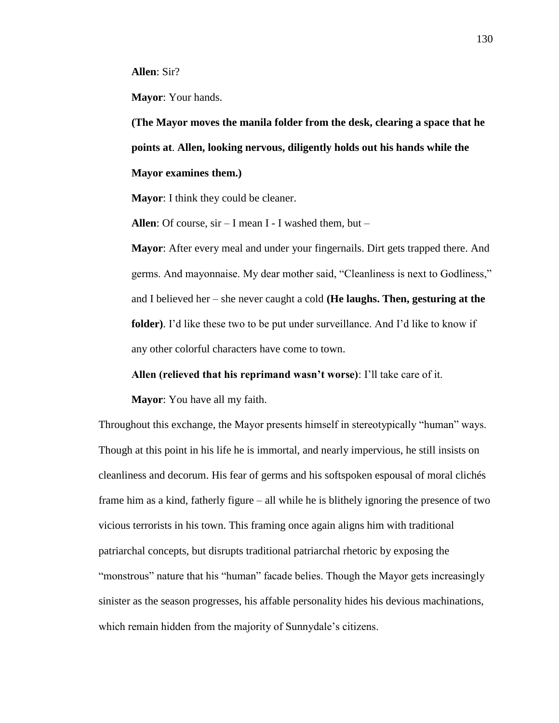**Allen**: Sir?

**Mayor**: Your hands.

**(The Mayor moves the manila folder from the desk, clearing a space that he points at**. **Allen, looking nervous, diligently holds out his hands while the Mayor examines them.)**

**Mayor**: I think they could be cleaner.

**Allen**: Of course, sir – I mean I - I washed them, but –

**Mayor**: After every meal and under your fingernails. Dirt gets trapped there. And germs. And mayonnaise. My dear mother said, "Cleanliness is next to Godliness," and I believed her – she never caught a cold **(He laughs. Then, gesturing at the folder)**. I'd like these two to be put under surveillance. And I'd like to know if any other colorful characters have come to town.

**Allen (relieved that his reprimand wasn't worse)**: I'll take care of it.

**Mayor**: You have all my faith.

Throughout this exchange, the Mayor presents himself in stereotypically "human" ways. Though at this point in his life he is immortal, and nearly impervious, he still insists on cleanliness and decorum. His fear of germs and his softspoken espousal of moral clichés frame him as a kind, fatherly figure – all while he is blithely ignoring the presence of two vicious terrorists in his town. This framing once again aligns him with traditional patriarchal concepts, but disrupts traditional patriarchal rhetoric by exposing the "monstrous" nature that his "human" facade belies. Though the Mayor gets increasingly sinister as the season progresses, his affable personality hides his devious machinations, which remain hidden from the majority of Sunnydale's citizens.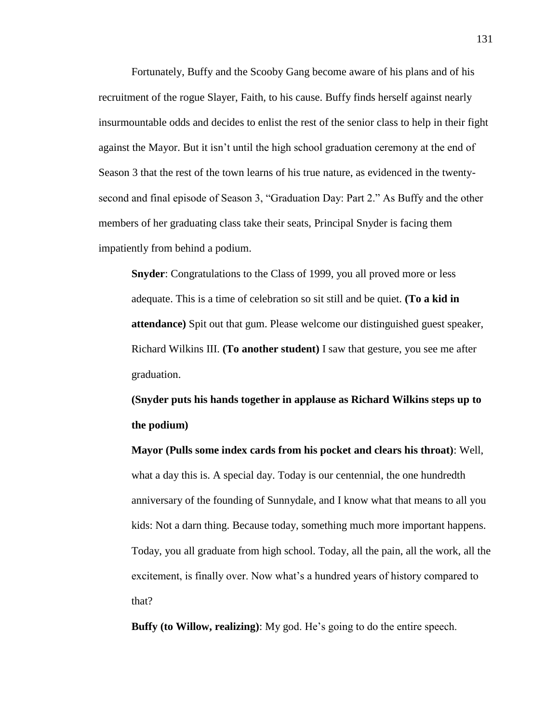Fortunately, Buffy and the Scooby Gang become aware of his plans and of his recruitment of the rogue Slayer, Faith, to his cause. Buffy finds herself against nearly insurmountable odds and decides to enlist the rest of the senior class to help in their fight against the Mayor. But it isn't until the high school graduation ceremony at the end of Season 3 that the rest of the town learns of his true nature, as evidenced in the twentysecond and final episode of Season 3, "Graduation Day: Part 2." As Buffy and the other members of her graduating class take their seats, Principal Snyder is facing them impatiently from behind a podium.

**Snyder**: Congratulations to the Class of 1999, you all proved more or less adequate. This is a time of celebration so sit still and be quiet. **(To a kid in attendance)** Spit out that gum. Please welcome our distinguished guest speaker, Richard Wilkins III. **(To another student)** I saw that gesture, you see me after graduation.

**(Snyder puts his hands together in applause as Richard Wilkins steps up to the podium)**

**Mayor (Pulls some index cards from his pocket and clears his throat)**: Well, what a day this is. A special day. Today is our centennial, the one hundredth anniversary of the founding of Sunnydale, and I know what that means to all you kids: Not a darn thing. Because today, something much more important happens. Today, you all graduate from high school. Today, all the pain, all the work, all the excitement, is finally over. Now what's a hundred years of history compared to that?

**Buffy (to Willow, realizing)**: My god. He's going to do the entire speech.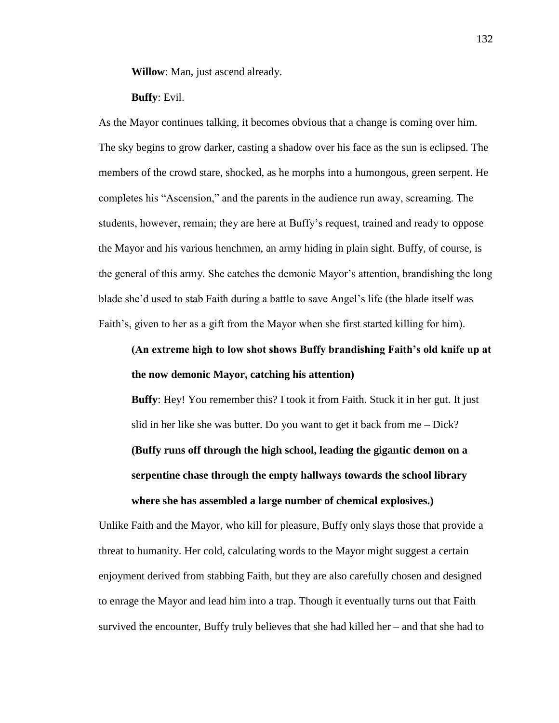**Willow**: Man, just ascend already.

#### **Buffy**: Evil.

As the Mayor continues talking, it becomes obvious that a change is coming over him. The sky begins to grow darker, casting a shadow over his face as the sun is eclipsed. The members of the crowd stare, shocked, as he morphs into a humongous, green serpent. He completes his "Ascension," and the parents in the audience run away, screaming. The students, however, remain; they are here at Buffy's request, trained and ready to oppose the Mayor and his various henchmen, an army hiding in plain sight. Buffy, of course, is the general of this army. She catches the demonic Mayor's attention, brandishing the long blade she'd used to stab Faith during a battle to save Angel's life (the blade itself was Faith's, given to her as a gift from the Mayor when she first started killing for him).

## **(An extreme high to low shot shows Buffy brandishing Faith's old knife up at the now demonic Mayor, catching his attention)**

**Buffy**: Hey! You remember this? I took it from Faith. Stuck it in her gut. It just slid in her like she was butter. Do you want to get it back from me – Dick? **(Buffy runs off through the high school, leading the gigantic demon on a serpentine chase through the empty hallways towards the school library where she has assembled a large number of chemical explosives.)**

Unlike Faith and the Mayor, who kill for pleasure, Buffy only slays those that provide a threat to humanity. Her cold, calculating words to the Mayor might suggest a certain enjoyment derived from stabbing Faith, but they are also carefully chosen and designed to enrage the Mayor and lead him into a trap. Though it eventually turns out that Faith survived the encounter, Buffy truly believes that she had killed her – and that she had to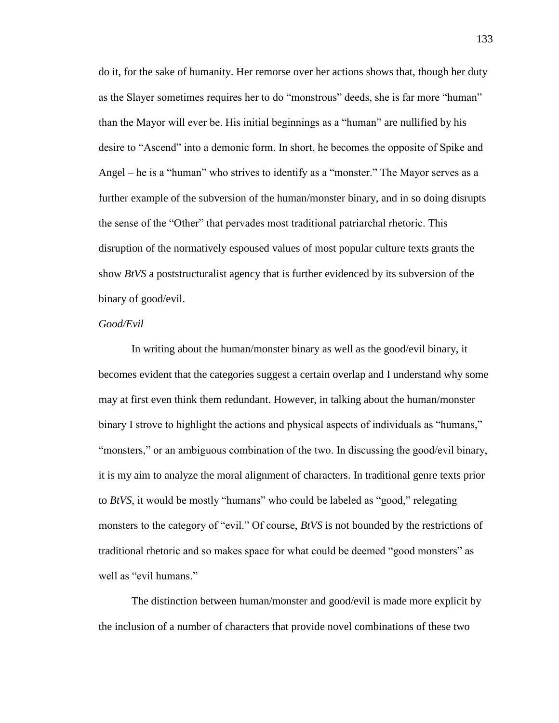do it, for the sake of humanity. Her remorse over her actions shows that, though her duty as the Slayer sometimes requires her to do "monstrous" deeds, she is far more "human" than the Mayor will ever be. His initial beginnings as a "human" are nullified by his desire to "Ascend" into a demonic form. In short, he becomes the opposite of Spike and Angel – he is a "human" who strives to identify as a "monster." The Mayor serves as a further example of the subversion of the human/monster binary, and in so doing disrupts the sense of the "Other" that pervades most traditional patriarchal rhetoric. This disruption of the normatively espoused values of most popular culture texts grants the show *BtVS* a poststructuralist agency that is further evidenced by its subversion of the binary of good/evil.

#### *Good/Evil*

In writing about the human/monster binary as well as the good/evil binary, it becomes evident that the categories suggest a certain overlap and I understand why some may at first even think them redundant. However, in talking about the human/monster binary I strove to highlight the actions and physical aspects of individuals as "humans," "monsters," or an ambiguous combination of the two. In discussing the good/evil binary, it is my aim to analyze the moral alignment of characters. In traditional genre texts prior to *BtVS*, it would be mostly "humans" who could be labeled as "good," relegating monsters to the category of "evil." Of course, *BtVS* is not bounded by the restrictions of traditional rhetoric and so makes space for what could be deemed "good monsters" as well as "evil humans."

The distinction between human/monster and good/evil is made more explicit by the inclusion of a number of characters that provide novel combinations of these two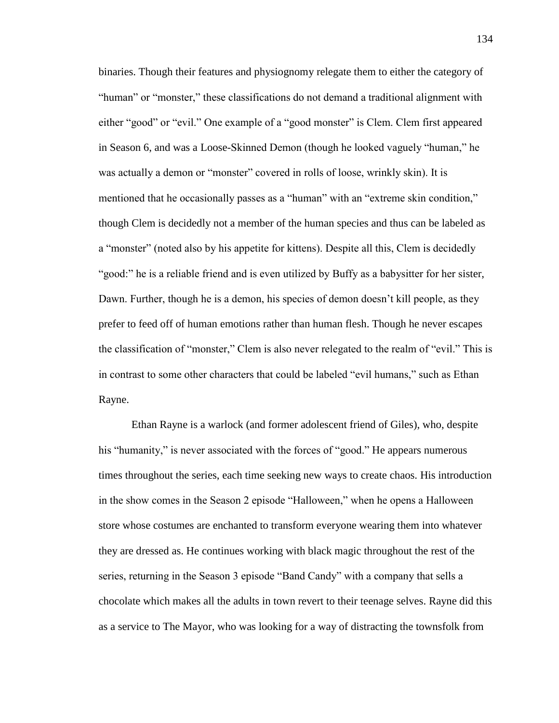binaries. Though their features and physiognomy relegate them to either the category of "human" or "monster," these classifications do not demand a traditional alignment with either "good" or "evil." One example of a "good monster" is Clem. Clem first appeared in Season 6, and was a Loose-Skinned Demon (though he looked vaguely "human," he was actually a demon or "monster" covered in rolls of loose, wrinkly skin). It is mentioned that he occasionally passes as a "human" with an "extreme skin condition," though Clem is decidedly not a member of the human species and thus can be labeled as a "monster" (noted also by his appetite for kittens). Despite all this, Clem is decidedly "good:" he is a reliable friend and is even utilized by Buffy as a babysitter for her sister, Dawn. Further, though he is a demon, his species of demon doesn't kill people, as they prefer to feed off of human emotions rather than human flesh. Though he never escapes the classification of "monster," Clem is also never relegated to the realm of "evil." This is in contrast to some other characters that could be labeled "evil humans," such as Ethan Rayne.

Ethan Rayne is a warlock (and former adolescent friend of Giles), who, despite his "humanity," is never associated with the forces of "good." He appears numerous times throughout the series, each time seeking new ways to create chaos. His introduction in the show comes in the Season 2 episode "Halloween," when he opens a Halloween store whose costumes are enchanted to transform everyone wearing them into whatever they are dressed as. He continues working with black magic throughout the rest of the series, returning in the Season 3 episode "Band Candy" with a company that sells a chocolate which makes all the adults in town revert to their teenage selves. Rayne did this as a service to The Mayor, who was looking for a way of distracting the townsfolk from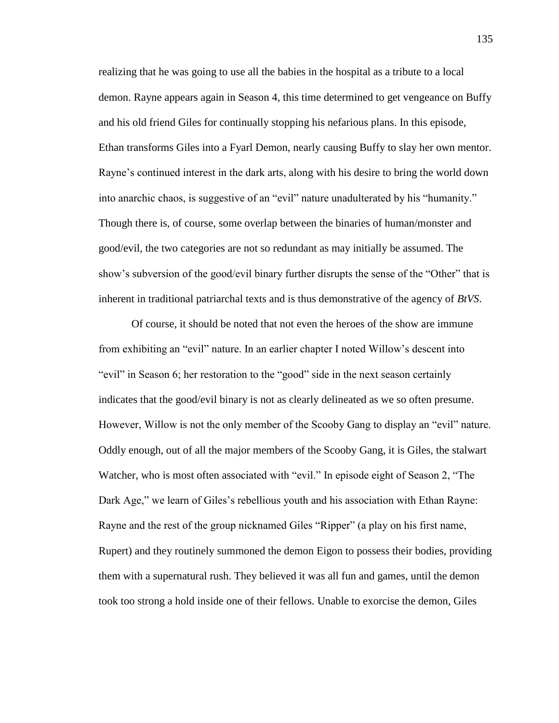realizing that he was going to use all the babies in the hospital as a tribute to a local demon. Rayne appears again in Season 4, this time determined to get vengeance on Buffy and his old friend Giles for continually stopping his nefarious plans. In this episode, Ethan transforms Giles into a Fyarl Demon, nearly causing Buffy to slay her own mentor. Rayne's continued interest in the dark arts, along with his desire to bring the world down into anarchic chaos, is suggestive of an "evil" nature unadulterated by his "humanity." Though there is, of course, some overlap between the binaries of human/monster and good/evil, the two categories are not so redundant as may initially be assumed. The show's subversion of the good/evil binary further disrupts the sense of the "Other" that is inherent in traditional patriarchal texts and is thus demonstrative of the agency of *BtVS*.

Of course, it should be noted that not even the heroes of the show are immune from exhibiting an "evil" nature. In an earlier chapter I noted Willow's descent into "evil" in Season 6; her restoration to the "good" side in the next season certainly indicates that the good/evil binary is not as clearly delineated as we so often presume. However, Willow is not the only member of the Scooby Gang to display an "evil" nature. Oddly enough, out of all the major members of the Scooby Gang, it is Giles, the stalwart Watcher, who is most often associated with "evil." In episode eight of Season 2, "The Dark Age," we learn of Giles's rebellious youth and his association with Ethan Rayne: Rayne and the rest of the group nicknamed Giles "Ripper" (a play on his first name, Rupert) and they routinely summoned the demon Eigon to possess their bodies, providing them with a supernatural rush. They believed it was all fun and games, until the demon took too strong a hold inside one of their fellows. Unable to exorcise the demon, Giles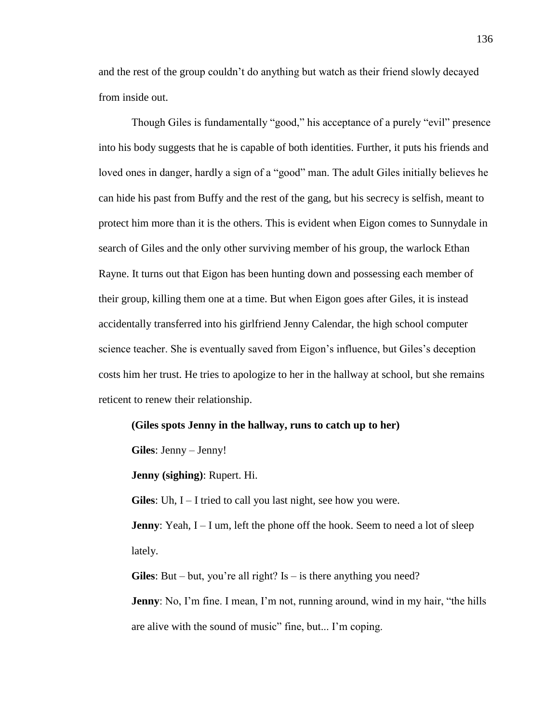and the rest of the group couldn't do anything but watch as their friend slowly decayed from inside out.

Though Giles is fundamentally "good," his acceptance of a purely "evil" presence into his body suggests that he is capable of both identities. Further, it puts his friends and loved ones in danger, hardly a sign of a "good" man. The adult Giles initially believes he can hide his past from Buffy and the rest of the gang, but his secrecy is selfish, meant to protect him more than it is the others. This is evident when Eigon comes to Sunnydale in search of Giles and the only other surviving member of his group, the warlock Ethan Rayne. It turns out that Eigon has been hunting down and possessing each member of their group, killing them one at a time. But when Eigon goes after Giles, it is instead accidentally transferred into his girlfriend Jenny Calendar, the high school computer science teacher. She is eventually saved from Eigon's influence, but Giles's deception costs him her trust. He tries to apologize to her in the hallway at school, but she remains reticent to renew their relationship.

#### **(Giles spots Jenny in the hallway, runs to catch up to her)**

**Giles**: Jenny – Jenny!

**Jenny (sighing)**: Rupert. Hi.

**Giles**: Uh, I – I tried to call you last night, see how you were.

**Jenny**: Yeah, I – I um, left the phone off the hook. Seem to need a lot of sleep lately.

**Giles**: But – but, you're all right? Is – is there anything you need?

**Jenny**: No, I'm fine. I mean, I'm not, running around, wind in my hair, "the hills are alive with the sound of music" fine, but... I'm coping.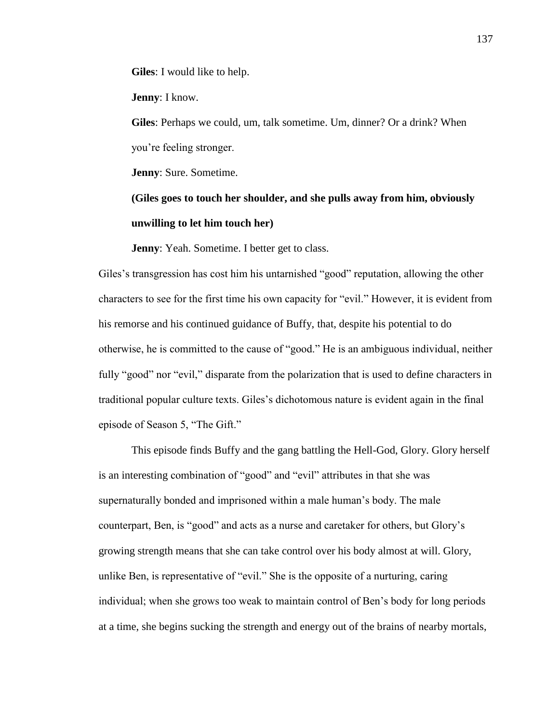**Giles**: I would like to help.

**Jenny**: I know.

**Giles**: Perhaps we could, um, talk sometime. Um, dinner? Or a drink? When you're feeling stronger.

**Jenny**: Sure. Sometime.

**(Giles goes to touch her shoulder, and she pulls away from him, obviously unwilling to let him touch her)**

**Jenny**: Yeah. Sometime. I better get to class.

Giles's transgression has cost him his untarnished "good" reputation, allowing the other characters to see for the first time his own capacity for "evil." However, it is evident from his remorse and his continued guidance of Buffy, that, despite his potential to do otherwise, he is committed to the cause of "good." He is an ambiguous individual, neither fully "good" nor "evil," disparate from the polarization that is used to define characters in traditional popular culture texts. Giles's dichotomous nature is evident again in the final episode of Season 5, "The Gift."

This episode finds Buffy and the gang battling the Hell-God, Glory. Glory herself is an interesting combination of "good" and "evil" attributes in that she was supernaturally bonded and imprisoned within a male human's body. The male counterpart, Ben, is "good" and acts as a nurse and caretaker for others, but Glory's growing strength means that she can take control over his body almost at will. Glory, unlike Ben, is representative of "evil." She is the opposite of a nurturing, caring individual; when she grows too weak to maintain control of Ben's body for long periods at a time, she begins sucking the strength and energy out of the brains of nearby mortals,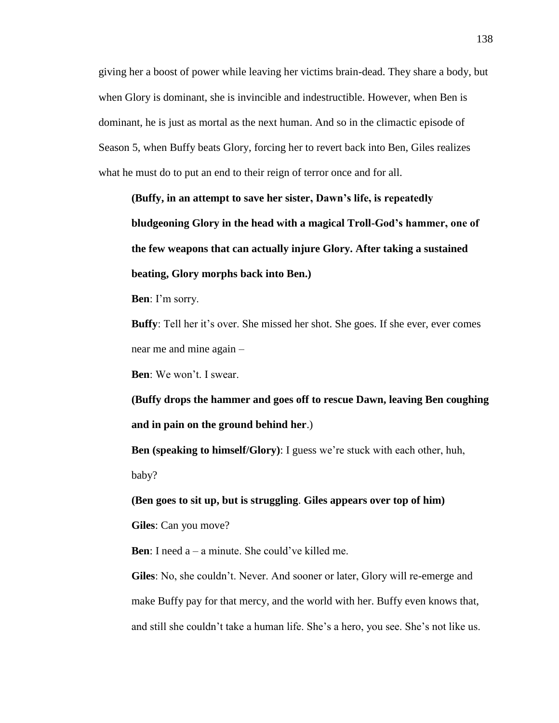giving her a boost of power while leaving her victims brain-dead. They share a body, but when Glory is dominant, she is invincible and indestructible. However, when Ben is dominant, he is just as mortal as the next human. And so in the climactic episode of Season 5, when Buffy beats Glory, forcing her to revert back into Ben, Giles realizes what he must do to put an end to their reign of terror once and for all.

**(Buffy, in an attempt to save her sister, Dawn's life, is repeatedly bludgeoning Glory in the head with a magical Troll-God's hammer, one of the few weapons that can actually injure Glory. After taking a sustained beating, Glory morphs back into Ben.)**

**Ben**: I'm sorry.

**Buffy**: Tell her it's over. She missed her shot. She goes. If she ever, ever comes near me and mine again –

**Ben**: We won't. I swear.

**(Buffy drops the hammer and goes off to rescue Dawn, leaving Ben coughing and in pain on the ground behind her**.)

**Ben (speaking to himself/Glory)**: I guess we're stuck with each other, huh, baby?

**(Ben goes to sit up, but is struggling**. **Giles appears over top of him)**

**Giles**: Can you move?

**Ben**: I need a – a minute. She could've killed me.

**Giles**: No, she couldn't. Never. And sooner or later, Glory will re-emerge and make Buffy pay for that mercy, and the world with her. Buffy even knows that, and still she couldn't take a human life. She's a hero, you see. She's not like us.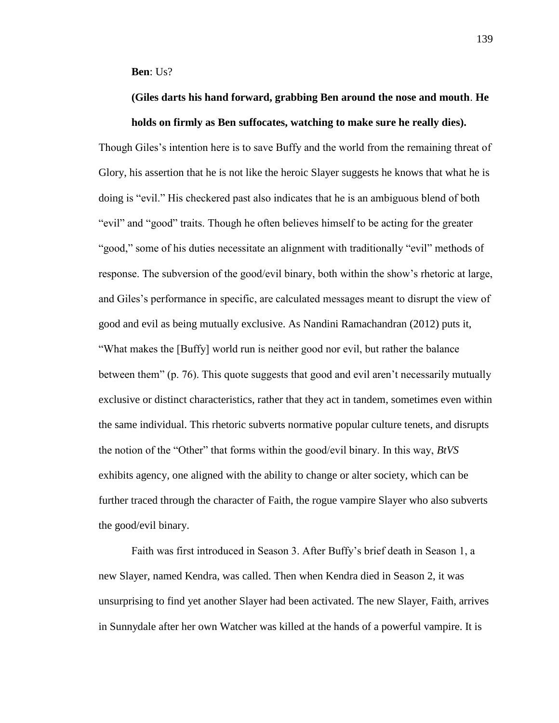**Ben**: Us?

# **(Giles darts his hand forward, grabbing Ben around the nose and mouth**. **He holds on firmly as Ben suffocates, watching to make sure he really dies).**

Though Giles's intention here is to save Buffy and the world from the remaining threat of Glory, his assertion that he is not like the heroic Slayer suggests he knows that what he is doing is "evil." His checkered past also indicates that he is an ambiguous blend of both "evil" and "good" traits. Though he often believes himself to be acting for the greater "good," some of his duties necessitate an alignment with traditionally "evil" methods of response. The subversion of the good/evil binary, both within the show's rhetoric at large, and Giles's performance in specific, are calculated messages meant to disrupt the view of good and evil as being mutually exclusive. As Nandini Ramachandran (2012) puts it, "What makes the [Buffy] world run is neither good nor evil, but rather the balance between them" (p. 76). This quote suggests that good and evil aren't necessarily mutually exclusive or distinct characteristics, rather that they act in tandem, sometimes even within the same individual. This rhetoric subverts normative popular culture tenets, and disrupts the notion of the "Other" that forms within the good/evil binary. In this way, *BtVS*  exhibits agency, one aligned with the ability to change or alter society, which can be further traced through the character of Faith, the rogue vampire Slayer who also subverts the good/evil binary.

Faith was first introduced in Season 3. After Buffy's brief death in Season 1, a new Slayer, named Kendra, was called. Then when Kendra died in Season 2, it was unsurprising to find yet another Slayer had been activated. The new Slayer, Faith, arrives in Sunnydale after her own Watcher was killed at the hands of a powerful vampire. It is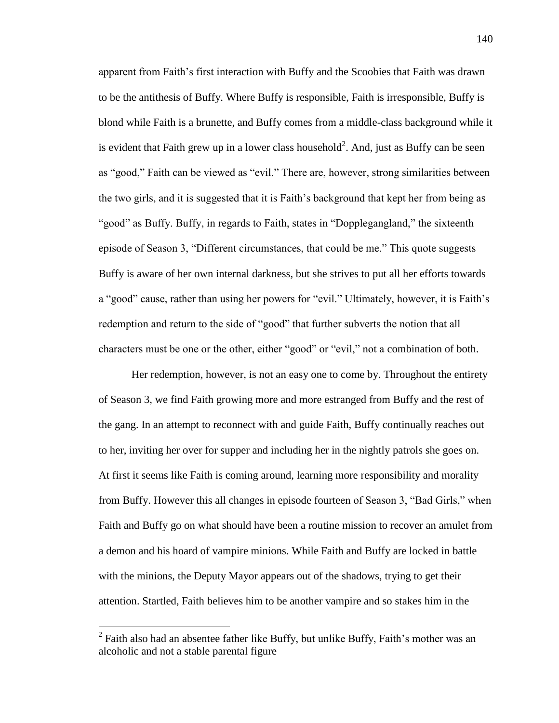apparent from Faith's first interaction with Buffy and the Scoobies that Faith was drawn to be the antithesis of Buffy. Where Buffy is responsible, Faith is irresponsible, Buffy is blond while Faith is a brunette, and Buffy comes from a middle-class background while it is evident that Faith grew up in a lower class household<sup>2</sup>. And, just as Buffy can be seen as "good," Faith can be viewed as "evil." There are, however, strong similarities between the two girls, and it is suggested that it is Faith's background that kept her from being as "good" as Buffy. Buffy, in regards to Faith, states in "Dopplegangland," the sixteenth episode of Season 3, "Different circumstances, that could be me." This quote suggests Buffy is aware of her own internal darkness, but she strives to put all her efforts towards a "good" cause, rather than using her powers for "evil." Ultimately, however, it is Faith's redemption and return to the side of "good" that further subverts the notion that all characters must be one or the other, either "good" or "evil," not a combination of both.

Her redemption, however, is not an easy one to come by. Throughout the entirety of Season 3, we find Faith growing more and more estranged from Buffy and the rest of the gang. In an attempt to reconnect with and guide Faith, Buffy continually reaches out to her, inviting her over for supper and including her in the nightly patrols she goes on. At first it seems like Faith is coming around, learning more responsibility and morality from Buffy. However this all changes in episode fourteen of Season 3, "Bad Girls," when Faith and Buffy go on what should have been a routine mission to recover an amulet from a demon and his hoard of vampire minions. While Faith and Buffy are locked in battle with the minions, the Deputy Mayor appears out of the shadows, trying to get their attention. Startled, Faith believes him to be another vampire and so stakes him in the

 $\overline{a}$ 

 $2$  Faith also had an absentee father like Buffy, but unlike Buffy, Faith's mother was an alcoholic and not a stable parental figure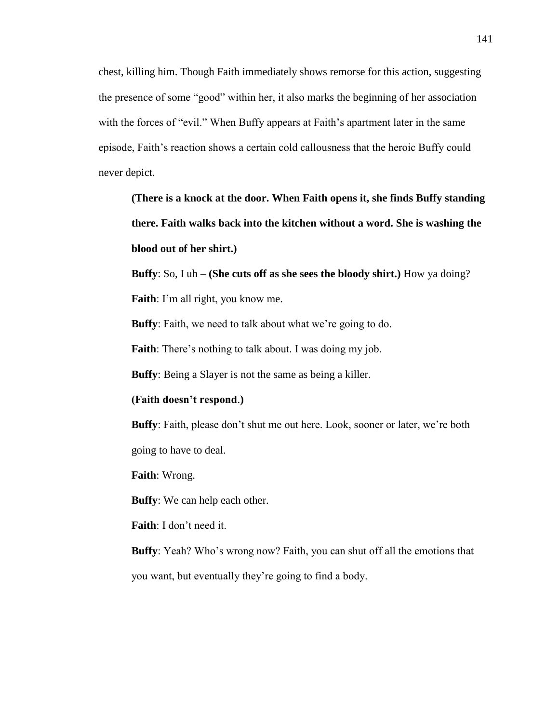chest, killing him. Though Faith immediately shows remorse for this action, suggesting the presence of some "good" within her, it also marks the beginning of her association with the forces of "evil." When Buffy appears at Faith's apartment later in the same episode, Faith's reaction shows a certain cold callousness that the heroic Buffy could never depict.

**(There is a knock at the door. When Faith opens it, she finds Buffy standing there. Faith walks back into the kitchen without a word. She is washing the blood out of her shirt.)**

**Buffy**: So, I uh – **(She cuts off as she sees the bloody shirt.)** How ya doing?

**Faith**: I'm all right, you know me.

**Buffy**: Faith, we need to talk about what we're going to do.

**Faith**: There's nothing to talk about. I was doing my job.

**Buffy**: Being a Slayer is not the same as being a killer.

**(Faith doesn't respond**.**)**

**Buffy**: Faith, please don't shut me out here. Look, sooner or later, we're both going to have to deal.

**Faith**: Wrong.

**Buffy**: We can help each other.

**Faith**: I don't need it.

**Buffy**: Yeah? Who's wrong now? Faith, you can shut off all the emotions that you want, but eventually they're going to find a body.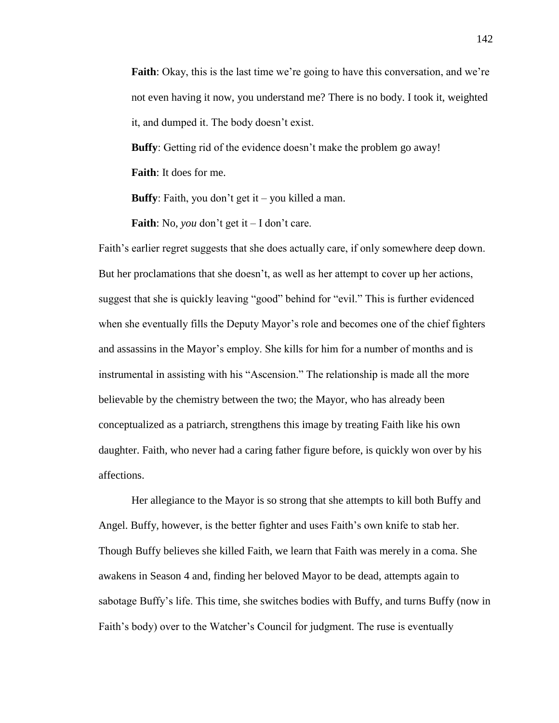**Faith**: Okay, this is the last time we're going to have this conversation, and we're not even having it now, you understand me? There is no body. I took it, weighted it, and dumped it. The body doesn't exist.

**Buffy**: Getting rid of the evidence doesn't make the problem go away!

**Faith**: It does for me.

**Buffy**: Faith, you don't get it – you killed a man.

**Faith**: No, *you* don't get it – I don't care.

Faith's earlier regret suggests that she does actually care, if only somewhere deep down. But her proclamations that she doesn't, as well as her attempt to cover up her actions, suggest that she is quickly leaving "good" behind for "evil." This is further evidenced when she eventually fills the Deputy Mayor's role and becomes one of the chief fighters and assassins in the Mayor's employ. She kills for him for a number of months and is instrumental in assisting with his "Ascension." The relationship is made all the more believable by the chemistry between the two; the Mayor, who has already been conceptualized as a patriarch, strengthens this image by treating Faith like his own daughter. Faith, who never had a caring father figure before, is quickly won over by his affections.

Her allegiance to the Mayor is so strong that she attempts to kill both Buffy and Angel. Buffy, however, is the better fighter and uses Faith's own knife to stab her. Though Buffy believes she killed Faith, we learn that Faith was merely in a coma. She awakens in Season 4 and, finding her beloved Mayor to be dead, attempts again to sabotage Buffy's life. This time, she switches bodies with Buffy, and turns Buffy (now in Faith's body) over to the Watcher's Council for judgment. The ruse is eventually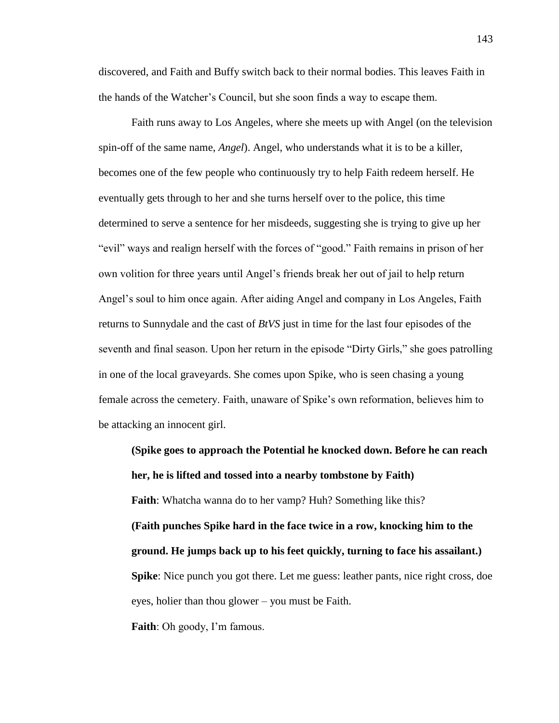discovered, and Faith and Buffy switch back to their normal bodies. This leaves Faith in the hands of the Watcher's Council, but she soon finds a way to escape them.

Faith runs away to Los Angeles, where she meets up with Angel (on the television spin-off of the same name, *Angel*). Angel, who understands what it is to be a killer, becomes one of the few people who continuously try to help Faith redeem herself. He eventually gets through to her and she turns herself over to the police, this time determined to serve a sentence for her misdeeds, suggesting she is trying to give up her "evil" ways and realign herself with the forces of "good." Faith remains in prison of her own volition for three years until Angel's friends break her out of jail to help return Angel's soul to him once again. After aiding Angel and company in Los Angeles, Faith returns to Sunnydale and the cast of *BtVS* just in time for the last four episodes of the seventh and final season. Upon her return in the episode "Dirty Girls," she goes patrolling in one of the local graveyards. She comes upon Spike, who is seen chasing a young female across the cemetery. Faith, unaware of Spike's own reformation, believes him to be attacking an innocent girl.

**(Spike goes to approach the Potential he knocked down. Before he can reach her, he is lifted and tossed into a nearby tombstone by Faith) Faith**: Whatcha wanna do to her vamp? Huh? Something like this? **(Faith punches Spike hard in the face twice in a row, knocking him to the ground. He jumps back up to his feet quickly, turning to face his assailant.) Spike**: Nice punch you got there. Let me guess: leather pants, nice right cross, doe eyes, holier than thou glower – you must be Faith. **Faith**: Oh goody, I'm famous.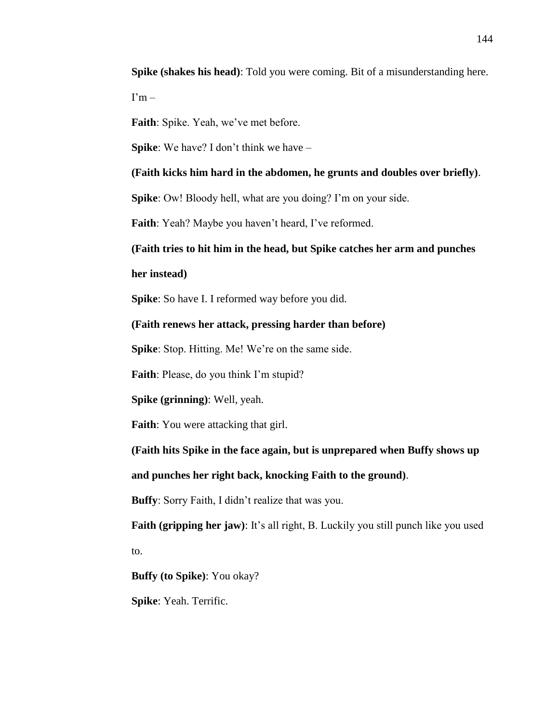**Spike (shakes his head)**: Told you were coming. Bit of a misunderstanding here.

 $\Gamma$ m –

**Faith**: Spike. Yeah, we've met before.

**Spike**: We have? I don't think we have –

**(Faith kicks him hard in the abdomen, he grunts and doubles over briefly)**.

**Spike**: Ow! Bloody hell, what are you doing? I'm on your side.

**Faith**: Yeah? Maybe you haven't heard, I've reformed.

**(Faith tries to hit him in the head, but Spike catches her arm and punches** 

**her instead)**

**Spike**: So have I. I reformed way before you did.

**(Faith renews her attack, pressing harder than before)**

**Spike**: Stop. Hitting. Me! We're on the same side.

**Faith**: Please, do you think I'm stupid?

**Spike (grinning)**: Well, yeah.

**Faith**: You were attacking that girl.

**(Faith hits Spike in the face again, but is unprepared when Buffy shows up** 

**and punches her right back, knocking Faith to the ground)**.

**Buffy**: Sorry Faith, I didn't realize that was you.

**Faith (gripping her jaw)**: It's all right, B. Luckily you still punch like you used to.

**Buffy (to Spike)**: You okay?

**Spike**: Yeah. Terrific.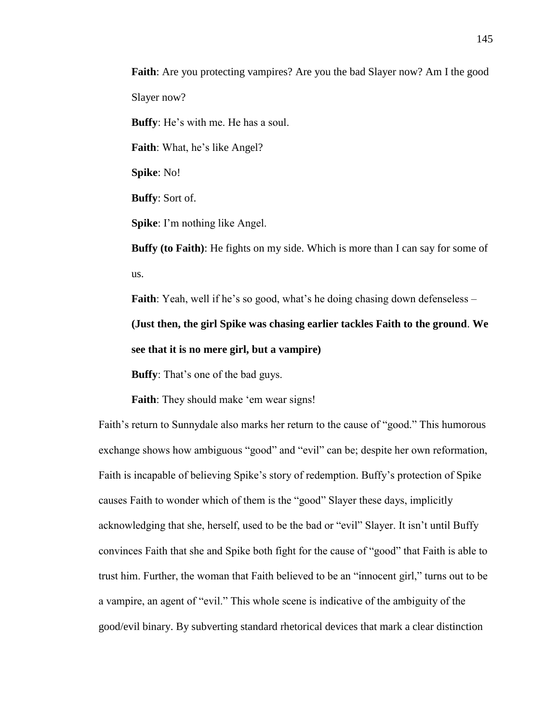**Faith**: Are you protecting vampires? Are you the bad Slayer now? Am I the good Slayer now?

**Buffy**: He's with me. He has a soul.

**Faith**: What, he's like Angel?

**Spike**: No!

**Buffy**: Sort of.

**Spike**: I'm nothing like Angel.

**Buffy (to Faith)**: He fights on my side. Which is more than I can say for some of us.

**Faith**: Yeah, well if he's so good, what's he doing chasing down defenseless – **(Just then, the girl Spike was chasing earlier tackles Faith to the ground**. **We see that it is no mere girl, but a vampire)**

**Buffy**: That's one of the bad guys.

**Faith:** They should make 'em wear signs!

Faith's return to Sunnydale also marks her return to the cause of "good." This humorous exchange shows how ambiguous "good" and "evil" can be; despite her own reformation, Faith is incapable of believing Spike's story of redemption. Buffy's protection of Spike causes Faith to wonder which of them is the "good" Slayer these days, implicitly acknowledging that she, herself, used to be the bad or "evil" Slayer. It isn't until Buffy convinces Faith that she and Spike both fight for the cause of "good" that Faith is able to trust him. Further, the woman that Faith believed to be an "innocent girl," turns out to be a vampire, an agent of "evil." This whole scene is indicative of the ambiguity of the good/evil binary. By subverting standard rhetorical devices that mark a clear distinction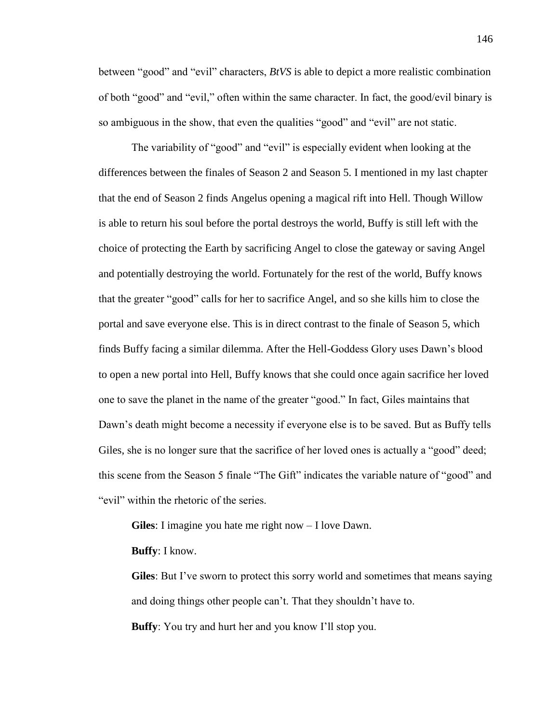between "good" and "evil" characters, *BtVS* is able to depict a more realistic combination of both "good" and "evil," often within the same character. In fact, the good/evil binary is so ambiguous in the show, that even the qualities "good" and "evil" are not static.

The variability of "good" and "evil" is especially evident when looking at the differences between the finales of Season 2 and Season 5. I mentioned in my last chapter that the end of Season 2 finds Angelus opening a magical rift into Hell. Though Willow is able to return his soul before the portal destroys the world, Buffy is still left with the choice of protecting the Earth by sacrificing Angel to close the gateway or saving Angel and potentially destroying the world. Fortunately for the rest of the world, Buffy knows that the greater "good" calls for her to sacrifice Angel, and so she kills him to close the portal and save everyone else. This is in direct contrast to the finale of Season 5, which finds Buffy facing a similar dilemma. After the Hell-Goddess Glory uses Dawn's blood to open a new portal into Hell, Buffy knows that she could once again sacrifice her loved one to save the planet in the name of the greater "good." In fact, Giles maintains that Dawn's death might become a necessity if everyone else is to be saved. But as Buffy tells Giles, she is no longer sure that the sacrifice of her loved ones is actually a "good" deed; this scene from the Season 5 finale "The Gift" indicates the variable nature of "good" and "evil" within the rhetoric of the series.

**Giles**: I imagine you hate me right now – I love Dawn.

**Buffy**: I know.

**Giles**: But I've sworn to protect this sorry world and sometimes that means saying and doing things other people can't. That they shouldn't have to. **Buffy**: You try and hurt her and you know I'll stop you.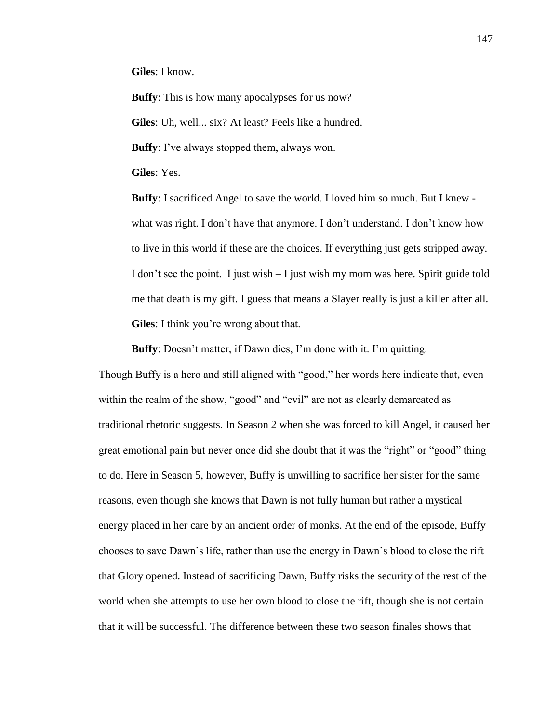**Giles**: I know.

**Buffy**: This is how many apocalypses for us now? **Giles**: Uh, well... six? At least? Feels like a hundred. **Buffy**: I've always stopped them, always won.

**Giles**: Yes.

**Buffy**: I sacrificed Angel to save the world. I loved him so much. But I knew what was right. I don't have that anymore. I don't understand. I don't know how to live in this world if these are the choices. If everything just gets stripped away. I don't see the point. I just wish – I just wish my mom was here. Spirit guide told me that death is my gift. I guess that means a Slayer really is just a killer after all. **Giles**: I think you're wrong about that.

**Buffy**: Doesn't matter, if Dawn dies, I'm done with it. I'm quitting.

Though Buffy is a hero and still aligned with "good," her words here indicate that, even within the realm of the show, "good" and "evil" are not as clearly demarcated as traditional rhetoric suggests. In Season 2 when she was forced to kill Angel, it caused her great emotional pain but never once did she doubt that it was the "right" or "good" thing to do. Here in Season 5, however, Buffy is unwilling to sacrifice her sister for the same reasons, even though she knows that Dawn is not fully human but rather a mystical energy placed in her care by an ancient order of monks. At the end of the episode, Buffy chooses to save Dawn's life, rather than use the energy in Dawn's blood to close the rift that Glory opened. Instead of sacrificing Dawn, Buffy risks the security of the rest of the world when she attempts to use her own blood to close the rift, though she is not certain that it will be successful. The difference between these two season finales shows that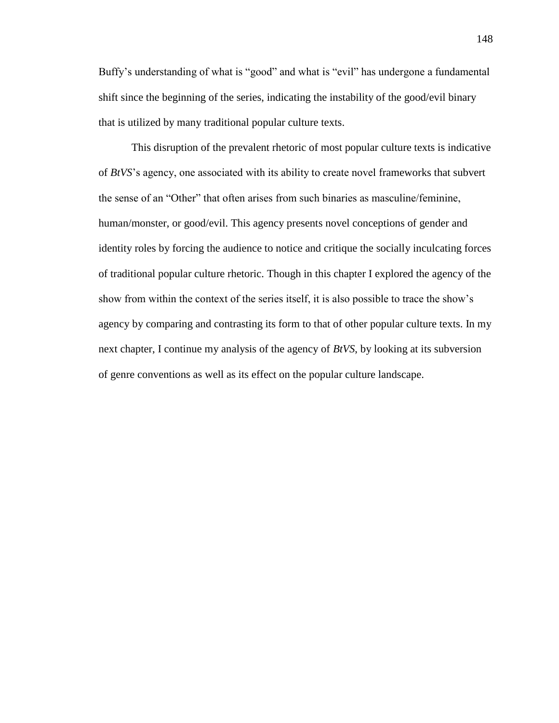Buffy's understanding of what is "good" and what is "evil" has undergone a fundamental shift since the beginning of the series, indicating the instability of the good/evil binary that is utilized by many traditional popular culture texts.

This disruption of the prevalent rhetoric of most popular culture texts is indicative of *BtVS*'s agency, one associated with its ability to create novel frameworks that subvert the sense of an "Other" that often arises from such binaries as masculine/feminine, human/monster, or good/evil. This agency presents novel conceptions of gender and identity roles by forcing the audience to notice and critique the socially inculcating forces of traditional popular culture rhetoric. Though in this chapter I explored the agency of the show from within the context of the series itself, it is also possible to trace the show's agency by comparing and contrasting its form to that of other popular culture texts. In my next chapter, I continue my analysis of the agency of *BtVS*, by looking at its subversion of genre conventions as well as its effect on the popular culture landscape.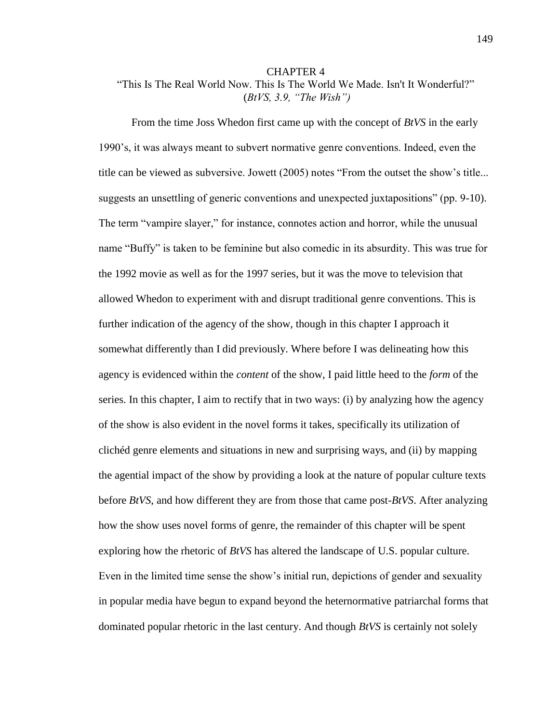# CHAPTER 4 "This Is The Real World Now. This Is The World We Made. Isn't It Wonderful?" (*BtVS, 3.9, "The Wish")*

From the time Joss Whedon first came up with the concept of *BtVS* in the early 1990's, it was always meant to subvert normative genre conventions. Indeed, even the title can be viewed as subversive. Jowett (2005) notes "From the outset the show's title... suggests an unsettling of generic conventions and unexpected juxtapositions" (pp. 9-10). The term "vampire slayer," for instance, connotes action and horror, while the unusual name "Buffy" is taken to be feminine but also comedic in its absurdity. This was true for the 1992 movie as well as for the 1997 series, but it was the move to television that allowed Whedon to experiment with and disrupt traditional genre conventions. This is further indication of the agency of the show, though in this chapter I approach it somewhat differently than I did previously. Where before I was delineating how this agency is evidenced within the *content* of the show, I paid little heed to the *form* of the series. In this chapter, I aim to rectify that in two ways: (i) by analyzing how the agency of the show is also evident in the novel forms it takes, specifically its utilization of clichéd genre elements and situations in new and surprising ways, and (ii) by mapping the agential impact of the show by providing a look at the nature of popular culture texts before *BtVS*, and how different they are from those that came post-*BtVS*. After analyzing how the show uses novel forms of genre, the remainder of this chapter will be spent exploring how the rhetoric of *BtVS* has altered the landscape of U.S. popular culture. Even in the limited time sense the show's initial run, depictions of gender and sexuality in popular media have begun to expand beyond the heternormative patriarchal forms that dominated popular rhetoric in the last century. And though *BtVS* is certainly not solely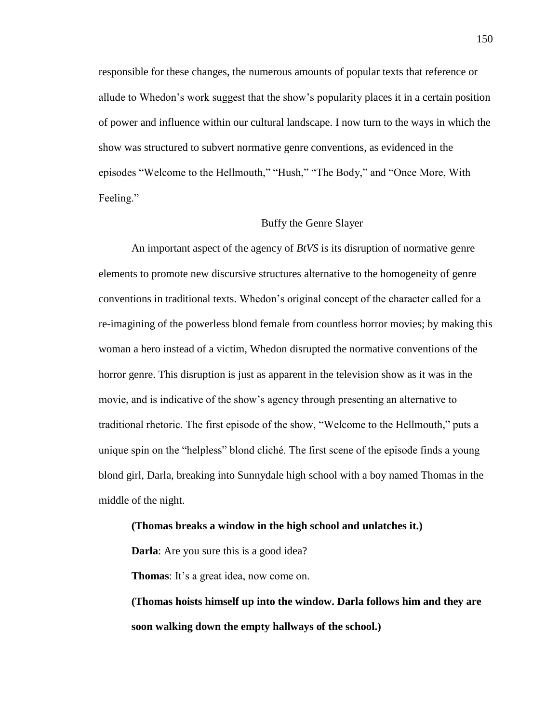responsible for these changes, the numerous amounts of popular texts that reference or allude to Whedon's work suggest that the show's popularity places it in a certain position of power and influence within our cultural landscape. I now turn to the ways in which the show was structured to subvert normative genre conventions, as evidenced in the episodes "Welcome to the Hellmouth," "Hush," "The Body," and "Once More, With Feeling."

### Buffy the Genre Slayer

An important aspect of the agency of *BtVS* is its disruption of normative genre elements to promote new discursive structures alternative to the homogeneity of genre conventions in traditional texts. Whedon's original concept of the character called for a re-imagining of the powerless blond female from countless horror movies; by making this woman a hero instead of a victim, Whedon disrupted the normative conventions of the horror genre. This disruption is just as apparent in the television show as it was in the movie, and is indicative of the show's agency through presenting an alternative to traditional rhetoric. The first episode of the show, "Welcome to the Hellmouth," puts a unique spin on the "helpless" blond cliché. The first scene of the episode finds a young blond girl, Darla, breaking into Sunnydale high school with a boy named Thomas in the middle of the night.

#### **(Thomas breaks a window in the high school and unlatches it.)**

**Darla**: Are you sure this is a good idea?

**Thomas**: It's a great idea, now come on.

**(Thomas hoists himself up into the window. Darla follows him and they are soon walking down the empty hallways of the school.)**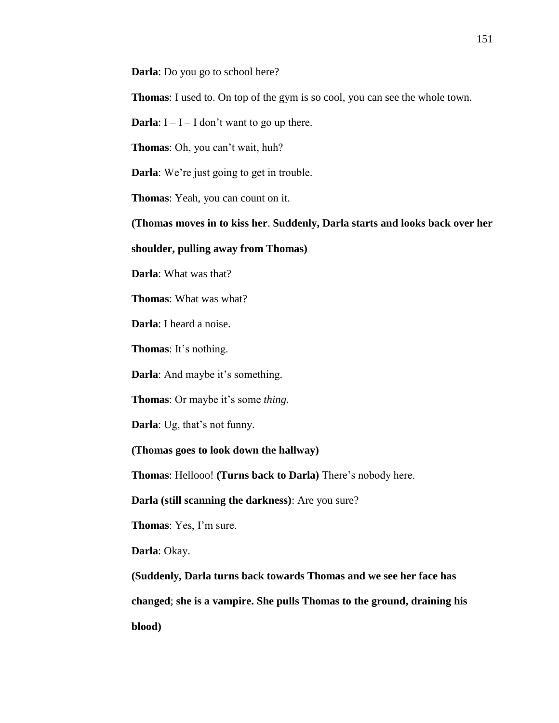**Darla**: Do you go to school here?

**Thomas**: I used to. On top of the gym is so cool, you can see the whole town.

**Darla**:  $I - I - I$  don't want to go up there.

**Thomas**: Oh, you can't wait, huh?

**Darla**: We're just going to get in trouble.

**Thomas**: Yeah, you can count on it.

**(Thomas moves in to kiss her**. **Suddenly, Darla starts and looks back over her** 

**shoulder, pulling away from Thomas)**

**Darla**: What was that?

**Thomas**: What was what?

**Darla**: I heard a noise.

**Thomas**: It's nothing.

**Darla**: And maybe it's something.

**Thomas**: Or maybe it's some *thing*.

**Darla**: Ug, that's not funny.

**(Thomas goes to look down the hallway)**

**Thomas**: Hellooo! **(Turns back to Darla)** There's nobody here.

**Darla (still scanning the darkness)**: Are you sure?

**Thomas**: Yes, I'm sure.

**Darla**: Okay.

**(Suddenly, Darla turns back towards Thomas and we see her face has changed**; **she is a vampire. She pulls Thomas to the ground, draining his blood)**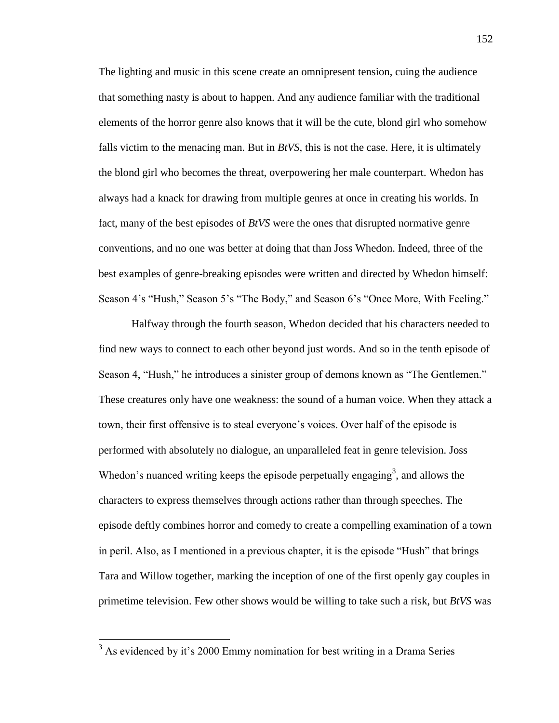The lighting and music in this scene create an omnipresent tension, cuing the audience that something nasty is about to happen. And any audience familiar with the traditional elements of the horror genre also knows that it will be the cute, blond girl who somehow falls victim to the menacing man. But in *BtVS*, this is not the case. Here, it is ultimately the blond girl who becomes the threat, overpowering her male counterpart. Whedon has always had a knack for drawing from multiple genres at once in creating his worlds. In fact, many of the best episodes of *BtVS* were the ones that disrupted normative genre conventions, and no one was better at doing that than Joss Whedon. Indeed, three of the best examples of genre-breaking episodes were written and directed by Whedon himself: Season 4's "Hush," Season 5's "The Body," and Season 6's "Once More, With Feeling."

Halfway through the fourth season, Whedon decided that his characters needed to find new ways to connect to each other beyond just words. And so in the tenth episode of Season 4, "Hush," he introduces a sinister group of demons known as "The Gentlemen." These creatures only have one weakness: the sound of a human voice. When they attack a town, their first offensive is to steal everyone's voices. Over half of the episode is performed with absolutely no dialogue, an unparalleled feat in genre television. Joss Whedon's nuanced writing keeps the episode perpetually engaging<sup>3</sup>, and allows the characters to express themselves through actions rather than through speeches. The episode deftly combines horror and comedy to create a compelling examination of a town in peril. Also, as I mentioned in a previous chapter, it is the episode "Hush" that brings Tara and Willow together, marking the inception of one of the first openly gay couples in primetime television. Few other shows would be willing to take such a risk, but *BtVS* was

 $\overline{a}$ 

 $3$  As evidenced by it's 2000 Emmy nomination for best writing in a Drama Series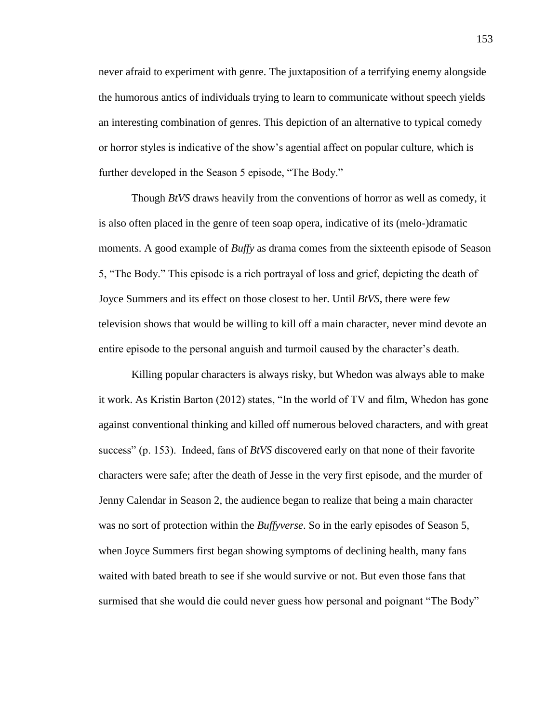never afraid to experiment with genre. The juxtaposition of a terrifying enemy alongside the humorous antics of individuals trying to learn to communicate without speech yields an interesting combination of genres. This depiction of an alternative to typical comedy or horror styles is indicative of the show's agential affect on popular culture, which is further developed in the Season 5 episode, "The Body."

Though *BtVS* draws heavily from the conventions of horror as well as comedy, it is also often placed in the genre of teen soap opera, indicative of its (melo-)dramatic moments. A good example of *Buffy* as drama comes from the sixteenth episode of Season 5, "The Body." This episode is a rich portrayal of loss and grief, depicting the death of Joyce Summers and its effect on those closest to her. Until *BtVS*, there were few television shows that would be willing to kill off a main character, never mind devote an entire episode to the personal anguish and turmoil caused by the character's death.

Killing popular characters is always risky, but Whedon was always able to make it work. As Kristin Barton (2012) states, "In the world of TV and film, Whedon has gone against conventional thinking and killed off numerous beloved characters, and with great success" (p. 153). Indeed, fans of *BtVS* discovered early on that none of their favorite characters were safe; after the death of Jesse in the very first episode, and the murder of Jenny Calendar in Season 2, the audience began to realize that being a main character was no sort of protection within the *Buffyverse*. So in the early episodes of Season 5, when Joyce Summers first began showing symptoms of declining health, many fans waited with bated breath to see if she would survive or not. But even those fans that surmised that she would die could never guess how personal and poignant "The Body"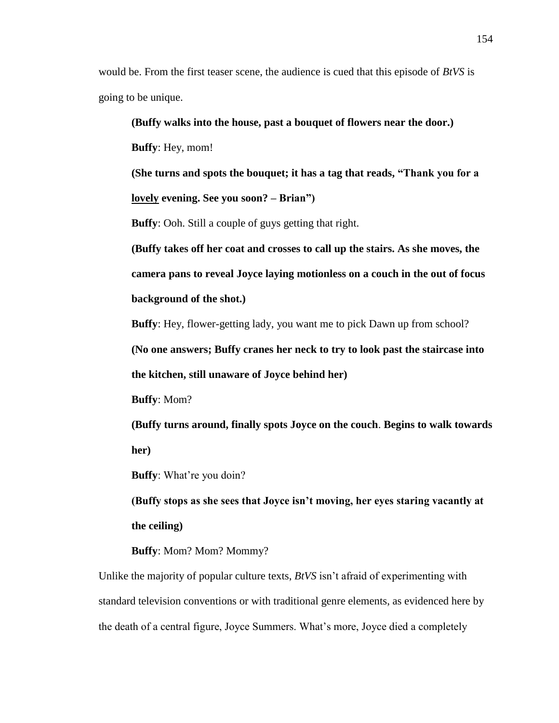would be. From the first teaser scene, the audience is cued that this episode of *BtVS* is going to be unique.

**(Buffy walks into the house, past a bouquet of flowers near the door.) Buffy**: Hey, mom! **(She turns and spots the bouquet; it has a tag that reads, "Thank you for a lovely evening. See you soon? – Brian") Buffy**: Ooh. Still a couple of guys getting that right. **(Buffy takes off her coat and crosses to call up the stairs. As she moves, the camera pans to reveal Joyce laying motionless on a couch in the out of focus background of the shot.) Buffy**: Hey, flower-getting lady, you want me to pick Dawn up from school? **(No one answers; Buffy cranes her neck to try to look past the staircase into the kitchen, still unaware of Joyce behind her) Buffy**: Mom? **(Buffy turns around, finally spots Joyce on the couch**. **Begins to walk towards** 

**her)**

**Buffy**: What're you doin?

**(Buffy stops as she sees that Joyce isn't moving, her eyes staring vacantly at the ceiling)**

**Buffy:** Mom? Mommy?

Unlike the majority of popular culture texts, *BtVS* isn't afraid of experimenting with standard television conventions or with traditional genre elements, as evidenced here by the death of a central figure, Joyce Summers. What's more, Joyce died a completely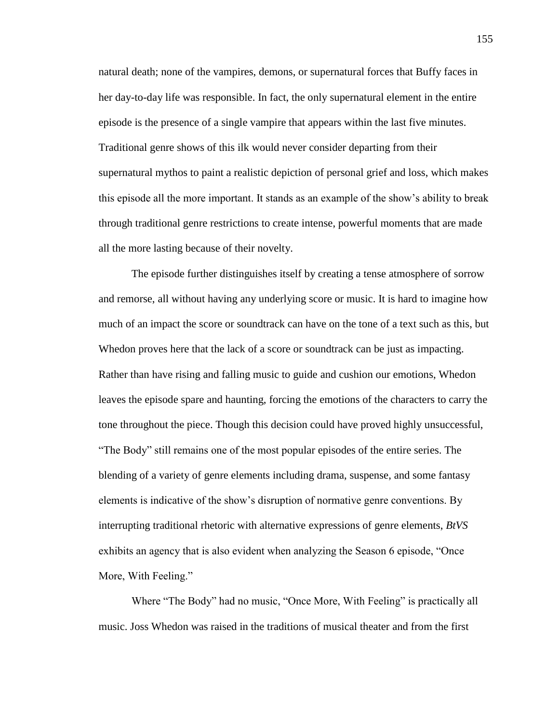natural death; none of the vampires, demons, or supernatural forces that Buffy faces in her day-to-day life was responsible. In fact, the only supernatural element in the entire episode is the presence of a single vampire that appears within the last five minutes. Traditional genre shows of this ilk would never consider departing from their supernatural mythos to paint a realistic depiction of personal grief and loss, which makes this episode all the more important. It stands as an example of the show's ability to break through traditional genre restrictions to create intense, powerful moments that are made all the more lasting because of their novelty.

The episode further distinguishes itself by creating a tense atmosphere of sorrow and remorse, all without having any underlying score or music. It is hard to imagine how much of an impact the score or soundtrack can have on the tone of a text such as this, but Whedon proves here that the lack of a score or soundtrack can be just as impacting. Rather than have rising and falling music to guide and cushion our emotions, Whedon leaves the episode spare and haunting, forcing the emotions of the characters to carry the tone throughout the piece. Though this decision could have proved highly unsuccessful, "The Body" still remains one of the most popular episodes of the entire series. The blending of a variety of genre elements including drama, suspense, and some fantasy elements is indicative of the show's disruption of normative genre conventions. By interrupting traditional rhetoric with alternative expressions of genre elements, *BtVS* exhibits an agency that is also evident when analyzing the Season 6 episode, "Once More, With Feeling."

Where "The Body" had no music, "Once More, With Feeling" is practically all music. Joss Whedon was raised in the traditions of musical theater and from the first

155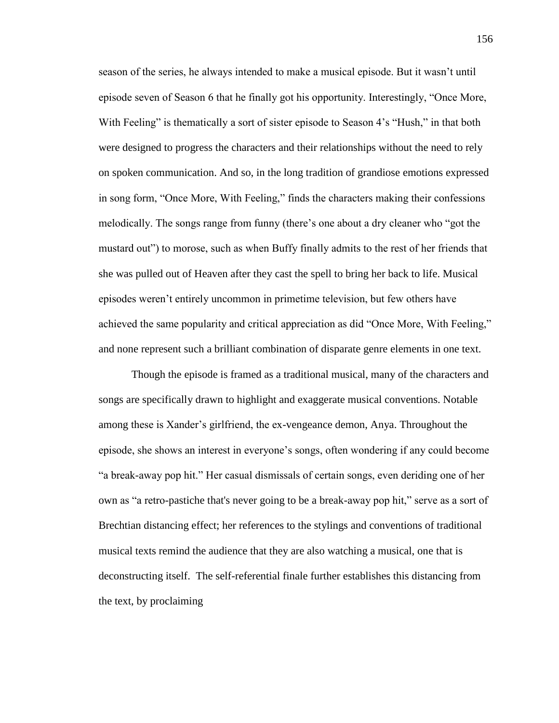season of the series, he always intended to make a musical episode. But it wasn't until episode seven of Season 6 that he finally got his opportunity. Interestingly, "Once More, With Feeling" is thematically a sort of sister episode to Season 4's "Hush," in that both were designed to progress the characters and their relationships without the need to rely on spoken communication. And so, in the long tradition of grandiose emotions expressed in song form, "Once More, With Feeling," finds the characters making their confessions melodically. The songs range from funny (there's one about a dry cleaner who "got the mustard out") to morose, such as when Buffy finally admits to the rest of her friends that she was pulled out of Heaven after they cast the spell to bring her back to life. Musical episodes weren't entirely uncommon in primetime television, but few others have achieved the same popularity and critical appreciation as did "Once More, With Feeling," and none represent such a brilliant combination of disparate genre elements in one text.

Though the episode is framed as a traditional musical, many of the characters and songs are specifically drawn to highlight and exaggerate musical conventions. Notable among these is Xander's girlfriend, the ex-vengeance demon, Anya. Throughout the episode, she shows an interest in everyone's songs, often wondering if any could become "a break-away pop hit." Her casual dismissals of certain songs, even deriding one of her own as "a retro-pastiche that's never going to be a break-away pop hit," serve as a sort of Brechtian distancing effect; her references to the stylings and conventions of traditional musical texts remind the audience that they are also watching a musical, one that is deconstructing itself. The self-referential finale further establishes this distancing from the text, by proclaiming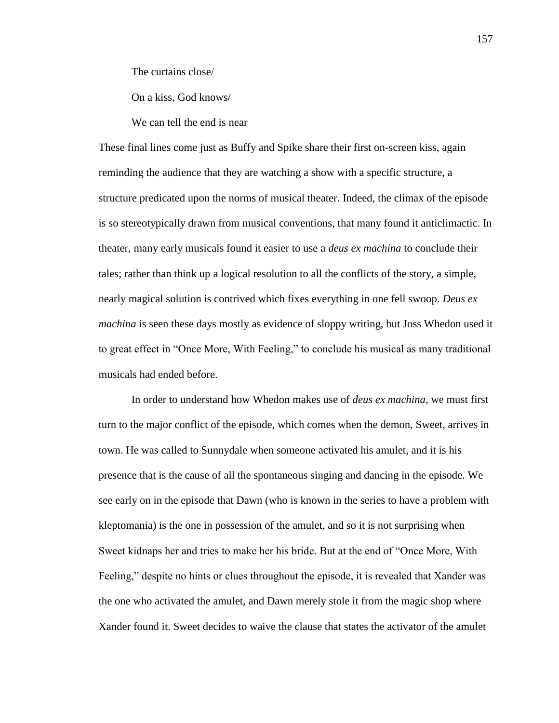The curtains close/

On a kiss, God knows/

We can tell the end is near

These final lines come just as Buffy and Spike share their first on-screen kiss, again reminding the audience that they are watching a show with a specific structure, a structure predicated upon the norms of musical theater. Indeed, the climax of the episode is so stereotypically drawn from musical conventions, that many found it anticlimactic. In theater, many early musicals found it easier to use a *deus ex machina* to conclude their tales; rather than think up a logical resolution to all the conflicts of the story, a simple, nearly magical solution is contrived which fixes everything in one fell swoop. *Deus ex machina* is seen these days mostly as evidence of sloppy writing, but Joss Whedon used it to great effect in "Once More, With Feeling," to conclude his musical as many traditional musicals had ended before.

In order to understand how Whedon makes use of *deus ex machina*, we must first turn to the major conflict of the episode, which comes when the demon, Sweet, arrives in town. He was called to Sunnydale when someone activated his amulet, and it is his presence that is the cause of all the spontaneous singing and dancing in the episode. We see early on in the episode that Dawn (who is known in the series to have a problem with kleptomania) is the one in possession of the amulet, and so it is not surprising when Sweet kidnaps her and tries to make her his bride. But at the end of "Once More, With Feeling," despite no hints or clues throughout the episode, it is revealed that Xander was the one who activated the amulet, and Dawn merely stole it from the magic shop where Xander found it. Sweet decides to waive the clause that states the activator of the amulet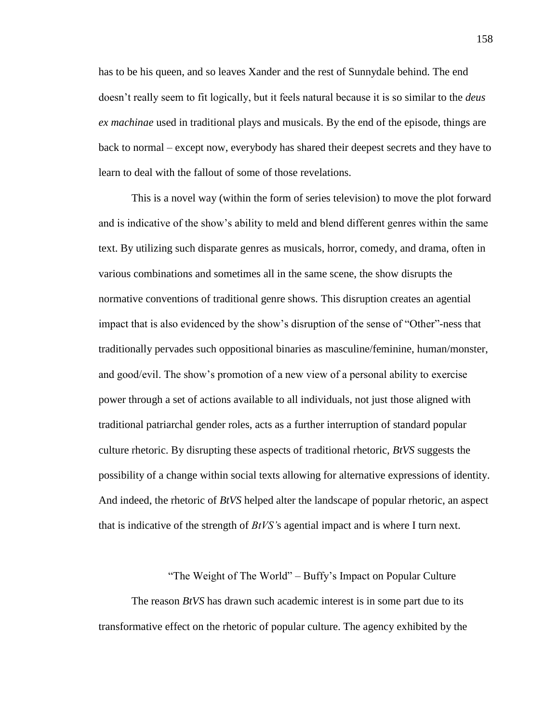has to be his queen, and so leaves Xander and the rest of Sunnydale behind. The end doesn't really seem to fit logically, but it feels natural because it is so similar to the *deus ex machinae* used in traditional plays and musicals. By the end of the episode, things are back to normal – except now, everybody has shared their deepest secrets and they have to learn to deal with the fallout of some of those revelations.

This is a novel way (within the form of series television) to move the plot forward and is indicative of the show's ability to meld and blend different genres within the same text. By utilizing such disparate genres as musicals, horror, comedy, and drama, often in various combinations and sometimes all in the same scene, the show disrupts the normative conventions of traditional genre shows. This disruption creates an agential impact that is also evidenced by the show's disruption of the sense of "Other"-ness that traditionally pervades such oppositional binaries as masculine/feminine, human/monster, and good/evil. The show's promotion of a new view of a personal ability to exercise power through a set of actions available to all individuals, not just those aligned with traditional patriarchal gender roles, acts as a further interruption of standard popular culture rhetoric. By disrupting these aspects of traditional rhetoric, *BtVS* suggests the possibility of a change within social texts allowing for alternative expressions of identity. And indeed, the rhetoric of *BtVS* helped alter the landscape of popular rhetoric, an aspect that is indicative of the strength of *BtVS'*s agential impact and is where I turn next.

"The Weight of The World" – Buffy's Impact on Popular Culture

The reason *BtVS* has drawn such academic interest is in some part due to its transformative effect on the rhetoric of popular culture. The agency exhibited by the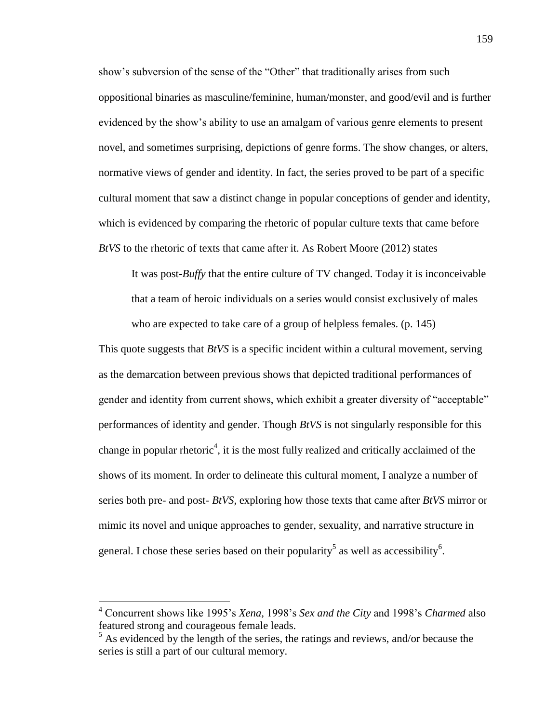show's subversion of the sense of the "Other" that traditionally arises from such oppositional binaries as masculine/feminine, human/monster, and good/evil and is further evidenced by the show's ability to use an amalgam of various genre elements to present novel, and sometimes surprising, depictions of genre forms. The show changes, or alters, normative views of gender and identity. In fact, the series proved to be part of a specific cultural moment that saw a distinct change in popular conceptions of gender and identity, which is evidenced by comparing the rhetoric of popular culture texts that came before *BtVS* to the rhetoric of texts that came after it. As Robert Moore (2012) states

It was post-*Buffy* that the entire culture of TV changed. Today it is inconceivable that a team of heroic individuals on a series would consist exclusively of males who are expected to take care of a group of helpless females. (p. 145)

This quote suggests that *BtVS* is a specific incident within a cultural movement, serving as the demarcation between previous shows that depicted traditional performances of gender and identity from current shows, which exhibit a greater diversity of "acceptable" performances of identity and gender. Though *BtVS* is not singularly responsible for this change in popular rhetoric<sup>4</sup>, it is the most fully realized and critically acclaimed of the shows of its moment. In order to delineate this cultural moment, I analyze a number of series both pre- and post- *BtVS*, exploring how those texts that came after *BtVS* mirror or mimic its novel and unique approaches to gender, sexuality, and narrative structure in general. I chose these series based on their popularity<sup>5</sup> as well as accessibility<sup>6</sup>.

 $\overline{a}$ 

<sup>4</sup> Concurrent shows like 1995's *Xena,* 1998's *Sex and the City* and 1998's *Charmed* also featured strong and courageous female leads.

 $<sup>5</sup>$  As evidenced by the length of the series, the ratings and reviews, and/or because the</sup> series is still a part of our cultural memory.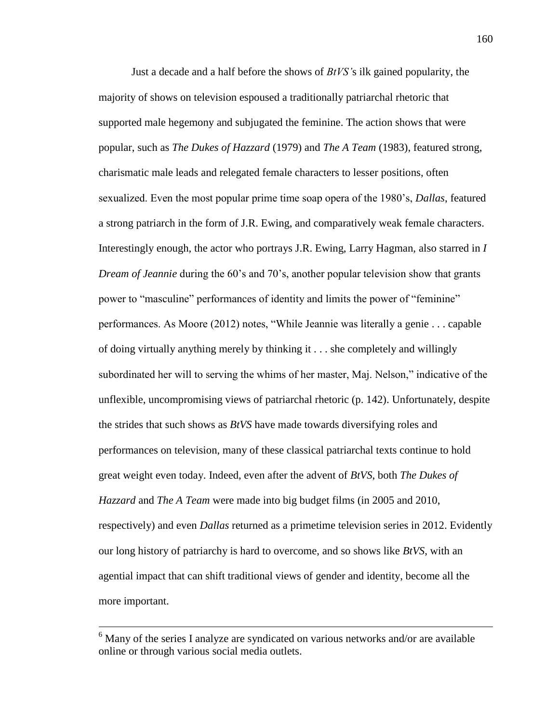Just a decade and a half before the shows of *BtVS'*s ilk gained popularity, the majority of shows on television espoused a traditionally patriarchal rhetoric that supported male hegemony and subjugated the feminine. The action shows that were popular, such as *The Dukes of Hazzard* (1979) and *The A Team* (1983), featured strong, charismatic male leads and relegated female characters to lesser positions, often sexualized. Even the most popular prime time soap opera of the 1980's, *Dallas*, featured a strong patriarch in the form of J.R. Ewing, and comparatively weak female characters. Interestingly enough, the actor who portrays J.R. Ewing, Larry Hagman, also starred in *I Dream of Jeannie* during the 60's and 70's, another popular television show that grants power to "masculine" performances of identity and limits the power of "feminine" performances. As Moore (2012) notes, "While Jeannie was literally a genie . . . capable of doing virtually anything merely by thinking it . . . she completely and willingly subordinated her will to serving the whims of her master, Maj. Nelson," indicative of the unflexible, uncompromising views of patriarchal rhetoric (p. 142). Unfortunately, despite the strides that such shows as *BtVS* have made towards diversifying roles and performances on television, many of these classical patriarchal texts continue to hold great weight even today. Indeed, even after the advent of *BtVS*, both *The Dukes of Hazzard* and *The A Team* were made into big budget films (in 2005 and 2010, respectively) and even *Dallas* returned as a primetime television series in 2012. Evidently our long history of patriarchy is hard to overcome, and so shows like *BtVS*, with an agential impact that can shift traditional views of gender and identity, become all the more important.

 $\overline{a}$ 

 $6$  Many of the series I analyze are syndicated on various networks and/or are available online or through various social media outlets.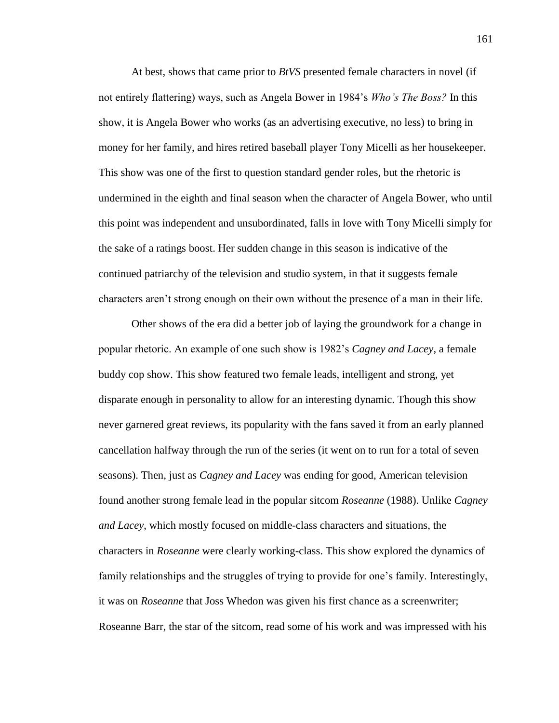At best, shows that came prior to *BtVS* presented female characters in novel (if not entirely flattering) ways, such as Angela Bower in 1984's *Who's The Boss?* In this show, it is Angela Bower who works (as an advertising executive, no less) to bring in money for her family, and hires retired baseball player Tony Micelli as her housekeeper. This show was one of the first to question standard gender roles, but the rhetoric is undermined in the eighth and final season when the character of Angela Bower, who until this point was independent and unsubordinated, falls in love with Tony Micelli simply for the sake of a ratings boost. Her sudden change in this season is indicative of the continued patriarchy of the television and studio system, in that it suggests female characters aren't strong enough on their own without the presence of a man in their life.

Other shows of the era did a better job of laying the groundwork for a change in popular rhetoric. An example of one such show is 1982's *Cagney and Lacey*, a female buddy cop show. This show featured two female leads, intelligent and strong, yet disparate enough in personality to allow for an interesting dynamic. Though this show never garnered great reviews, its popularity with the fans saved it from an early planned cancellation halfway through the run of the series (it went on to run for a total of seven seasons). Then, just as *Cagney and Lacey* was ending for good, American television found another strong female lead in the popular sitcom *Roseanne* (1988). Unlike *Cagney and Lacey*, which mostly focused on middle-class characters and situations, the characters in *Roseanne* were clearly working-class. This show explored the dynamics of family relationships and the struggles of trying to provide for one's family. Interestingly, it was on *Roseanne* that Joss Whedon was given his first chance as a screenwriter; Roseanne Barr, the star of the sitcom, read some of his work and was impressed with his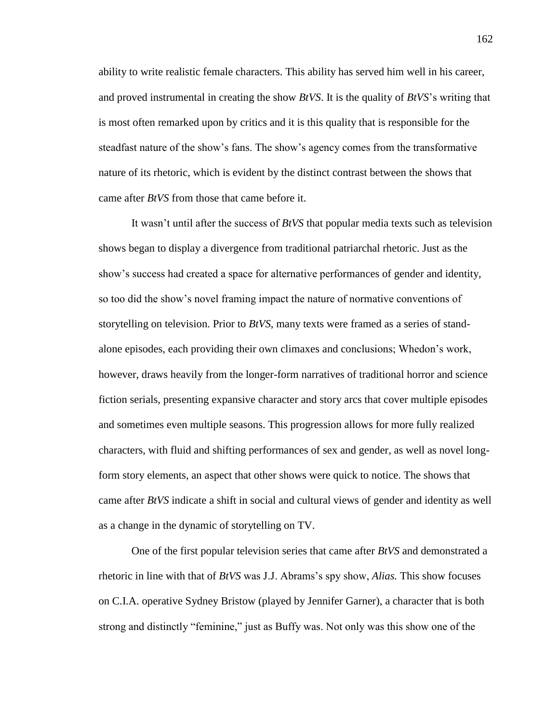ability to write realistic female characters. This ability has served him well in his career, and proved instrumental in creating the show *BtVS*. It is the quality of *BtVS*'s writing that is most often remarked upon by critics and it is this quality that is responsible for the steadfast nature of the show's fans. The show's agency comes from the transformative nature of its rhetoric, which is evident by the distinct contrast between the shows that came after *BtVS* from those that came before it.

It wasn't until after the success of *BtVS* that popular media texts such as television shows began to display a divergence from traditional patriarchal rhetoric. Just as the show's success had created a space for alternative performances of gender and identity, so too did the show's novel framing impact the nature of normative conventions of storytelling on television. Prior to *BtVS*, many texts were framed as a series of standalone episodes, each providing their own climaxes and conclusions; Whedon's work, however, draws heavily from the longer-form narratives of traditional horror and science fiction serials, presenting expansive character and story arcs that cover multiple episodes and sometimes even multiple seasons. This progression allows for more fully realized characters, with fluid and shifting performances of sex and gender, as well as novel longform story elements, an aspect that other shows were quick to notice. The shows that came after *BtVS* indicate a shift in social and cultural views of gender and identity as well as a change in the dynamic of storytelling on TV.

One of the first popular television series that came after *BtVS* and demonstrated a rhetoric in line with that of *BtVS* was J.J. Abrams's spy show, *Alias.* This show focuses on C.I.A. operative Sydney Bristow (played by Jennifer Garner), a character that is both strong and distinctly "feminine," just as Buffy was. Not only was this show one of the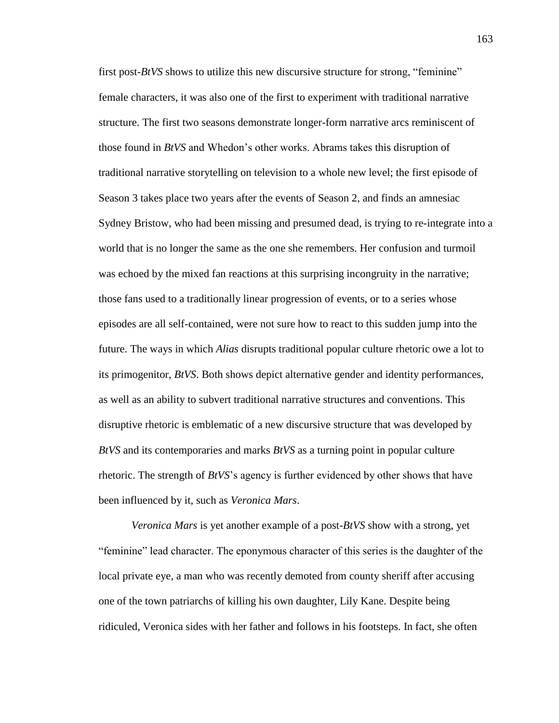first post-*BtVS* shows to utilize this new discursive structure for strong, "feminine" female characters, it was also one of the first to experiment with traditional narrative structure. The first two seasons demonstrate longer-form narrative arcs reminiscent of those found in *BtVS* and Whedon's other works. Abrams takes this disruption of traditional narrative storytelling on television to a whole new level; the first episode of Season 3 takes place two years after the events of Season 2, and finds an amnesiac Sydney Bristow, who had been missing and presumed dead, is trying to re-integrate into a world that is no longer the same as the one she remembers. Her confusion and turmoil was echoed by the mixed fan reactions at this surprising incongruity in the narrative; those fans used to a traditionally linear progression of events, or to a series whose episodes are all self-contained, were not sure how to react to this sudden jump into the future. The ways in which *Alias* disrupts traditional popular culture rhetoric owe a lot to its primogenitor, *BtVS*. Both shows depict alternative gender and identity performances, as well as an ability to subvert traditional narrative structures and conventions. This disruptive rhetoric is emblematic of a new discursive structure that was developed by *BtVS* and its contemporaries and marks *BtVS* as a turning point in popular culture rhetoric. The strength of *BtVS*'s agency is further evidenced by other shows that have been influenced by it, such as *Veronica Mars*.

*Veronica Mars* is yet another example of a post-*BtVS* show with a strong, yet "feminine" lead character. The eponymous character of this series is the daughter of the local private eye, a man who was recently demoted from county sheriff after accusing one of the town patriarchs of killing his own daughter, Lily Kane. Despite being ridiculed, Veronica sides with her father and follows in his footsteps. In fact, she often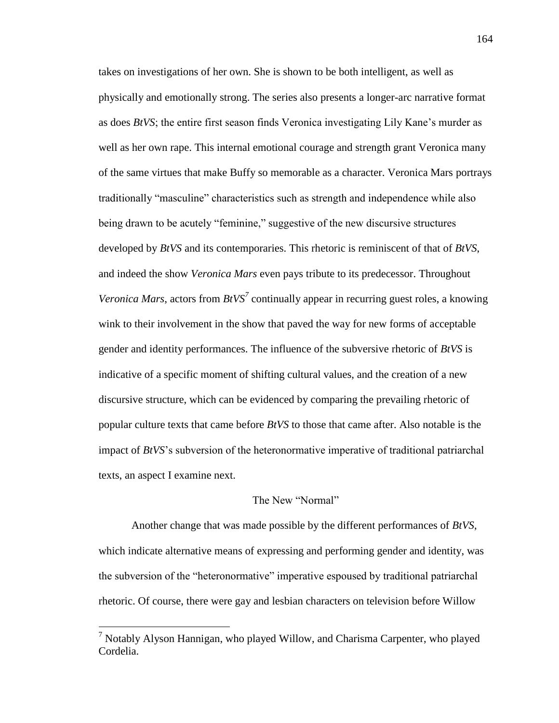takes on investigations of her own. She is shown to be both intelligent, as well as physically and emotionally strong. The series also presents a longer-arc narrative format as does *BtVS*; the entire first season finds Veronica investigating Lily Kane's murder as well as her own rape. This internal emotional courage and strength grant Veronica many of the same virtues that make Buffy so memorable as a character. Veronica Mars portrays traditionally "masculine" characteristics such as strength and independence while also being drawn to be acutely "feminine," suggestive of the new discursive structures developed by *BtVS* and its contemporaries. This rhetoric is reminiscent of that of *BtVS*, and indeed the show *Veronica Mars* even pays tribute to its predecessor. Throughout *Veronica Mars*, actors from *BtVS*<sup>7</sup> continually appear in recurring guest roles, a knowing wink to their involvement in the show that paved the way for new forms of acceptable gender and identity performances. The influence of the subversive rhetoric of *BtVS* is indicative of a specific moment of shifting cultural values, and the creation of a new discursive structure, which can be evidenced by comparing the prevailing rhetoric of popular culture texts that came before *BtVS* to those that came after. Also notable is the impact of *BtVS*'s subversion of the heteronormative imperative of traditional patriarchal texts, an aspect I examine next.

### The New "Normal"

Another change that was made possible by the different performances of *BtVS*, which indicate alternative means of expressing and performing gender and identity, was the subversion of the "heteronormative" imperative espoused by traditional patriarchal rhetoric. Of course, there were gay and lesbian characters on television before Willow

 $\overline{a}$ 

<sup>7</sup> Notably Alyson Hannigan, who played Willow, and Charisma Carpenter, who played Cordelia.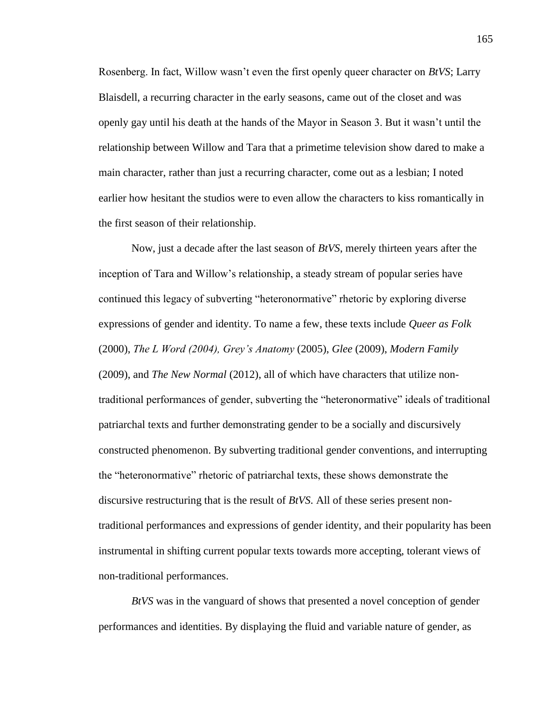Rosenberg. In fact, Willow wasn't even the first openly queer character on *BtVS*; Larry Blaisdell, a recurring character in the early seasons, came out of the closet and was openly gay until his death at the hands of the Mayor in Season 3. But it wasn't until the relationship between Willow and Tara that a primetime television show dared to make a main character, rather than just a recurring character, come out as a lesbian; I noted earlier how hesitant the studios were to even allow the characters to kiss romantically in the first season of their relationship.

Now, just a decade after the last season of *BtVS*, merely thirteen years after the inception of Tara and Willow's relationship, a steady stream of popular series have continued this legacy of subverting "heteronormative" rhetoric by exploring diverse expressions of gender and identity. To name a few, these texts include *Queer as Folk*  (2000), *The L Word (2004), Grey's Anatomy* (2005), *Glee* (2009), *Modern Family*  (2009), and *The New Normal* (2012), all of which have characters that utilize nontraditional performances of gender, subverting the "heteronormative" ideals of traditional patriarchal texts and further demonstrating gender to be a socially and discursively constructed phenomenon. By subverting traditional gender conventions, and interrupting the "heteronormative" rhetoric of patriarchal texts, these shows demonstrate the discursive restructuring that is the result of *BtVS*. All of these series present nontraditional performances and expressions of gender identity, and their popularity has been instrumental in shifting current popular texts towards more accepting, tolerant views of non-traditional performances.

*BtVS* was in the vanguard of shows that presented a novel conception of gender performances and identities. By displaying the fluid and variable nature of gender, as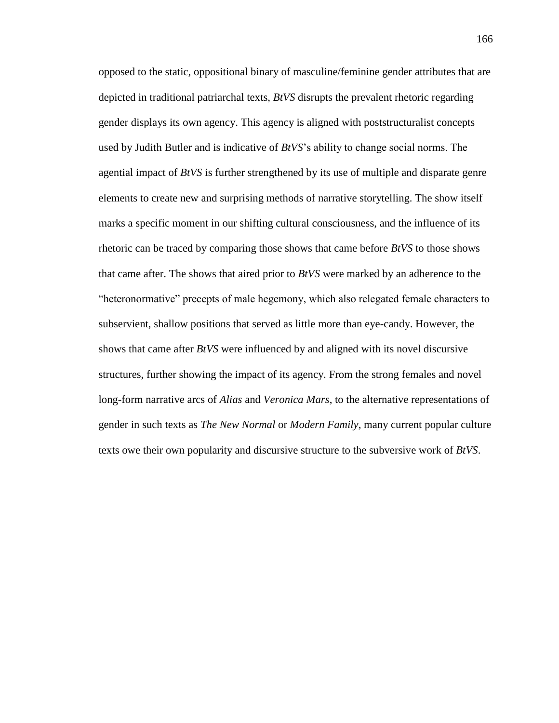opposed to the static, oppositional binary of masculine/feminine gender attributes that are depicted in traditional patriarchal texts, *BtVS* disrupts the prevalent rhetoric regarding gender displays its own agency. This agency is aligned with poststructuralist concepts used by Judith Butler and is indicative of *BtVS*'s ability to change social norms. The agential impact of *BtVS* is further strengthened by its use of multiple and disparate genre elements to create new and surprising methods of narrative storytelling. The show itself marks a specific moment in our shifting cultural consciousness, and the influence of its rhetoric can be traced by comparing those shows that came before *BtVS* to those shows that came after. The shows that aired prior to *BtVS* were marked by an adherence to the "heteronormative" precepts of male hegemony, which also relegated female characters to subservient, shallow positions that served as little more than eye-candy. However, the shows that came after *BtVS* were influenced by and aligned with its novel discursive structures, further showing the impact of its agency. From the strong females and novel long-form narrative arcs of *Alias* and *Veronica Mars*, to the alternative representations of gender in such texts as *The New Normal* or *Modern Family*, many current popular culture texts owe their own popularity and discursive structure to the subversive work of *BtVS*.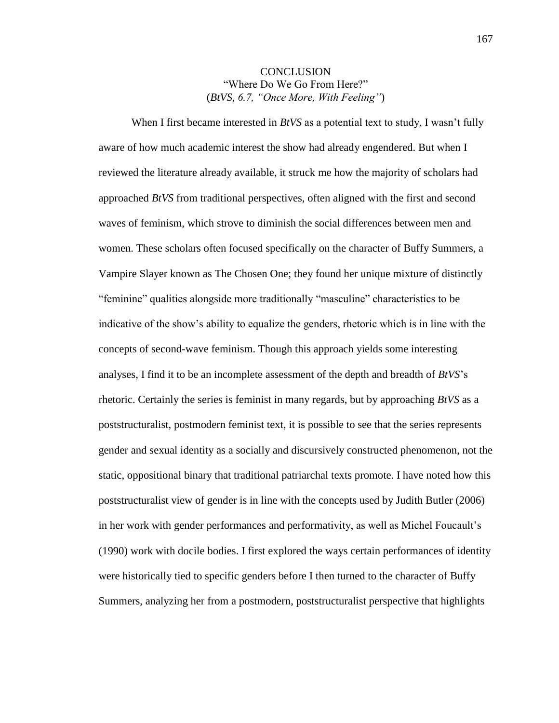## **CONCLUSION** "Where Do We Go From Here?" (*BtVS*, *6.7, "Once More, With Feeling"*)

When I first became interested in *BtVS* as a potential text to study, I wasn't fully aware of how much academic interest the show had already engendered. But when I reviewed the literature already available, it struck me how the majority of scholars had approached *BtVS* from traditional perspectives, often aligned with the first and second waves of feminism, which strove to diminish the social differences between men and women. These scholars often focused specifically on the character of Buffy Summers, a Vampire Slayer known as The Chosen One; they found her unique mixture of distinctly "feminine" qualities alongside more traditionally "masculine" characteristics to be indicative of the show's ability to equalize the genders, rhetoric which is in line with the concepts of second-wave feminism. Though this approach yields some interesting analyses, I find it to be an incomplete assessment of the depth and breadth of *BtVS*'s rhetoric. Certainly the series is feminist in many regards, but by approaching *BtVS* as a poststructuralist, postmodern feminist text, it is possible to see that the series represents gender and sexual identity as a socially and discursively constructed phenomenon, not the static, oppositional binary that traditional patriarchal texts promote. I have noted how this poststructuralist view of gender is in line with the concepts used by Judith Butler (2006) in her work with gender performances and performativity, as well as Michel Foucault's (1990) work with docile bodies. I first explored the ways certain performances of identity were historically tied to specific genders before I then turned to the character of Buffy Summers, analyzing her from a postmodern, poststructuralist perspective that highlights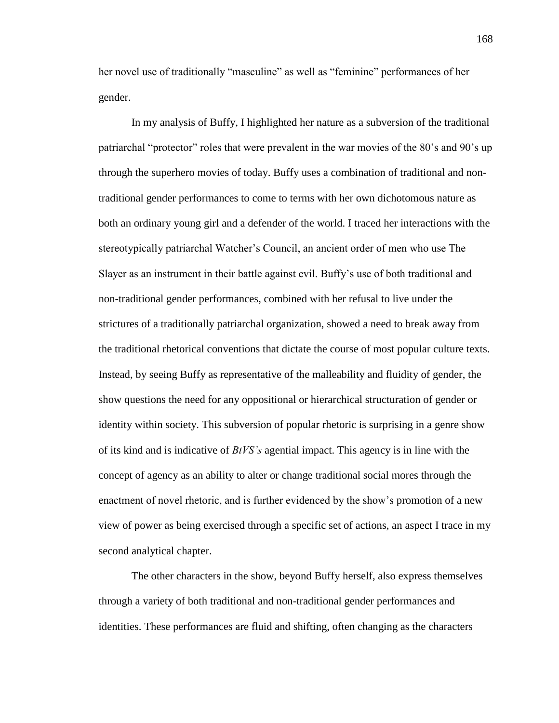her novel use of traditionally "masculine" as well as "feminine" performances of her gender.

In my analysis of Buffy, I highlighted her nature as a subversion of the traditional patriarchal "protector" roles that were prevalent in the war movies of the 80's and 90's up through the superhero movies of today. Buffy uses a combination of traditional and nontraditional gender performances to come to terms with her own dichotomous nature as both an ordinary young girl and a defender of the world. I traced her interactions with the stereotypically patriarchal Watcher's Council, an ancient order of men who use The Slayer as an instrument in their battle against evil. Buffy's use of both traditional and non-traditional gender performances, combined with her refusal to live under the strictures of a traditionally patriarchal organization, showed a need to break away from the traditional rhetorical conventions that dictate the course of most popular culture texts. Instead, by seeing Buffy as representative of the malleability and fluidity of gender, the show questions the need for any oppositional or hierarchical structuration of gender or identity within society. This subversion of popular rhetoric is surprising in a genre show of its kind and is indicative of *BtVS's* agential impact. This agency is in line with the concept of agency as an ability to alter or change traditional social mores through the enactment of novel rhetoric, and is further evidenced by the show's promotion of a new view of power as being exercised through a specific set of actions, an aspect I trace in my second analytical chapter.

The other characters in the show, beyond Buffy herself, also express themselves through a variety of both traditional and non-traditional gender performances and identities. These performances are fluid and shifting, often changing as the characters

168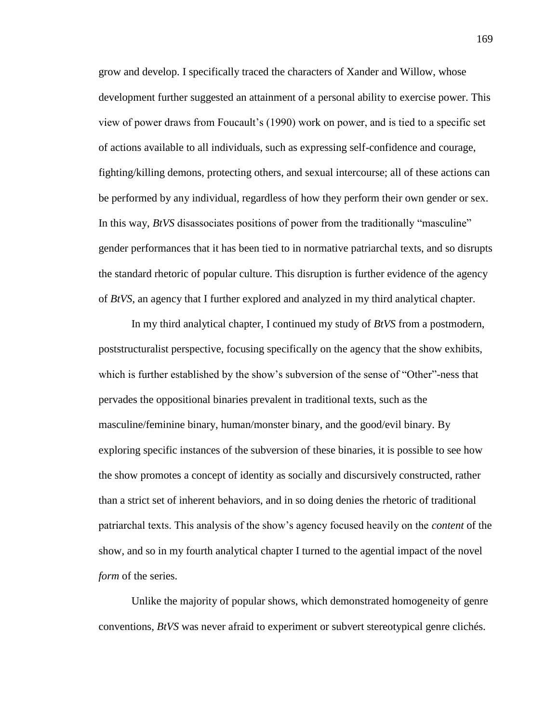grow and develop. I specifically traced the characters of Xander and Willow, whose development further suggested an attainment of a personal ability to exercise power. This view of power draws from Foucault's (1990) work on power, and is tied to a specific set of actions available to all individuals, such as expressing self-confidence and courage, fighting/killing demons, protecting others, and sexual intercourse; all of these actions can be performed by any individual, regardless of how they perform their own gender or sex. In this way, *BtVS* disassociates positions of power from the traditionally "masculine" gender performances that it has been tied to in normative patriarchal texts, and so disrupts the standard rhetoric of popular culture. This disruption is further evidence of the agency of *BtVS*, an agency that I further explored and analyzed in my third analytical chapter.

In my third analytical chapter, I continued my study of *BtVS* from a postmodern, poststructuralist perspective, focusing specifically on the agency that the show exhibits, which is further established by the show's subversion of the sense of "Other"-ness that pervades the oppositional binaries prevalent in traditional texts, such as the masculine/feminine binary, human/monster binary, and the good/evil binary. By exploring specific instances of the subversion of these binaries, it is possible to see how the show promotes a concept of identity as socially and discursively constructed, rather than a strict set of inherent behaviors, and in so doing denies the rhetoric of traditional patriarchal texts. This analysis of the show's agency focused heavily on the *content* of the show, and so in my fourth analytical chapter I turned to the agential impact of the novel *form* of the series.

Unlike the majority of popular shows, which demonstrated homogeneity of genre conventions, *BtVS* was never afraid to experiment or subvert stereotypical genre clichés.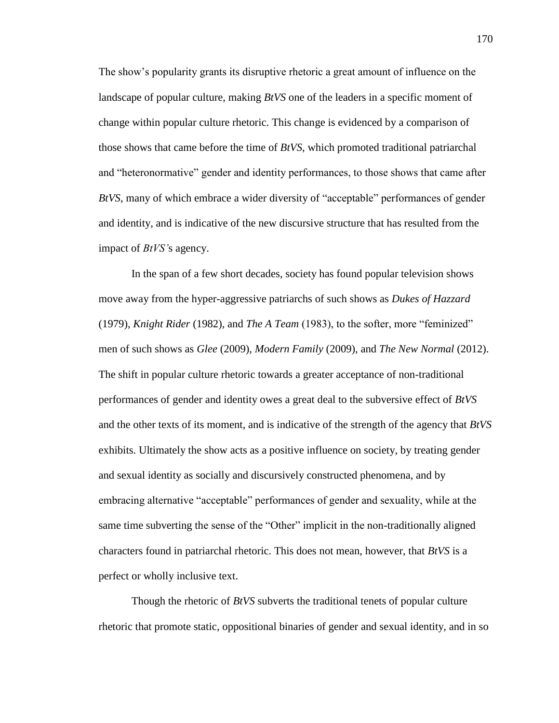The show's popularity grants its disruptive rhetoric a great amount of influence on the landscape of popular culture, making *BtVS* one of the leaders in a specific moment of change within popular culture rhetoric. This change is evidenced by a comparison of those shows that came before the time of *BtVS*, which promoted traditional patriarchal and "heteronormative" gender and identity performances, to those shows that came after *BtVS*, many of which embrace a wider diversity of "acceptable" performances of gender and identity, and is indicative of the new discursive structure that has resulted from the impact of *BtVS'*s agency.

In the span of a few short decades, society has found popular television shows move away from the hyper-aggressive patriarchs of such shows as *Dukes of Hazzard*  (1979), *Knight Rider* (1982), and *The A Team* (1983), to the softer, more "feminized" men of such shows as *Glee* (2009), *Modern Family* (2009), and *The New Normal* (2012). The shift in popular culture rhetoric towards a greater acceptance of non-traditional performances of gender and identity owes a great deal to the subversive effect of *BtVS* and the other texts of its moment, and is indicative of the strength of the agency that *BtVS* exhibits. Ultimately the show acts as a positive influence on society, by treating gender and sexual identity as socially and discursively constructed phenomena, and by embracing alternative "acceptable" performances of gender and sexuality, while at the same time subverting the sense of the "Other" implicit in the non-traditionally aligned characters found in patriarchal rhetoric. This does not mean, however, that *BtVS* is a perfect or wholly inclusive text.

Though the rhetoric of *BtVS* subverts the traditional tenets of popular culture rhetoric that promote static, oppositional binaries of gender and sexual identity, and in so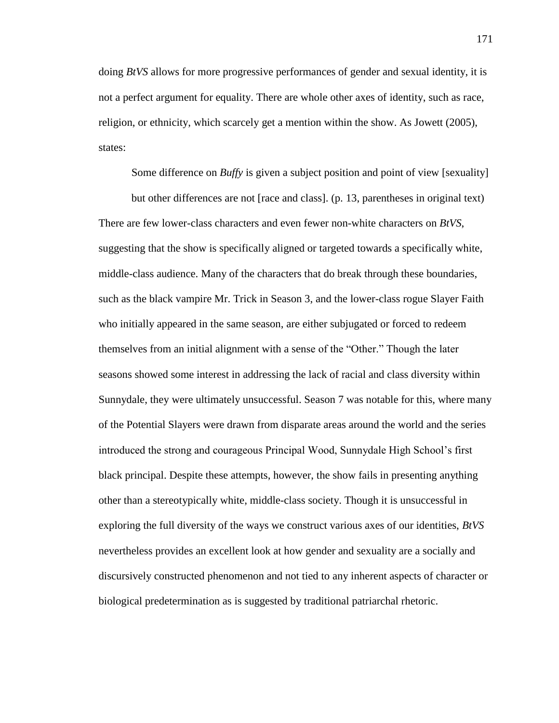doing *BtVS* allows for more progressive performances of gender and sexual identity, it is not a perfect argument for equality. There are whole other axes of identity, such as race, religion, or ethnicity, which scarcely get a mention within the show. As Jowett (2005), states:

Some difference on *Buffy* is given a subject position and point of view [sexuality]

but other differences are not [race and class]. (p. 13, parentheses in original text) There are few lower-class characters and even fewer non-white characters on *BtVS*, suggesting that the show is specifically aligned or targeted towards a specifically white, middle-class audience. Many of the characters that do break through these boundaries, such as the black vampire Mr. Trick in Season 3, and the lower-class rogue Slayer Faith who initially appeared in the same season, are either subjugated or forced to redeem themselves from an initial alignment with a sense of the "Other." Though the later seasons showed some interest in addressing the lack of racial and class diversity within Sunnydale, they were ultimately unsuccessful. Season 7 was notable for this, where many of the Potential Slayers were drawn from disparate areas around the world and the series introduced the strong and courageous Principal Wood, Sunnydale High School's first black principal. Despite these attempts, however, the show fails in presenting anything other than a stereotypically white, middle-class society. Though it is unsuccessful in exploring the full diversity of the ways we construct various axes of our identities, *BtVS*  nevertheless provides an excellent look at how gender and sexuality are a socially and discursively constructed phenomenon and not tied to any inherent aspects of character or biological predetermination as is suggested by traditional patriarchal rhetoric.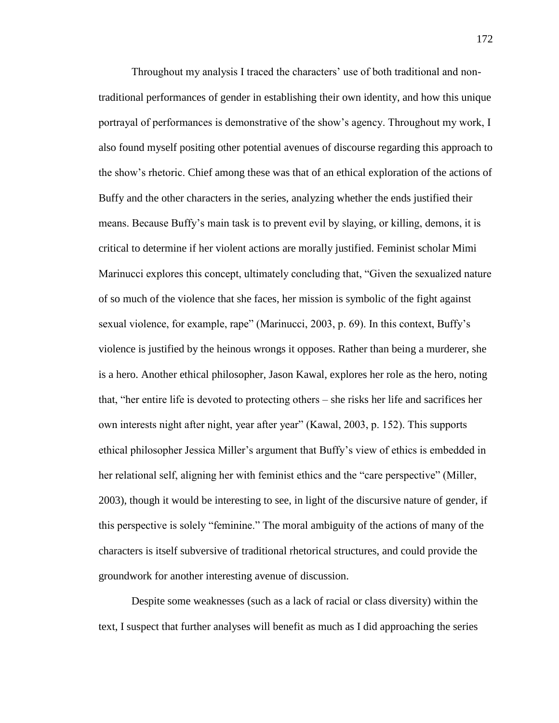Throughout my analysis I traced the characters' use of both traditional and nontraditional performances of gender in establishing their own identity, and how this unique portrayal of performances is demonstrative of the show's agency. Throughout my work, I also found myself positing other potential avenues of discourse regarding this approach to the show's rhetoric. Chief among these was that of an ethical exploration of the actions of Buffy and the other characters in the series, analyzing whether the ends justified their means. Because Buffy's main task is to prevent evil by slaying, or killing, demons, it is critical to determine if her violent actions are morally justified. Feminist scholar Mimi Marinucci explores this concept, ultimately concluding that, "Given the sexualized nature of so much of the violence that she faces, her mission is symbolic of the fight against sexual violence, for example, rape" (Marinucci, 2003, p. 69). In this context, Buffy's violence is justified by the heinous wrongs it opposes. Rather than being a murderer, she is a hero. Another ethical philosopher, Jason Kawal, explores her role as the hero, noting that, "her entire life is devoted to protecting others – she risks her life and sacrifices her own interests night after night, year after year" (Kawal, 2003, p. 152). This supports ethical philosopher Jessica Miller's argument that Buffy's view of ethics is embedded in her relational self, aligning her with feminist ethics and the "care perspective" (Miller, 2003), though it would be interesting to see, in light of the discursive nature of gender, if this perspective is solely "feminine." The moral ambiguity of the actions of many of the characters is itself subversive of traditional rhetorical structures, and could provide the groundwork for another interesting avenue of discussion.

Despite some weaknesses (such as a lack of racial or class diversity) within the text, I suspect that further analyses will benefit as much as I did approaching the series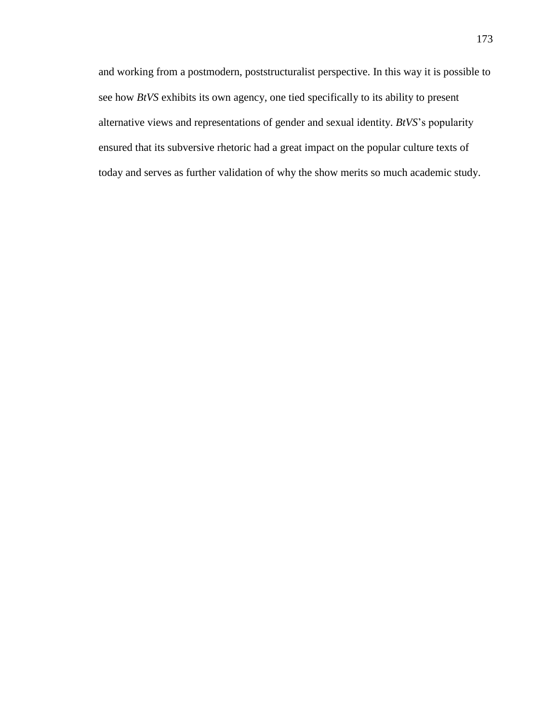and working from a postmodern, poststructuralist perspective. In this way it is possible to see how *BtVS* exhibits its own agency, one tied specifically to its ability to present alternative views and representations of gender and sexual identity. *BtVS*'s popularity ensured that its subversive rhetoric had a great impact on the popular culture texts of today and serves as further validation of why the show merits so much academic study.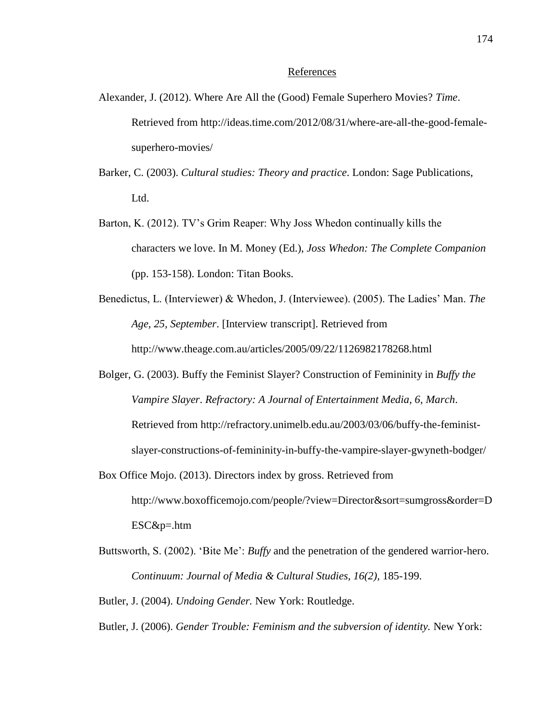#### References

- Alexander, J. (2012). Where Are All the (Good) Female Superhero Movies? *Time*. Retrieved from http://ideas.time.com/2012/08/31/where-are-all-the-good-femalesuperhero-movies/
- Barker, C. (2003). *Cultural studies: Theory and practice*. London: Sage Publications, Ltd.
- Barton, K. (2012). TV's Grim Reaper: Why Joss Whedon continually kills the characters we love. In M. Money (Ed.), *Joss Whedon: The Complete Companion* (pp. 153-158). London: Titan Books.
- Benedictus, L. (Interviewer) & Whedon, J. (Interviewee). (2005). The Ladies' Man. *The Age, 25, September*. [Interview transcript]. Retrieved from http://www.theage.com.au/articles/2005/09/22/1126982178268.html
- Bolger, G. (2003). Buffy the Feminist Slayer? Construction of Femininity in *Buffy the Vampire Slayer*. *Refractory: A Journal of Entertainment Media, 6, March*. Retrieved from http://refractory.unimelb.edu.au/2003/03/06/buffy-the-feministslayer-constructions-of-femininity-in-buffy-the-vampire-slayer-gwyneth-bodger/
- Box Office Mojo. (2013). Directors index by gross. Retrieved from http://www.boxofficemojo.com/people/?view=Director&sort=sumgross&order=D ESC&p=.htm
- Buttsworth, S. (2002). 'Bite Me': *Buffy* and the penetration of the gendered warrior-hero. *Continuum: Journal of Media & Cultural Studies, 16(2),* 185-199.
- Butler, J. (2004). *Undoing Gender.* New York: Routledge.
- Butler, J. (2006). *Gender Trouble: Feminism and the subversion of identity.* New York: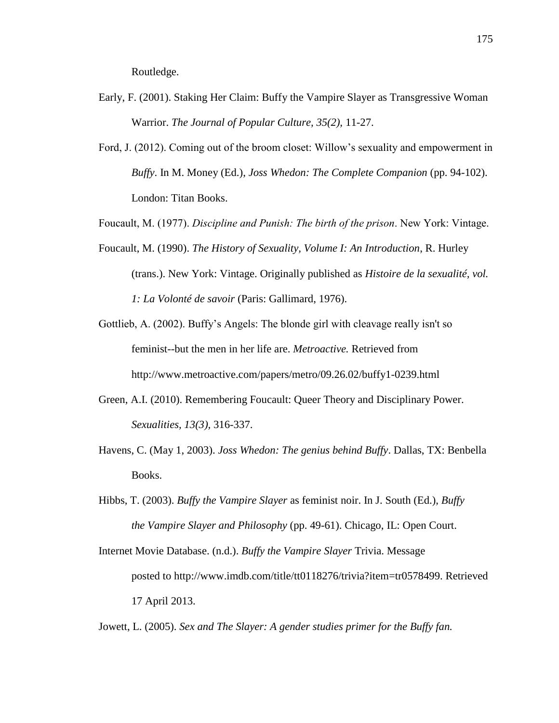Routledge.

- Early, F. (2001). Staking Her Claim: Buffy the Vampire Slayer as Transgressive Woman Warrior. *The Journal of Popular Culture, 35(2),* 11-27.
- Ford, J. (2012). Coming out of the broom closet: Willow's sexuality and empowerment in *Buffy*. In M. Money (Ed.), *Joss Whedon: The Complete Companion* (pp. 94-102). London: Titan Books.

Foucault, M. (1977). *Discipline and Punish: The birth of the prison*. New York: Vintage.

- Foucault, M. (1990). *The History of Sexuality, Volume I: An Introduction*, R. Hurley (trans.). New York: Vintage. Originally published as *Histoire de la sexualité, vol. 1: La Volonté de savoir* (Paris: Gallimard, 1976).
- Gottlieb, A. (2002). Buffy's Angels: The blonde girl with cleavage really isn't so feminist--but the men in her life are. *Metroactive.* Retrieved from http://www.metroactive.com/papers/metro/09.26.02/buffy1-0239.html
- Green, A.I. (2010). Remembering Foucault: Queer Theory and Disciplinary Power. *Sexualities, 13(3),* 316-337.
- Havens, C. (May 1, 2003). *Joss Whedon: The genius behind Buffy*. Dallas, TX: Benbella Books.
- Hibbs, T. (2003). *Buffy the Vampire Slayer* as feminist noir. In J. South (Ed.), *Buffy the Vampire Slayer and Philosophy* (pp. 49-61). Chicago, IL: Open Court.
- Internet Movie Database. (n.d.). *Buffy the Vampire Slayer* Trivia. Message posted to http://www.imdb.com/title/tt0118276/trivia?item=tr0578499. Retrieved 17 April 2013.

Jowett, L. (2005). *Sex and The Slayer: A gender studies primer for the Buffy fan.*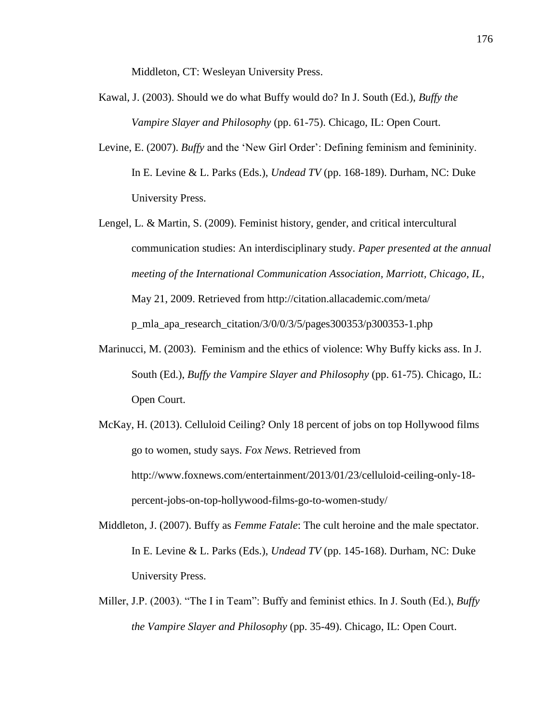Middleton, CT: Wesleyan University Press.

- Kawal, J. (2003). Should we do what Buffy would do? In J. South (Ed.), *Buffy the Vampire Slayer and Philosophy* (pp. 61-75). Chicago, IL: Open Court.
- Levine, E. (2007). *Buffy* and the 'New Girl Order': Defining feminism and femininity. In E. Levine & L. Parks (Eds.), *Undead TV* (pp. 168-189). Durham, NC: Duke University Press.
- Lengel, L. & Martin, S. (2009). Feminist history, gender, and critical intercultural communication studies: An interdisciplinary study. *Paper presented at the annual meeting of the International Communication Association, Marriott, Chicago, IL*, May 21, 2009. Retrieved from http://citation.allacademic.com/meta/ p\_mla\_apa\_research\_citation/3/0/0/3/5/pages300353/p300353-1.php
- Marinucci, M. (2003). Feminism and the ethics of violence: Why Buffy kicks ass. In J. South (Ed.), *Buffy the Vampire Slayer and Philosophy* (pp. 61-75). Chicago, IL: Open Court.
- McKay, H. (2013). Celluloid Ceiling? Only 18 percent of jobs on top Hollywood films go to women, study says. *Fox News*. Retrieved from http://www.foxnews.com/entertainment/2013/01/23/celluloid-ceiling-only-18 percent-jobs-on-top-hollywood-films-go-to-women-study/
- Middleton, J. (2007). Buffy as *Femme Fatale*: The cult heroine and the male spectator. In E. Levine & L. Parks (Eds.), *Undead TV* (pp. 145-168). Durham, NC: Duke University Press.
- Miller, J.P. (2003). "The I in Team": Buffy and feminist ethics. In J. South (Ed.), *Buffy the Vampire Slayer and Philosophy* (pp. 35-49). Chicago, IL: Open Court.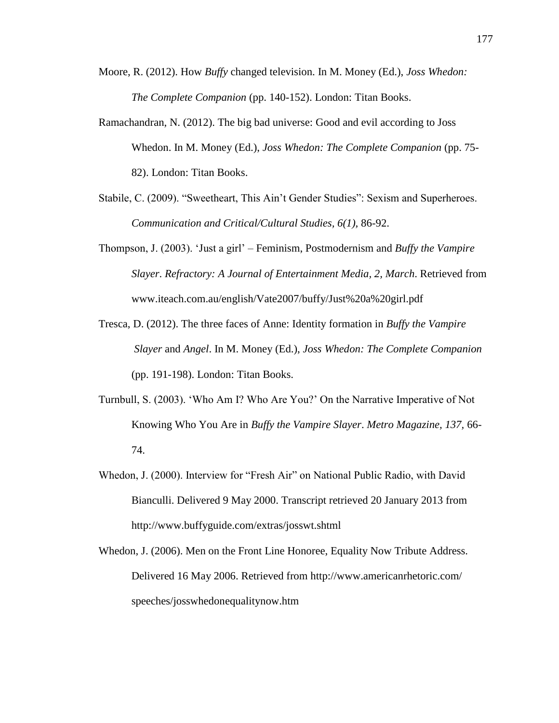- Moore, R. (2012). How *Buffy* changed television. In M. Money (Ed.), *Joss Whedon: The Complete Companion* (pp. 140-152). London: Titan Books.
- Ramachandran, N. (2012). The big bad universe: Good and evil according to Joss Whedon. In M. Money (Ed.), *Joss Whedon: The Complete Companion* (pp. 75- 82). London: Titan Books.
- Stabile, C. (2009). "Sweetheart, This Ain't Gender Studies": Sexism and Superheroes. *Communication and Critical/Cultural Studies, 6(1),* 86-92.
- Thompson, J. (2003). 'Just a girl' Feminism, Postmodernism and *Buffy the Vampire Slayer*. *Refractory: A Journal of Entertainment Media, 2, March*. Retrieved from www.iteach.com.au/english/Vate2007/buffy/Just%20a%20girl.pdf
- Tresca, D. (2012). The three faces of Anne: Identity formation in *Buffy the Vampire Slayer* and *Angel*. In M. Money (Ed.), *Joss Whedon: The Complete Companion* (pp. 191-198). London: Titan Books.
- Turnbull, S. (2003). 'Who Am I? Who Are You?' On the Narrative Imperative of Not Knowing Who You Are in *Buffy the Vampire Slayer*. *Metro Magazine, 137,* 66- 74.
- Whedon, J. (2000). Interview for "Fresh Air" on National Public Radio, with David Bianculli. Delivered 9 May 2000. Transcript retrieved 20 January 2013 from http://www.buffyguide.com/extras/josswt.shtml
- Whedon, J. (2006). Men on the Front Line Honoree, Equality Now Tribute Address. Delivered 16 May 2006. Retrieved from http://www.americanrhetoric.com/ speeches/josswhedonequalitynow.htm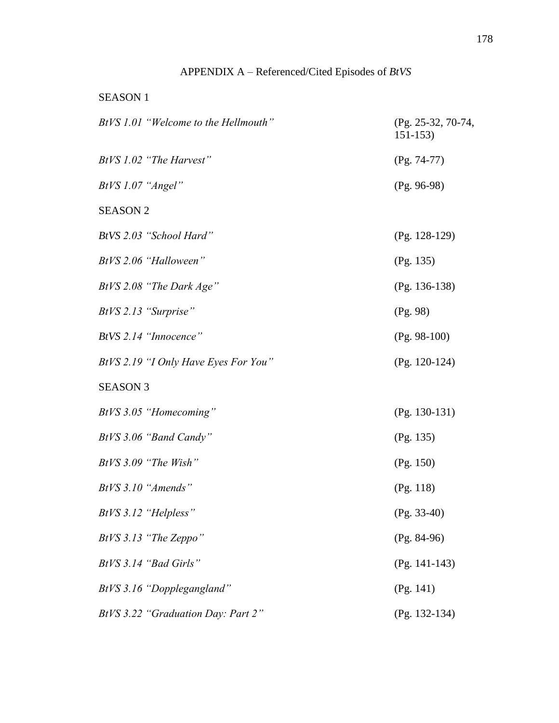# APPENDIX A – Referenced/Cited Episodes of *BtVS*

# SEASON 1

| BtVS 1.01 "Welcome to the Hellmouth" | (Pg. 25-32, 70-74,<br>$151 - 153$ |
|--------------------------------------|-----------------------------------|
| BtVS 1.02 "The Harvest"              | $(Pg. 74-77)$                     |
| BtVS 1.07 "Angel"                    | $(Pg. 96-98)$                     |
| <b>SEASON 2</b>                      |                                   |
| BtVS 2.03 "School Hard"              | $(Pg. 128-129)$                   |
| BtVS 2.06 "Halloween"                | (Pg. 135)                         |
| BtVS 2.08 "The Dark Age"             | $(Pg. 136-138)$                   |
| BtVS 2.13 "Surprise"                 | (Pg. 98)                          |
| BtVS 2.14 "Innocence"                | $(Pg. 98-100)$                    |
| BtVS 2.19 "I Only Have Eyes For You" | $(Pg. 120-124)$                   |
| <b>SEASON 3</b>                      |                                   |
| BtVS 3.05 "Homecoming"               | $(Pg. 130-131)$                   |
| BtVS 3.06 "Band Candy"               | (Pg. 135)                         |
| $BtVS$ 3.09 "The Wish"               | (Pg. 150)                         |
| BtVS 3.10 "Amends"                   | (Pg. 118)                         |
| BtVS 3.12 "Helpless"                 | $(Pg. 33-40)$                     |
| BtVS 3.13 "The Zeppo"                | $(Pg. 84-96)$                     |
| BtVS 3.14 "Bad Girls"                | $(Pg. 141-143)$                   |
| BtVS 3.16 "Dopplegangland"           | (Pg. 141)                         |
| BtVS 3.22 "Graduation Day: Part 2"   | $(Pg. 132-134)$                   |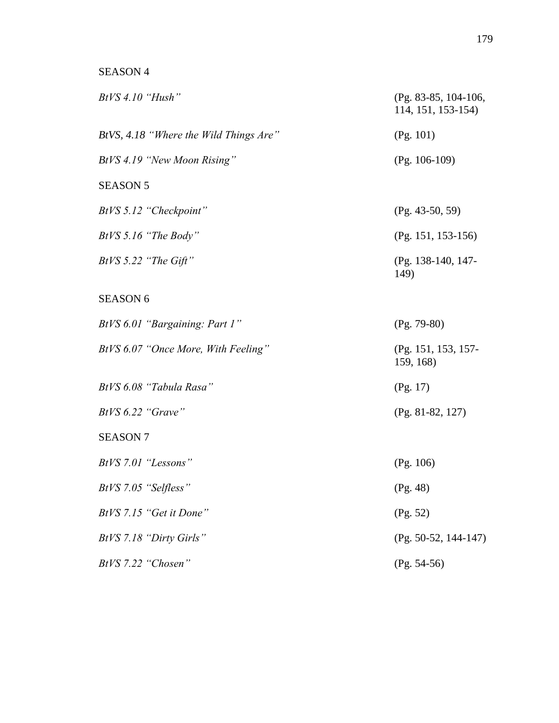# SEASON 4

| $BtVS$ 4.10 "Hush"                     | $(Pg. 83-85, 104-106,$<br>114, 151, 153-154) |
|----------------------------------------|----------------------------------------------|
| BtVS, 4.18 "Where the Wild Things Are" | (Pg. 101)                                    |
| BtVS 4.19 "New Moon Rising"            | $(Pg. 106-109)$                              |
| <b>SEASON 5</b>                        |                                              |
| BtVS 5.12 "Checkpoint"                 | $(Pg. 43-50, 59)$                            |
| BtVS 5.16 "The Body"                   | $(Pg. 151, 153-156)$                         |
| BtVS 5.22 "The Gift"                   | (Pg. 138-140, 147-<br>149)                   |
| <b>SEASON 6</b>                        |                                              |
| BtVS 6.01 "Bargaining: Part 1"         | $(Pg. 79-80)$                                |
| BtVS 6.07 "Once More, With Feeling"    | (Pg. 151, 153, 157-<br>159, 168)             |
| BtVS 6.08 "Tabula Rasa"                | (Pg. 17)                                     |
| BtVS 6.22 "Grave"                      | $(Pg. 81-82, 127)$                           |
| <b>SEASON 7</b>                        |                                              |
| BtVS 7.01 "Lessons"                    | (Pg. 106)                                    |
| BtVS 7.05 "Selfless"                   | (Pg. 48)                                     |
| BtVS 7.15 "Get it Done"                | (Pg. 52)                                     |
| BtVS 7.18 "Dirty Girls"                | $(Pg. 50-52, 144-147)$                       |
| BtVS 7.22 "Chosen"                     | $(Pg. 54-56)$                                |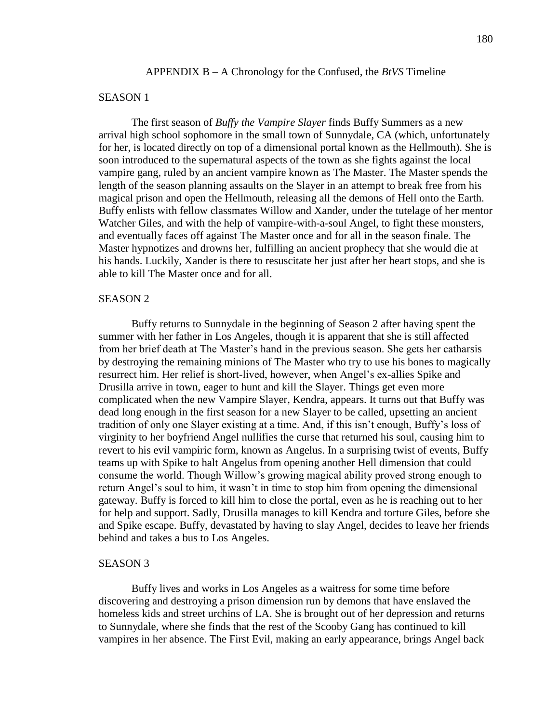### SEASON 1

The first season of *Buffy the Vampire Slayer* finds Buffy Summers as a new arrival high school sophomore in the small town of Sunnydale, CA (which, unfortunately for her, is located directly on top of a dimensional portal known as the Hellmouth). She is soon introduced to the supernatural aspects of the town as she fights against the local vampire gang, ruled by an ancient vampire known as The Master. The Master spends the length of the season planning assaults on the Slayer in an attempt to break free from his magical prison and open the Hellmouth, releasing all the demons of Hell onto the Earth. Buffy enlists with fellow classmates Willow and Xander, under the tutelage of her mentor Watcher Giles, and with the help of vampire-with-a-soul Angel, to fight these monsters, and eventually faces off against The Master once and for all in the season finale. The Master hypnotizes and drowns her, fulfilling an ancient prophecy that she would die at his hands. Luckily, Xander is there to resuscitate her just after her heart stops, and she is able to kill The Master once and for all.

#### SEASON 2

Buffy returns to Sunnydale in the beginning of Season 2 after having spent the summer with her father in Los Angeles, though it is apparent that she is still affected from her brief death at The Master's hand in the previous season. She gets her catharsis by destroying the remaining minions of The Master who try to use his bones to magically resurrect him. Her relief is short-lived, however, when Angel's ex-allies Spike and Drusilla arrive in town, eager to hunt and kill the Slayer. Things get even more complicated when the new Vampire Slayer, Kendra, appears. It turns out that Buffy was dead long enough in the first season for a new Slayer to be called, upsetting an ancient tradition of only one Slayer existing at a time. And, if this isn't enough, Buffy's loss of virginity to her boyfriend Angel nullifies the curse that returned his soul, causing him to revert to his evil vampiric form, known as Angelus. In a surprising twist of events, Buffy teams up with Spike to halt Angelus from opening another Hell dimension that could consume the world. Though Willow's growing magical ability proved strong enough to return Angel's soul to him, it wasn't in time to stop him from opening the dimensional gateway. Buffy is forced to kill him to close the portal, even as he is reaching out to her for help and support. Sadly, Drusilla manages to kill Kendra and torture Giles, before she and Spike escape. Buffy, devastated by having to slay Angel, decides to leave her friends behind and takes a bus to Los Angeles.

### SEASON 3

Buffy lives and works in Los Angeles as a waitress for some time before discovering and destroying a prison dimension run by demons that have enslaved the homeless kids and street urchins of LA. She is brought out of her depression and returns to Sunnydale, where she finds that the rest of the Scooby Gang has continued to kill vampires in her absence. The First Evil, making an early appearance, brings Angel back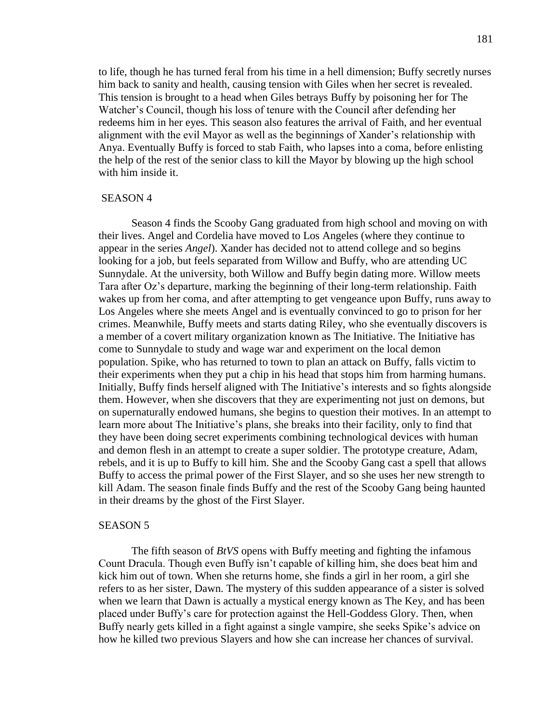to life, though he has turned feral from his time in a hell dimension; Buffy secretly nurses him back to sanity and health, causing tension with Giles when her secret is revealed. This tension is brought to a head when Giles betrays Buffy by poisoning her for The Watcher's Council, though his loss of tenure with the Council after defending her redeems him in her eyes. This season also features the arrival of Faith, and her eventual alignment with the evil Mayor as well as the beginnings of Xander's relationship with Anya. Eventually Buffy is forced to stab Faith, who lapses into a coma, before enlisting the help of the rest of the senior class to kill the Mayor by blowing up the high school with him inside it.

#### SEASON 4

Season 4 finds the Scooby Gang graduated from high school and moving on with their lives. Angel and Cordelia have moved to Los Angeles (where they continue to appear in the series *Angel*). Xander has decided not to attend college and so begins looking for a job, but feels separated from Willow and Buffy, who are attending UC Sunnydale. At the university, both Willow and Buffy begin dating more. Willow meets Tara after Oz's departure, marking the beginning of their long-term relationship. Faith wakes up from her coma, and after attempting to get vengeance upon Buffy, runs away to Los Angeles where she meets Angel and is eventually convinced to go to prison for her crimes. Meanwhile, Buffy meets and starts dating Riley, who she eventually discovers is a member of a covert military organization known as The Initiative. The Initiative has come to Sunnydale to study and wage war and experiment on the local demon population. Spike, who has returned to town to plan an attack on Buffy, falls victim to their experiments when they put a chip in his head that stops him from harming humans. Initially, Buffy finds herself aligned with The Initiative's interests and so fights alongside them. However, when she discovers that they are experimenting not just on demons, but on supernaturally endowed humans, she begins to question their motives. In an attempt to learn more about The Initiative's plans, she breaks into their facility, only to find that they have been doing secret experiments combining technological devices with human and demon flesh in an attempt to create a super soldier. The prototype creature, Adam, rebels, and it is up to Buffy to kill him. She and the Scooby Gang cast a spell that allows Buffy to access the primal power of the First Slayer, and so she uses her new strength to kill Adam. The season finale finds Buffy and the rest of the Scooby Gang being haunted in their dreams by the ghost of the First Slayer.

#### SEASON 5

The fifth season of *BtVS* opens with Buffy meeting and fighting the infamous Count Dracula. Though even Buffy isn't capable of killing him, she does beat him and kick him out of town. When she returns home, she finds a girl in her room, a girl she refers to as her sister, Dawn. The mystery of this sudden appearance of a sister is solved when we learn that Dawn is actually a mystical energy known as The Key, and has been placed under Buffy's care for protection against the Hell-Goddess Glory. Then, when Buffy nearly gets killed in a fight against a single vampire, she seeks Spike's advice on how he killed two previous Slayers and how she can increase her chances of survival.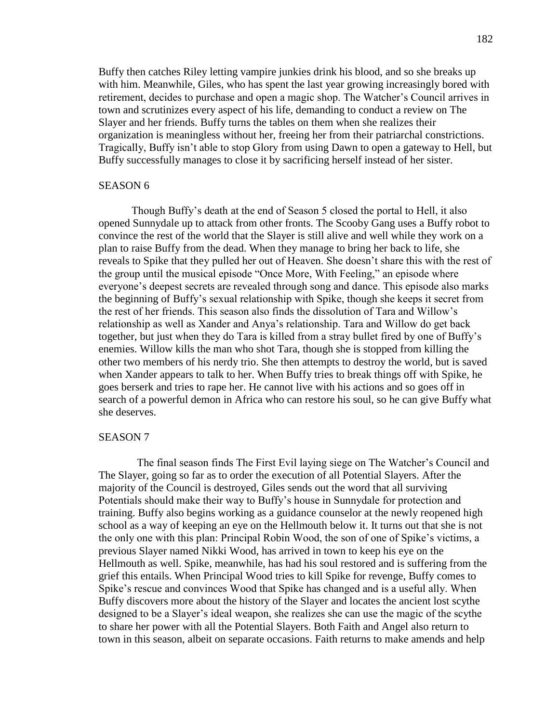Buffy then catches Riley letting vampire junkies drink his blood, and so she breaks up with him. Meanwhile, Giles, who has spent the last year growing increasingly bored with retirement, decides to purchase and open a magic shop. The Watcher's Council arrives in town and scrutinizes every aspect of his life, demanding to conduct a review on The Slayer and her friends. Buffy turns the tables on them when she realizes their organization is meaningless without her, freeing her from their patriarchal constrictions. Tragically, Buffy isn't able to stop Glory from using Dawn to open a gateway to Hell, but Buffy successfully manages to close it by sacrificing herself instead of her sister.

#### SEASON 6

Though Buffy's death at the end of Season 5 closed the portal to Hell, it also opened Sunnydale up to attack from other fronts. The Scooby Gang uses a Buffy robot to convince the rest of the world that the Slayer is still alive and well while they work on a plan to raise Buffy from the dead. When they manage to bring her back to life, she reveals to Spike that they pulled her out of Heaven. She doesn't share this with the rest of the group until the musical episode "Once More, With Feeling," an episode where everyone's deepest secrets are revealed through song and dance. This episode also marks the beginning of Buffy's sexual relationship with Spike, though she keeps it secret from the rest of her friends. This season also finds the dissolution of Tara and Willow's relationship as well as Xander and Anya's relationship. Tara and Willow do get back together, but just when they do Tara is killed from a stray bullet fired by one of Buffy's enemies. Willow kills the man who shot Tara, though she is stopped from killing the other two members of his nerdy trio. She then attempts to destroy the world, but is saved when Xander appears to talk to her. When Buffy tries to break things off with Spike, he goes berserk and tries to rape her. He cannot live with his actions and so goes off in search of a powerful demon in Africa who can restore his soul, so he can give Buffy what she deserves.

#### SEASON 7

 The final season finds The First Evil laying siege on The Watcher's Council and The Slayer, going so far as to order the execution of all Potential Slayers. After the majority of the Council is destroyed, Giles sends out the word that all surviving Potentials should make their way to Buffy's house in Sunnydale for protection and training. Buffy also begins working as a guidance counselor at the newly reopened high school as a way of keeping an eye on the Hellmouth below it. It turns out that she is not the only one with this plan: Principal Robin Wood, the son of one of Spike's victims, a previous Slayer named Nikki Wood, has arrived in town to keep his eye on the Hellmouth as well. Spike, meanwhile, has had his soul restored and is suffering from the grief this entails. When Principal Wood tries to kill Spike for revenge, Buffy comes to Spike's rescue and convinces Wood that Spike has changed and is a useful ally. When Buffy discovers more about the history of the Slayer and locates the ancient lost scythe designed to be a Slayer's ideal weapon, she realizes she can use the magic of the scythe to share her power with all the Potential Slayers. Both Faith and Angel also return to town in this season, albeit on separate occasions. Faith returns to make amends and help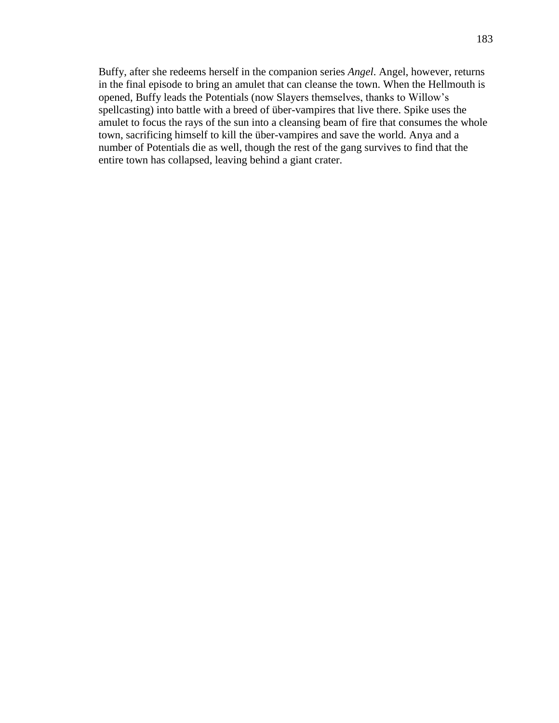Buffy, after she redeems herself in the companion series *Angel*. Angel, however, returns in the final episode to bring an amulet that can cleanse the town. When the Hellmouth is opened, Buffy leads the Potentials (now Slayers themselves, thanks to Willow's spellcasting) into battle with a breed of über-vampires that live there. Spike uses the amulet to focus the rays of the sun into a cleansing beam of fire that consumes the whole town, sacrificing himself to kill the über-vampires and save the world. Anya and a number of Potentials die as well, though the rest of the gang survives to find that the entire town has collapsed, leaving behind a giant crater.